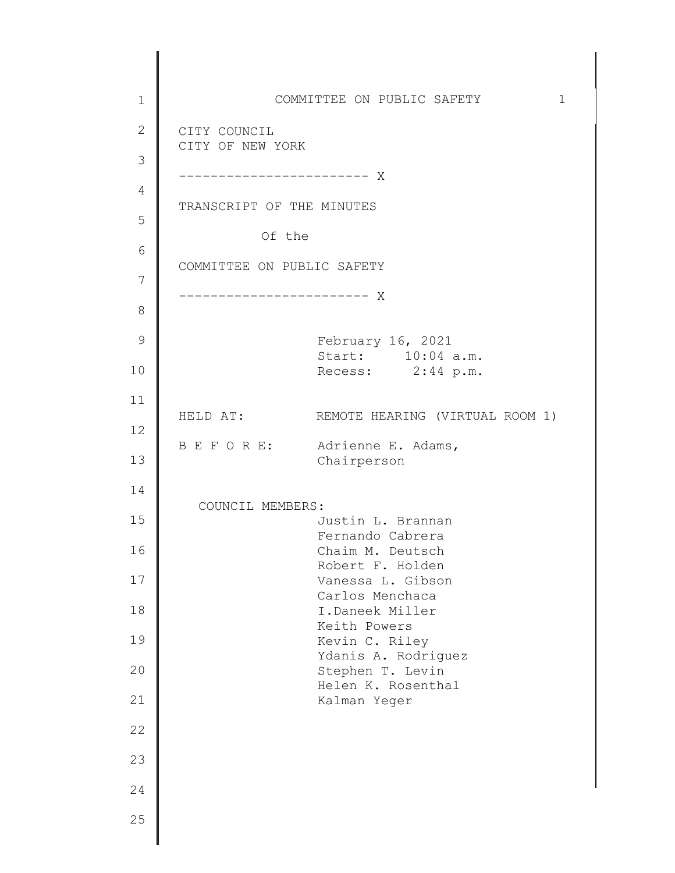1 2 3 4 5 6 7 8 9 10 11 12 13 14 15 16 17 18 19 20 21 22 23 24 25 COMMITTEE ON PUBLIC SAFETY 1 CITY COUNCIL CITY OF NEW YORK ------------------------ X TRANSCRIPT OF THE MINUTES Of the COMMITTEE ON PUBLIC SAFETY ------------------------ X February 16, 2021 Start: 10:04 a.m. Recess: 2:44 p.m. HELD AT: REMOTE HEARING (VIRTUAL ROOM 1) B E F O R E: Adrienne E. Adams, Chairperson COUNCIL MEMBERS: Justin L. Brannan Fernando Cabrera Chaim M. Deutsch Robert F. Holden Vanessa L. Gibson Carlos Menchaca I.Daneek Miller Keith Powers Kevin C. Riley Ydanis A. Rodriguez Stephen T. Levin Helen K. Rosenthal Kalman Yeger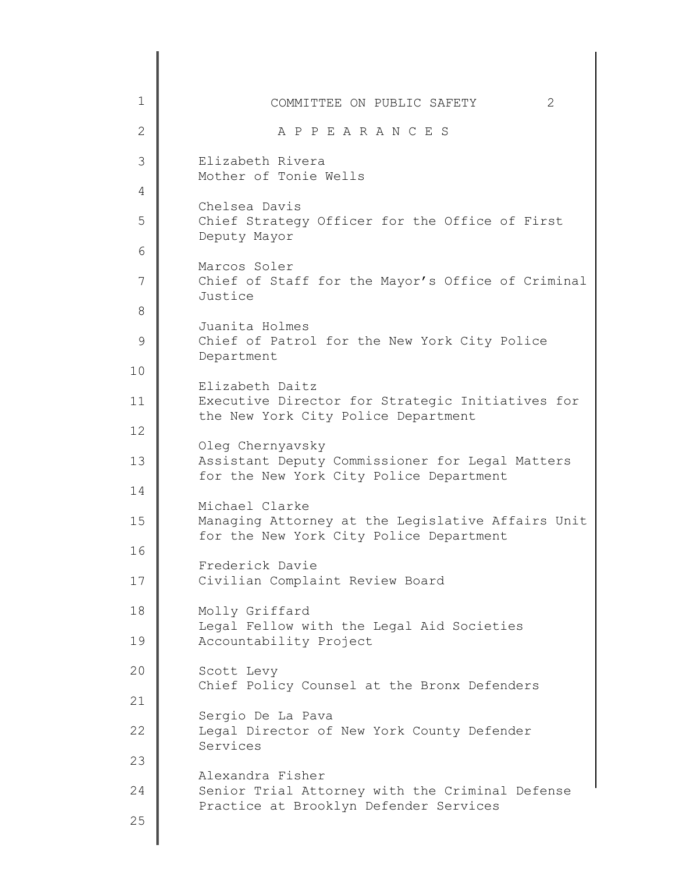| $\mathbf 1$<br>2<br>COMMITTEE ON PUBLIC SAFETY<br>$\overline{2}$<br>A P P E A R A N C E S<br>3<br>Elizabeth Rivera<br>Mother of Tonie Wells<br>4<br>Chelsea Davis<br>5<br>Chief Strategy Officer for the Office of First<br>Deputy Mayor<br>6<br>Marcos Soler<br>7<br>Justice<br>8<br>Juanita Holmes<br>9<br>Chief of Patrol for the New York City Police<br>Department<br>10<br>Elizabeth Daitz<br>Executive Director for Strategic Initiatives for<br>11<br>the New York City Police Department<br>12<br>Oleg Chernyavsky<br>13<br>Assistant Deputy Commissioner for Legal Matters<br>for the New York City Police Department<br>14<br>Michael Clarke<br>15<br>for the New York City Police Department<br>16<br>Frederick Davie<br>17<br>Civilian Complaint Review Board<br>18<br>Molly Griffard<br>Legal Fellow with the Legal Aid Societies<br>19<br>Accountability Project<br>20<br>Scott Levy<br>Chief Policy Counsel at the Bronx Defenders<br>21<br>Sergio De La Pava<br>22<br>Legal Director of New York County Defender<br>Services<br>23<br>Alexandra Fisher<br>24<br>Senior Trial Attorney with the Criminal Defense<br>Practice at Brooklyn Defender Services<br>25 |                                                   |
|----------------------------------------------------------------------------------------------------------------------------------------------------------------------------------------------------------------------------------------------------------------------------------------------------------------------------------------------------------------------------------------------------------------------------------------------------------------------------------------------------------------------------------------------------------------------------------------------------------------------------------------------------------------------------------------------------------------------------------------------------------------------------------------------------------------------------------------------------------------------------------------------------------------------------------------------------------------------------------------------------------------------------------------------------------------------------------------------------------------------------------------------------------------------------------|---------------------------------------------------|
|                                                                                                                                                                                                                                                                                                                                                                                                                                                                                                                                                                                                                                                                                                                                                                                                                                                                                                                                                                                                                                                                                                                                                                                  |                                                   |
|                                                                                                                                                                                                                                                                                                                                                                                                                                                                                                                                                                                                                                                                                                                                                                                                                                                                                                                                                                                                                                                                                                                                                                                  |                                                   |
|                                                                                                                                                                                                                                                                                                                                                                                                                                                                                                                                                                                                                                                                                                                                                                                                                                                                                                                                                                                                                                                                                                                                                                                  |                                                   |
|                                                                                                                                                                                                                                                                                                                                                                                                                                                                                                                                                                                                                                                                                                                                                                                                                                                                                                                                                                                                                                                                                                                                                                                  |                                                   |
|                                                                                                                                                                                                                                                                                                                                                                                                                                                                                                                                                                                                                                                                                                                                                                                                                                                                                                                                                                                                                                                                                                                                                                                  |                                                   |
|                                                                                                                                                                                                                                                                                                                                                                                                                                                                                                                                                                                                                                                                                                                                                                                                                                                                                                                                                                                                                                                                                                                                                                                  |                                                   |
|                                                                                                                                                                                                                                                                                                                                                                                                                                                                                                                                                                                                                                                                                                                                                                                                                                                                                                                                                                                                                                                                                                                                                                                  | Chief of Staff for the Mayor's Office of Criminal |
|                                                                                                                                                                                                                                                                                                                                                                                                                                                                                                                                                                                                                                                                                                                                                                                                                                                                                                                                                                                                                                                                                                                                                                                  |                                                   |
|                                                                                                                                                                                                                                                                                                                                                                                                                                                                                                                                                                                                                                                                                                                                                                                                                                                                                                                                                                                                                                                                                                                                                                                  |                                                   |
|                                                                                                                                                                                                                                                                                                                                                                                                                                                                                                                                                                                                                                                                                                                                                                                                                                                                                                                                                                                                                                                                                                                                                                                  |                                                   |
|                                                                                                                                                                                                                                                                                                                                                                                                                                                                                                                                                                                                                                                                                                                                                                                                                                                                                                                                                                                                                                                                                                                                                                                  |                                                   |
|                                                                                                                                                                                                                                                                                                                                                                                                                                                                                                                                                                                                                                                                                                                                                                                                                                                                                                                                                                                                                                                                                                                                                                                  |                                                   |
|                                                                                                                                                                                                                                                                                                                                                                                                                                                                                                                                                                                                                                                                                                                                                                                                                                                                                                                                                                                                                                                                                                                                                                                  |                                                   |
|                                                                                                                                                                                                                                                                                                                                                                                                                                                                                                                                                                                                                                                                                                                                                                                                                                                                                                                                                                                                                                                                                                                                                                                  |                                                   |
|                                                                                                                                                                                                                                                                                                                                                                                                                                                                                                                                                                                                                                                                                                                                                                                                                                                                                                                                                                                                                                                                                                                                                                                  | Managing Attorney at the Legislative Affairs Unit |
|                                                                                                                                                                                                                                                                                                                                                                                                                                                                                                                                                                                                                                                                                                                                                                                                                                                                                                                                                                                                                                                                                                                                                                                  |                                                   |
|                                                                                                                                                                                                                                                                                                                                                                                                                                                                                                                                                                                                                                                                                                                                                                                                                                                                                                                                                                                                                                                                                                                                                                                  |                                                   |
|                                                                                                                                                                                                                                                                                                                                                                                                                                                                                                                                                                                                                                                                                                                                                                                                                                                                                                                                                                                                                                                                                                                                                                                  |                                                   |
|                                                                                                                                                                                                                                                                                                                                                                                                                                                                                                                                                                                                                                                                                                                                                                                                                                                                                                                                                                                                                                                                                                                                                                                  |                                                   |
|                                                                                                                                                                                                                                                                                                                                                                                                                                                                                                                                                                                                                                                                                                                                                                                                                                                                                                                                                                                                                                                                                                                                                                                  |                                                   |
|                                                                                                                                                                                                                                                                                                                                                                                                                                                                                                                                                                                                                                                                                                                                                                                                                                                                                                                                                                                                                                                                                                                                                                                  |                                                   |
|                                                                                                                                                                                                                                                                                                                                                                                                                                                                                                                                                                                                                                                                                                                                                                                                                                                                                                                                                                                                                                                                                                                                                                                  |                                                   |
|                                                                                                                                                                                                                                                                                                                                                                                                                                                                                                                                                                                                                                                                                                                                                                                                                                                                                                                                                                                                                                                                                                                                                                                  |                                                   |
|                                                                                                                                                                                                                                                                                                                                                                                                                                                                                                                                                                                                                                                                                                                                                                                                                                                                                                                                                                                                                                                                                                                                                                                  |                                                   |
|                                                                                                                                                                                                                                                                                                                                                                                                                                                                                                                                                                                                                                                                                                                                                                                                                                                                                                                                                                                                                                                                                                                                                                                  |                                                   |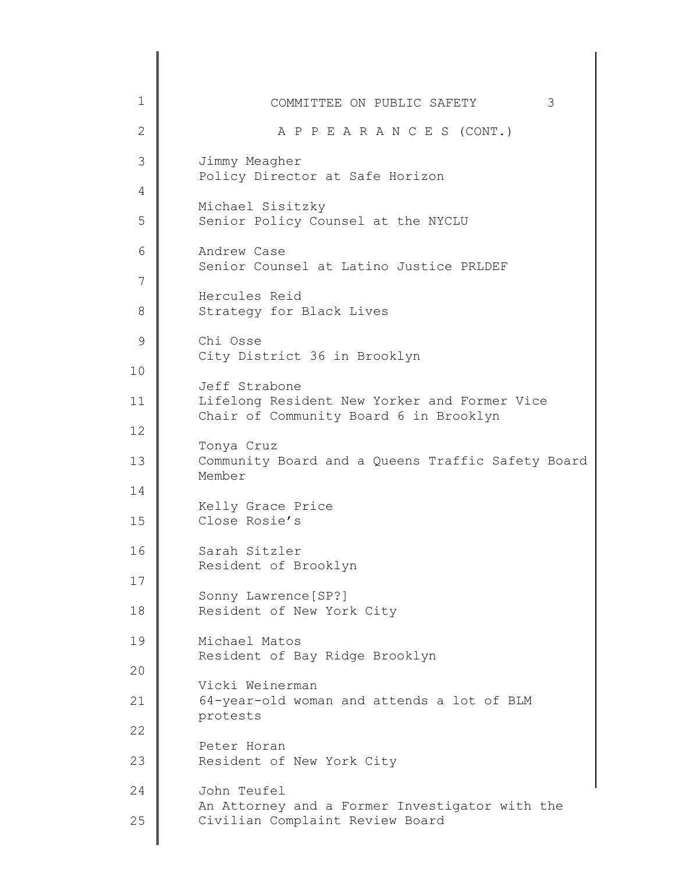| 1              | 3<br>COMMITTEE ON PUBLIC SAFETY                                                        |
|----------------|----------------------------------------------------------------------------------------|
| $\overline{2}$ | A P P E A R A N C E S (CONT.)                                                          |
| 3              | Jimmy Meagher<br>Policy Director at Safe Horizon                                       |
| 4              | Michael Sisitzky                                                                       |
| 5              | Senior Policy Counsel at the NYCLU                                                     |
| 6              | Andrew Case<br>Senior Counsel at Latino Justice PRLDEF                                 |
| 7              | Hercules Reid                                                                          |
| 8              | Strategy for Black Lives                                                               |
| 9              | Chi Osse<br>City District 36 in Brooklyn                                               |
| 10             | Jeff Strabone                                                                          |
| 11             | Lifelong Resident New Yorker and Former Vice<br>Chair of Community Board 6 in Brooklyn |
| 12             | Tonya Cruz                                                                             |
| 13             | Community Board and a Queens Traffic Safety Board<br>Member                            |
| 14             | Kelly Grace Price                                                                      |
| 15             | Close Rosie's                                                                          |
| 16             | Sarah Sitzler<br>Resident of Brooklyn                                                  |
| 17             | Sonny Lawrence [SP?]                                                                   |
| 18             | Resident of New York City                                                              |
| 19             | Michael Matos<br>Resident of Bay Ridge Brooklyn                                        |
| 20             | Vicki Weinerman                                                                        |
| 21             | 64-year-old woman and attends a lot of BLM<br>protests                                 |
| 22             | Peter Horan                                                                            |
| 23             | Resident of New York City                                                              |
| 24             | John Teufel<br>An Attorney and a Former Investigator with the                          |
| 25             | Civilian Complaint Review Board                                                        |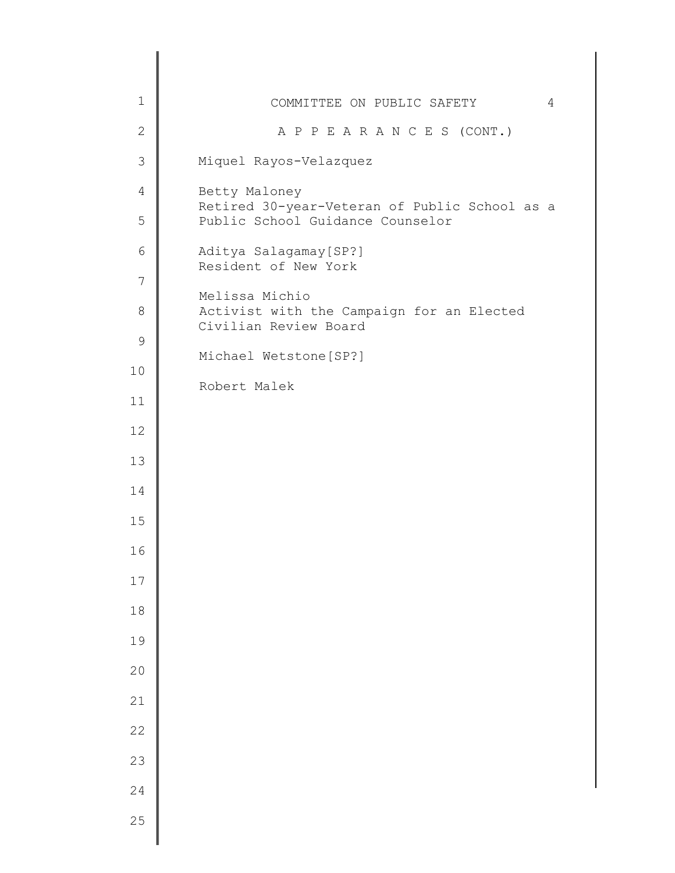| $\mathbf 1$    | COMMITTEE ON PUBLIC SAFETY<br>4                                                   |
|----------------|-----------------------------------------------------------------------------------|
| $\mathbf{2}$   | A P P E A R A N C E S (CONT.)                                                     |
| $\mathcal{S}$  | Miquel Rayos-Velazquez                                                            |
| $\overline{4}$ | Betty Maloney                                                                     |
| 5              | Retired 30-year-Veteran of Public School as a<br>Public School Guidance Counselor |
| 6              | Aditya Salagamay [SP?]<br>Resident of New York                                    |
| 7              | Melissa Michio                                                                    |
| $8\,$          | Activist with the Campaign for an Elected<br>Civilian Review Board                |
| 9              | Michael Wetstone [SP?]                                                            |
| 10             | Robert Malek                                                                      |
| 11             |                                                                                   |
| 12             |                                                                                   |
| 13             |                                                                                   |
| 14             |                                                                                   |
| 15             |                                                                                   |
| 16             |                                                                                   |
| 17             |                                                                                   |
| $18$           |                                                                                   |
| 19             |                                                                                   |
| 20             |                                                                                   |
| 21             |                                                                                   |
| 22             |                                                                                   |
| 23             |                                                                                   |
| 24             |                                                                                   |
| 25             |                                                                                   |
|                |                                                                                   |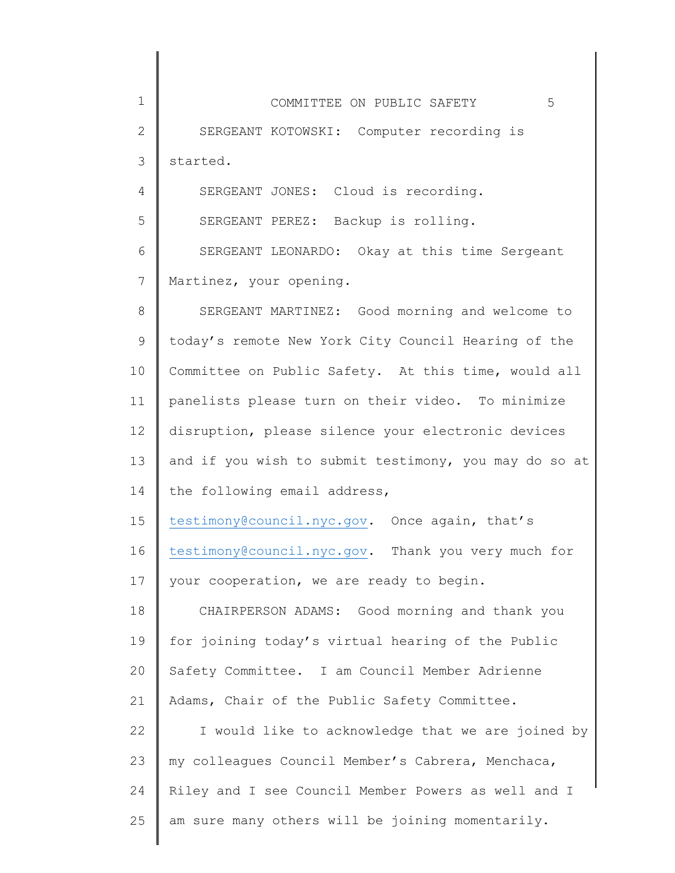| $\mathbf 1$  | 5<br>COMMITTEE ON PUBLIC SAFETY                       |
|--------------|-------------------------------------------------------|
| $\mathbf{2}$ | SERGEANT KOTOWSKI: Computer recording is              |
| 3            | started.                                              |
| 4            | SERGEANT JONES: Cloud is recording.                   |
| 5            | SERGEANT PEREZ: Backup is rolling.                    |
| 6            | SERGEANT LEONARDO: Okay at this time Sergeant         |
| 7            | Martinez, your opening.                               |
| 8            | SERGEANT MARTINEZ: Good morning and welcome to        |
| $\mathsf 9$  | today's remote New York City Council Hearing of the   |
| 10           | Committee on Public Safety. At this time, would all   |
| 11           | panelists please turn on their video. To minimize     |
| 12           | disruption, please silence your electronic devices    |
| 13           | and if you wish to submit testimony, you may do so at |
| 14           | the following email address,                          |
| 15           | testimony@council.nyc.gov. Once again, that's         |
| 16           | testimony@council.nyc.gov. Thank you very much for    |
| 17           | your cooperation, we are ready to begin.              |
| 18           | CHAIRPERSON ADAMS: Good morning and thank you         |
| 19           | for joining today's virtual hearing of the Public     |
| 20           | Safety Committee. I am Council Member Adrienne        |
| 21           | Adams, Chair of the Public Safety Committee.          |
| 22           | I would like to acknowledge that we are joined by     |
| 23           | my colleagues Council Member's Cabrera, Menchaca,     |
| 24           | Riley and I see Council Member Powers as well and I   |
| 25           | am sure many others will be joining momentarily.      |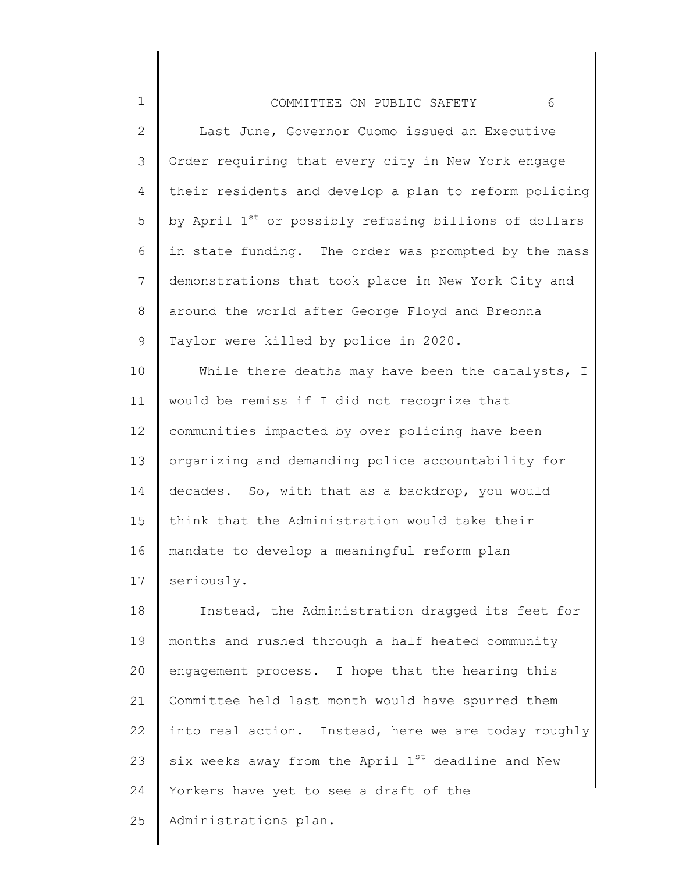1

2 3 4 5 6 7 8 9 Last June, Governor Cuomo issued an Executive Order requiring that every city in New York engage their residents and develop a plan to reform policing by April 1<sup>st</sup> or possibly refusing billions of dollars in state funding. The order was prompted by the mass demonstrations that took place in New York City and around the world after George Floyd and Breonna Taylor were killed by police in 2020.

10 11 12 13 14 15 16 17 While there deaths may have been the catalysts, I would be remiss if I did not recognize that communities impacted by over policing have been organizing and demanding police accountability for decades. So, with that as a backdrop, you would think that the Administration would take their mandate to develop a meaningful reform plan seriously.

18 19 20 21 22 23 24 25 Instead, the Administration dragged its feet for months and rushed through a half heated community engagement process. I hope that the hearing this Committee held last month would have spurred them into real action. Instead, here we are today roughly six weeks away from the April  $1^{st}$  deadline and New Yorkers have yet to see a draft of the Administrations plan.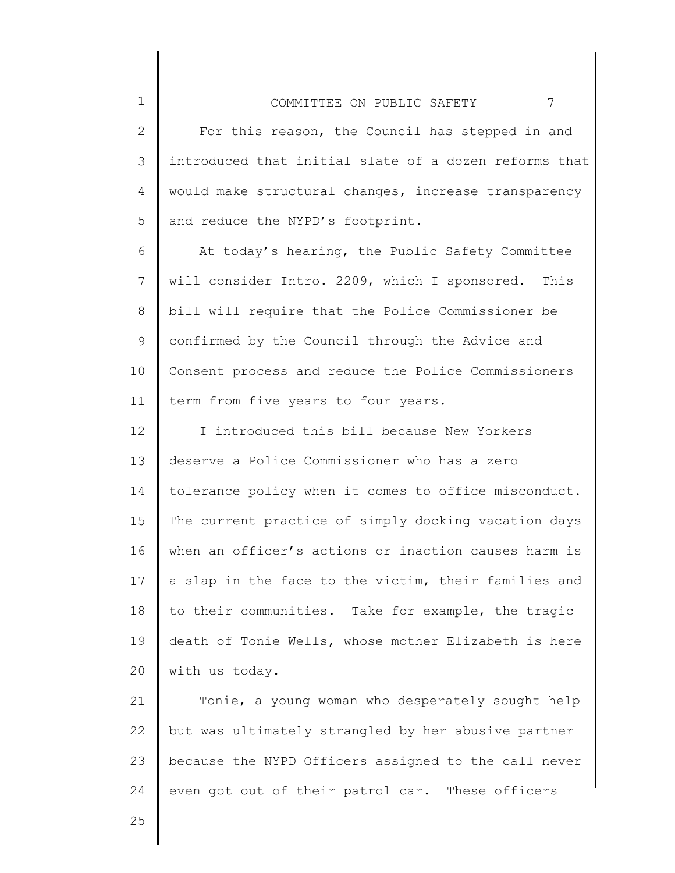2 3 4 5 For this reason, the Council has stepped in and introduced that initial slate of a dozen reforms that would make structural changes, increase transparency and reduce the NYPD's footprint.

6 7 8 9 10 11 At today's hearing, the Public Safety Committee will consider Intro. 2209, which I sponsored. This bill will require that the Police Commissioner be confirmed by the Council through the Advice and Consent process and reduce the Police Commissioners term from five years to four years.

12 13 14 15 16 17 18 19 20 I introduced this bill because New Yorkers deserve a Police Commissioner who has a zero tolerance policy when it comes to office misconduct. The current practice of simply docking vacation days when an officer's actions or inaction causes harm is a slap in the face to the victim, their families and to their communities. Take for example, the tragic death of Tonie Wells, whose mother Elizabeth is here with us today.

21 22 23 24 Tonie, a young woman who desperately sought help but was ultimately strangled by her abusive partner because the NYPD Officers assigned to the call never even got out of their patrol car. These officers

25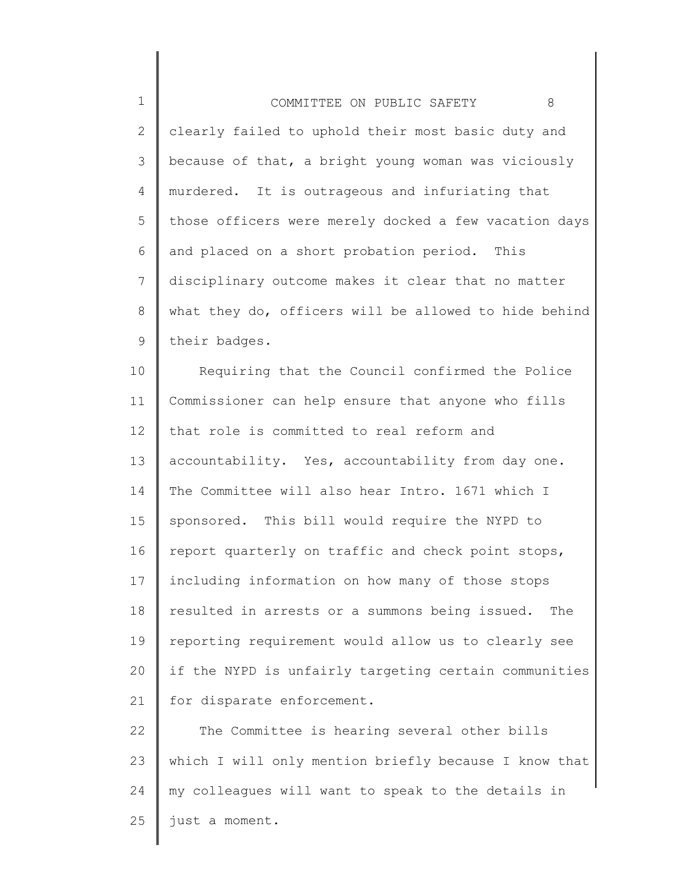1 2 3 4 5 6 7 8 9 COMMITTEE ON PUBLIC SAFETY 8 clearly failed to uphold their most basic duty and because of that, a bright young woman was viciously murdered. It is outrageous and infuriating that those officers were merely docked a few vacation days and placed on a short probation period. This disciplinary outcome makes it clear that no matter what they do, officers will be allowed to hide behind their badges.

10 11 12 13 14 15 16 17 18 19 20 21 Requiring that the Council confirmed the Police Commissioner can help ensure that anyone who fills that role is committed to real reform and accountability. Yes, accountability from day one. The Committee will also hear Intro. 1671 which I sponsored. This bill would require the NYPD to report quarterly on traffic and check point stops, including information on how many of those stops resulted in arrests or a summons being issued. The reporting requirement would allow us to clearly see if the NYPD is unfairly targeting certain communities for disparate enforcement.

22 23 24 25 The Committee is hearing several other bills which I will only mention briefly because I know that my colleagues will want to speak to the details in just a moment.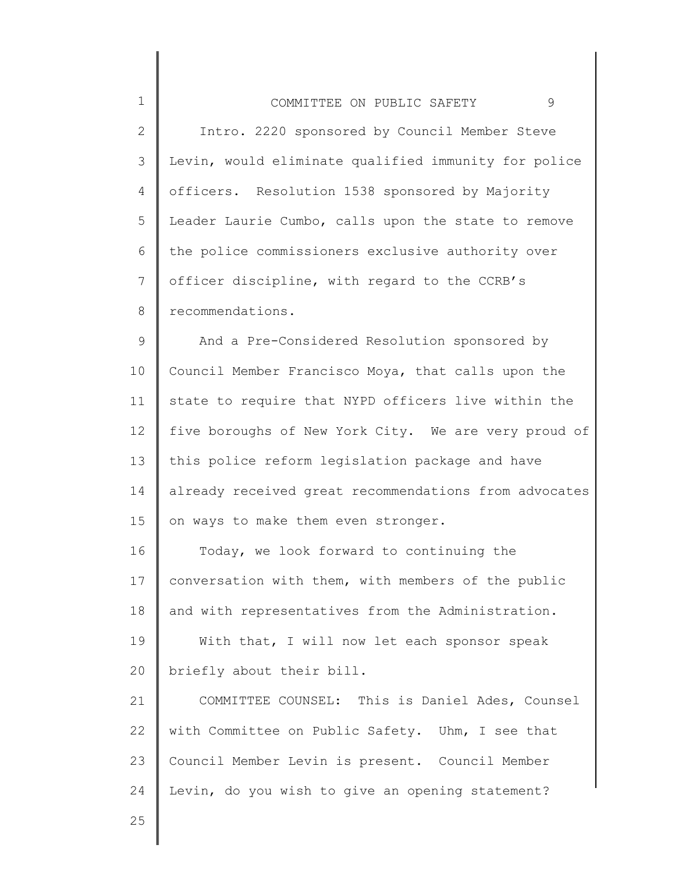| $\mathbf 1$     | 9<br>COMMITTEE ON PUBLIC SAFETY                       |
|-----------------|-------------------------------------------------------|
| $\mathbf{2}$    | Intro. 2220 sponsored by Council Member Steve         |
| 3               | Levin, would eliminate qualified immunity for police  |
| 4               | officers. Resolution 1538 sponsored by Majority       |
| 5               | Leader Laurie Cumbo, calls upon the state to remove   |
| 6               | the police commissioners exclusive authority over     |
| $\overline{7}$  | officer discipline, with regard to the CCRB's         |
| 8               | recommendations.                                      |
| $\mathsf 9$     | And a Pre-Considered Resolution sponsored by          |
| 10              | Council Member Francisco Moya, that calls upon the    |
| 11              | state to require that NYPD officers live within the   |
| 12 <sup>°</sup> | five boroughs of New York City. We are very proud of  |
| 13              | this police reform legislation package and have       |
| 14              | already received great recommendations from advocates |
| 15              | on ways to make them even stronger.                   |
| 16              | Today, we look forward to continuing the              |
| 17              | conversation with them, with members of the public    |
| 18              | and with representatives from the Administration.     |
| 19              | With that, I will now let each sponsor speak          |
| 20              | briefly about their bill.                             |
| 21              | COMMITTEE COUNSEL: This is Daniel Ades, Counsel       |
| 22              | with Committee on Public Safety. Uhm, I see that      |

23 24 Council Member Levin is present. Council Member Levin, do you wish to give an opening statement?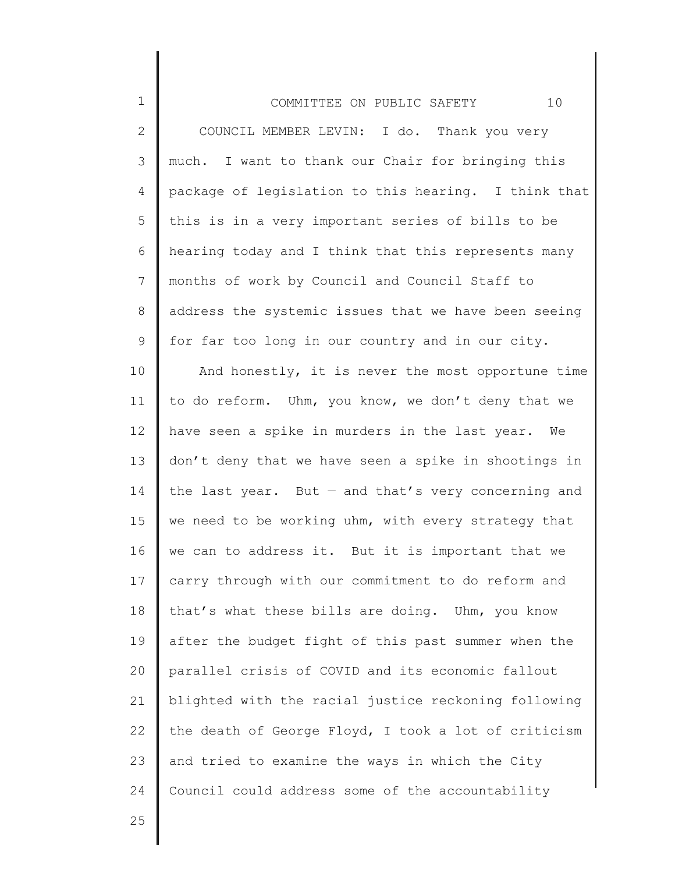| $\mathbf 1$     | 10<br>COMMITTEE ON PUBLIC SAFETY                      |
|-----------------|-------------------------------------------------------|
| $\mathbf{2}$    | COUNCIL MEMBER LEVIN: I do. Thank you very            |
| $\mathcal{S}$   | much. I want to thank our Chair for bringing this     |
| 4               | package of legislation to this hearing. I think that  |
| 5               | this is in a very important series of bills to be     |
| 6               | hearing today and I think that this represents many   |
| $7\phantom{.0}$ | months of work by Council and Council Staff to        |
| 8               | address the systemic issues that we have been seeing  |
| 9               | for far too long in our country and in our city.      |
| 10              | And honestly, it is never the most opportune time     |
| 11              | to do reform. Uhm, you know, we don't deny that we    |
| 12              | have seen a spike in murders in the last year. We     |
| 13              | don't deny that we have seen a spike in shootings in  |
| 14              | the last year. But $-$ and that's very concerning and |
| 15              | we need to be working uhm, with every strategy that   |
| 16              | we can to address it. But it is important that we     |
| 17              | carry through with our commitment to do reform and    |
| 18              | that's what these bills are doing. Uhm, you know      |
| 19              | after the budget fight of this past summer when the   |
| 20              | parallel crisis of COVID and its economic fallout     |
| 21              | blighted with the racial justice reckoning following  |
| 22              | the death of George Floyd, I took a lot of criticism  |
| 23              | and tried to examine the ways in which the City       |
| 24              | Council could address some of the accountability      |
|                 |                                                       |

25

∥ ║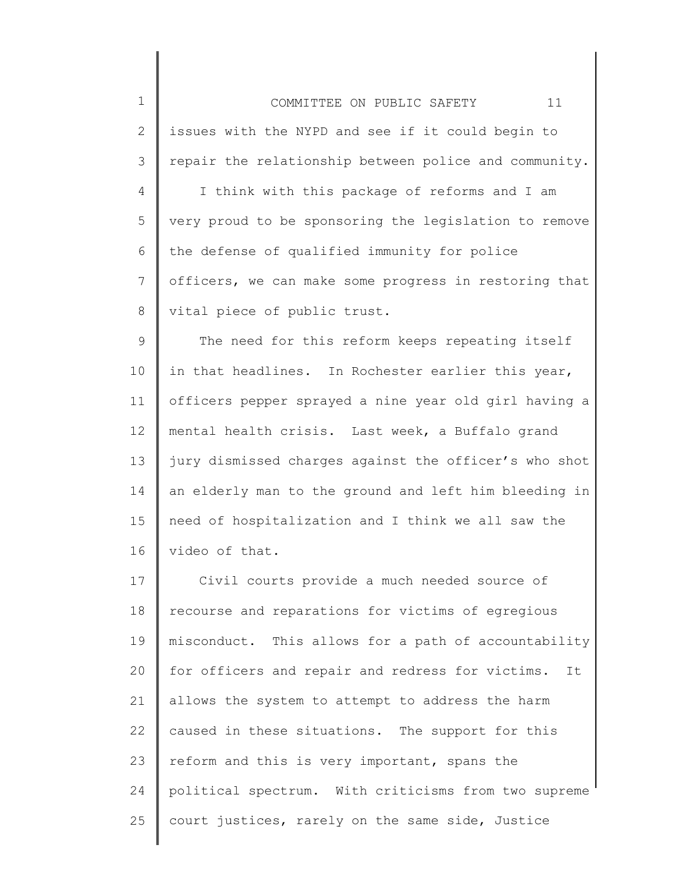1 2 3 4 5 6 7 8 9 10 11 12 13 14 15 16 17 18 19 20 21 22 23 COMMITTEE ON PUBLIC SAFETY 11 issues with the NYPD and see if it could begin to repair the relationship between police and community. I think with this package of reforms and I am very proud to be sponsoring the legislation to remove the defense of qualified immunity for police officers, we can make some progress in restoring that vital piece of public trust. The need for this reform keeps repeating itself in that headlines. In Rochester earlier this year, officers pepper sprayed a nine year old girl having a mental health crisis. Last week, a Buffalo grand jury dismissed charges against the officer's who shot an elderly man to the ground and left him bleeding in need of hospitalization and I think we all saw the video of that. Civil courts provide a much needed source of recourse and reparations for victims of egregious misconduct. This allows for a path of accountability for officers and repair and redress for victims. It allows the system to attempt to address the harm caused in these situations. The support for this reform and this is very important, spans the

political spectrum. With criticisms from two supreme

court justices, rarely on the same side, Justice

24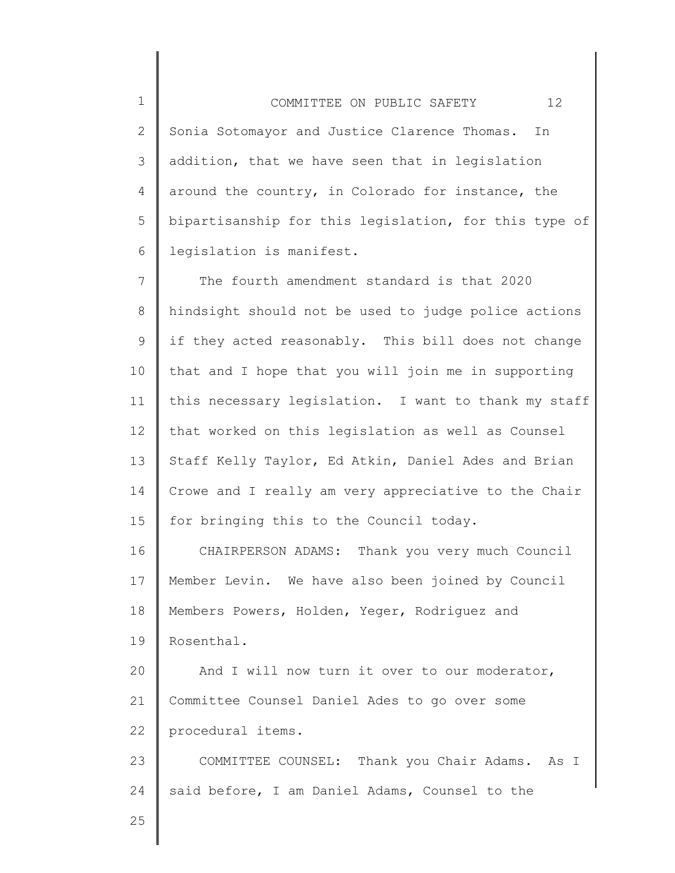2 3 4 5 6 COMMITTEE ON PUBLIC SAFETY 12 Sonia Sotomayor and Justice Clarence Thomas. In addition, that we have seen that in legislation around the country, in Colorado for instance, the bipartisanship for this legislation, for this type of legislation is manifest.

7 8 9 10 11 12 13 14 15 The fourth amendment standard is that 2020 hindsight should not be used to judge police actions if they acted reasonably. This bill does not change that and I hope that you will join me in supporting this necessary legislation. I want to thank my staff that worked on this legislation as well as Counsel Staff Kelly Taylor, Ed Atkin, Daniel Ades and Brian Crowe and I really am very appreciative to the Chair for bringing this to the Council today.

16 17 18 19 CHAIRPERSON ADAMS: Thank you very much Council Member Levin. We have also been joined by Council Members Powers, Holden, Yeger, Rodriguez and Rosenthal.

20 21 22 And I will now turn it over to our moderator, Committee Counsel Daniel Ades to go over some procedural items.

23 24 COMMITTEE COUNSEL: Thank you Chair Adams. As I said before, I am Daniel Adams, Counsel to the

25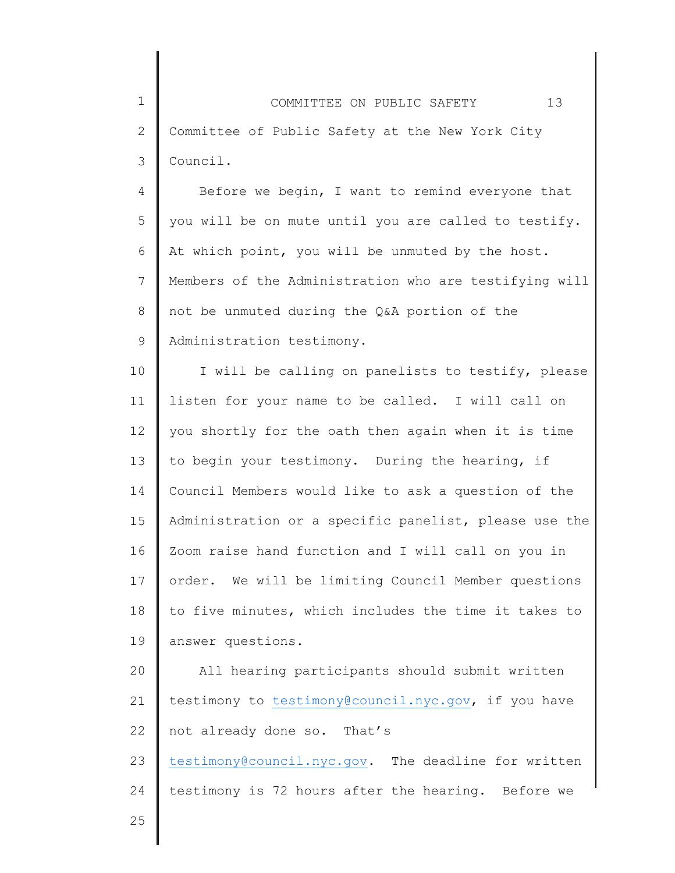4 5 6 7 8 9 Before we begin, I want to remind everyone that you will be on mute until you are called to testify. At which point, you will be unmuted by the host. Members of the Administration who are testifying will not be unmuted during the Q&A portion of the Administration testimony.

10 11 12 13 14 15 16 17 18 19 I will be calling on panelists to testify, please listen for your name to be called. I will call on you shortly for the oath then again when it is time to begin your testimony. During the hearing, if Council Members would like to ask a question of the Administration or a specific panelist, please use the Zoom raise hand function and I will call on you in order. We will be limiting Council Member questions to five minutes, which includes the time it takes to answer questions.

20 21 22 All hearing participants should submit written testimony to [testimony@council.nyc.gov,](mailto:testimony@council.nyc.gov) if you have not already done so. That's

23 24 [testimony@council.nyc.gov.](mailto:testimony@council.nyc.gov) The deadline for written testimony is 72 hours after the hearing. Before we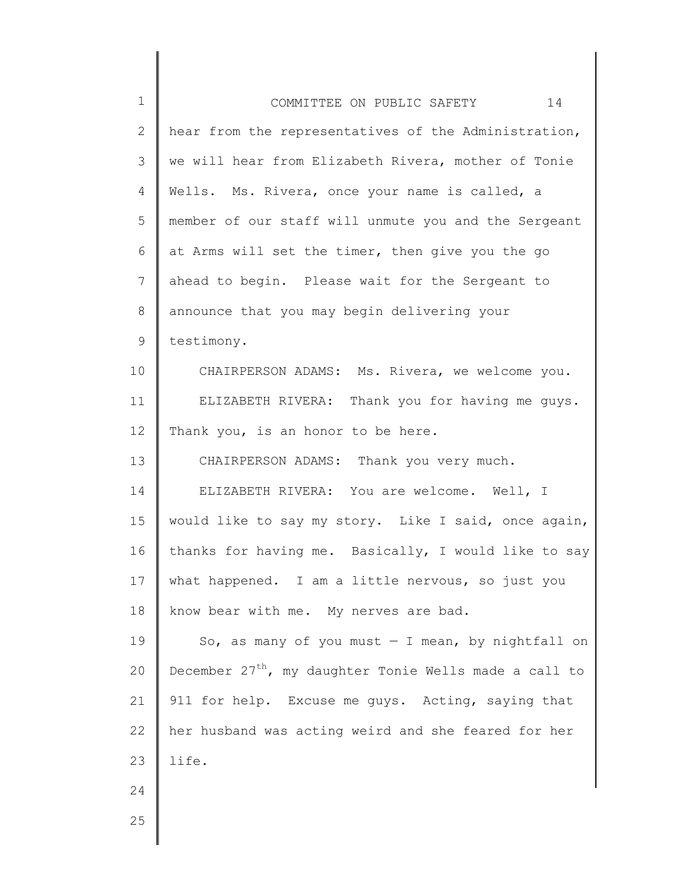| 1            | 14<br>COMMITTEE ON PUBLIC SAFETY                                   |
|--------------|--------------------------------------------------------------------|
| $\mathbf{2}$ | hear from the representatives of the Administration,               |
| 3            | we will hear from Elizabeth Rivera, mother of Tonie                |
| 4            | Wells. Ms. Rivera, once your name is called, a                     |
| 5            | member of our staff will unmute you and the Sergeant               |
| 6            | at Arms will set the timer, then give you the go                   |
| 7            | ahead to begin. Please wait for the Sergeant to                    |
| 8            | announce that you may begin delivering your                        |
| 9            | testimony.                                                         |
| 10           | CHAIRPERSON ADAMS: Ms. Rivera, we welcome you.                     |
| 11           | ELIZABETH RIVERA: Thank you for having me guys.                    |
| 12           | Thank you, is an honor to be here.                                 |
| 13           | CHAIRPERSON ADAMS: Thank you very much.                            |
| 14           | ELIZABETH RIVERA: You are welcome. Well, I                         |
| 15           | would like to say my story. Like I said, once again,               |
| 16           | thanks for having me. Basically, I would like to say               |
| 17           | what happened. I am a little nervous, so just you                  |
| 18           | know bear with me. My nerves are bad.                              |
| 19           | So, as many of you must $-$ I mean, by nightfall on                |
| 20           | December 27 <sup>th</sup> , my daughter Tonie Wells made a call to |
| 21           | 911 for help. Excuse me guys. Acting, saying that                  |
| 22           | her husband was acting weird and she feared for her                |
| 23           | life.                                                              |
| 24           |                                                                    |
| 25           |                                                                    |
|              |                                                                    |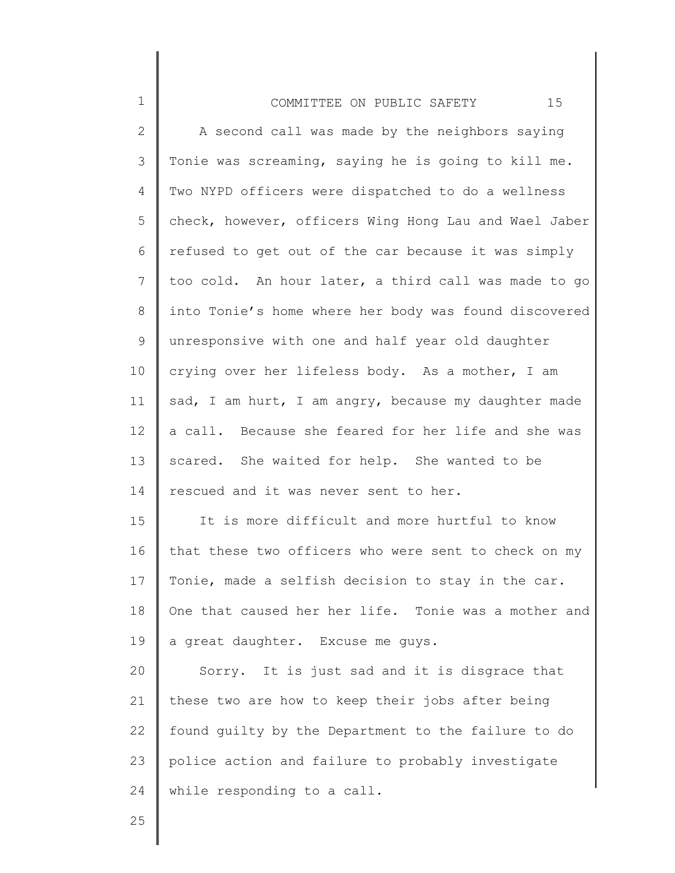| $\mathbf 1$    | 15<br>COMMITTEE ON PUBLIC SAFETY                      |
|----------------|-------------------------------------------------------|
| $\mathbf{2}$   | A second call was made by the neighbors saying        |
| $\mathcal{S}$  | Tonie was screaming, saying he is going to kill me.   |
| 4              | Two NYPD officers were dispatched to do a wellness    |
| 5              | check, however, officers Wing Hong Lau and Wael Jaber |
| 6              | refused to get out of the car because it was simply   |
| $\overline{7}$ | too cold. An hour later, a third call was made to go  |
| 8              | into Tonie's home where her body was found discovered |
| $\mathsf 9$    | unresponsive with one and half year old daughter      |
| 10             | crying over her lifeless body. As a mother, I am      |
| 11             | sad, I am hurt, I am angry, because my daughter made  |
| 12             | a call. Because she feared for her life and she was   |
| 13             | scared. She waited for help. She wanted to be         |
| 14             | rescued and it was never sent to her.                 |
| 15             | It is more difficult and more hurtful to know         |
| 16             | that these two officers who were sent to check on my  |
| 17             | Tonie, made a selfish decision to stay in the car.    |
| 18             | One that caused her her life. Tonie was a mother and  |
| 19             | a great daughter. Excuse me guys.                     |
| 20             | Sorry. It is just sad and it is disgrace that         |
| 21             | these two are how to keep their jobs after being      |
| 22             | found quilty by the Department to the failure to do   |
| 23             | police action and failure to probably investigate     |
| 24             | while responding to a call.                           |
| 25             |                                                       |

∥

║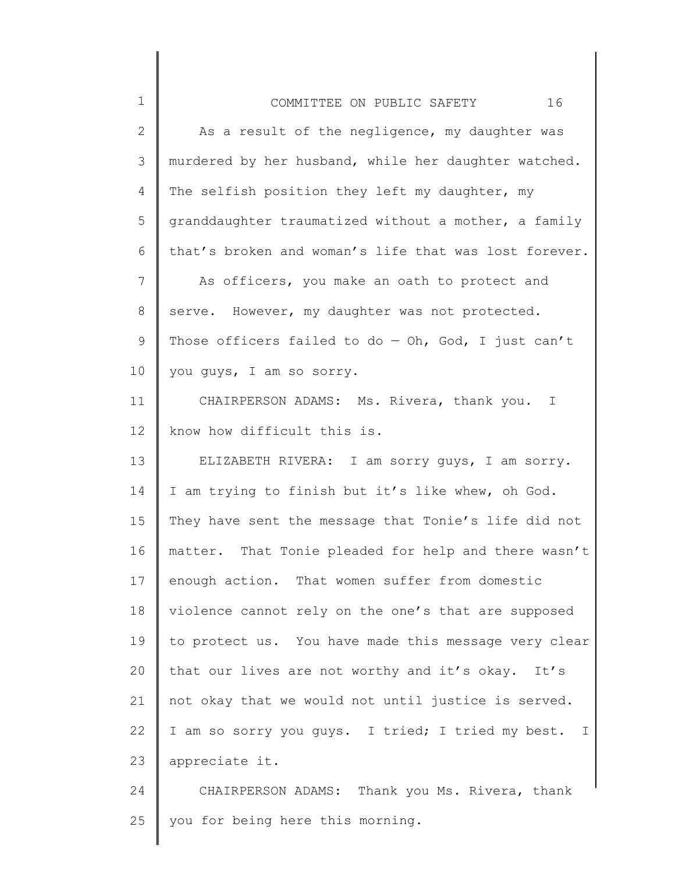| $\mathbf 1$  | 16<br>COMMITTEE ON PUBLIC SAFETY                      |
|--------------|-------------------------------------------------------|
| $\mathbf{2}$ | As a result of the negligence, my daughter was        |
| 3            | murdered by her husband, while her daughter watched.  |
| 4            | The selfish position they left my daughter, my        |
| 5            | granddaughter traumatized without a mother, a family  |
| 6            | that's broken and woman's life that was lost forever. |
| 7            | As officers, you make an oath to protect and          |
| 8            | serve. However, my daughter was not protected.        |
| 9            | Those officers failed to do $-$ Oh, God, I just can't |
| 10           | you guys, I am so sorry.                              |
| 11           | CHAIRPERSON ADAMS: Ms. Rivera, thank you.<br>I        |
| 12           | know how difficult this is.                           |
| 13           | ELIZABETH RIVERA: I am sorry guys, I am sorry.        |
| 14           | I am trying to finish but it's like whew, oh God.     |
| 15           | They have sent the message that Tonie's life did not  |
| 16           | matter. That Tonie pleaded for help and there wasn't  |
| 17           | enough action. That women suffer from domestic        |
| 18           | violence cannot rely on the one's that are supposed   |
| 19           | to protect us. You have made this message very clear  |
| 20           | that our lives are not worthy and it's okay. It's     |
| 21           | not okay that we would not until justice is served.   |
| 22           | I am so sorry you quys. I tried; I tried my best. I   |
| 23           | appreciate it.                                        |
| 24           | CHAIRPERSON ADAMS: Thank you Ms. Rivera, thank        |
| 25           | you for being here this morning.                      |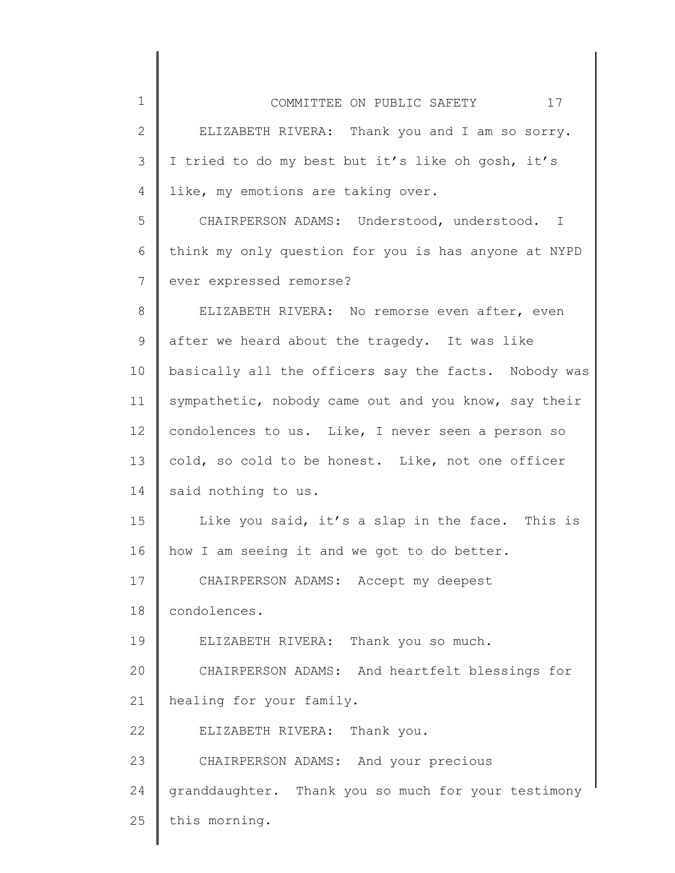| $\mathbf 1$  | 17<br>COMMITTEE ON PUBLIC SAFETY                     |
|--------------|------------------------------------------------------|
| $\mathbf{2}$ | ELIZABETH RIVERA: Thank you and I am so sorry.       |
| 3            | I tried to do my best but it's like oh gosh, it's    |
| 4            | like, my emotions are taking over.                   |
| 5            | CHAIRPERSON ADAMS: Understood, understood. I         |
| 6            | think my only question for you is has anyone at NYPD |
| 7            | ever expressed remorse?                              |
| 8            | ELIZABETH RIVERA: No remorse even after, even        |
| 9            | after we heard about the tragedy. It was like        |
| 10           | basically all the officers say the facts. Nobody was |
| 11           | sympathetic, nobody came out and you know, say their |
| 12           | condolences to us. Like, I never seen a person so    |
| 13           | cold, so cold to be honest. Like, not one officer    |
| 14           | said nothing to us.                                  |
| 15           | Like you said, it's a slap in the face. This is      |
| 16           | how I am seeing it and we got to do better.          |
| 17           | CHAIRPERSON ADAMS: Accept my deepest                 |
| 18           | condolences.                                         |
| 19           | ELIZABETH RIVERA: Thank you so much.                 |
| 20           | CHAIRPERSON ADAMS: And heartfelt blessings for       |
| 21           | healing for your family.                             |
| 22           | ELIZABETH RIVERA: Thank you.                         |
| 23           | CHAIRPERSON ADAMS: And your precious                 |
| 24           | granddaughter. Thank you so much for your testimony  |
| 25           | this morning.                                        |
|              |                                                      |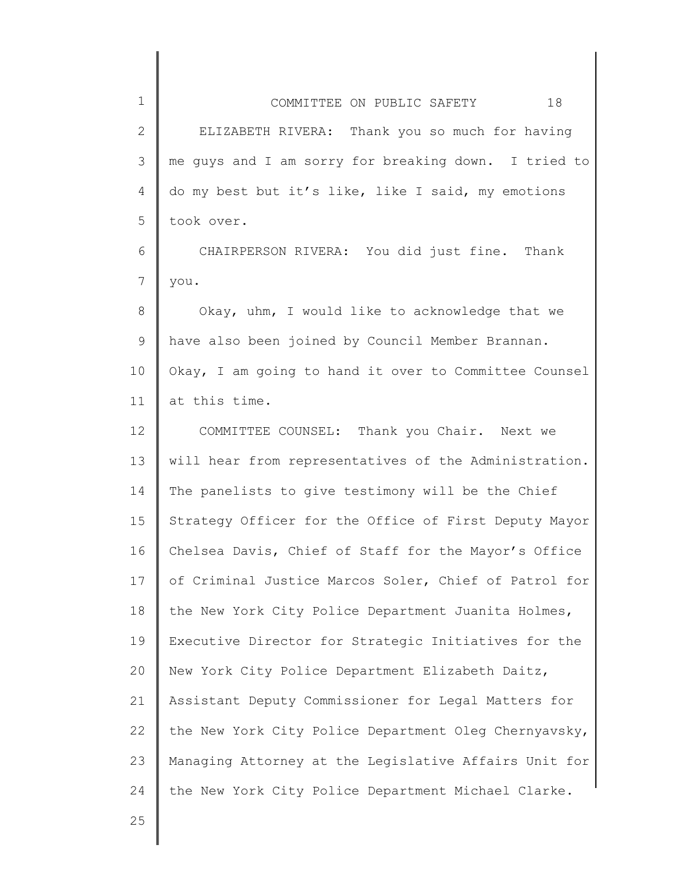| $\mathbf 1$    | 18<br>COMMITTEE ON PUBLIC SAFETY                      |
|----------------|-------------------------------------------------------|
| $\mathbf{2}$   | ELIZABETH RIVERA: Thank you so much for having        |
| 3              | me guys and I am sorry for breaking down. I tried to  |
| 4              | do my best but it's like, like I said, my emotions    |
| 5              | took over.                                            |
| 6              | CHAIRPERSON RIVERA: You did just fine. Thank          |
| $\overline{7}$ | you.                                                  |
| $8\,$          | Okay, uhm, I would like to acknowledge that we        |
| 9              | have also been joined by Council Member Brannan.      |
| 10             | Okay, I am going to hand it over to Committee Counsel |
| 11             | at this time.                                         |
| 12             | COMMITTEE COUNSEL: Thank you Chair. Next we           |
| 13             | will hear from representatives of the Administration. |
| 14             | The panelists to give testimony will be the Chief     |
| 15             | Strategy Officer for the Office of First Deputy Mayor |
| 16             | Chelsea Davis, Chief of Staff for the Mayor's Office  |
| 17             | of Criminal Justice Marcos Soler, Chief of Patrol for |
| 18             | the New York City Police Department Juanita Holmes,   |
| 19             | Executive Director for Strategic Initiatives for the  |
| 20             | New York City Police Department Elizabeth Daitz,      |
| 21             | Assistant Deputy Commissioner for Legal Matters for   |
| 22             | the New York City Police Department Oleg Chernyavsky, |
| 23             | Managing Attorney at the Legislative Affairs Unit for |

the New York City Police Department Michael Clarke.

25

24

 $\mathsf{l}$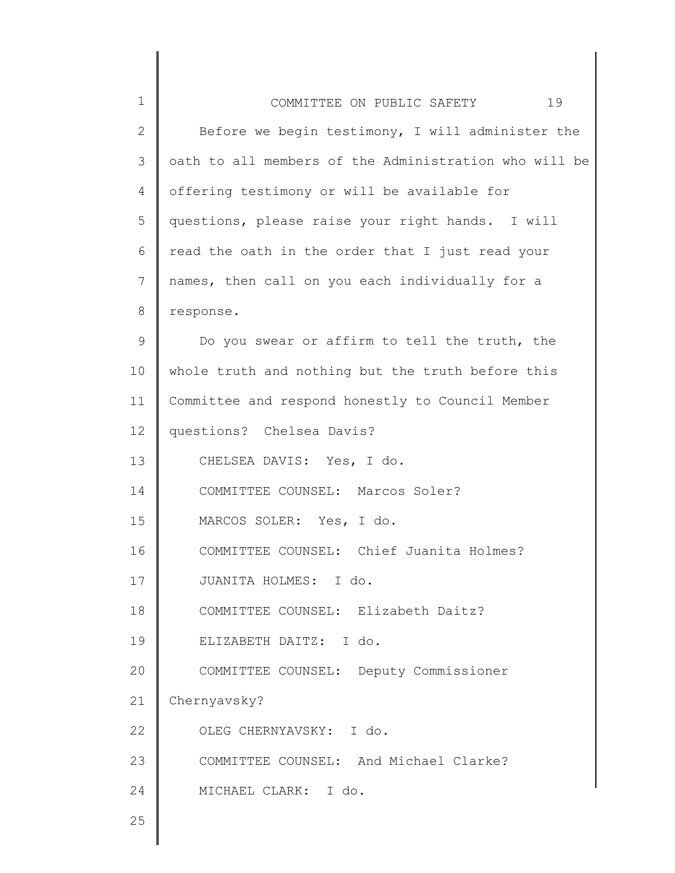| $\mathbf 1$    | 19<br>COMMITTEE ON PUBLIC SAFETY                      |
|----------------|-------------------------------------------------------|
| $\mathbf{2}$   | Before we begin testimony, I will administer the      |
| 3              | oath to all members of the Administration who will be |
| 4              | offering testimony or will be available for           |
| 5              | questions, please raise your right hands. I will      |
| 6              | read the oath in the order that I just read your      |
| $\overline{7}$ | names, then call on you each individually for a       |
| 8              | response.                                             |
| 9              | Do you swear or affirm to tell the truth, the         |
| 10             | whole truth and nothing but the truth before this     |
| 11             | Committee and respond honestly to Council Member      |
| 12             | questions? Chelsea Davis?                             |
| 13             | CHELSEA DAVIS: Yes, I do.                             |
| 14             | COMMITTEE COUNSEL: Marcos Soler?                      |
| 15             | MARCOS SOLER: Yes, I do.                              |
| 16             | COMMITTEE COUNSEL: Chief Juanita Holmes?              |
| 17             | JUANITA HOLMES: I do.                                 |
| 18             | COMMITTEE COUNSEL: Elizabeth Daitz?                   |
| 19             | ELIZABETH DAITZ: I do.                                |
| 20             | COMMITTEE COUNSEL: Deputy Commissioner                |
| 21             | Chernyavsky?                                          |
| 22             | OLEG CHERNYAVSKY: I do.                               |
| 23             | COMMITTEE COUNSEL: And Michael Clarke?                |
| 24             | MICHAEL CLARK: I do.                                  |
| 25             |                                                       |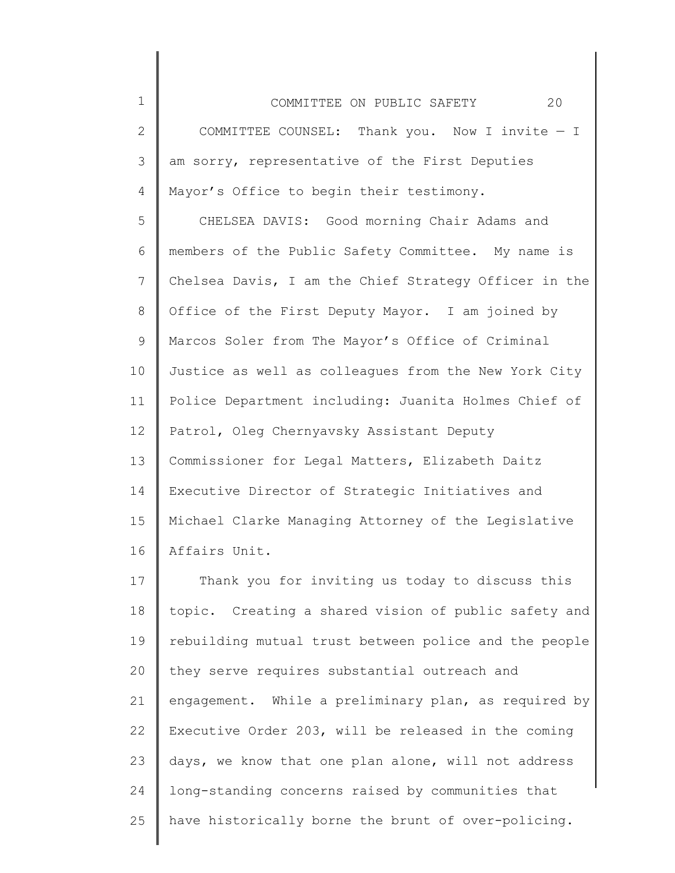COMMITTEE ON PUBLIC SAFETY 20 COMMITTEE COUNSEL: Thank you. Now I invite — I

3 4 am sorry, representative of the First Deputies Mayor's Office to begin their testimony.

1

2

5 6 7 8 9 10 11 12 13 14 15 16 CHELSEA DAVIS: Good morning Chair Adams and members of the Public Safety Committee. My name is Chelsea Davis, I am the Chief Strategy Officer in the Office of the First Deputy Mayor. I am joined by Marcos Soler from The Mayor's Office of Criminal Justice as well as colleagues from the New York City Police Department including: Juanita Holmes Chief of Patrol, Oleg Chernyavsky Assistant Deputy Commissioner for Legal Matters, Elizabeth Daitz Executive Director of Strategic Initiatives and Michael Clarke Managing Attorney of the Legislative Affairs Unit.

17 18 19 20 21 22 23 24 25 Thank you for inviting us today to discuss this topic. Creating a shared vision of public safety and rebuilding mutual trust between police and the people they serve requires substantial outreach and engagement. While a preliminary plan, as required by Executive Order 203, will be released in the coming days, we know that one plan alone, will not address long-standing concerns raised by communities that have historically borne the brunt of over-policing.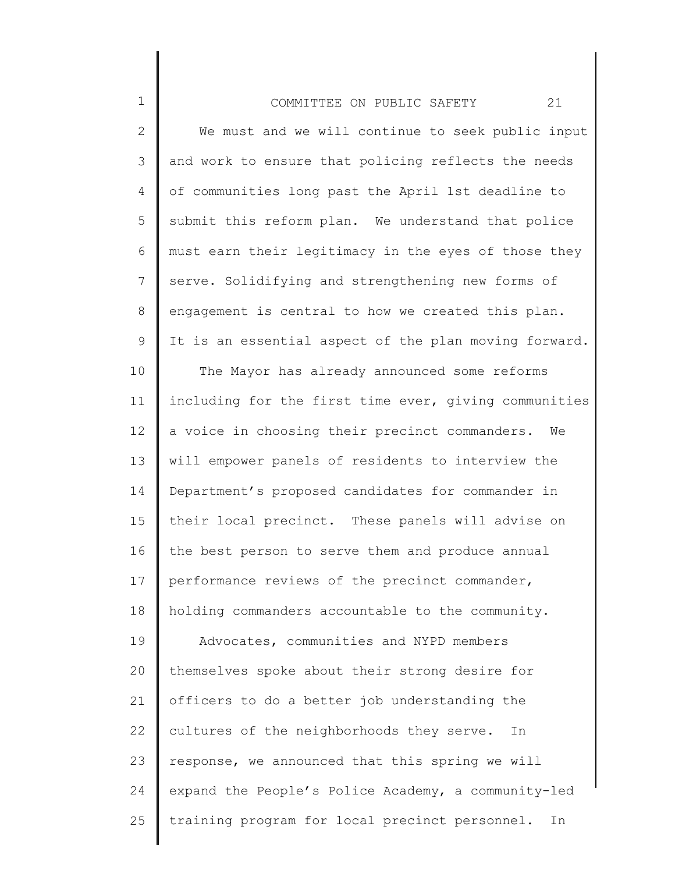## COMMITTEE ON PUBLIC SAFETY 21

1

2 3 4 5 6 7 8 9 We must and we will continue to seek public input and work to ensure that policing reflects the needs of communities long past the April 1st deadline to submit this reform plan. We understand that police must earn their legitimacy in the eyes of those they serve. Solidifying and strengthening new forms of engagement is central to how we created this plan. It is an essential aspect of the plan moving forward.

10 11 12 13 14 15 16 17 18 19 20 21 22 23 24 25 The Mayor has already announced some reforms including for the first time ever, giving communities a voice in choosing their precinct commanders. We will empower panels of residents to interview the Department's proposed candidates for commander in their local precinct. These panels will advise on the best person to serve them and produce annual performance reviews of the precinct commander, holding commanders accountable to the community. Advocates, communities and NYPD members themselves spoke about their strong desire for officers to do a better job understanding the cultures of the neighborhoods they serve. In response, we announced that this spring we will expand the People's Police Academy, a community-led training program for local precinct personnel. In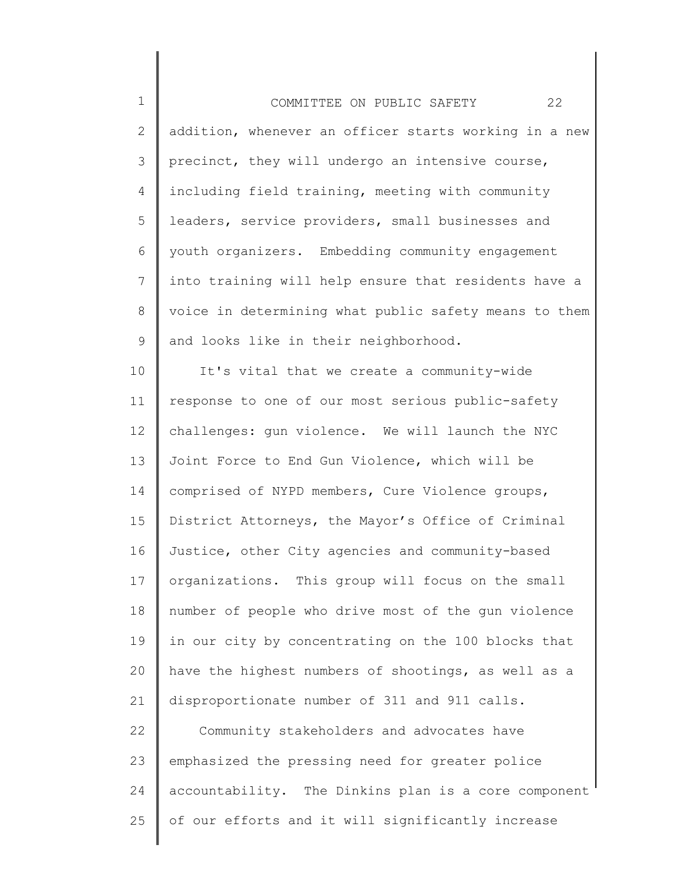1 2 3 4 5 6 7 8 9 10 11 12 13 14 15 16 17 18 19 20 21 22 23 24 COMMITTEE ON PUBLIC SAFETY 22 addition, whenever an officer starts working in a new precinct, they will undergo an intensive course, including field training, meeting with community leaders, service providers, small businesses and youth organizers. Embedding community engagement into training will help ensure that residents have a voice in determining what public safety means to them and looks like in their neighborhood. It's vital that we create a community-wide response to one of our most serious public-safety challenges: gun violence. We will launch the NYC Joint Force to End Gun Violence, which will be comprised of NYPD members, Cure Violence groups, District Attorneys, the Mayor's Office of Criminal Justice, other City agencies and community-based organizations. This group will focus on the small number of people who drive most of the gun violence in our city by concentrating on the 100 blocks that have the highest numbers of shootings, as well as a disproportionate number of 311 and 911 calls. Community stakeholders and advocates have emphasized the pressing need for greater police accountability. The Dinkins plan is a core component

25 of our efforts and it will significantly increase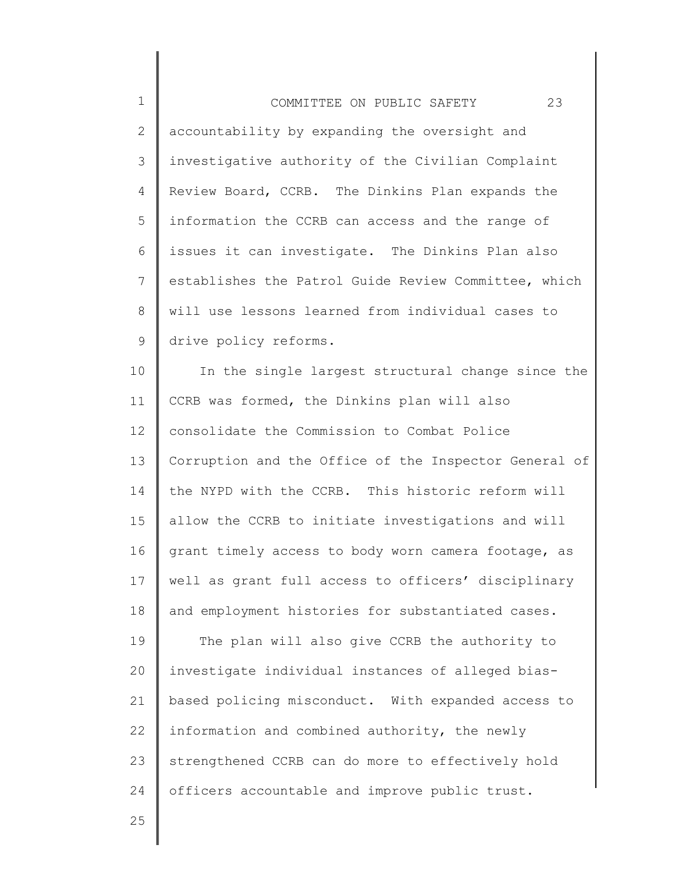| $\mathbf{1}$ | 23<br>COMMITTEE ON PUBLIC SAFETY                     |
|--------------|------------------------------------------------------|
| 2            | accountability by expanding the oversight and        |
| 3            | investigative authority of the Civilian Complaint    |
| 4            | Review Board, CCRB. The Dinkins Plan expands the     |
| 5            | information the CCRB can access and the range of     |
| 6            | issues it can investigate. The Dinkins Plan also     |
| 7            | establishes the Patrol Guide Review Committee, which |
| 8            | will use lessons learned from individual cases to    |
| 9            | drive policy reforms.                                |

10 11 12 13 14 15 16 17 18 In the single largest structural change since the CCRB was formed, the Dinkins plan will also consolidate the Commission to Combat Police Corruption and the Office of the Inspector General of the NYPD with the CCRB. This historic reform will allow the CCRB to initiate investigations and will grant timely access to body worn camera footage, as well as grant full access to officers' disciplinary and employment histories for substantiated cases.

19 20 21 22 23 24 The plan will also give CCRB the authority to investigate individual instances of alleged biasbased policing misconduct. With expanded access to information and combined authority, the newly strengthened CCRB can do more to effectively hold officers accountable and improve public trust.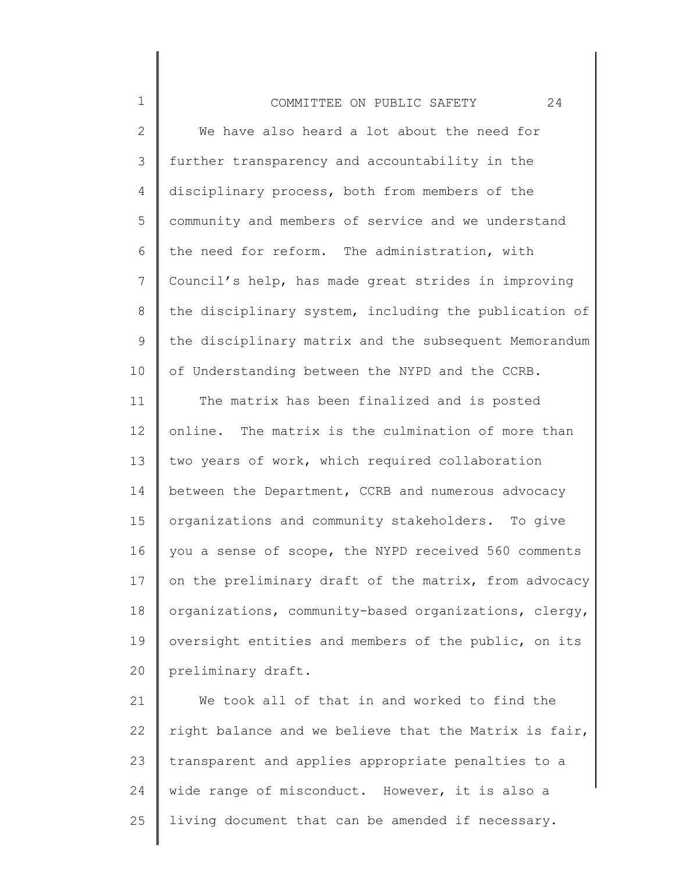## COMMITTEE ON PUBLIC SAFETY 24

1

2 3 4 5 6 7 8 9 10 We have also heard a lot about the need for further transparency and accountability in the disciplinary process, both from members of the community and members of service and we understand the need for reform. The administration, with Council's help, has made great strides in improving the disciplinary system, including the publication of the disciplinary matrix and the subsequent Memorandum of Understanding between the NYPD and the CCRB.

11 12 13 14 15 16 17 18 19 20 The matrix has been finalized and is posted online. The matrix is the culmination of more than two years of work, which required collaboration between the Department, CCRB and numerous advocacy organizations and community stakeholders. To give you a sense of scope, the NYPD received 560 comments on the preliminary draft of the matrix, from advocacy organizations, community-based organizations, clergy, oversight entities and members of the public, on its preliminary draft.

21 22 23 24 25 We took all of that in and worked to find the right balance and we believe that the Matrix is fair, transparent and applies appropriate penalties to a wide range of misconduct. However, it is also a living document that can be amended if necessary.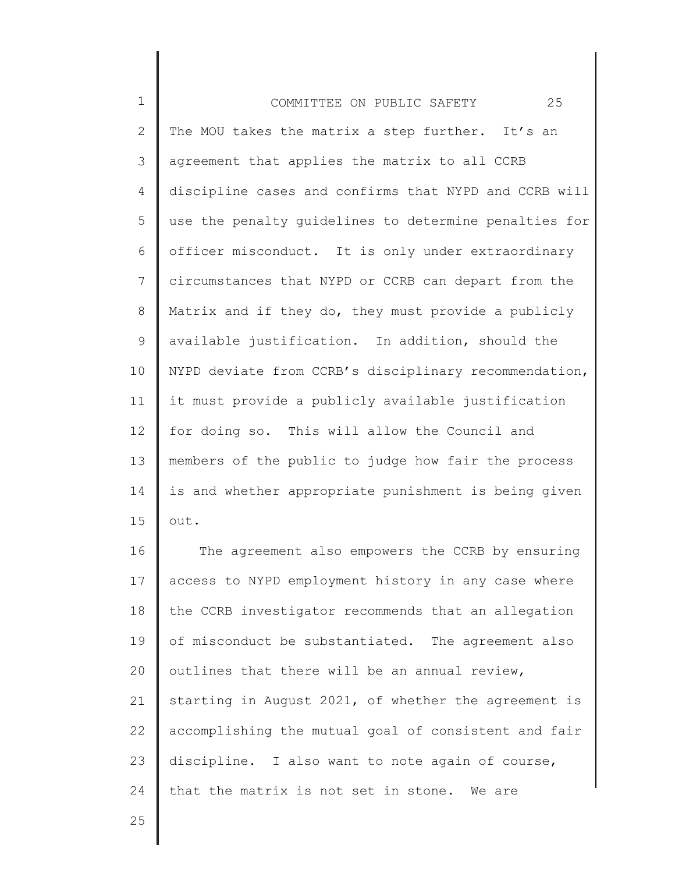1 2 3 4 5 6 7 8 9 10 11 12 13 14 15 COMMITTEE ON PUBLIC SAFETY 25 The MOU takes the matrix a step further. It's an agreement that applies the matrix to all CCRB discipline cases and confirms that NYPD and CCRB will use the penalty guidelines to determine penalties for officer misconduct. It is only under extraordinary circumstances that NYPD or CCRB can depart from the Matrix and if they do, they must provide a publicly available justification. In addition, should the NYPD deviate from CCRB's disciplinary recommendation, it must provide a publicly available justification for doing so. This will allow the Council and members of the public to judge how fair the process is and whether appropriate punishment is being given out.

16 17 18 19 20 21 22 23 24 The agreement also empowers the CCRB by ensuring access to NYPD employment history in any case where the CCRB investigator recommends that an allegation of misconduct be substantiated. The agreement also outlines that there will be an annual review, starting in August 2021, of whether the agreement is accomplishing the mutual goal of consistent and fair discipline. I also want to note again of course, that the matrix is not set in stone. We are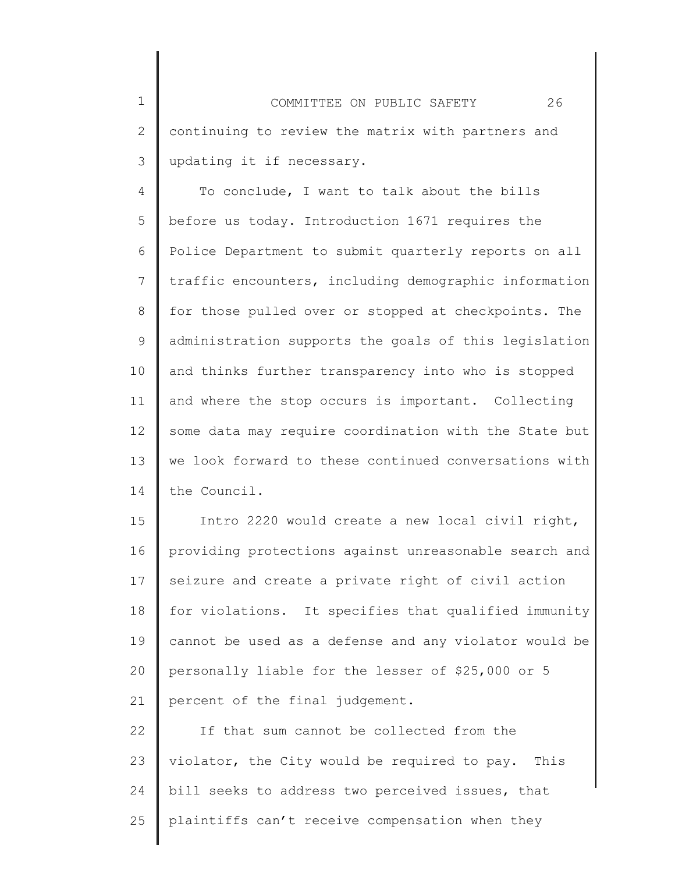1 2 3 COMMITTEE ON PUBLIC SAFETY 26 continuing to review the matrix with partners and updating it if necessary.

4 5 6 7 8 9 10 11 12 13 14 To conclude, I want to talk about the bills before us today. Introduction 1671 requires the Police Department to submit quarterly reports on all traffic encounters, including demographic information for those pulled over or stopped at checkpoints. The administration supports the goals of this legislation and thinks further transparency into who is stopped and where the stop occurs is important. Collecting some data may require coordination with the State but we look forward to these continued conversations with the Council.

15 16 17 18 19 20 21 Intro 2220 would create a new local civil right, providing protections against unreasonable search and seizure and create a private right of civil action for violations. It specifies that qualified immunity cannot be used as a defense and any violator would be personally liable for the lesser of \$25,000 or 5 percent of the final judgement.

22 23 24 25 If that sum cannot be collected from the violator, the City would be required to pay. This bill seeks to address two perceived issues, that plaintiffs can't receive compensation when they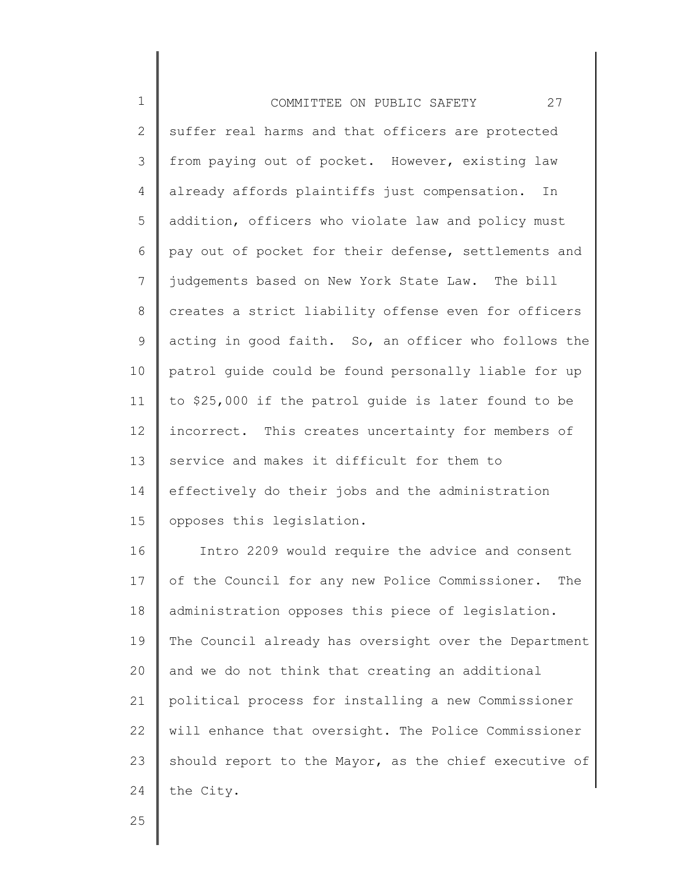| $\mathbf 1$   | 27<br>COMMITTEE ON PUBLIC SAFETY                      |
|---------------|-------------------------------------------------------|
| $\mathbf{2}$  | suffer real harms and that officers are protected     |
| 3             | from paying out of pocket. However, existing law      |
| 4             | already affords plaintiffs just compensation.<br>In   |
| 5             | addition, officers who violate law and policy must    |
| 6             | pay out of pocket for their defense, settlements and  |
| 7             | judgements based on New York State Law. The bill      |
| 8             | creates a strict liability offense even for officers  |
| 9             | acting in good faith. So, an officer who follows the  |
| 10            | patrol guide could be found personally liable for up  |
| 11            | to \$25,000 if the patrol guide is later found to be  |
| 12            | incorrect. This creates uncertainty for members of    |
| 13            | service and makes it difficult for them to            |
| 14            | effectively do their jobs and the administration      |
| 15            | opposes this legislation.                             |
| 16            | Intro 2209 would require the advice and consent       |
| 17            | of the Council for any new Police Commissioner. The   |
| 18            | administration opposes this piece of legislation.     |
| 19            | The Council already has oversight over the Department |
| $\cap$ $\cap$ | $\frac{1}{2}$ not think that grooting an additional   |

20 21 22 23 24 and we do not think that creating an additional political process for installing a new Commissioner will enhance that oversight. The Police Commissioner should report to the Mayor, as the chief executive of the City.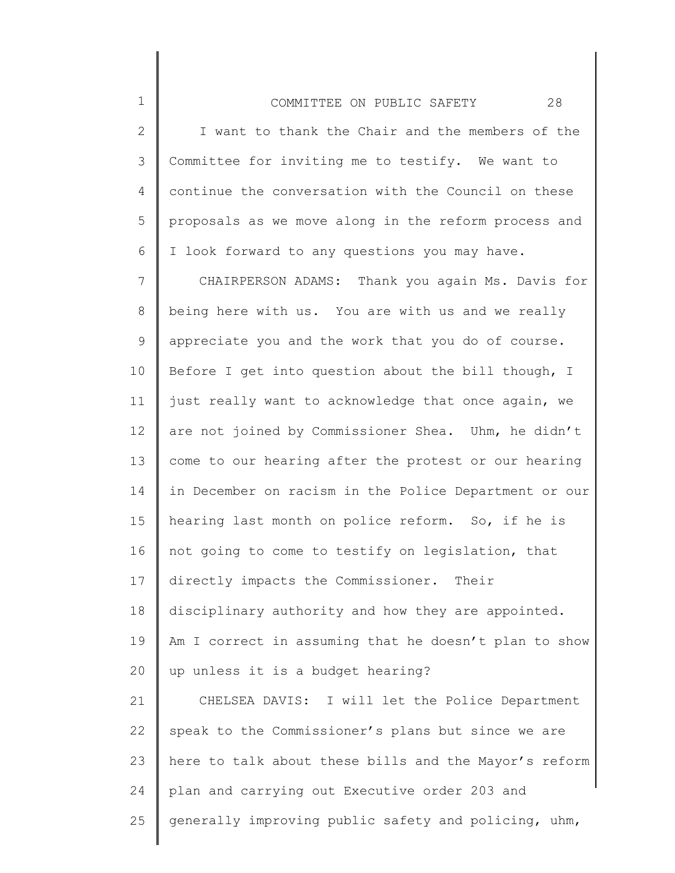1

2 3 4 5 6 I want to thank the Chair and the members of the Committee for inviting me to testify. We want to continue the conversation with the Council on these proposals as we move along in the reform process and I look forward to any questions you may have.

7 8 9 10 11 12 13 14 15 16 17 18 19 20 21 22 23 24 25 CHAIRPERSON ADAMS: Thank you again Ms. Davis for being here with us. You are with us and we really appreciate you and the work that you do of course. Before I get into question about the bill though, I just really want to acknowledge that once again, we are not joined by Commissioner Shea. Uhm, he didn't come to our hearing after the protest or our hearing in December on racism in the Police Department or our hearing last month on police reform. So, if he is not going to come to testify on legislation, that directly impacts the Commissioner. Their disciplinary authority and how they are appointed. Am I correct in assuming that he doesn't plan to show up unless it is a budget hearing? CHELSEA DAVIS: I will let the Police Department speak to the Commissioner's plans but since we are here to talk about these bills and the Mayor's reform plan and carrying out Executive order 203 and generally improving public safety and policing, uhm,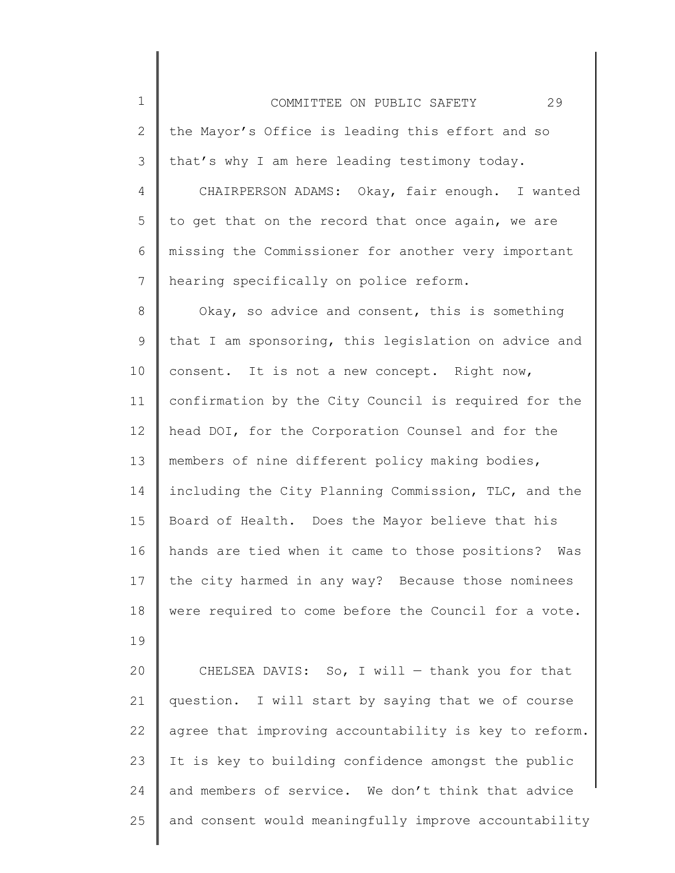1 2 3 4 COMMITTEE ON PUBLIC SAFETY 29 the Mayor's Office is leading this effort and so that's why I am here leading testimony today. CHAIRPERSON ADAMS: Okay, fair enough. I wanted

5 6 7 to get that on the record that once again, we are missing the Commissioner for another very important hearing specifically on police reform.

8 9 10 11 12 13 14 15 16 17 18 Okay, so advice and consent, this is something that I am sponsoring, this legislation on advice and consent. It is not a new concept. Right now, confirmation by the City Council is required for the head DOI, for the Corporation Counsel and for the members of nine different policy making bodies, including the City Planning Commission, TLC, and the Board of Health. Does the Mayor believe that his hands are tied when it came to those positions? Was the city harmed in any way? Because those nominees were required to come before the Council for a vote.

20 21 22 23 24 25 CHELSEA DAVIS: So, I will  $-$  thank you for that question. I will start by saying that we of course agree that improving accountability is key to reform. It is key to building confidence amongst the public and members of service. We don't think that advice and consent would meaningfully improve accountability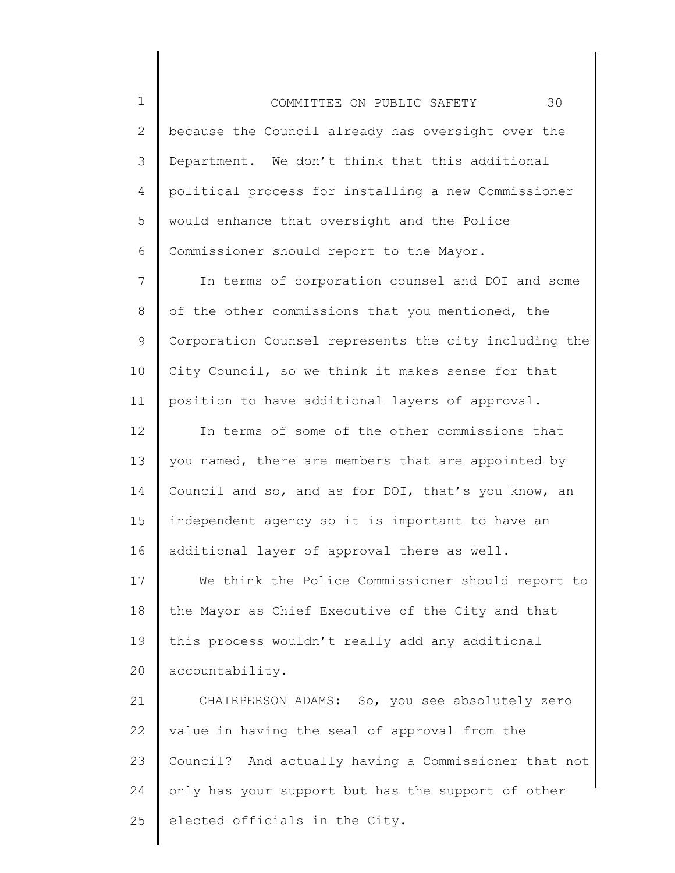1 2 3 4 5 6 COMMITTEE ON PUBLIC SAFETY 30 because the Council already has oversight over the Department. We don't think that this additional political process for installing a new Commissioner would enhance that oversight and the Police Commissioner should report to the Mayor.

7 8 9 10 11 In terms of corporation counsel and DOI and some of the other commissions that you mentioned, the Corporation Counsel represents the city including the City Council, so we think it makes sense for that position to have additional layers of approval.

12 13 14 15 16 In terms of some of the other commissions that you named, there are members that are appointed by Council and so, and as for DOI, that's you know, an independent agency so it is important to have an additional layer of approval there as well.

17 18 19 20 We think the Police Commissioner should report to the Mayor as Chief Executive of the City and that this process wouldn't really add any additional accountability.

21 22 23 24 25 CHAIRPERSON ADAMS: So, you see absolutely zero value in having the seal of approval from the Council? And actually having a Commissioner that not only has your support but has the support of other elected officials in the City.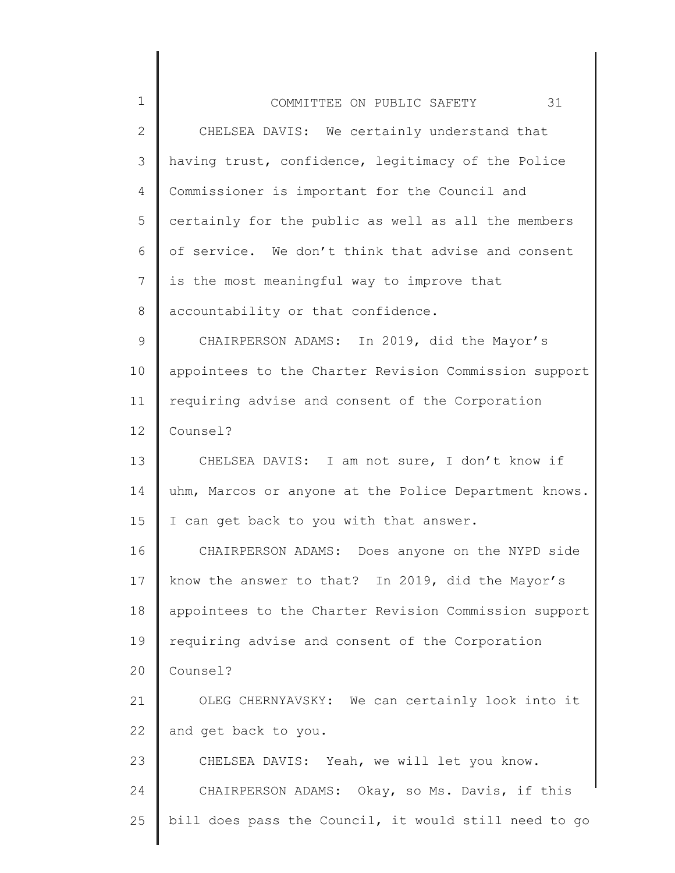| $\mathbf 1$  | 31<br>COMMITTEE ON PUBLIC SAFETY                      |
|--------------|-------------------------------------------------------|
| $\mathbf{2}$ | CHELSEA DAVIS: We certainly understand that           |
| 3            | having trust, confidence, legitimacy of the Police    |
| 4            | Commissioner is important for the Council and         |
| 5            | certainly for the public as well as all the members   |
| 6            | of service. We don't think that advise and consent    |
| 7            | is the most meaningful way to improve that            |
| 8            | accountability or that confidence.                    |
| 9            | CHAIRPERSON ADAMS: In 2019, did the Mayor's           |
| 10           | appointees to the Charter Revision Commission support |
| 11           | requiring advise and consent of the Corporation       |
| 12           | Counsel?                                              |
| 13           | CHELSEA DAVIS: I am not sure, I don't know if         |
| 14           | uhm, Marcos or anyone at the Police Department knows. |
| 15           | I can get back to you with that answer.               |
| 16           | CHAIRPERSON ADAMS: Does anyone on the NYPD side       |
| 17           | know the answer to that? In 2019, did the Mayor's     |
| 18           | appointees to the Charter Revision Commission support |
| 19           | requiring advise and consent of the Corporation       |
| 20           | Counsel?                                              |
| 21           | OLEG CHERNYAVSKY: We can certainly look into it       |
| 22           | and get back to you.                                  |
| 23           | CHELSEA DAVIS: Yeah, we will let you know.            |
| 24           | CHAIRPERSON ADAMS: Okay, so Ms. Davis, if this        |
| 25           | bill does pass the Council, it would still need to go |
|              |                                                       |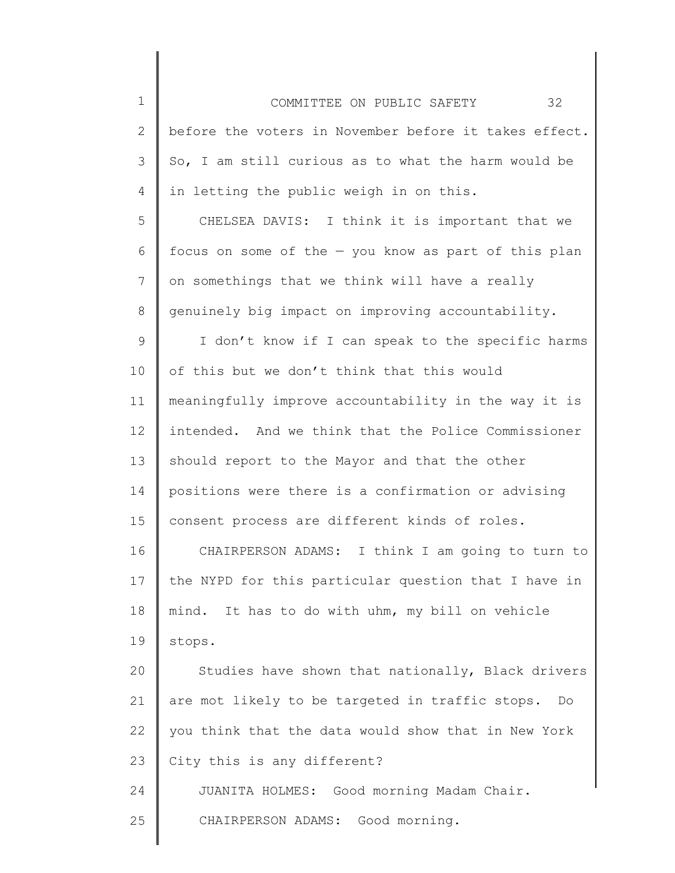1 2 3 4 5 6 7 8 9 COMMITTEE ON PUBLIC SAFETY 32 before the voters in November before it takes effect. So, I am still curious as to what the harm would be in letting the public weigh in on this. CHELSEA DAVIS: I think it is important that we focus on some of the — you know as part of this plan on somethings that we think will have a really genuinely big impact on improving accountability. I don't know if I can speak to the specific harms

10 11 12 13 14 15 of this but we don't think that this would meaningfully improve accountability in the way it is intended. And we think that the Police Commissioner should report to the Mayor and that the other positions were there is a confirmation or advising consent process are different kinds of roles.

16 17 18 19 CHAIRPERSON ADAMS: I think I am going to turn to the NYPD for this particular question that I have in mind. It has to do with uhm, my bill on vehicle stops.

20 21 22 23 24 Studies have shown that nationally, Black drivers are mot likely to be targeted in traffic stops. Do you think that the data would show that in New York City this is any different? JUANITA HOLMES: Good morning Madam Chair.

25 CHAIRPERSON ADAMS: Good morning.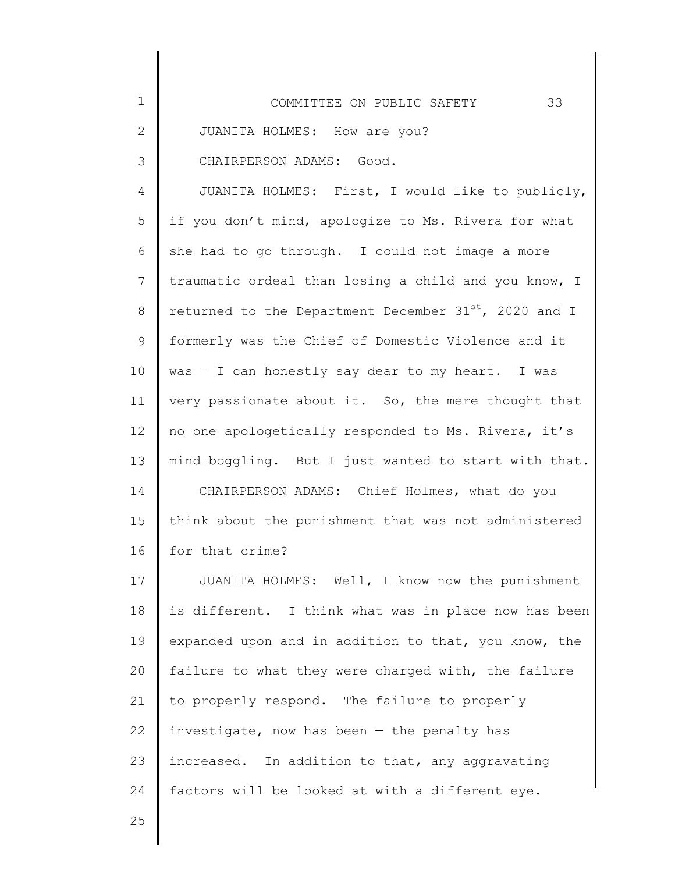| $\mathbf 1$  | 33<br>COMMITTEE ON PUBLIC SAFETY                           |
|--------------|------------------------------------------------------------|
| $\mathbf{2}$ | JUANITA HOLMES: How are you?                               |
| 3            | CHAIRPERSON ADAMS: Good.                                   |
| 4            | JUANITA HOLMES: First, I would like to publicly,           |
| 5            | if you don't mind, apologize to Ms. Rivera for what        |
| 6            | she had to go through. I could not image a more            |
| 7            | traumatic ordeal than losing a child and you know, I       |
| 8            | returned to the Department December $31^{st}$ , 2020 and I |
| 9            | formerly was the Chief of Domestic Violence and it         |
| 10           | was - I can honestly say dear to my heart. I was           |
| 11           | very passionate about it. So, the mere thought that        |
| 12           | no one apologetically responded to Ms. Rivera, it's        |
| 13           | mind boggling. But I just wanted to start with that.       |
| 14           | CHAIRPERSON ADAMS: Chief Holmes, what do you               |
| 15           | think about the punishment that was not administered       |
| 16           | for that crime?                                            |
| 17           | JUANITA HOLMES: Well, I know now the punishment            |
| 18           | is different. I think what was in place now has been       |
| 19           | expanded upon and in addition to that, you know, the       |
| 20           | failure to what they were charged with, the failure        |
| 21           | to properly respond. The failure to properly               |
| 22           | investigate, now has been $-$ the penalty has              |
| 23           | increased. In addition to that, any aggravating            |
| 24           | factors will be looked at with a different eye.            |
| 25           |                                                            |
|              |                                                            |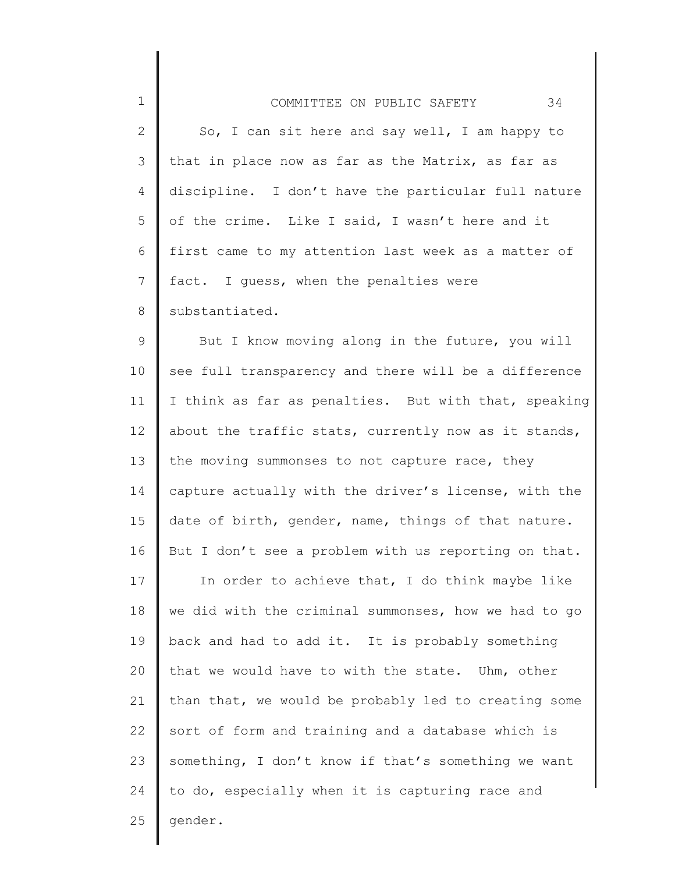| $\mathbf 1$ | 34<br>COMMITTEE ON PUBLIC SAFETY                     |
|-------------|------------------------------------------------------|
| 2           | So, I can sit here and say well, I am happy to       |
| 3           | that in place now as far as the Matrix, as far as    |
| 4           | discipline. I don't have the particular full nature  |
| 5           | of the crime. Like I said, I wasn't here and it      |
| 6           | first came to my attention last week as a matter of  |
| 7           | fact. I guess, when the penalties were               |
| 8           | substantiated.                                       |
| $\mathsf 9$ | But I know moving along in the future, you will      |
| 10          | see full transparency and there will be a difference |
| 11          | I think as far as penalties. But with that, speaking |
| 12          | about the traffic stats, currently now as it stands, |
| 13          | the moving summonses to not capture race, they       |
| 14          | capture actually with the driver's license, with the |
| 15          | date of birth, gender, name, things of that nature.  |
| 16          | But I don't see a problem with us reporting on that. |
| 17          | In order to achieve that, I do think maybe like      |
| 18          | we did with the criminal summonses, how we had to go |
| 19          | back and had to add it. It is probably something     |
| 20          | that we would have to with the state. Uhm, other     |
| 21          | than that, we would be probably led to creating some |
| 22          | sort of form and training and a database which is    |
| 23          | something, I don't know if that's something we want  |
| 24          | to do, especially when it is capturing race and      |
| 25          | gender.                                              |
|             |                                                      |

∥ ║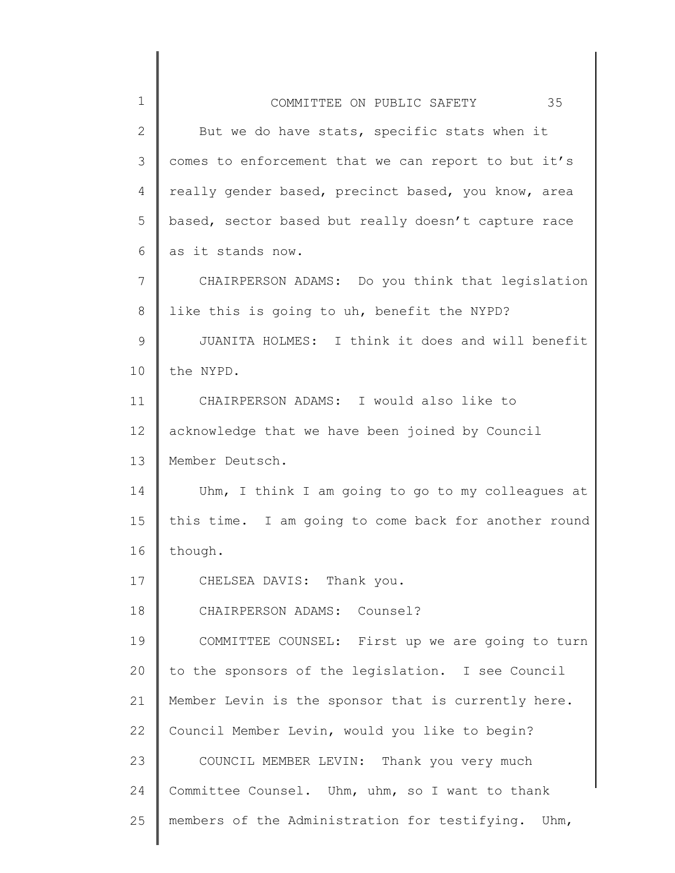| $\mathbf 1$    | 35<br>COMMITTEE ON PUBLIC SAFETY                     |
|----------------|------------------------------------------------------|
| $\mathbf{2}$   | But we do have stats, specific stats when it         |
| 3              | comes to enforcement that we can report to but it's  |
| $\overline{4}$ | really gender based, precinct based, you know, area  |
| 5              | based, sector based but really doesn't capture race  |
| 6              | as it stands now.                                    |
| 7              | CHAIRPERSON ADAMS: Do you think that legislation     |
| $8\,$          | like this is going to uh, benefit the NYPD?          |
| $\mathsf 9$    | JUANITA HOLMES: I think it does and will benefit     |
| 10             | the NYPD.                                            |
| 11             | CHAIRPERSON ADAMS: I would also like to              |
| 12             | acknowledge that we have been joined by Council      |
| 13             | Member Deutsch.                                      |
| 14             | Uhm, I think I am going to go to my colleagues at    |
| 15             | this time. I am going to come back for another round |
| 16             | though.                                              |
| 17             | CHELSEA DAVIS: Thank you.                            |
| 18             | CHAIRPERSON ADAMS: Counsel?                          |
| 19             | COMMITTEE COUNSEL: First up we are going to turn     |
| 20             | to the sponsors of the legislation. I see Council    |
| 21             | Member Levin is the sponsor that is currently here.  |
| 22             | Council Member Levin, would you like to begin?       |
| 23             | COUNCIL MEMBER LEVIN: Thank you very much            |
| 24             | Committee Counsel. Uhm, uhm, so I want to thank      |
| 25             | members of the Administration for testifying. Uhm,   |

║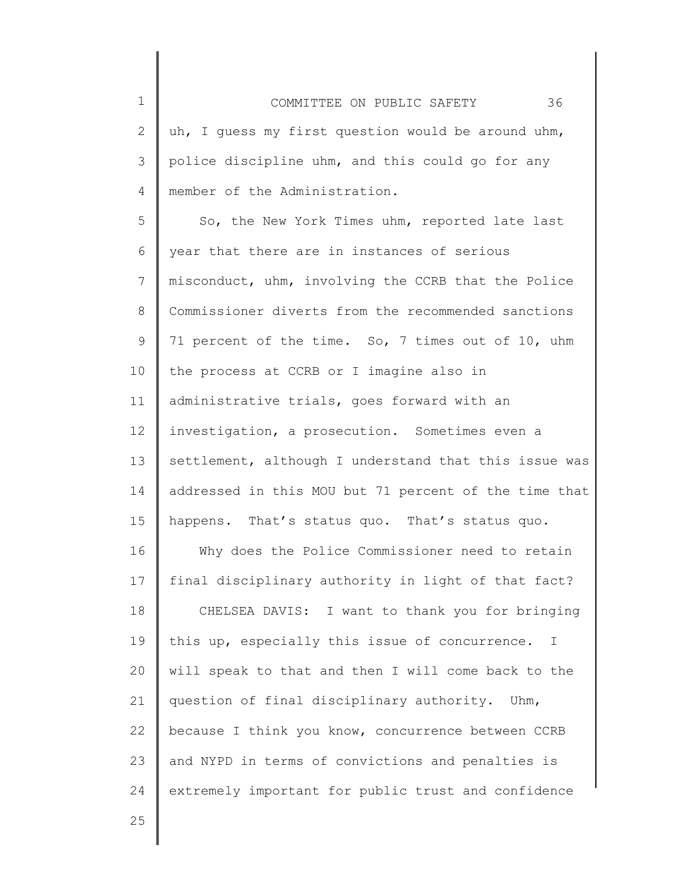2 3 4 COMMITTEE ON PUBLIC SAFETY 36 uh, I guess my first question would be around uhm, police discipline uhm, and this could go for any member of the Administration.

5 6 7 8 9 10 11 12 13 14 15 So, the New York Times uhm, reported late last year that there are in instances of serious misconduct, uhm, involving the CCRB that the Police Commissioner diverts from the recommended sanctions 71 percent of the time. So, 7 times out of 10, uhm the process at CCRB or I imagine also in administrative trials, goes forward with an investigation, a prosecution. Sometimes even a settlement, although I understand that this issue was addressed in this MOU but 71 percent of the time that happens. That's status quo. That's status quo.

16 17 18 19 20 21 22 23 24 Why does the Police Commissioner need to retain final disciplinary authority in light of that fact? CHELSEA DAVIS: I want to thank you for bringing this up, especially this issue of concurrence. I will speak to that and then I will come back to the question of final disciplinary authority. Uhm, because I think you know, concurrence between CCRB and NYPD in terms of convictions and penalties is extremely important for public trust and confidence

25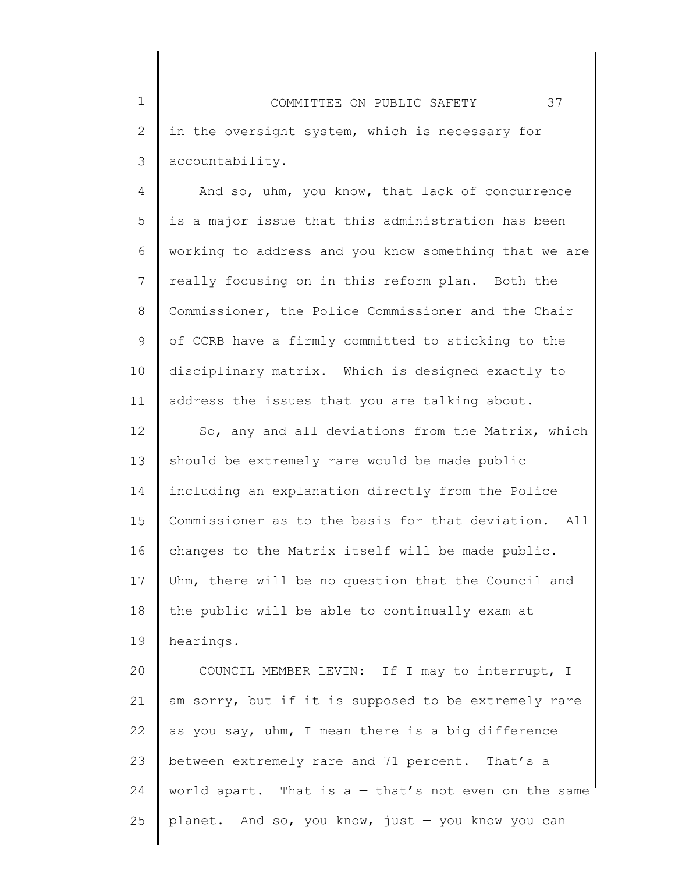1 2 3 COMMITTEE ON PUBLIC SAFETY 37 in the oversight system, which is necessary for accountability.

4 5 6 7 8 9 10 11 And so, uhm, you know, that lack of concurrence is a major issue that this administration has been working to address and you know something that we are really focusing on in this reform plan. Both the Commissioner, the Police Commissioner and the Chair of CCRB have a firmly committed to sticking to the disciplinary matrix. Which is designed exactly to address the issues that you are talking about.

12 13 14 15 16 17 18 19 So, any and all deviations from the Matrix, which should be extremely rare would be made public including an explanation directly from the Police Commissioner as to the basis for that deviation. All changes to the Matrix itself will be made public. Uhm, there will be no question that the Council and the public will be able to continually exam at hearings.

20 21 22 23 24 25 COUNCIL MEMBER LEVIN: If I may to interrupt, I am sorry, but if it is supposed to be extremely rare as you say, uhm, I mean there is a big difference between extremely rare and 71 percent. That's a world apart. That is  $a - \text{that's not even on the same}$ planet. And so, you know, just  $-$  you know you can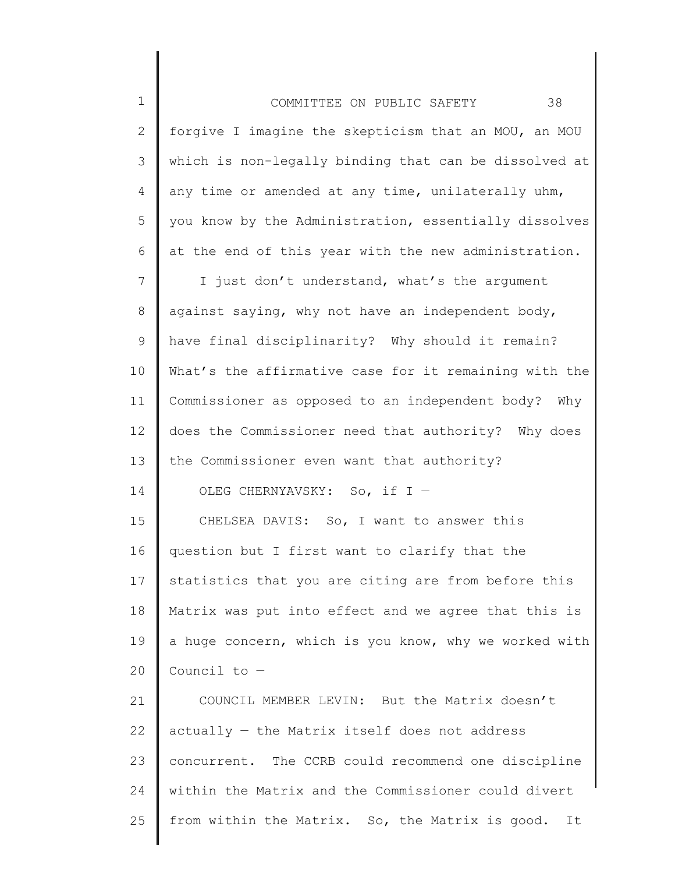| $\mathbf 1$     | 38<br>COMMITTEE ON PUBLIC SAFETY                      |
|-----------------|-------------------------------------------------------|
| $\mathbf{2}$    | forgive I imagine the skepticism that an MOU, an MOU  |
| 3               | which is non-legally binding that can be dissolved at |
| 4               | any time or amended at any time, unilaterally uhm,    |
| 5               | you know by the Administration, essentially dissolves |
| 6               | at the end of this year with the new administration.  |
| $7\phantom{.0}$ | I just don't understand, what's the argument          |
| 8               | against saying, why not have an independent body,     |
| 9               | have final disciplinarity? Why should it remain?      |
| 10              | What's the affirmative case for it remaining with the |
| 11              | Commissioner as opposed to an independent body? Why   |
| 12              | does the Commissioner need that authority? Why does   |
| 13              | the Commissioner even want that authority?            |
| 14              | OLEG CHERNYAVSKY: So, if I -                          |
| 15              | CHELSEA DAVIS: So, I want to answer this              |
| 16              | question but I first want to clarify that the         |
| 17              | statistics that you are citing are from before this   |
| 18              | Matrix was put into effect and we agree that this is  |
| 19              | a huge concern, which is you know, why we worked with |
| 20              | Council to $-$                                        |
| 21              | COUNCIL MEMBER LEVIN: But the Matrix doesn't          |
| 22              | actually - the Matrix itself does not address         |
| 23              | concurrent. The CCRB could recommend one discipline   |
| 24              | within the Matrix and the Commissioner could divert   |
| 25              | from within the Matrix. So, the Matrix is good.<br>It |
|                 |                                                       |

 $\parallel$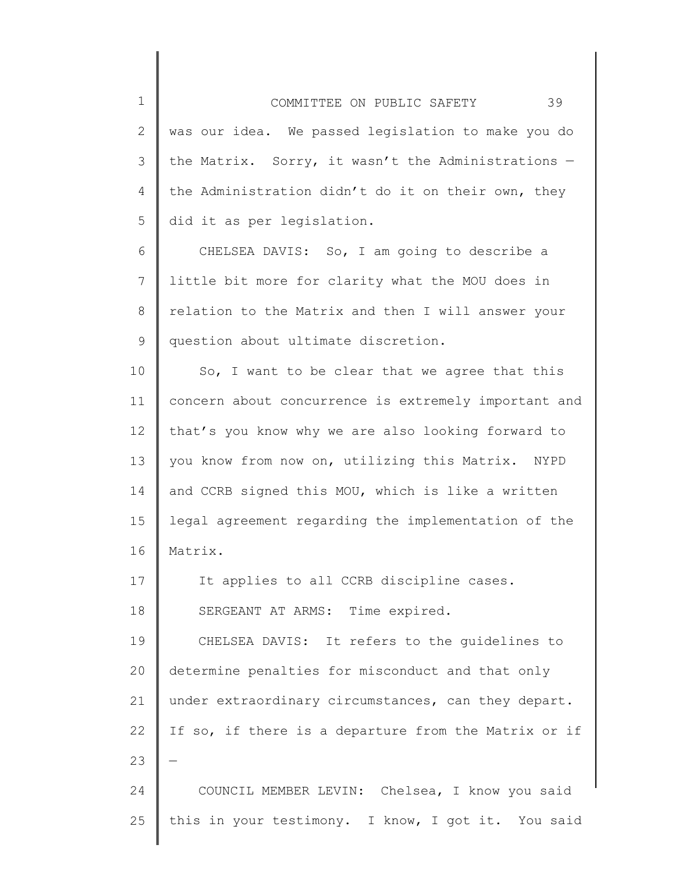1 2 3 4 5 COMMITTEE ON PUBLIC SAFETY 39 was our idea. We passed legislation to make you do the Matrix. Sorry, it wasn't the Administrations  $$ the Administration didn't do it on their own, they did it as per legislation.

6 7 8 9 CHELSEA DAVIS: So, I am going to describe a little bit more for clarity what the MOU does in relation to the Matrix and then I will answer your question about ultimate discretion.

10 11 12 13 14 15 16 So, I want to be clear that we agree that this concern about concurrence is extremely important and that's you know why we are also looking forward to you know from now on, utilizing this Matrix. NYPD and CCRB signed this MOU, which is like a written legal agreement regarding the implementation of the Matrix.

17 18 19 20 21 22 23 24 It applies to all CCRB discipline cases. SERGEANT AT ARMS: Time expired. CHELSEA DAVIS: It refers to the guidelines to determine penalties for misconduct and that only under extraordinary circumstances, can they depart. If so, if there is a departure from the Matrix or if — COUNCIL MEMBER LEVIN: Chelsea, I know you said

this in your testimony. I know, I got it. You said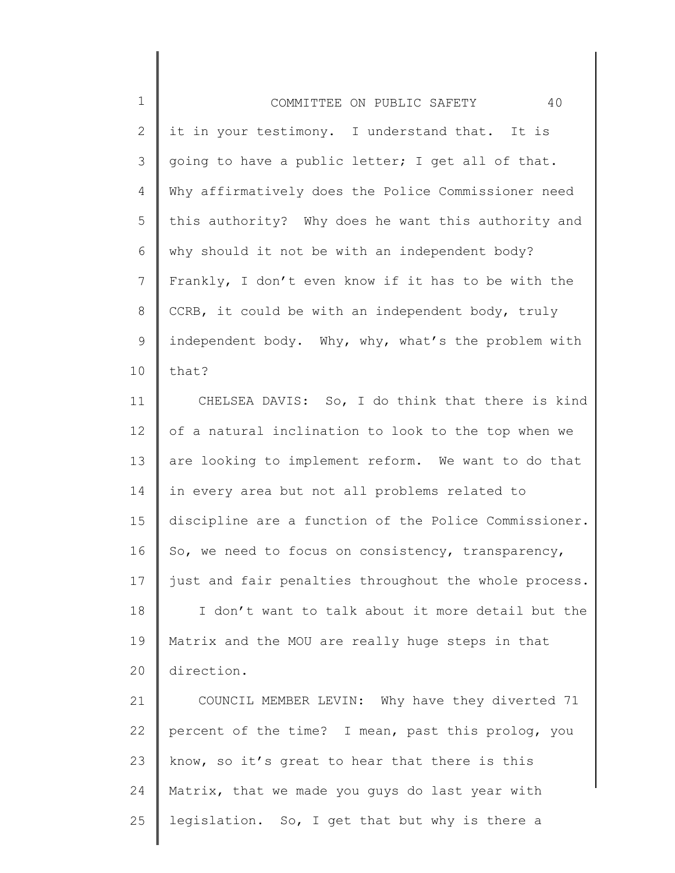| $\mathbf 1$    | 40<br>COMMITTEE ON PUBLIC SAFETY                      |
|----------------|-------------------------------------------------------|
| $\mathbf{2}$   | it in your testimony. I understand that. It is        |
| 3              | going to have a public letter; I get all of that.     |
| $\overline{4}$ | Why affirmatively does the Police Commissioner need   |
| 5              | this authority? Why does he want this authority and   |
| 6              | why should it not be with an independent body?        |
| $7\phantom{.}$ | Frankly, I don't even know if it has to be with the   |
| 8              | CCRB, it could be with an independent body, truly     |
| $\mathsf 9$    | independent body. Why, why, what's the problem with   |
| 10             | that?                                                 |
| 11             | CHELSEA DAVIS: So, I do think that there is kind      |
| 12             | of a natural inclination to look to the top when we   |
| 13             | are looking to implement reform. We want to do that   |
| 14             | in every area but not all problems related to         |
| 15             | discipline are a function of the Police Commissioner. |
| 16             | So, we need to focus on consistency, transparency,    |
| 17             | just and fair penalties throughout the whole process. |
| 18             | I don't want to talk about it more detail but the     |
| 19             | Matrix and the MOU are really huge steps in that      |
| 20             | direction.                                            |
| 21             | COUNCIL MEMBER LEVIN: Why have they diverted 71       |
| 22             | percent of the time? I mean, past this prolog, you    |
| 23             | know, so it's great to hear that there is this        |
| 24             | Matrix, that we made you guys do last year with       |
| 25             | legislation. So, I get that but why is there a        |

 $\parallel$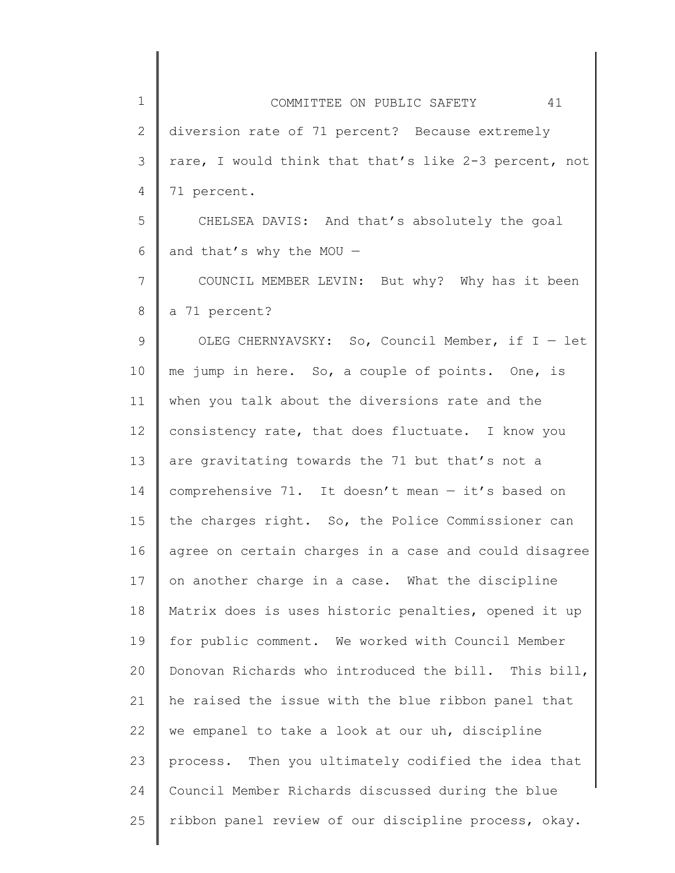1 2 3 4 5 6 7 8 9 10 11 12 13 14 15 16 17 18 19 20 21 22 23 24 25 COMMITTEE ON PUBLIC SAFETY 41 diversion rate of 71 percent? Because extremely rare, I would think that that's like 2-3 percent, not 71 percent. CHELSEA DAVIS: And that's absolutely the goal and that's why the MOU — COUNCIL MEMBER LEVIN: But why? Why has it been a 71 percent? OLEG CHERNYAVSKY: So, Council Member, if I — let me jump in here. So, a couple of points. One, is when you talk about the diversions rate and the consistency rate, that does fluctuate. I know you are gravitating towards the 71 but that's not a comprehensive 71. It doesn't mean — it's based on the charges right. So, the Police Commissioner can agree on certain charges in a case and could disagree on another charge in a case. What the discipline Matrix does is uses historic penalties, opened it up for public comment. We worked with Council Member Donovan Richards who introduced the bill. This bill, he raised the issue with the blue ribbon panel that we empanel to take a look at our uh, discipline process. Then you ultimately codified the idea that Council Member Richards discussed during the blue ribbon panel review of our discipline process, okay.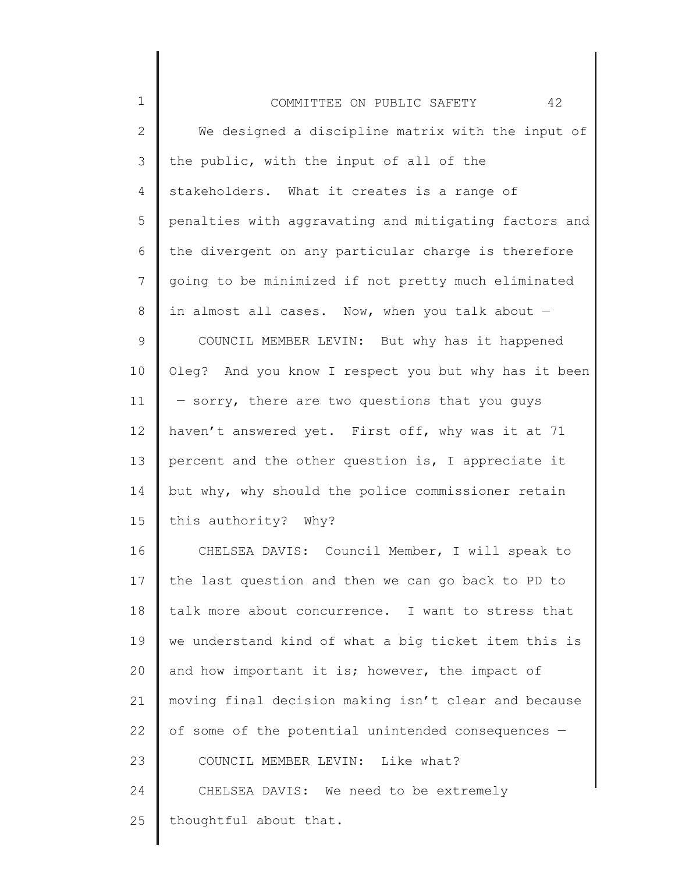| $\mathbf 1$  | 42<br>COMMITTEE ON PUBLIC SAFETY                      |
|--------------|-------------------------------------------------------|
| $\mathbf{2}$ | We designed a discipline matrix with the input of     |
| 3            | the public, with the input of all of the              |
| 4            | stakeholders. What it creates is a range of           |
| 5            | penalties with aggravating and mitigating factors and |
| 6            | the divergent on any particular charge is therefore   |
| 7            | going to be minimized if not pretty much eliminated   |
| 8            | in almost all cases. Now, when you talk about $-$     |
| 9            | COUNCIL MEMBER LEVIN: But why has it happened         |
| 10           | Oleg? And you know I respect you but why has it been  |
| 11           | - sorry, there are two questions that you guys        |
| 12           | haven't answered yet. First off, why was it at 71     |
| 13           | percent and the other question is, I appreciate it    |
| 14           | but why, why should the police commissioner retain    |
| 15           | this authority? Why?                                  |
| 16           | CHELSEA DAVIS: Council Member, I will speak to        |
| 17           | the last question and then we can go back to PD to    |
| 18           | talk more about concurrence. I want to stress that    |
| 19           | we understand kind of what a big ticket item this is  |
| 20           | and how important it is; however, the impact of       |
| 21           | moving final decision making isn't clear and because  |
| 22           | of some of the potential unintended consequences -    |
| 23           | COUNCIL MEMBER LEVIN: Like what?                      |
| 24           | CHELSEA DAVIS: We need to be extremely                |
| 25           | thoughtful about that.                                |
|              |                                                       |

║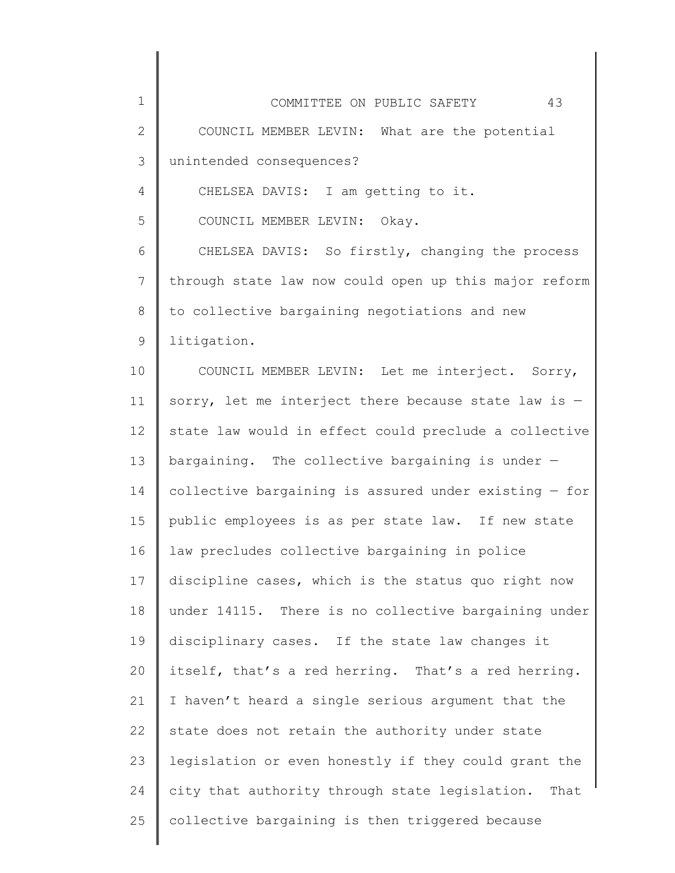| $\mathbf 1$  | 43<br>COMMITTEE ON PUBLIC SAFETY                        |
|--------------|---------------------------------------------------------|
| $\mathbf{2}$ | COUNCIL MEMBER LEVIN: What are the potential            |
| 3            | unintended consequences?                                |
| 4            | CHELSEA DAVIS: I am getting to it.                      |
| 5            | COUNCIL MEMBER LEVIN: Okay.                             |
| 6            | CHELSEA DAVIS: So firstly, changing the process         |
| 7            | through state law now could open up this major reform   |
| 8            | to collective bargaining negotiations and new           |
| $\mathsf 9$  | litigation.                                             |
| 10           | COUNCIL MEMBER LEVIN: Let me interject. Sorry,          |
| 11           | sorry, let me interject there because state law is -    |
| 12           | state law would in effect could preclude a collective   |
| 13           | bargaining. The collective bargaining is under $-$      |
| 14           | collective bargaining is assured under existing $-$ for |
| 15           | public employees is as per state law. If new state      |
| 16           | law precludes collective bargaining in police           |
| 17           | discipline cases, which is the status quo right now     |
| 18           | under 14115. There is no collective bargaining under    |
| 19           | disciplinary cases. If the state law changes it         |
| 20           | itself, that's a red herring. That's a red herring.     |
| 21           | I haven't heard a single serious argument that the      |
| 22           | state does not retain the authority under state         |
| 23           | legislation or even honestly if they could grant the    |
| 24           | city that authority through state legislation.<br>That  |
| 25           | collective bargaining is then triggered because         |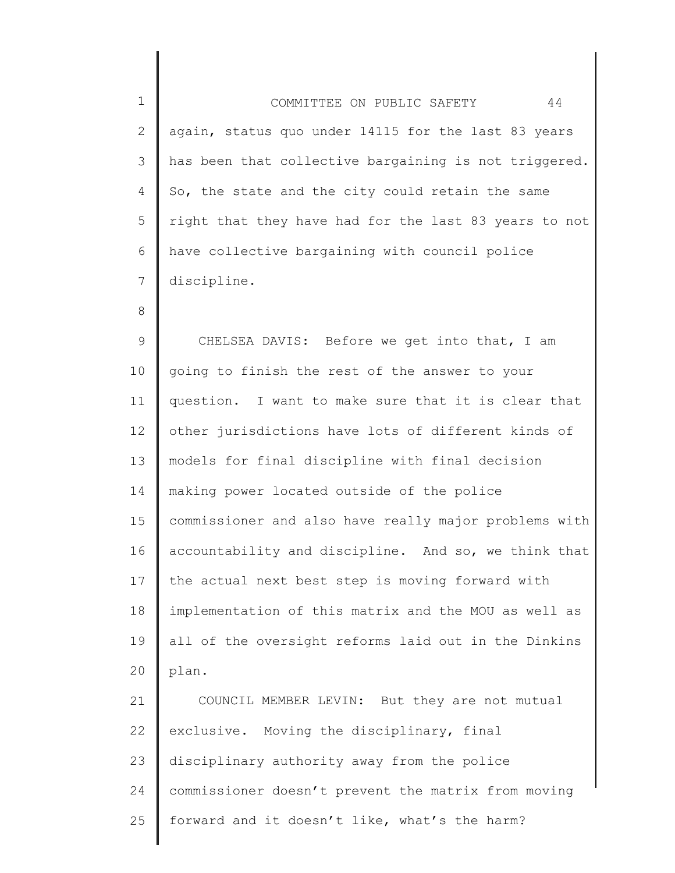| $\mathbf 1$    | 44<br>COMMITTEE ON PUBLIC SAFETY                      |
|----------------|-------------------------------------------------------|
| $\mathbf{2}$   | again, status quo under 14115 for the last 83 years   |
| 3              | has been that collective bargaining is not triggered. |
| 4              | So, the state and the city could retain the same      |
| 5              | right that they have had for the last 83 years to not |
| 6              | have collective bargaining with council police        |
| $7\phantom{.}$ | discipline.                                           |
| 8              |                                                       |
| $\mathsf 9$    | CHELSEA DAVIS: Before we get into that, I am          |
| 10             | going to finish the rest of the answer to your        |
| 11             | question. I want to make sure that it is clear that   |
| 12             | other jurisdictions have lots of different kinds of   |
| 13             | models for final discipline with final decision       |
| 14             | making power located outside of the police            |
| 15             | commissioner and also have really major problems with |
| 16             | accountability and discipline. And so, we think that  |
| 17             | the actual next best step is moving forward with      |
| 18             | implementation of this matrix and the MOU as well as  |
| 19             | all of the oversight reforms laid out in the Dinkins  |
| 20             | plan.                                                 |
| 21             | COUNCIL MEMBER LEVIN: But they are not mutual         |
| 22             | exclusive. Moving the disciplinary, final             |
| 23             | disciplinary authority away from the police           |
| 24             | commissioner doesn't prevent the matrix from moving   |

║

25 | forward and it doesn't like, what's the harm?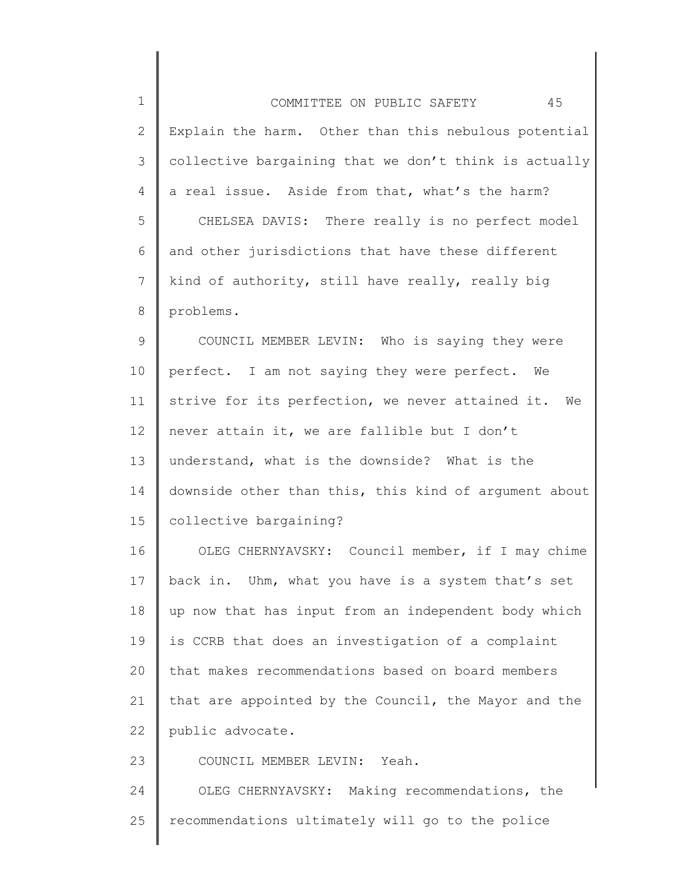| $\mathbf 1$   | 45<br>COMMITTEE ON PUBLIC SAFETY                       |
|---------------|--------------------------------------------------------|
| $\mathbf{2}$  | Explain the harm. Other than this nebulous potential   |
| $\mathcal{S}$ | collective bargaining that we don't think is actually  |
| 4             | a real issue. Aside from that, what's the harm?        |
| 5             | CHELSEA DAVIS: There really is no perfect model        |
| 6             | and other jurisdictions that have these different      |
| 7             | kind of authority, still have really, really big       |
| 8             | problems.                                              |
| 9             | COUNCIL MEMBER LEVIN: Who is saying they were          |
| 10            | perfect. I am not saying they were perfect. We         |
| 11            | strive for its perfection, we never attained it.<br>We |
| 12            | never attain it, we are fallible but I don't           |
| 13            | understand, what is the downside? What is the          |
| 14            | downside other than this, this kind of argument about  |
| 15            | collective bargaining?                                 |
| 16            | OLEG CHERNYAVSKY: Council member, if I may chime       |
| 17            | back in. Uhm, what you have is a system that's set     |
| 18            | up now that has input from an independent body which   |
| 19            | is CCRB that does an investigation of a complaint      |
| 20            | that makes recommendations based on board members      |
| 21            | that are appointed by the Council, the Mayor and the   |
| 22            | public advocate.                                       |
| 23            | COUNCIL MEMBER LEVIN: Yeah.                            |
| 24            | OLEG CHERNYAVSKY: Making recommendations, the          |
| 25            | recommendations ultimately will go to the police       |
|               |                                                        |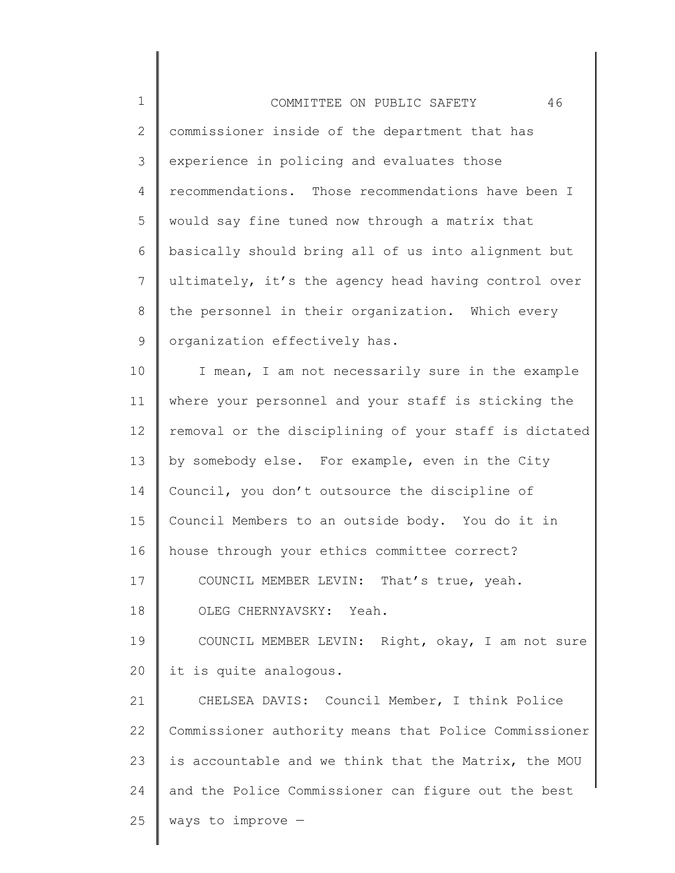| $\mathbf 1$     | 46<br>COMMITTEE ON PUBLIC SAFETY                      |
|-----------------|-------------------------------------------------------|
| $\mathbf{2}$    | commissioner inside of the department that has        |
| $\mathcal{S}$   | experience in policing and evaluates those            |
| 4               | recommendations. Those recommendations have been I    |
| 5               | would say fine tuned now through a matrix that        |
| 6               | basically should bring all of us into alignment but   |
| $7\phantom{.0}$ | ultimately, it's the agency head having control over  |
| 8               | the personnel in their organization. Which every      |
| 9               | organization effectively has.                         |
| 10              | I mean, I am not necessarily sure in the example      |
| 11              | where your personnel and your staff is sticking the   |
| 12              | removal or the disciplining of your staff is dictated |
| 13              | by somebody else. For example, even in the City       |
| 14              | Council, you don't outsource the discipline of        |
| 15              | Council Members to an outside body. You do it in      |
| 16              | house through your ethics committee correct?          |
| 17              | COUNCIL MEMBER LEVIN: That's true, yeah.              |
| 18              | OLEG CHERNYAVSKY: Yeah.                               |
| 19              | COUNCIL MEMBER LEVIN: Right, okay, I am not sure      |
| 20              | it is quite analogous.                                |
| 21              | CHELSEA DAVIS: Council Member, I think Police         |
| 22              | Commissioner authority means that Police Commissioner |
| 23              | is accountable and we think that the Matrix, the MOU  |
| 24              | and the Police Commissioner can figure out the best   |
| 25              | ways to improve $-$                                   |

∥ ║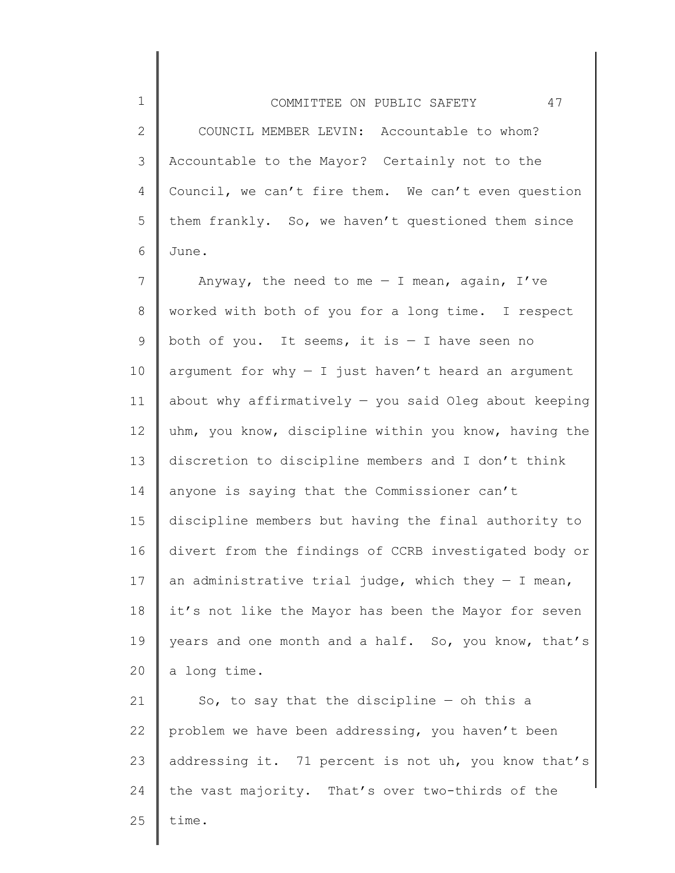2 3 4 5 6 COUNCIL MEMBER LEVIN: Accountable to whom? Accountable to the Mayor? Certainly not to the Council, we can't fire them. We can't even question them frankly. So, we haven't questioned them since June.

1

7 8 9 10 11 12 13 14 15 16 17 18 19 20 Anyway, the need to me  $-$  I mean, again, I've worked with both of you for a long time. I respect both of you. It seems, it is  $-$  I have seen no argument for why  $-$  I just haven't heard an argument about why affirmatively  $-$  you said Oleg about keeping uhm, you know, discipline within you know, having the discretion to discipline members and I don't think anyone is saying that the Commissioner can't discipline members but having the final authority to divert from the findings of CCRB investigated body or an administrative trial judge, which they  $-$  I mean, it's not like the Mayor has been the Mayor for seven years and one month and a half. So, you know, that's a long time.

21 22 23 24 25 So, to say that the discipline  $-$  oh this a problem we have been addressing, you haven't been addressing it. 71 percent is not uh, you know that's the vast majority. That's over two-thirds of the time.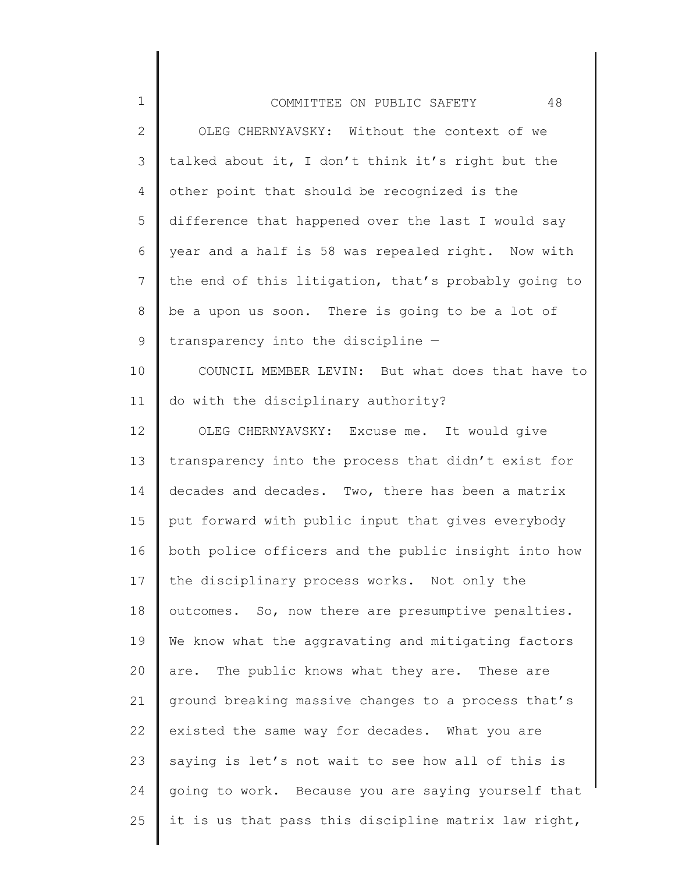| $\mathbf 1$  | 48<br>COMMITTEE ON PUBLIC SAFETY                     |
|--------------|------------------------------------------------------|
| $\mathbf{2}$ | OLEG CHERNYAVSKY: Without the context of we          |
| 3            | talked about it, I don't think it's right but the    |
| 4            | other point that should be recognized is the         |
| 5            | difference that happened over the last I would say   |
| 6            | year and a half is 58 was repealed right. Now with   |
| 7            | the end of this litigation, that's probably going to |
| 8            | be a upon us soon. There is going to be a lot of     |
| 9            | transparency into the discipline -                   |
| 10           | COUNCIL MEMBER LEVIN: But what does that have to     |
| 11           | do with the disciplinary authority?                  |
| 12           | OLEG CHERNYAVSKY: Excuse me. It would give           |
| 13           | transparency into the process that didn't exist for  |
| 14           | decades and decades. Two, there has been a matrix    |
| 15           | put forward with public input that gives everybody   |
| 16           | both police officers and the public insight into how |
| 17           | the disciplinary process works. Not only the         |
| 18           | outcomes. So, now there are presumptive penalties.   |
| 19           | We know what the aggravating and mitigating factors  |
| 20           | are. The public knows what they are. These are       |
| 21           | ground breaking massive changes to a process that's  |
| 22           | existed the same way for decades. What you are       |
| 23           | saying is let's not wait to see how all of this is   |
| 24           | going to work. Because you are saying yourself that  |
| 25           | it is us that pass this discipline matrix law right, |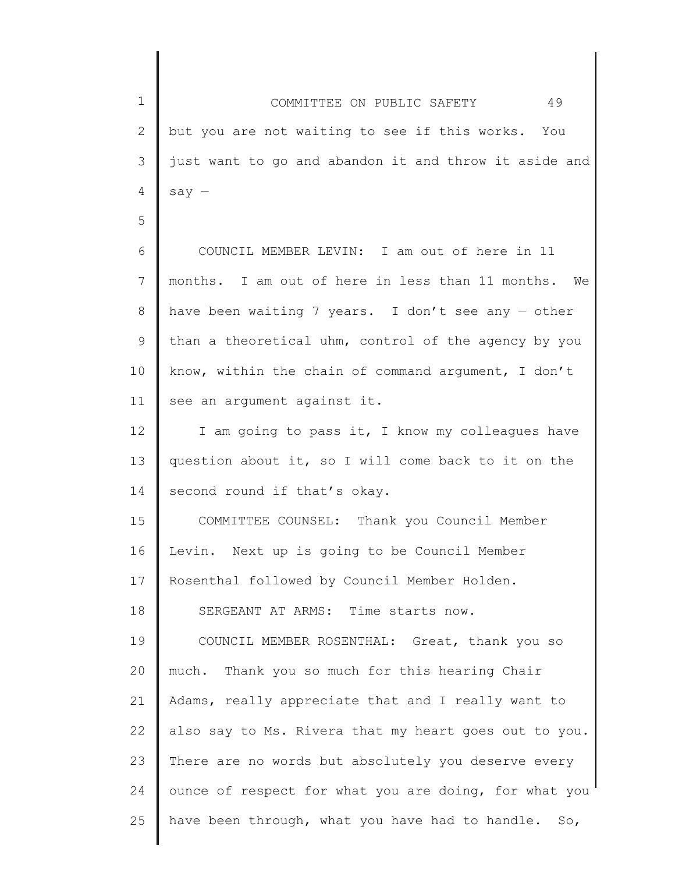1 2 3 4 5 6 7 8 9 10 11 12 13 14 15 16 17 18 19 20 COMMITTEE ON PUBLIC SAFETY 49 but you are not waiting to see if this works. You just want to go and abandon it and throw it aside and say — COUNCIL MEMBER LEVIN: I am out of here in 11 months. I am out of here in less than 11 months. We have been waiting 7 years. I don't see any — other than a theoretical uhm, control of the agency by you know, within the chain of command argument, I don't see an argument against it. I am going to pass it, I know my colleagues have question about it, so I will come back to it on the second round if that's okay. COMMITTEE COUNSEL: Thank you Council Member Levin. Next up is going to be Council Member Rosenthal followed by Council Member Holden. SERGEANT AT ARMS: Time starts now. COUNCIL MEMBER ROSENTHAL: Great, thank you so much. Thank you so much for this hearing Chair

21 22 23 24 25 Adams, really appreciate that and I really want to also say to Ms. Rivera that my heart goes out to you. There are no words but absolutely you deserve every ounce of respect for what you are doing, for what you have been through, what you have had to handle. So,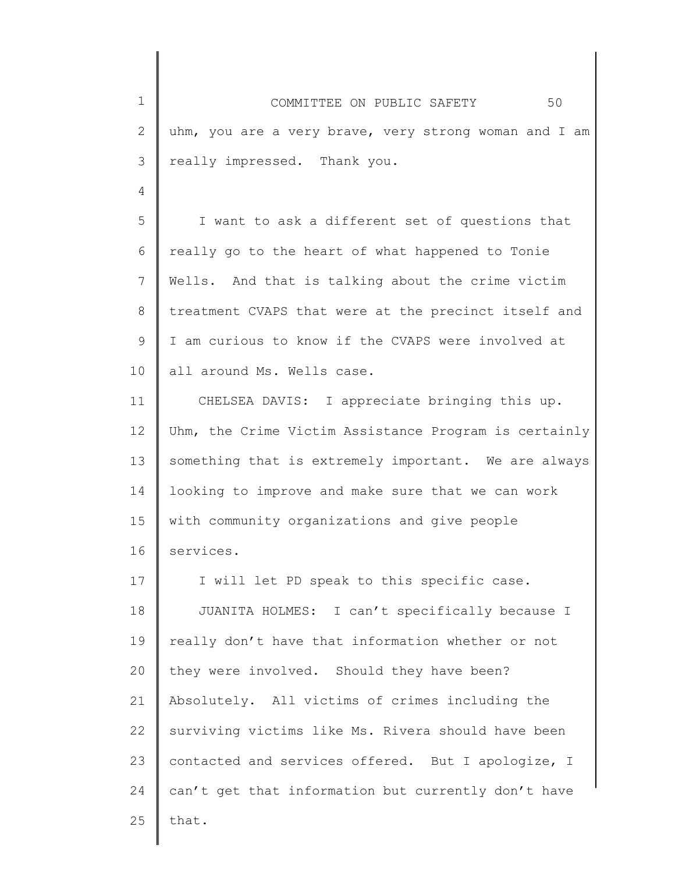1 2 3 4 5 6 7 8 9 10 11 12 13 14 15 16 17 18 19 20 21 22 23 24 25 COMMITTEE ON PUBLIC SAFETY 50 uhm, you are a very brave, very strong woman and I am really impressed. Thank you. I want to ask a different set of questions that really go to the heart of what happened to Tonie Wells. And that is talking about the crime victim treatment CVAPS that were at the precinct itself and I am curious to know if the CVAPS were involved at all around Ms. Wells case. CHELSEA DAVIS: I appreciate bringing this up. Uhm, the Crime Victim Assistance Program is certainly something that is extremely important. We are always looking to improve and make sure that we can work with community organizations and give people services. I will let PD speak to this specific case. JUANITA HOLMES: I can't specifically because I really don't have that information whether or not they were involved. Should they have been? Absolutely. All victims of crimes including the surviving victims like Ms. Rivera should have been contacted and services offered. But I apologize, I can't get that information but currently don't have that.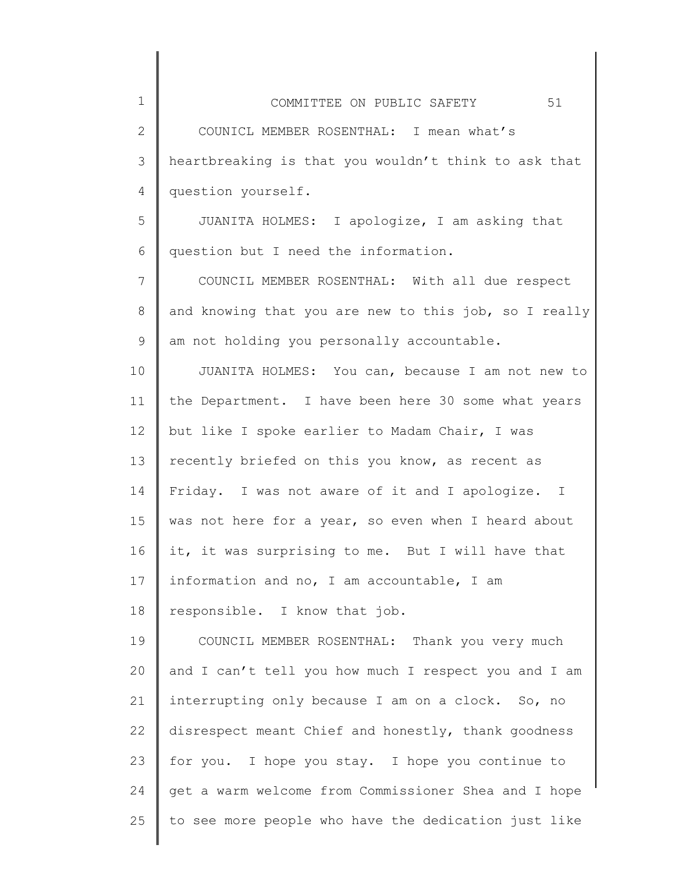| COMMITTEE ON PUBLIC SAFETY                           | 51 |
|------------------------------------------------------|----|
| COUNICL MEMBER ROSENTHAL: I mean what's              |    |
| heartbreaking is that you wouldn't think to ask that |    |
| question yourself.                                   |    |

1

2

3

4

5 6 JUANITA HOLMES: I apologize, I am asking that question but I need the information.

7 8 9 COUNCIL MEMBER ROSENTHAL: With all due respect and knowing that you are new to this job, so I really am not holding you personally accountable.

10 11 12 13 14 15 16 17 18 JUANITA HOLMES: You can, because I am not new to the Department. I have been here 30 some what years but like I spoke earlier to Madam Chair, I was recently briefed on this you know, as recent as Friday. I was not aware of it and I apologize. I was not here for a year, so even when I heard about it, it was surprising to me. But I will have that information and no, I am accountable, I am responsible. I know that job.

19 20 21 22 23 24 25 COUNCIL MEMBER ROSENTHAL: Thank you very much and I can't tell you how much I respect you and I am interrupting only because I am on a clock. So, no disrespect meant Chief and honestly, thank goodness for you. I hope you stay. I hope you continue to get a warm welcome from Commissioner Shea and I hope to see more people who have the dedication just like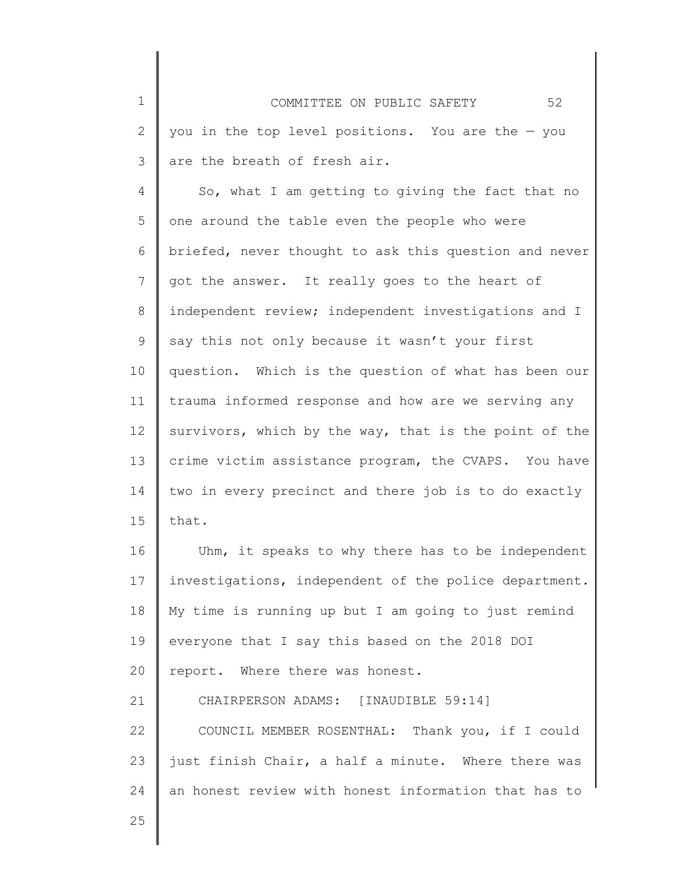1 2 3 COMMITTEE ON PUBLIC SAFETY 52 you in the top level positions. You are the — you are the breath of fresh air.

4 5 6 7 8 9 10 11 12 13 14 15 So, what I am getting to giving the fact that no one around the table even the people who were briefed, never thought to ask this question and never got the answer. It really goes to the heart of independent review; independent investigations and I say this not only because it wasn't your first question. Which is the question of what has been our trauma informed response and how are we serving any survivors, which by the way, that is the point of the crime victim assistance program, the CVAPS. You have two in every precinct and there job is to do exactly that.

16 17 18 19 20 21 Uhm, it speaks to why there has to be independent investigations, independent of the police department. My time is running up but I am going to just remind everyone that I say this based on the 2018 DOI report. Where there was honest. CHAIRPERSON ADAMS: [INAUDIBLE 59:14]

22 23 24 COUNCIL MEMBER ROSENTHAL: Thank you, if I could just finish Chair, a half a minute. Where there was an honest review with honest information that has to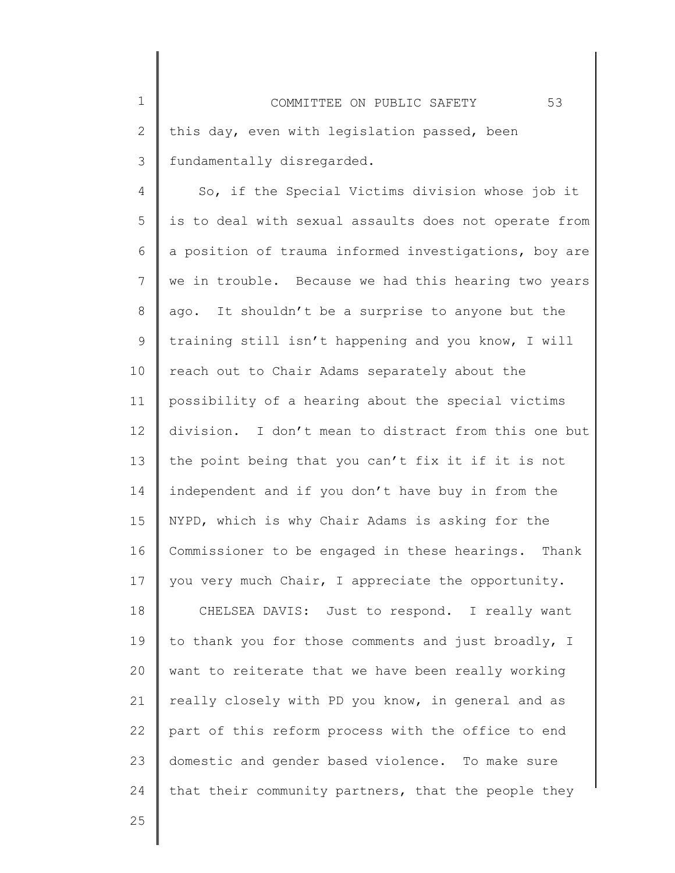4 5 6 7 8 9 10 11 12 13 14 15 16 17 18 19 20 21 22 23 24 So, if the Special Victims division whose job it is to deal with sexual assaults does not operate from a position of trauma informed investigations, boy are we in trouble. Because we had this hearing two years ago. It shouldn't be a surprise to anyone but the training still isn't happening and you know, I will reach out to Chair Adams separately about the possibility of a hearing about the special victims division. I don't mean to distract from this one but the point being that you can't fix it if it is not independent and if you don't have buy in from the NYPD, which is why Chair Adams is asking for the Commissioner to be engaged in these hearings. Thank you very much Chair, I appreciate the opportunity. CHELSEA DAVIS: Just to respond. I really want to thank you for those comments and just broadly, I want to reiterate that we have been really working really closely with PD you know, in general and as part of this reform process with the office to end domestic and gender based violence. To make sure that their community partners, that the people they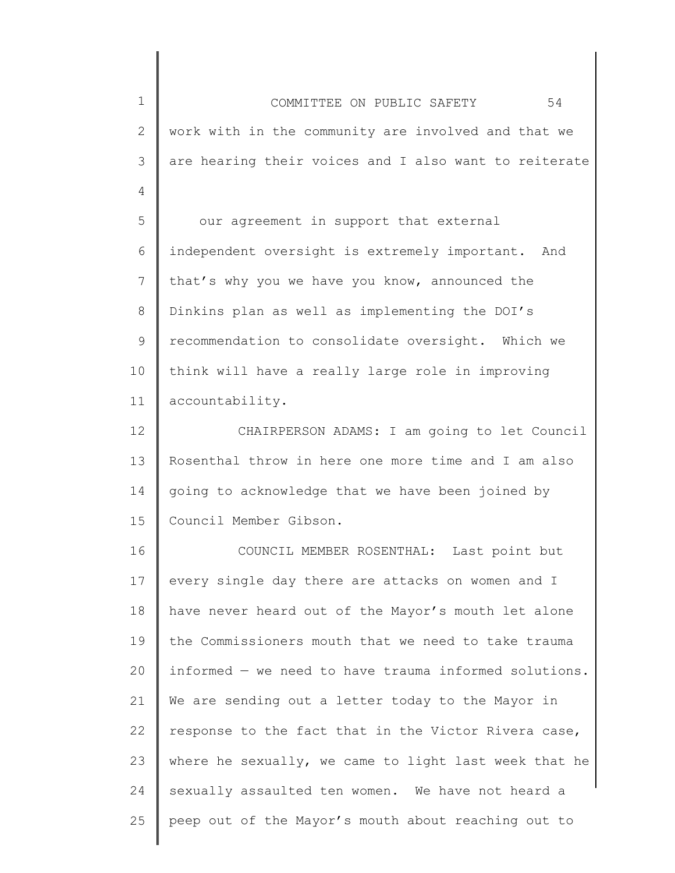1 2 3 4 5 6 7 8 9 10 11 12 13 14 15 16 17 18 19 20 21 22 23 24 25 COMMITTEE ON PUBLIC SAFETY 54 work with in the community are involved and that we are hearing their voices and I also want to reiterate our agreement in support that external independent oversight is extremely important. And that's why you we have you know, announced the Dinkins plan as well as implementing the DOI's recommendation to consolidate oversight. Which we think will have a really large role in improving accountability. CHAIRPERSON ADAMS: I am going to let Council Rosenthal throw in here one more time and I am also going to acknowledge that we have been joined by Council Member Gibson. COUNCIL MEMBER ROSENTHAL: Last point but every single day there are attacks on women and I have never heard out of the Mayor's mouth let alone the Commissioners mouth that we need to take trauma informed — we need to have trauma informed solutions. We are sending out a letter today to the Mayor in response to the fact that in the Victor Rivera case, where he sexually, we came to light last week that he sexually assaulted ten women. We have not heard a peep out of the Mayor's mouth about reaching out to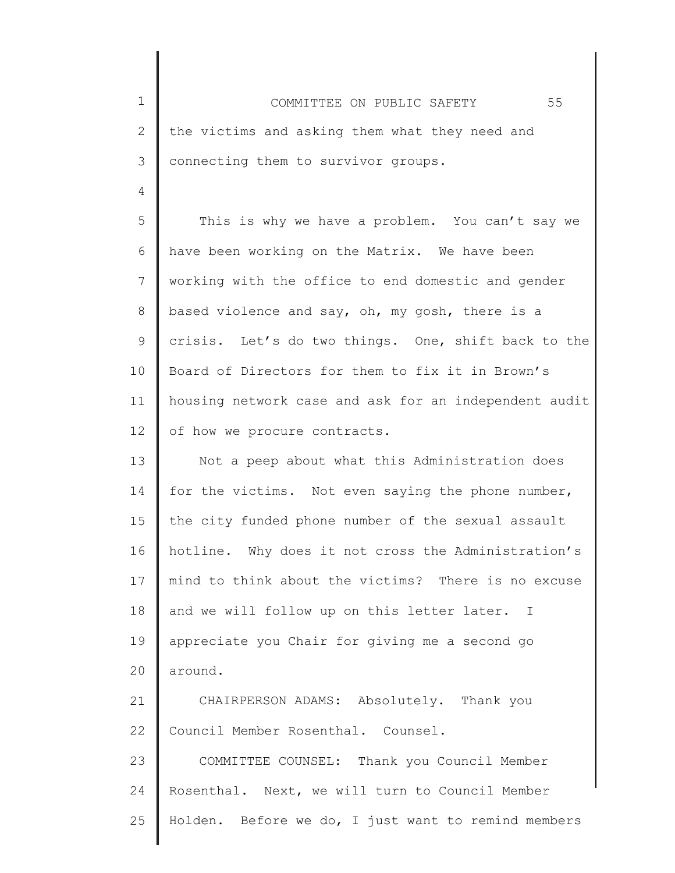1 2 3 4 5 6 7 8 9 10 11 12 13 14 15 16 17 18 19 20 21 22 23 24 25 COMMITTEE ON PUBLIC SAFETY 55 the victims and asking them what they need and connecting them to survivor groups. This is why we have a problem. You can't say we have been working on the Matrix. We have been working with the office to end domestic and gender based violence and say, oh, my gosh, there is a crisis. Let's do two things. One, shift back to the Board of Directors for them to fix it in Brown's housing network case and ask for an independent audit of how we procure contracts. Not a peep about what this Administration does for the victims. Not even saying the phone number, the city funded phone number of the sexual assault hotline. Why does it not cross the Administration's mind to think about the victims? There is no excuse and we will follow up on this letter later. I appreciate you Chair for giving me a second go around. CHAIRPERSON ADAMS: Absolutely. Thank you Council Member Rosenthal. Counsel. COMMITTEE COUNSEL: Thank you Council Member Rosenthal. Next, we will turn to Council Member Holden. Before we do, I just want to remind members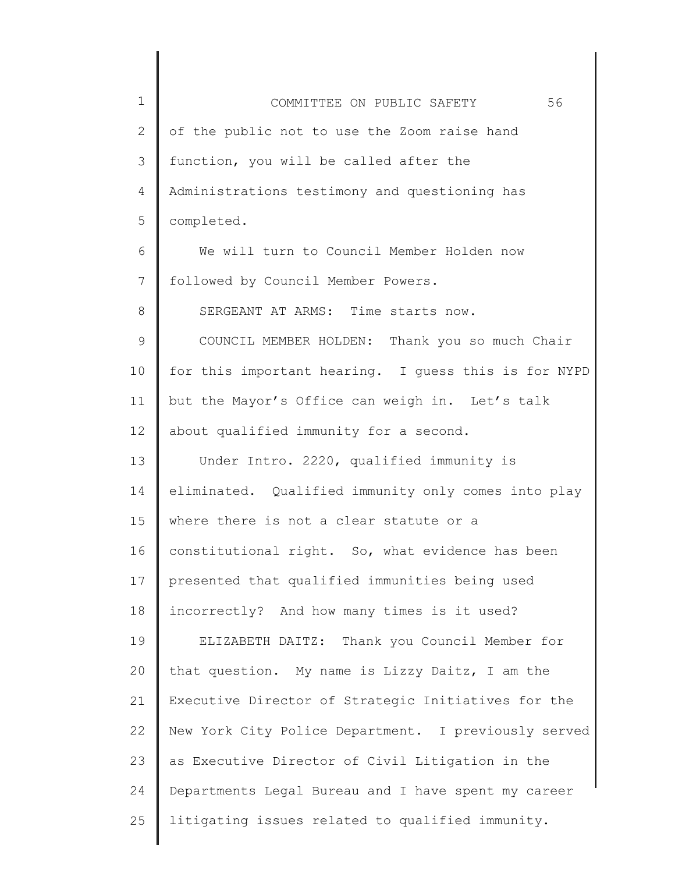| $\mathbf 1$  | 56<br>COMMITTEE ON PUBLIC SAFETY                     |
|--------------|------------------------------------------------------|
| $\mathbf{2}$ | of the public not to use the Zoom raise hand         |
| 3            | function, you will be called after the               |
| 4            | Administrations testimony and questioning has        |
| 5            | completed.                                           |
| 6            | We will turn to Council Member Holden now            |
| 7            | followed by Council Member Powers.                   |
| 8            | SERGEANT AT ARMS: Time starts now.                   |
| 9            | COUNCIL MEMBER HOLDEN: Thank you so much Chair       |
| 10           | for this important hearing. I guess this is for NYPD |
| 11           | but the Mayor's Office can weigh in. Let's talk      |
| 12           | about qualified immunity for a second.               |
| 13           | Under Intro. 2220, qualified immunity is             |
| 14           | eliminated. Qualified immunity only comes into play  |
| 15           | where there is not a clear statute or a              |
| 16           | constitutional right. So, what evidence has been     |
| 17           | presented that qualified immunities being used       |
| 18           | incorrectly? And how many times is it used?          |
| 19           | ELIZABETH DAITZ: Thank you Council Member for        |
| 20           | that question. My name is Lizzy Daitz, I am the      |
| 21           | Executive Director of Strategic Initiatives for the  |
| 22           | New York City Police Department. I previously served |
| 23           | as Executive Director of Civil Litigation in the     |
| 24           | Departments Legal Bureau and I have spent my career  |
| 25           | litigating issues related to qualified immunity.     |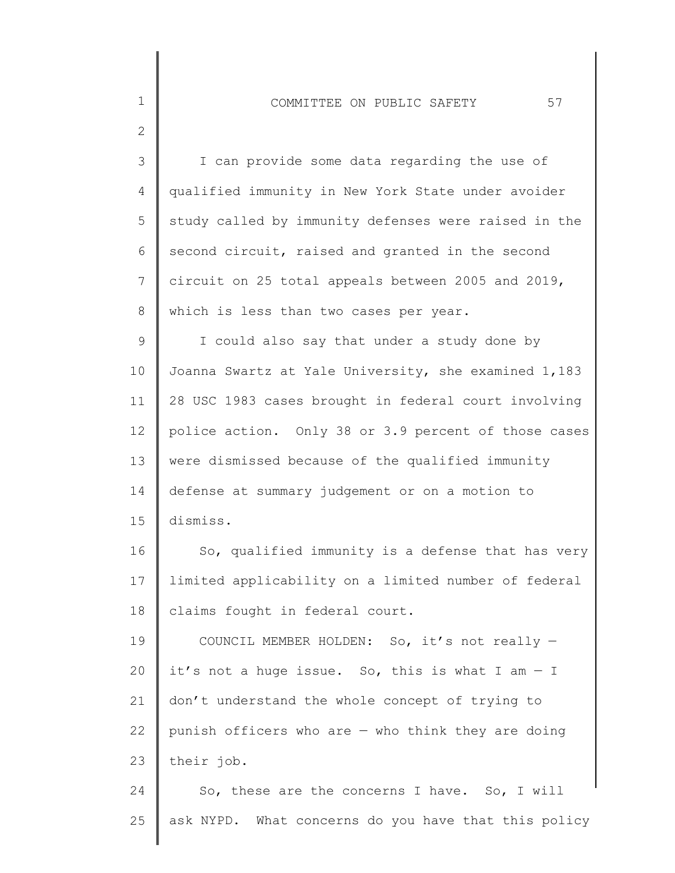1

2

| 3  | I can provide some data regarding the use of         |
|----|------------------------------------------------------|
| 4  | qualified immunity in New York State under avoider   |
| 5  | study called by immunity defenses were raised in the |
| 6  | second circuit, raised and granted in the second     |
| 7  | circuit on 25 total appeals between 2005 and 2019,   |
| 8  | which is less than two cases per year.               |
| 9  | I could also say that under a study done by          |
| 10 | Joanna Swartz at Yale University, she examined 1,183 |
| 11 | 28 USC 1983 cases brought in federal court involving |
| 12 | police action. Only 38 or 3.9 percent of those cases |
| 13 | were dismissed because of the qualified immunity     |
| 14 | defense at summary judgement or on a motion to       |
| 15 | dismiss.                                             |
| 16 | So, qualified immunity is a defense that has very    |
| 17 | limited applicability on a limited number of federal |
| 18 | claims fought in federal court.                      |
| 19 | COUNCIL MEMBER HOLDEN: So, it's not really -         |
| 20 | it's not a huge issue. So, this is what I am $-$ I   |
| 21 | don't understand the whole concept of trying to      |
| 22 | punish officers who are $-$ who think they are doing |
| 23 | their job.                                           |
| 24 | So, these are the concerns I have. So, I will        |

25 ask NYPD. What concerns do you have that this policy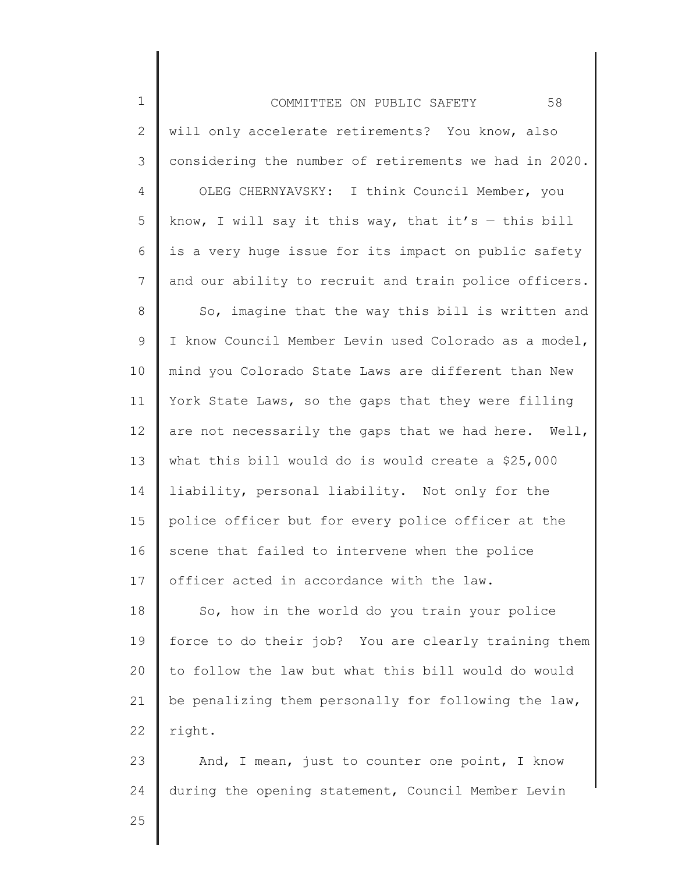| $\mathbf 1$    | 58<br>COMMITTEE ON PUBLIC SAFETY                      |
|----------------|-------------------------------------------------------|
| $\mathbf{2}$   | will only accelerate retirements? You know, also      |
| $\mathcal{S}$  | considering the number of retirements we had in 2020. |
| 4              | OLEG CHERNYAVSKY: I think Council Member, you         |
| 5              | know, I will say it this way, that it's - this bill   |
| 6              | is a very huge issue for its impact on public safety  |
| $\overline{7}$ | and our ability to recruit and train police officers. |
| $\,8\,$        | So, imagine that the way this bill is written and     |
| $\mathsf 9$    | I know Council Member Levin used Colorado as a model, |
| 10             | mind you Colorado State Laws are different than New   |
| 11             | York State Laws, so the gaps that they were filling   |
| 12             | are not necessarily the gaps that we had here. Well,  |
| 13             | what this bill would do is would create a \$25,000    |
| 14             | liability, personal liability. Not only for the       |
| 15             | police officer but for every police officer at the    |
| 16             | scene that failed to intervene when the police        |
| 17             | officer acted in accordance with the law.             |
| 18             | So, how in the world do you train your police         |
| 19             | force to do their job? You are clearly training them  |
| 20             | to follow the law but what this bill would do would   |
| 21             | be penalizing them personally for following the law,  |
| 22             | right.                                                |
| 23             | And, I mean, just to counter one point, I know        |
| 24             | during the opening statement, Council Member Levin    |
| 25             |                                                       |
|                |                                                       |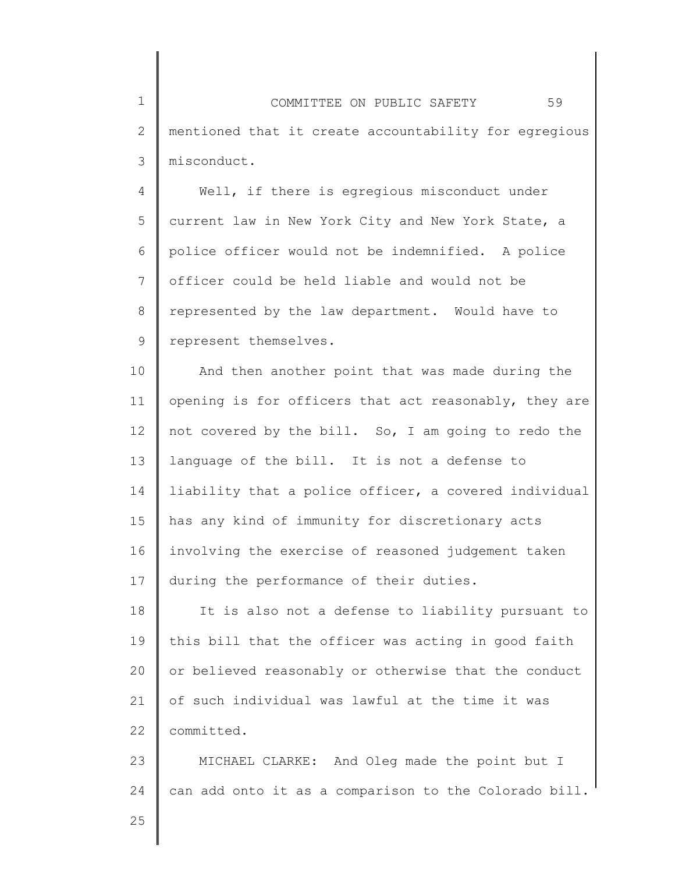1 2 3 COMMITTEE ON PUBLIC SAFETY 59 mentioned that it create accountability for egregious misconduct.

4 5 6 7 8 9 Well, if there is egregious misconduct under current law in New York City and New York State, a police officer would not be indemnified. A police officer could be held liable and would not be represented by the law department. Would have to represent themselves.

10 11 12 13 14 15 16 17 And then another point that was made during the opening is for officers that act reasonably, they are not covered by the bill. So, I am going to redo the language of the bill. It is not a defense to liability that a police officer, a covered individual has any kind of immunity for discretionary acts involving the exercise of reasoned judgement taken during the performance of their duties.

18 19 20 21 22 It is also not a defense to liability pursuant to this bill that the officer was acting in good faith or believed reasonably or otherwise that the conduct of such individual was lawful at the time it was committed.

23 24 MICHAEL CLARKE: And Oleg made the point but I can add onto it as a comparison to the Colorado bill.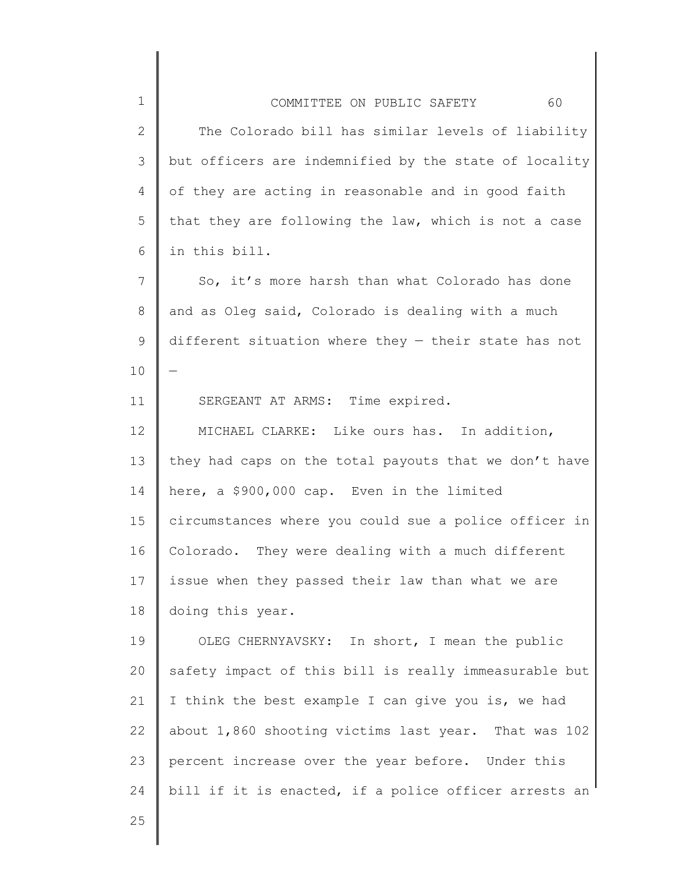|                                                      | COMMITTEE ON PUBLIC SAFETY |  | 60                                                    |
|------------------------------------------------------|----------------------------|--|-------------------------------------------------------|
|                                                      |                            |  | The Colorado bill has similar levels of liability     |
|                                                      |                            |  | but officers are indemnified by the state of locality |
| of they are acting in reasonable and in good faith   |                            |  |                                                       |
| that they are following the law, which is not a case |                            |  |                                                       |

6 in this bill.

1

2

3

4

5

11

7 8 9 10 So, it's more harsh than what Colorado has done and as Oleg said, Colorado is dealing with a much different situation where they — their state has not —

SERGEANT AT ARMS: Time expired.

12 13 14 15 16 17 18 MICHAEL CLARKE: Like ours has. In addition, they had caps on the total payouts that we don't have here, a \$900,000 cap. Even in the limited circumstances where you could sue a police officer in Colorado. They were dealing with a much different issue when they passed their law than what we are doing this year.

19 20 21 22 23 24 OLEG CHERNYAVSKY: In short, I mean the public safety impact of this bill is really immeasurable but I think the best example I can give you is, we had about 1,860 shooting victims last year. That was 102 percent increase over the year before. Under this bill if it is enacted, if a police officer arrests an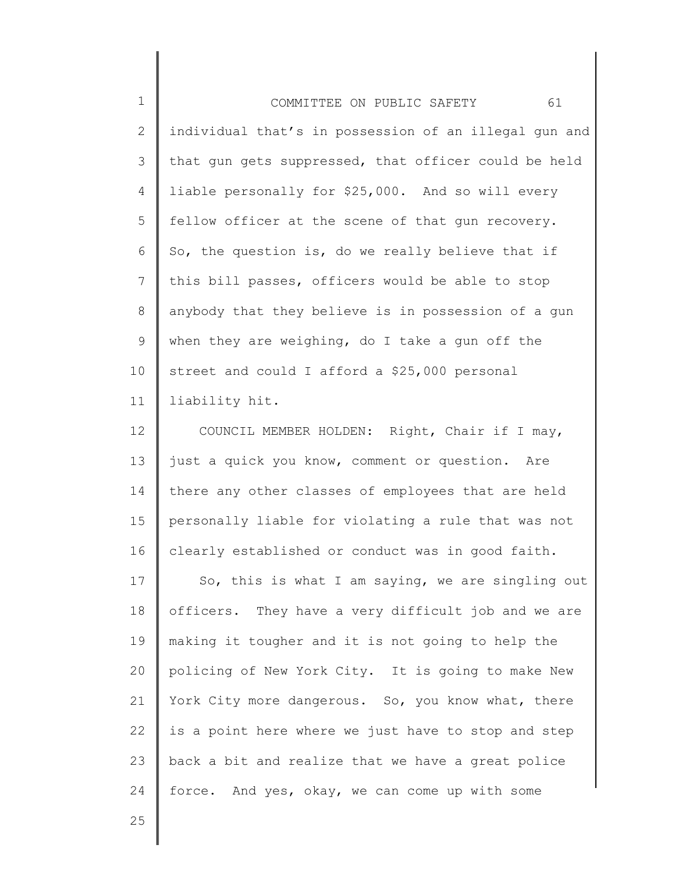| $\mathbf 1$    | 61<br>COMMITTEE ON PUBLIC SAFETY                      |
|----------------|-------------------------------------------------------|
| 2              | individual that's in possession of an illegal gun and |
| 3              | that gun gets suppressed, that officer could be held  |
| 4              | liable personally for \$25,000. And so will every     |
| 5              | fellow officer at the scene of that gun recovery.     |
| 6              | So, the question is, do we really believe that if     |
| $\overline{7}$ | this bill passes, officers would be able to stop      |
| 8              | anybody that they believe is in possession of a gun   |
| 9              | when they are weighing, do I take a gun off the       |
| 10             | street and could I afford a \$25,000 personal         |
| 11             | liability hit.                                        |
| 12             | COUNCIL MEMBER HOLDEN: Right, Chair if I may,         |

13 14 15 16 just a quick you know, comment or question. Are there any other classes of employees that are held personally liable for violating a rule that was not clearly established or conduct was in good faith.

17 18 19 20 21 22 23 24 So, this is what I am saying, we are singling out officers. They have a very difficult job and we are making it tougher and it is not going to help the policing of New York City. It is going to make New York City more dangerous. So, you know what, there is a point here where we just have to stop and step back a bit and realize that we have a great police force. And yes, okay, we can come up with some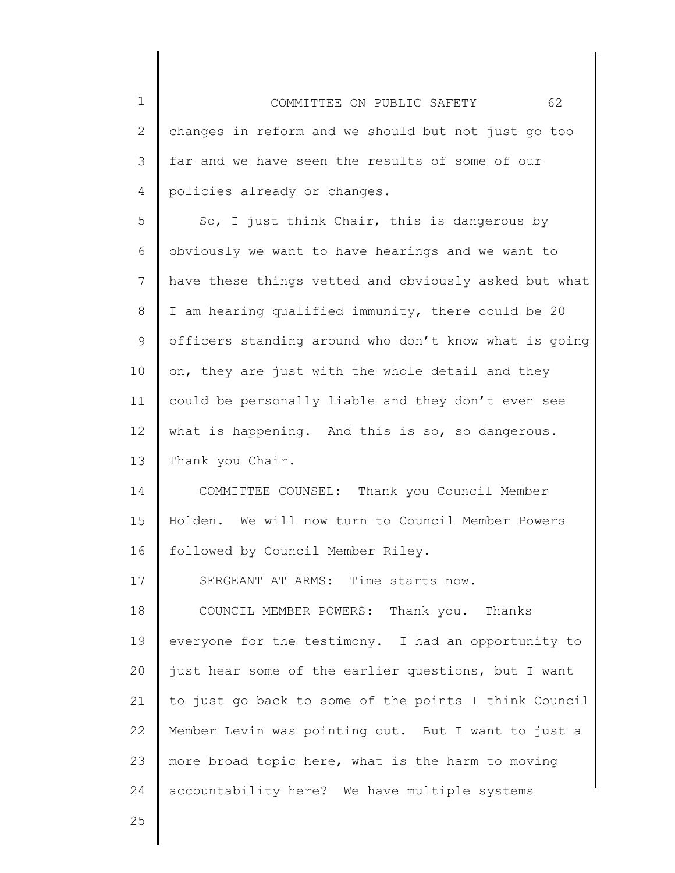1 2 3 4 5 6 7 8 9 10 11 12 13 14 15 16 COMMITTEE ON PUBLIC SAFETY 62 changes in reform and we should but not just go too far and we have seen the results of some of our policies already or changes. So, I just think Chair, this is dangerous by obviously we want to have hearings and we want to have these things vetted and obviously asked but what I am hearing qualified immunity, there could be 20 officers standing around who don't know what is going on, they are just with the whole detail and they could be personally liable and they don't even see what is happening. And this is so, so dangerous. Thank you Chair. COMMITTEE COUNSEL: Thank you Council Member Holden. We will now turn to Council Member Powers followed by Council Member Riley.

17 SERGEANT AT ARMS: Time starts now.

18 19 20 21 22 23 24 COUNCIL MEMBER POWERS: Thank you. Thanks everyone for the testimony. I had an opportunity to just hear some of the earlier questions, but I want to just go back to some of the points I think Council Member Levin was pointing out. But I want to just a more broad topic here, what is the harm to moving accountability here? We have multiple systems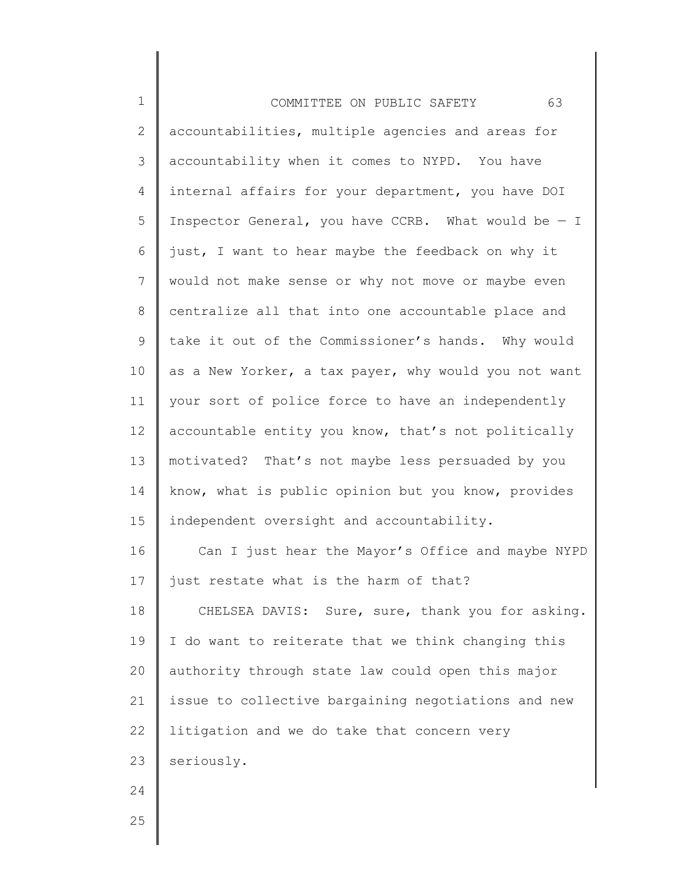| $\mathbf 1$    | 63<br>COMMITTEE ON PUBLIC SAFETY                      |
|----------------|-------------------------------------------------------|
| $\overline{2}$ | accountabilities, multiple agencies and areas for     |
| 3              | accountability when it comes to NYPD. You have        |
| 4              | internal affairs for your department, you have DOI    |
| 5              | Inspector General, you have CCRB. What would be $-$ I |
| 6              | just, I want to hear maybe the feedback on why it     |
| $\overline{7}$ | would not make sense or why not move or maybe even    |
| 8              | centralize all that into one accountable place and    |
| 9              | take it out of the Commissioner's hands. Why would    |
| 10             | as a New Yorker, a tax payer, why would you not want  |
| 11             | your sort of police force to have an independently    |
| 12             | accountable entity you know, that's not politically   |
| 13             | motivated? That's not maybe less persuaded by you     |
| 14             | know, what is public opinion but you know, provides   |
| 15             | independent oversight and accountability.             |
| 16             | Can I just hear the Mayor's Office and maybe NYPD     |
| 17             | just restate what is the harm of that?                |
| 18             | CHELSEA DAVIS: Sure, sure, thank you for asking.      |
| 19             | I do want to reiterate that we think changing this    |
| 20             | authority through state law could open this major     |
| 21             | issue to collective bargaining negotiations and new   |
| 22             | litigation and we do take that concern very           |
| 23             | seriously.                                            |
| 24             |                                                       |
| 25             |                                                       |
|                |                                                       |

 $\mathsf I$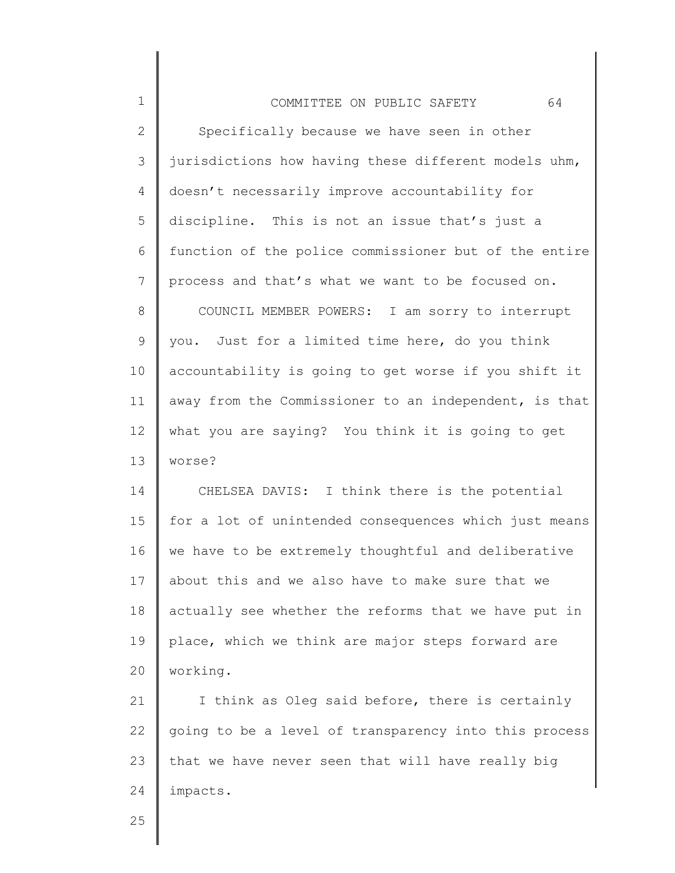| $\mathbf 1$    | 64<br>COMMITTEE ON PUBLIC SAFETY                      |
|----------------|-------------------------------------------------------|
| $\mathbf{2}$   | Specifically because we have seen in other            |
| 3              | jurisdictions how having these different models uhm,  |
| 4              | doesn't necessarily improve accountability for        |
| 5              | discipline. This is not an issue that's just a        |
| 6              | function of the police commissioner but of the entire |
| $\overline{7}$ | process and that's what we want to be focused on.     |
| 8              | COUNCIL MEMBER POWERS: I am sorry to interrupt        |
| $\mathsf 9$    | you. Just for a limited time here, do you think       |
| 10             | accountability is going to get worse if you shift it  |
| 11             | away from the Commissioner to an independent, is that |
| 12             | what you are saying? You think it is going to get     |
| 13             | worse?                                                |
| 14             | CHELSEA DAVIS: I think there is the potential         |
| 15             | for a lot of unintended consequences which just means |
| 16             | we have to be extremely thoughtful and deliberative   |
| 17             | about this and we also have to make sure that we      |
| 18             | actually see whether the reforms that we have put in  |
| 19             | place, which we think are major steps forward are     |
| 20             | working.                                              |
| 21             | I think as Oleg said before, there is certainly       |
| 22             | going to be a level of transparency into this process |
| 23             | that we have never seen that will have really big     |
| 24             | impacts.                                              |
|                |                                                       |

25

║

∥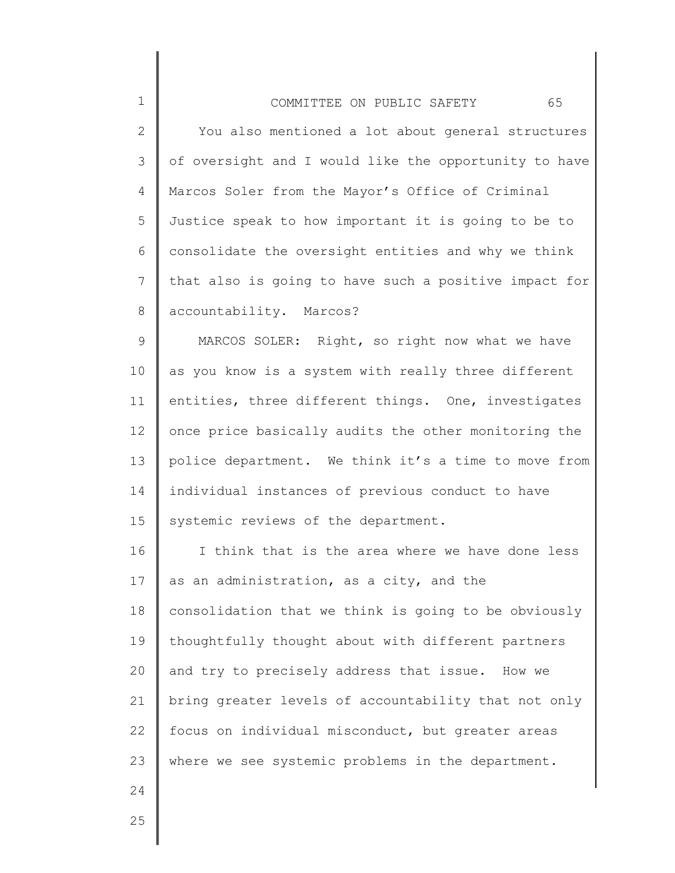| $\mathbf 1$    | 65<br>COMMITTEE ON PUBLIC SAFETY                      |
|----------------|-------------------------------------------------------|
| $\mathbf{2}$   | You also mentioned a lot about general structures     |
| 3              | of oversight and I would like the opportunity to have |
| 4              | Marcos Soler from the Mayor's Office of Criminal      |
| 5              | Justice speak to how important it is going to be to   |
| 6              | consolidate the oversight entities and why we think   |
| $7\phantom{.}$ | that also is going to have such a positive impact for |
| 8              | accountability. Marcos?                               |
| $\mathcal{G}$  | MARCOS SOLER: Right, so right now what we have        |
| 10             | as you know is a system with really three different   |
| 11             | entities, three different things. One, investigates   |
| 12             | once price basically audits the other monitoring the  |
| 13             | police department. We think it's a time to move from  |
| 14             | individual instances of previous conduct to have      |
| 15             | systemic reviews of the department.                   |
| 16             | I think that is the area where we have done less      |
| 17             | as an administration, as a city, and the              |
| 18             | consolidation that we think is going to be obviously  |
| 19             | thoughtfully thought about with different partners    |
| 20             | and try to precisely address that issue. How we       |
| 21             | bring greater levels of accountability that not only  |
| 22             | focus on individual misconduct, but greater areas     |
| 23             | where we see systemic problems in the department.     |
| 24             |                                                       |
|                |                                                       |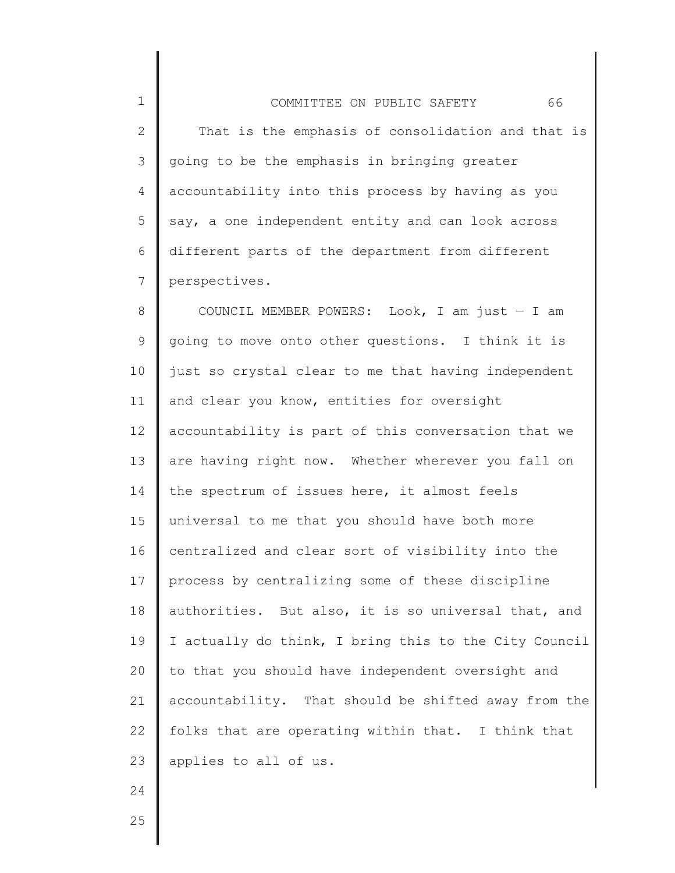1 2 3 4 5 6 7 COMMITTEE ON PUBLIC SAFETY 66 That is the emphasis of consolidation and that is going to be the emphasis in bringing greater accountability into this process by having as you say, a one independent entity and can look across different parts of the department from different perspectives.

8 9 10 11 12 13 14 15 16 17 18 19 20 21 22 23 COUNCIL MEMBER POWERS: Look, I am just  $-$  I am going to move onto other questions. I think it is just so crystal clear to me that having independent and clear you know, entities for oversight accountability is part of this conversation that we are having right now. Whether wherever you fall on the spectrum of issues here, it almost feels universal to me that you should have both more centralized and clear sort of visibility into the process by centralizing some of these discipline authorities. But also, it is so universal that, and I actually do think, I bring this to the City Council to that you should have independent oversight and accountability. That should be shifted away from the folks that are operating within that. I think that applies to all of us.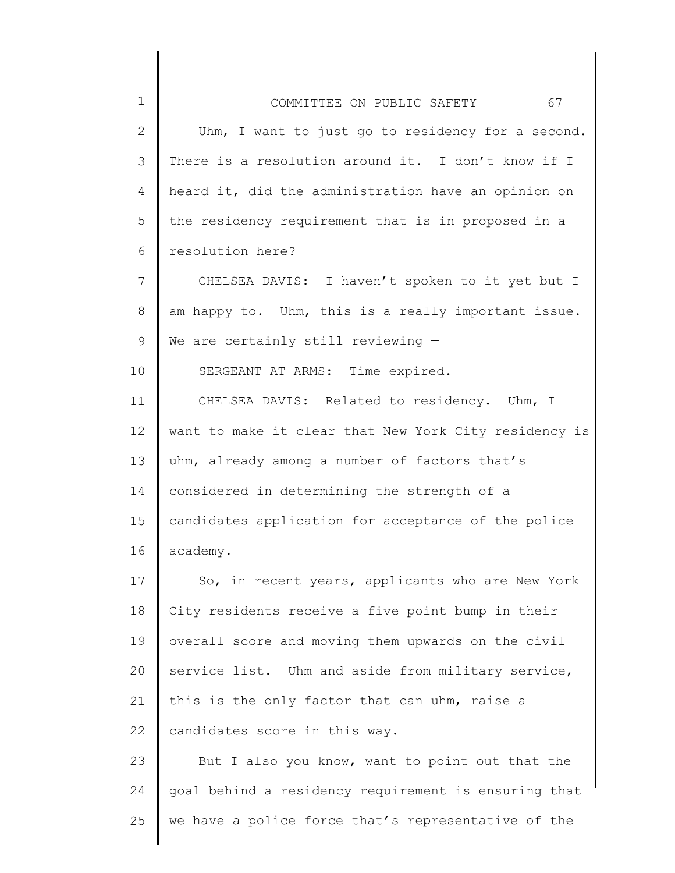| $\mathbf 1$     | 67<br>COMMITTEE ON PUBLIC SAFETY                      |
|-----------------|-------------------------------------------------------|
| $\mathbf{2}$    | Uhm, I want to just go to residency for a second.     |
| 3               | There is a resolution around it. I don't know if I    |
| 4               | heard it, did the administration have an opinion on   |
| 5               | the residency requirement that is in proposed in a    |
| 6               | resolution here?                                      |
| $\overline{7}$  | CHELSEA DAVIS: I haven't spoken to it yet but I       |
| 8               | am happy to. Uhm, this is a really important issue.   |
| 9               | We are certainly still reviewing $-$                  |
| 10              | SERGEANT AT ARMS: Time expired.                       |
| 11              | CHELSEA DAVIS: Related to residency. Uhm, I           |
| 12 <sup>°</sup> | want to make it clear that New York City residency is |
| 13              | uhm, already among a number of factors that's         |
| 14              | considered in determining the strength of a           |
| 15              | candidates application for acceptance of the police   |
| 16              | academy.                                              |
| 17              | So, in recent years, applicants who are New York      |
| 18              | City residents receive a five point bump in their     |
| 19              | overall score and moving them upwards on the civil    |
| 20              | service list. Uhm and aside from military service,    |
| 21              | this is the only factor that can uhm, raise a         |
| 22              | candidates score in this way.                         |
| 23              | But I also you know, want to point out that the       |
| 24              | goal behind a residency requirement is ensuring that  |

we have a police force that's representative of the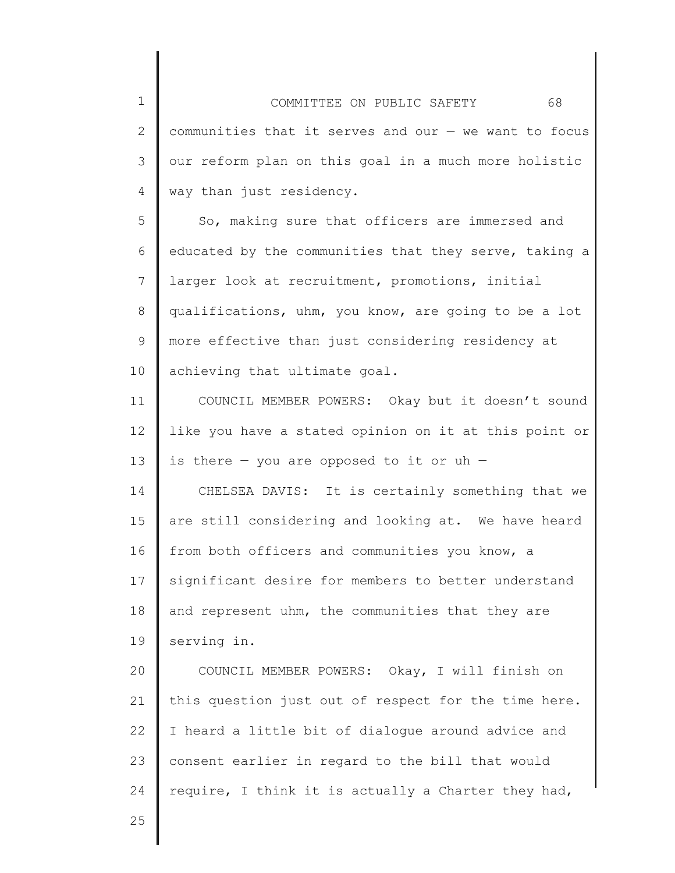1 2 3 4 COMMITTEE ON PUBLIC SAFETY 68 communities that it serves and our — we want to focus our reform plan on this goal in a much more holistic way than just residency.

5 6 7 8 9 10 So, making sure that officers are immersed and educated by the communities that they serve, taking a larger look at recruitment, promotions, initial qualifications, uhm, you know, are going to be a lot more effective than just considering residency at achieving that ultimate goal.

11 12 13 14 15 16 COUNCIL MEMBER POWERS: Okay but it doesn't sound like you have a stated opinion on it at this point or is there  $-$  you are opposed to it or uh  $-$ CHELSEA DAVIS: It is certainly something that we are still considering and looking at. We have heard from both officers and communities you know, a

17 18 19 significant desire for members to better understand and represent uhm, the communities that they are serving in.

20 21 22 23 24 COUNCIL MEMBER POWERS: Okay, I will finish on this question just out of respect for the time here. I heard a little bit of dialogue around advice and consent earlier in regard to the bill that would require, I think it is actually a Charter they had,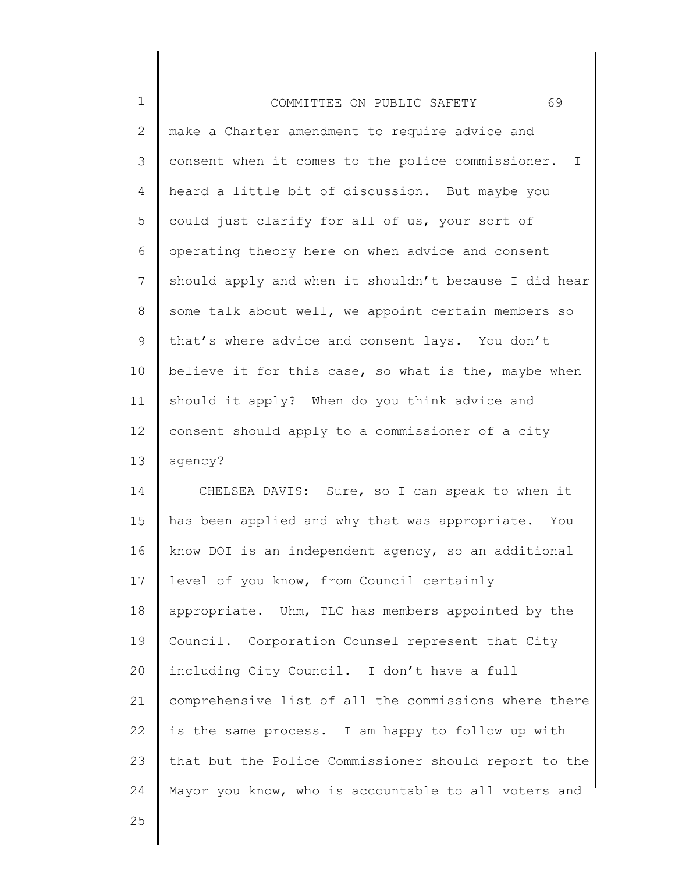| $\mathbf 1$     |                                                       |
|-----------------|-------------------------------------------------------|
|                 | 69<br>COMMITTEE ON PUBLIC SAFETY                      |
| $\mathbf{2}$    | make a Charter amendment to require advice and        |
| 3               | consent when it comes to the police commissioner. I   |
| 4               | heard a little bit of discussion. But maybe you       |
| 5               | could just clarify for all of us, your sort of        |
| 6               | operating theory here on when advice and consent      |
| $7\phantom{.0}$ | should apply and when it shouldn't because I did hear |
| 8               | some talk about well, we appoint certain members so   |
| 9               | that's where advice and consent lays. You don't       |
| 10              | believe it for this case, so what is the, maybe when  |
| 11              | should it apply? When do you think advice and         |
| 12              | consent should apply to a commissioner of a city      |
| 13              | agency?                                               |
| 14              | CHELSEA DAVIS: Sure, so I can speak to when it        |
| 15              | has been applied and why that was appropriate. You    |
| 16              | know DOI is an independent agency, so an additional   |
| 17              | level of you know, from Council certainly             |
| 18              | appropriate. Uhm, TLC has members appointed by the    |
| 19              | Council. Corporation Counsel represent that City      |
| 20              | including City Council. I don't have a full           |
| 21              | comprehensive list of all the commissions where there |
| 22              | is the same process. I am happy to follow up with     |
| 23              | that but the Police Commissioner should report to the |
| 24              | Mayor you know, who is accountable to all voters and  |
| 25              |                                                       |

I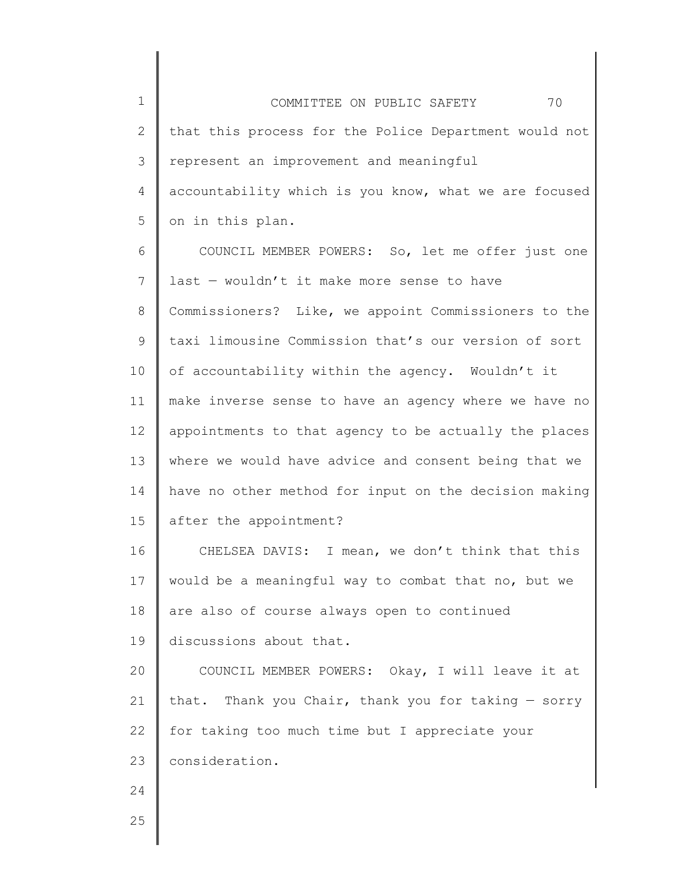1 2 3 4 5 COMMITTEE ON PUBLIC SAFETY 70 that this process for the Police Department would not represent an improvement and meaningful accountability which is you know, what we are focused on in this plan.

6 7 8 9 10 11 12 13 14 15 COUNCIL MEMBER POWERS: So, let me offer just one last — wouldn't it make more sense to have Commissioners? Like, we appoint Commissioners to the taxi limousine Commission that's our version of sort of accountability within the agency. Wouldn't it make inverse sense to have an agency where we have no appointments to that agency to be actually the places where we would have advice and consent being that we have no other method for input on the decision making after the appointment?

16 17 18 19 CHELSEA DAVIS: I mean, we don't think that this would be a meaningful way to combat that no, but we are also of course always open to continued discussions about that.

20 21 22 23 COUNCIL MEMBER POWERS: Okay, I will leave it at that. Thank you Chair, thank you for taking — sorry for taking too much time but I appreciate your consideration.

25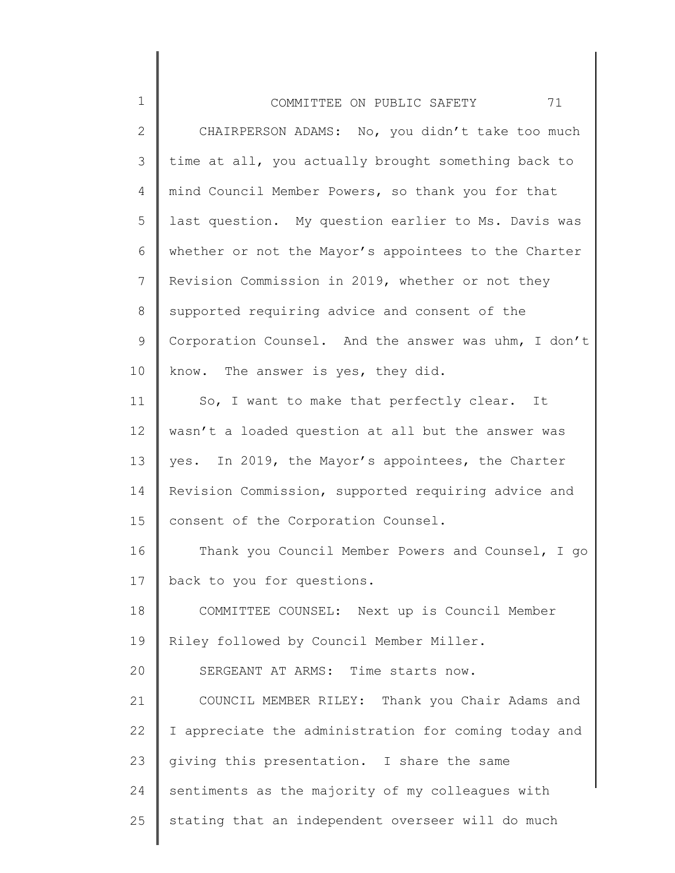| $\mathbf 1$ | 71<br>COMMITTEE ON PUBLIC SAFETY                     |
|-------------|------------------------------------------------------|
| 2           | CHAIRPERSON ADAMS: No, you didn't take too much      |
| 3           | time at all, you actually brought something back to  |
| 4           | mind Council Member Powers, so thank you for that    |
| 5           | last question. My question earlier to Ms. Davis was  |
| 6           | whether or not the Mayor's appointees to the Charter |
| 7           | Revision Commission in 2019, whether or not they     |
| 8           | supported requiring advice and consent of the        |
| 9           | Corporation Counsel. And the answer was uhm, I don't |
| 10          | know. The answer is yes, they did.                   |
| 11          | So, I want to make that perfectly clear. It          |
| 12          | wasn't a loaded question at all but the answer was   |
| 13          | yes. In 2019, the Mayor's appointees, the Charter    |
| 14          | Revision Commission, supported requiring advice and  |
| 15          | consent of the Corporation Counsel.                  |
| 16          | Thank you Council Member Powers and Counsel, I go    |
| 17          | back to you for questions.                           |
| 18          | COMMITTEE COUNSEL: Next up is Council Member         |
| 19          | Riley followed by Council Member Miller.             |
| 20          | SERGEANT AT ARMS: Time starts now.                   |
| 21          | COUNCIL MEMBER RILEY: Thank you Chair Adams and      |
| 22          | I appreciate the administration for coming today and |
| 23          | giving this presentation. I share the same           |
| 24          | sentiments as the majority of my colleagues with     |
| 25          | stating that an independent overseer will do much    |
|             |                                                      |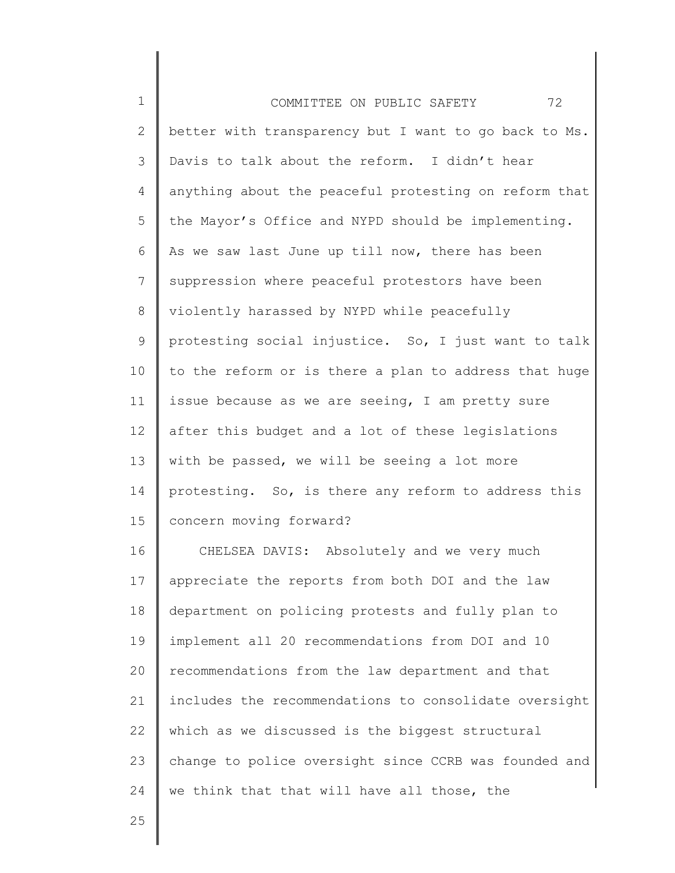| $\mathbf 1$    | 72<br>COMMITTEE ON PUBLIC SAFETY                      |
|----------------|-------------------------------------------------------|
| $\mathbf{2}$   | better with transparency but I want to go back to Ms. |
| 3              | Davis to talk about the reform. I didn't hear         |
| 4              | anything about the peaceful protesting on reform that |
| 5              | the Mayor's Office and NYPD should be implementing.   |
| 6              | As we saw last June up till now, there has been       |
| $\overline{7}$ | suppression where peaceful protestors have been       |
| 8              | violently harassed by NYPD while peacefully           |
| $\mathsf 9$    | protesting social injustice. So, I just want to talk  |
| 10             | to the reform or is there a plan to address that huge |
| 11             | issue because as we are seeing, I am pretty sure      |
| 12             | after this budget and a lot of these legislations     |
| 13             | with be passed, we will be seeing a lot more          |
| 14             | protesting. So, is there any reform to address this   |
| 15             | concern moving forward?                               |
| 16             | CHELSEA DAVIS: Absolutely and we very much            |
| 17             | appreciate the reports from both DOI and the law      |
| 18             | department on policing protests and fully plan to     |
| 19             | implement all 20 recommendations from DOI and 10      |
| 20             | recommendations from the law department and that      |
| 21             | includes the recommendations to consolidate oversight |
| 22             | which as we discussed is the biggest structural       |
| 23             | change to police oversight since CCRB was founded and |
| 24             | we think that that will have all those, the           |
| 25             |                                                       |

25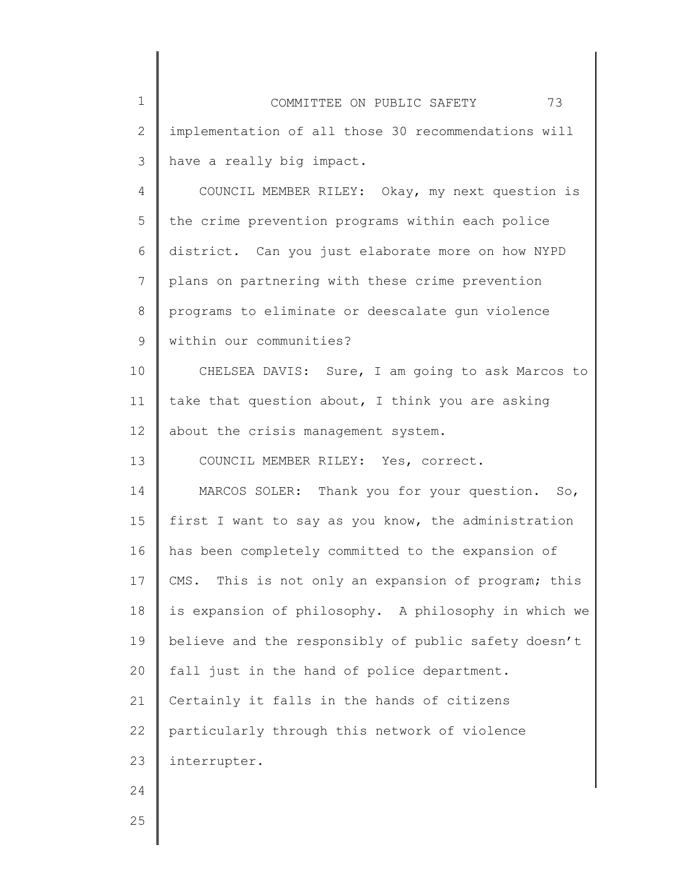| $\mathbf 1$  | 73<br>COMMITTEE ON PUBLIC SAFETY                     |
|--------------|------------------------------------------------------|
| $\mathbf{2}$ | implementation of all those 30 recommendations will  |
| 3            | have a really big impact.                            |
| 4            | COUNCIL MEMBER RILEY: Okay, my next question is      |
| 5            | the crime prevention programs within each police     |
| 6            | district. Can you just elaborate more on how NYPD    |
| 7            | plans on partnering with these crime prevention      |
| 8            | programs to eliminate or deescalate gun violence     |
| 9            | within our communities?                              |
| 10           | CHELSEA DAVIS: Sure, I am going to ask Marcos to     |
| 11           | take that question about, I think you are asking     |
| 12           | about the crisis management system.                  |
| 13           | COUNCIL MEMBER RILEY: Yes, correct.                  |
| 14           | MARCOS SOLER: Thank you for your question. So,       |
| 15           | first I want to say as you know, the administration  |
| 16           | has been completely committed to the expansion of    |
| 17           | CMS. This is not only an expansion of program; this  |
| 18           | is expansion of philosophy. A philosophy in which we |
| 19           | believe and the responsibly of public safety doesn't |
| 20           | fall just in the hand of police department.          |
| 21           | Certainly it falls in the hands of citizens          |
| 22           | particularly through this network of violence        |
| 23           | interrupter.                                         |
| 24           |                                                      |
| 25           |                                                      |
|              |                                                      |

∥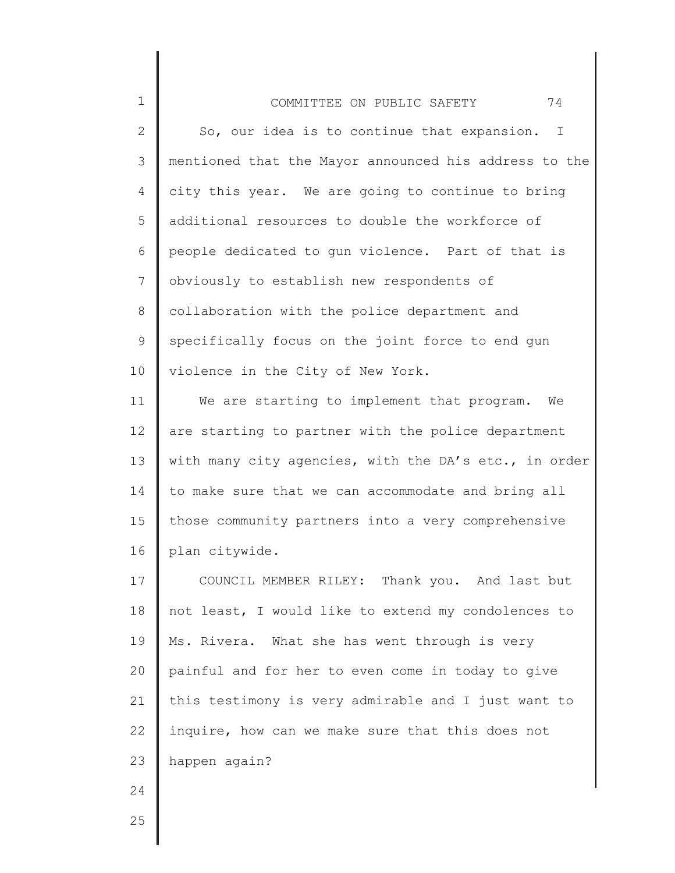## 1 2 3 4 5 6 7 8 9 10 COMMITTEE ON PUBLIC SAFETY 74 So, our idea is to continue that expansion. I mentioned that the Mayor announced his address to the city this year. We are going to continue to bring additional resources to double the workforce of people dedicated to gun violence. Part of that is obviously to establish new respondents of collaboration with the police department and specifically focus on the joint force to end gun violence in the City of New York.

11 12 13 14 15 16 We are starting to implement that program. We are starting to partner with the police department with many city agencies, with the DA's etc., in order to make sure that we can accommodate and bring all those community partners into a very comprehensive plan citywide.

17 18 19 20 21 22 23 COUNCIL MEMBER RILEY: Thank you. And last but not least, I would like to extend my condolences to Ms. Rivera. What she has went through is very painful and for her to even come in today to give this testimony is very admirable and I just want to inquire, how can we make sure that this does not happen again?

25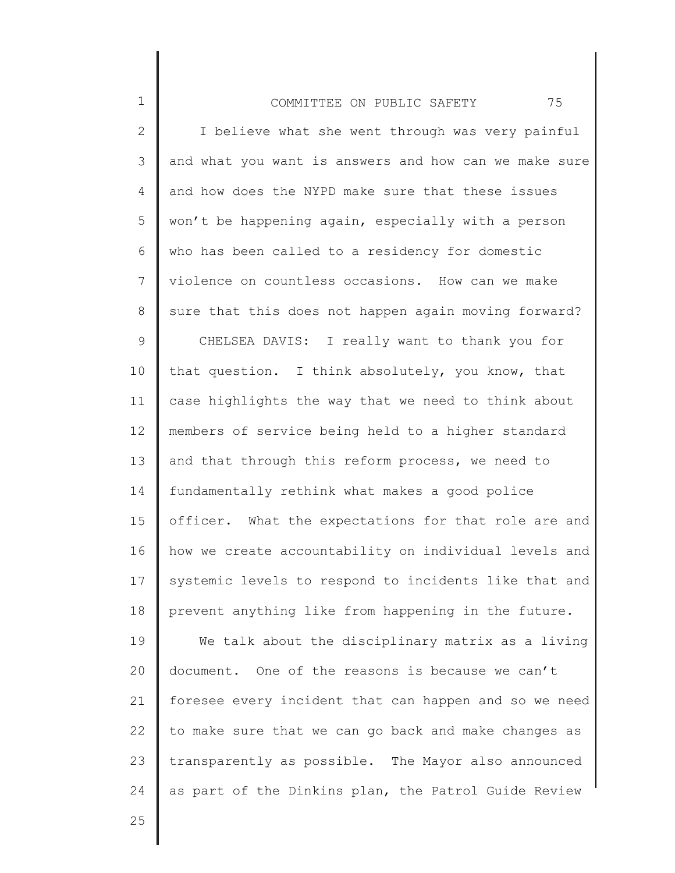| $\mathbf 1$    | 75<br>COMMITTEE ON PUBLIC SAFETY                      |
|----------------|-------------------------------------------------------|
| $\mathbf{2}$   | I believe what she went through was very painful      |
| $\mathcal{S}$  | and what you want is answers and how can we make sure |
| 4              | and how does the NYPD make sure that these issues     |
| 5              | won't be happening again, especially with a person    |
| 6              | who has been called to a residency for domestic       |
| $\overline{7}$ | violence on countless occasions. How can we make      |
| $8\,$          | sure that this does not happen again moving forward?  |
| $\mathsf 9$    | CHELSEA DAVIS: I really want to thank you for         |
| 10             | that question. I think absolutely, you know, that     |
| 11             | case highlights the way that we need to think about   |
| 12             | members of service being held to a higher standard    |
| 13             | and that through this reform process, we need to      |
| 14             | fundamentally rethink what makes a good police        |
| 15             | officer. What the expectations for that role are and  |
| 16             | how we create accountability on individual levels and |
| 17             | systemic levels to respond to incidents like that and |
| 18             | prevent anything like from happening in the future.   |
| 19             | We talk about the disciplinary matrix as a living     |
| 20             | document. One of the reasons is because we can't      |
| 21             | foresee every incident that can happen and so we need |
| 22             | to make sure that we can go back and make changes as  |
| 23             | transparently as possible. The Mayor also announced   |
| 24             | as part of the Dinkins plan, the Patrol Guide Review  |
| クら             |                                                       |

 $\angle$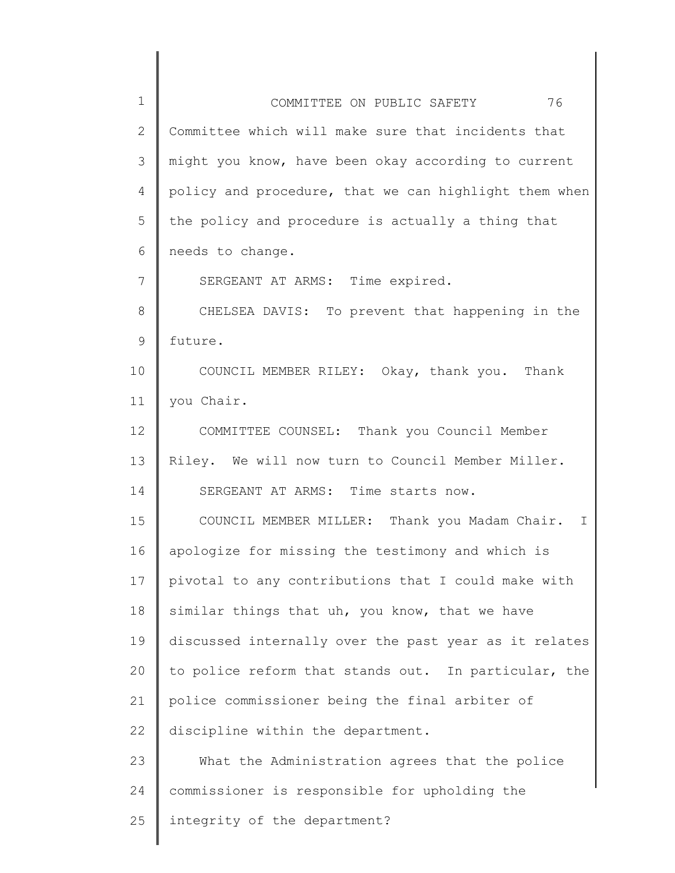| 1  | 76<br>COMMITTEE ON PUBLIC SAFETY                      |
|----|-------------------------------------------------------|
| 2  | Committee which will make sure that incidents that    |
| 3  | might you know, have been okay according to current   |
| 4  | policy and procedure, that we can highlight them when |
| 5  | the policy and procedure is actually a thing that     |
| 6  | needs to change.                                      |
| 7  | SERGEANT AT ARMS: Time expired.                       |
| 8  | CHELSEA DAVIS: To prevent that happening in the       |
| 9  | future.                                               |
| 10 | COUNCIL MEMBER RILEY: Okay, thank you. Thank          |
| 11 | you Chair.                                            |
| 12 | COMMITTEE COUNSEL: Thank you Council Member           |
| 13 | Riley. We will now turn to Council Member Miller.     |
| 14 | SERGEANT AT ARMS: Time starts now.                    |
| 15 | COUNCIL MEMBER MILLER: Thank you Madam Chair.<br>T.   |
| 16 | apologize for missing the testimony and which is      |
| 17 | pivotal to any contributions that I could make with   |
| 18 | similar things that uh, you know, that we have        |
| 19 | discussed internally over the past year as it relates |
| 20 | to police reform that stands out. In particular, the  |
| 21 | police commissioner being the final arbiter of        |
| 22 | discipline within the department.                     |
| 23 | What the Administration agrees that the police        |
| 24 | commissioner is responsible for upholding the         |
| 25 | integrity of the department?                          |
|    |                                                       |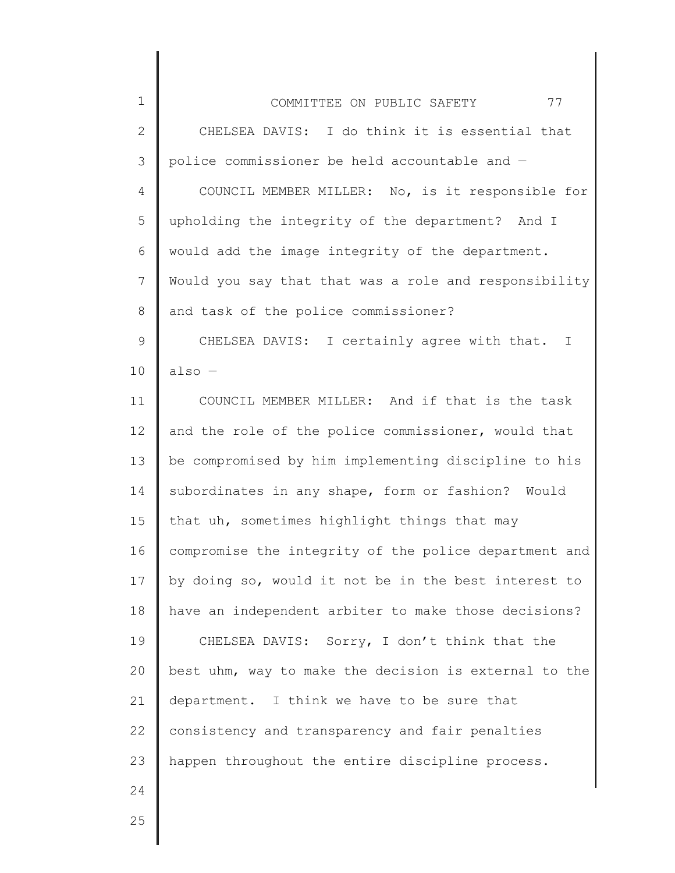| $\mathbf 1$    | 77<br>COMMITTEE ON PUBLIC SAFETY                      |
|----------------|-------------------------------------------------------|
| $\overline{2}$ | CHELSEA DAVIS: I do think it is essential that        |
| 3              | police commissioner be held accountable and -         |
| 4              | COUNCIL MEMBER MILLER: No, is it responsible for      |
| 5              | upholding the integrity of the department? And I      |
| 6              | would add the image integrity of the department.      |
| 7              | Would you say that that was a role and responsibility |
| $\,8\,$        | and task of the police commissioner?                  |
| $\mathsf 9$    | CHELSEA DAVIS: I certainly agree with that. I         |
| 10             | $also -$                                              |
| 11             | COUNCIL MEMBER MILLER: And if that is the task        |
| 12             | and the role of the police commissioner, would that   |
| 13             | be compromised by him implementing discipline to his  |
| 14             | subordinates in any shape, form or fashion? Would     |
| 15             | that uh, sometimes highlight things that may          |
| 16             | compromise the integrity of the police department and |
| 17             | by doing so, would it not be in the best interest to  |
| 18             | have an independent arbiter to make those decisions?  |
| 19             | CHELSEA DAVIS: Sorry, I don't think that the          |
| 20             | best uhm, way to make the decision is external to the |
| 21             | department. I think we have to be sure that           |
| 22             | consistency and transparency and fair penalties       |
| 23             | happen throughout the entire discipline process.      |
| 24             |                                                       |
| 25             |                                                       |
|                |                                                       |

║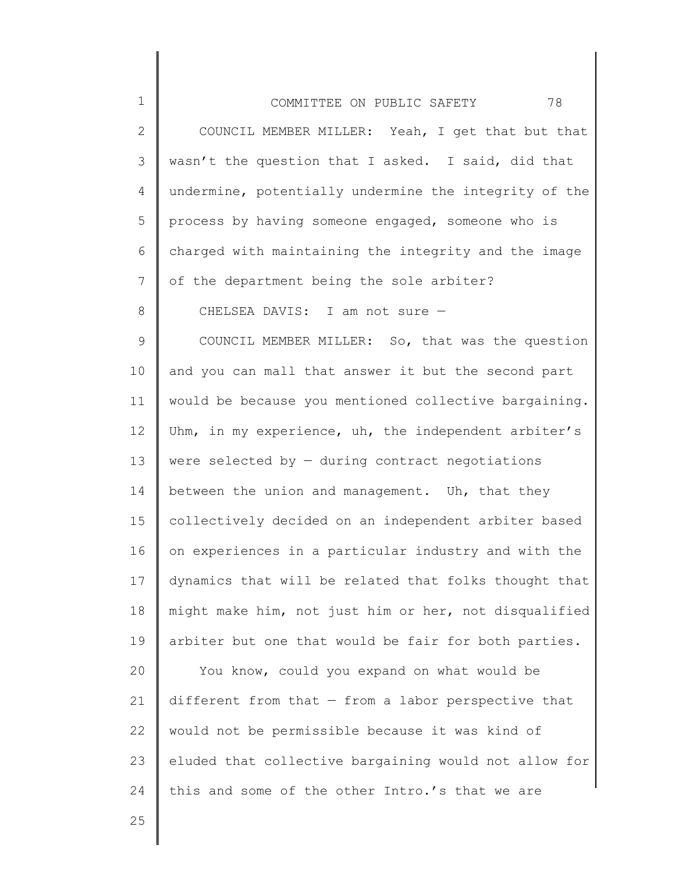| $\mathbf 1$  | 78<br>COMMITTEE ON PUBLIC SAFETY                      |
|--------------|-------------------------------------------------------|
| $\mathbf{2}$ | COUNCIL MEMBER MILLER: Yeah, I get that but that      |
| 3            | wasn't the question that I asked. I said, did that    |
| 4            | undermine, potentially undermine the integrity of the |
| 5            | process by having someone engaged, someone who is     |
| 6            | charged with maintaining the integrity and the image  |
| 7            | of the department being the sole arbiter?             |
| 8            | CHELSEA DAVIS: I am not sure -                        |
| 9            | COUNCIL MEMBER MILLER: So, that was the question      |
| 10           | and you can mall that answer it but the second part   |
| 11           | would be because you mentioned collective bargaining. |
| 12           | Uhm, in my experience, uh, the independent arbiter's  |
| 13           | were selected by $-$ during contract negotiations     |
| 14           | between the union and management. Uh, that they       |
| 15           | collectively decided on an independent arbiter based  |
| 16           | on experiences in a particular industry and with the  |
| 17           | dynamics that will be related that folks thought that |
| 18           | might make him, not just him or her, not disqualified |
| 19           | arbiter but one that would be fair for both parties.  |
| 20           | You know, could you expand on what would be           |
| 21           | different from that $-$ from a labor perspective that |
| 22           | would not be permissible because it was kind of       |
| 23           | eluded that collective bargaining would not allow for |
| 24           | this and some of the other Intro.'s that we are       |

 $\parallel$ ∥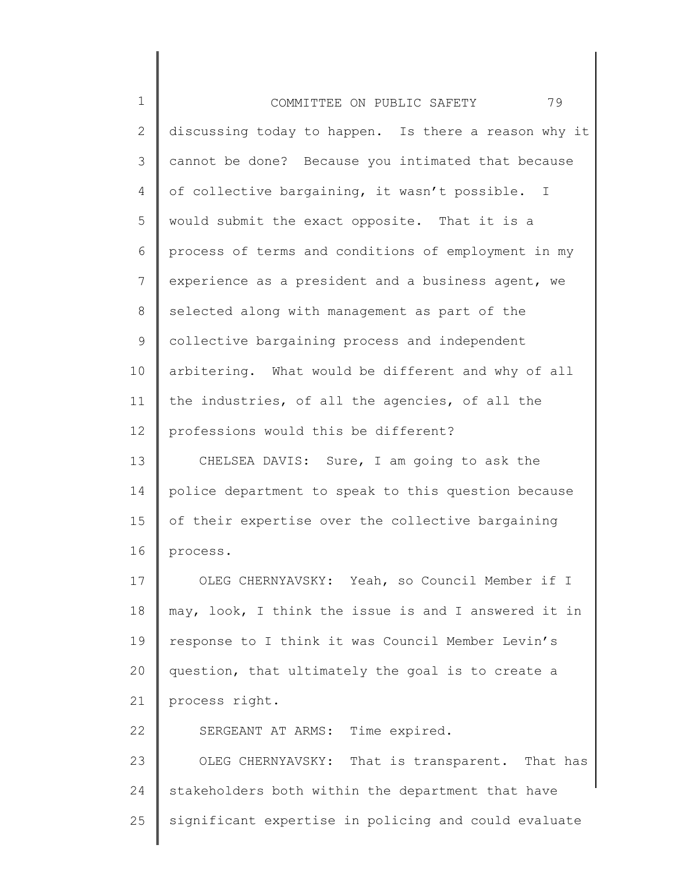| $\mathbf 1$  | 79<br>COMMITTEE ON PUBLIC SAFETY                     |
|--------------|------------------------------------------------------|
| $\mathbf{2}$ | discussing today to happen. Is there a reason why it |
| 3            | cannot be done? Because you intimated that because   |
| 4            | of collective bargaining, it wasn't possible. I      |
| 5            | would submit the exact opposite. That it is a        |
| 6            | process of terms and conditions of employment in my  |
| 7            | experience as a president and a business agent, we   |
| 8            | selected along with management as part of the        |
| 9            | collective bargaining process and independent        |
| 10           | arbitering. What would be different and why of all   |
| 11           | the industries, of all the agencies, of all the      |
| 12           | professions would this be different?                 |
| 13           | CHELSEA DAVIS: Sure, I am going to ask the           |
| 14           | police department to speak to this question because  |
| 15           | of their expertise over the collective bargaining    |
| 16           | process.                                             |
| 17           | OLEG CHERNYAVSKY: Yeah, so Council Member if I       |
| 18           | may, look, I think the issue is and I answered it in |
| 19           | response to I think it was Council Member Levin's    |
| 20           | question, that ultimately the goal is to create a    |
| 21           | process right.                                       |
| 22           | SERGEANT AT ARMS: Time expired.                      |
| 23           | OLEG CHERNYAVSKY: That is transparent. That has      |
| 24           | stakeholders both within the department that have    |
| 25           | significant expertise in policing and could evaluate |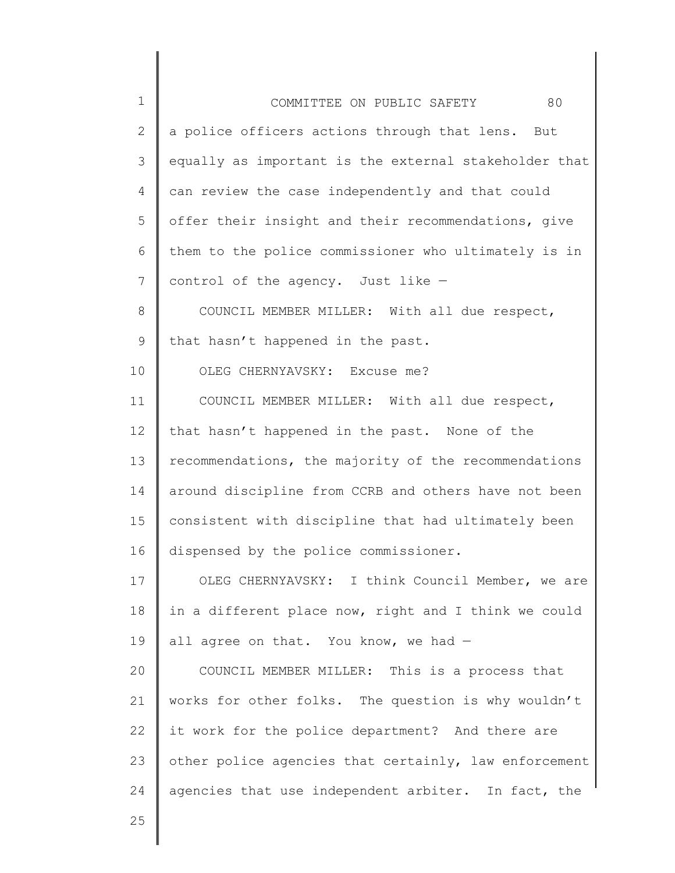| $\mathbf 1$    | 80<br>COMMITTEE ON PUBLIC SAFETY                      |
|----------------|-------------------------------------------------------|
| 2              | a police officers actions through that lens. But      |
| $\mathcal{S}$  | equally as important is the external stakeholder that |
| $\overline{4}$ | can review the case independently and that could      |
| 5              | offer their insight and their recommendations, give   |
| 6              | them to the police commissioner who ultimately is in  |
| 7              | control of the agency. Just like -                    |
| 8              | COUNCIL MEMBER MILLER: With all due respect,          |
| $\mathsf 9$    | that hasn't happened in the past.                     |
| 10             | OLEG CHERNYAVSKY: Excuse me?                          |
| 11             | COUNCIL MEMBER MILLER: With all due respect,          |
| 12             | that hasn't happened in the past. None of the         |
| 13             | recommendations, the majority of the recommendations  |
| 14             | around discipline from CCRB and others have not been  |
| 15             | consistent with discipline that had ultimately been   |
| 16             | dispensed by the police commissioner.                 |
| 17             | OLEG CHERNYAVSKY: I think Council Member, we are      |
| 18             | in a different place now, right and I think we could  |
| 19             | all agree on that. You know, we had $-$               |
| 20             | COUNCIL MEMBER MILLER: This is a process that         |
| 21             | works for other folks. The question is why wouldn't   |
| 22             | it work for the police department? And there are      |
| 23             | other police agencies that certainly, law enforcement |
| 24             | agencies that use independent arbiter. In fact, the   |
| 25             |                                                       |
|                |                                                       |

║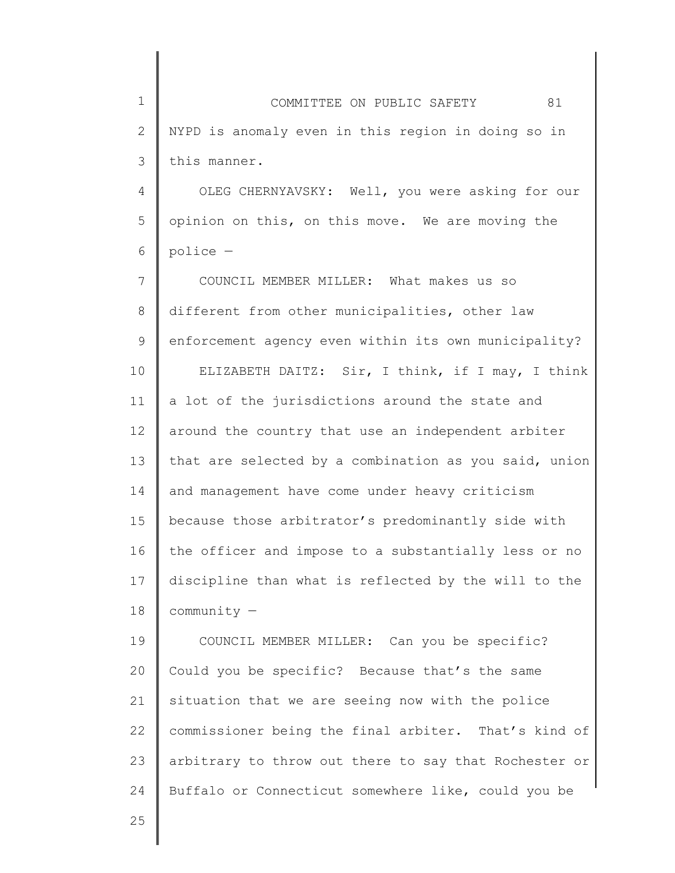1 2 3 COMMITTEE ON PUBLIC SAFETY 81 NYPD is anomaly even in this region in doing so in this manner.

4 5 6 OLEG CHERNYAVSKY: Well, you were asking for our opinion on this, on this move. We are moving the police —

7 8 9 10 11 12 13 14 15 16 17 18 COUNCIL MEMBER MILLER: What makes us so different from other municipalities, other law enforcement agency even within its own municipality? ELIZABETH DAITZ: Sir, I think, if I may, I think a lot of the jurisdictions around the state and around the country that use an independent arbiter that are selected by a combination as you said, union and management have come under heavy criticism because those arbitrator's predominantly side with the officer and impose to a substantially less or no discipline than what is reflected by the will to the community —

19 20 21 22 23 24 COUNCIL MEMBER MILLER: Can you be specific? Could you be specific? Because that's the same situation that we are seeing now with the police commissioner being the final arbiter. That's kind of arbitrary to throw out there to say that Rochester or Buffalo or Connecticut somewhere like, could you be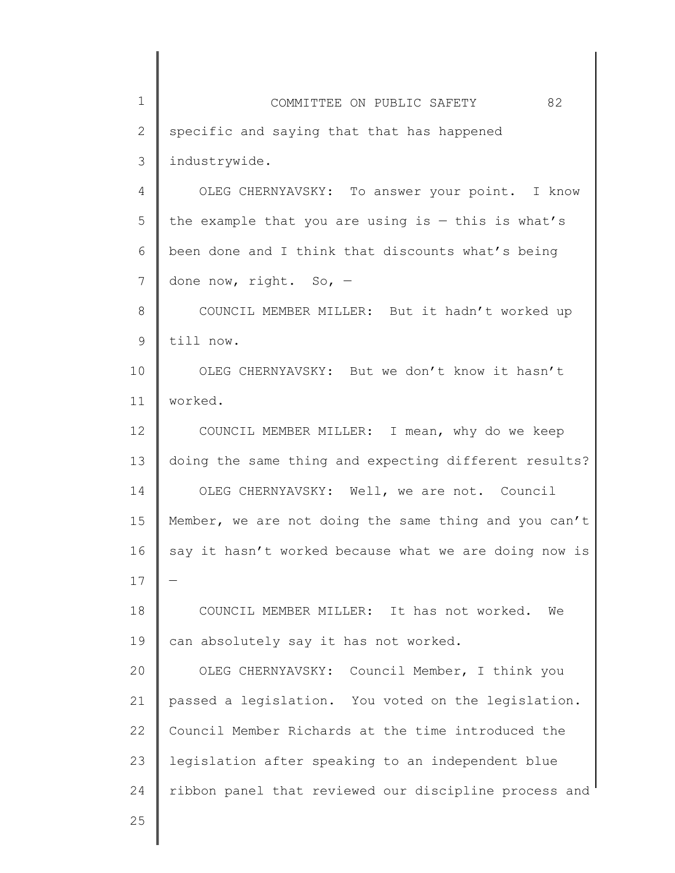1 2 3 4 5 6 7 8 9 10 11 12 13 14 15 16 17 18 19 20 21 22 23 24 COMMITTEE ON PUBLIC SAFETY 82 specific and saying that that has happened industrywide. OLEG CHERNYAVSKY: To answer your point. I know the example that you are using is  $-$  this is what's been done and I think that discounts what's being done now, right. So, — COUNCIL MEMBER MILLER: But it hadn't worked up till now. OLEG CHERNYAVSKY: But we don't know it hasn't worked. COUNCIL MEMBER MILLER: I mean, why do we keep doing the same thing and expecting different results? OLEG CHERNYAVSKY: Well, we are not. Council Member, we are not doing the same thing and you can't say it hasn't worked because what we are doing now is — COUNCIL MEMBER MILLER: It has not worked. We can absolutely say it has not worked. OLEG CHERNYAVSKY: Council Member, I think you passed a legislation. You voted on the legislation. Council Member Richards at the time introduced the legislation after speaking to an independent blue ribbon panel that reviewed our discipline process and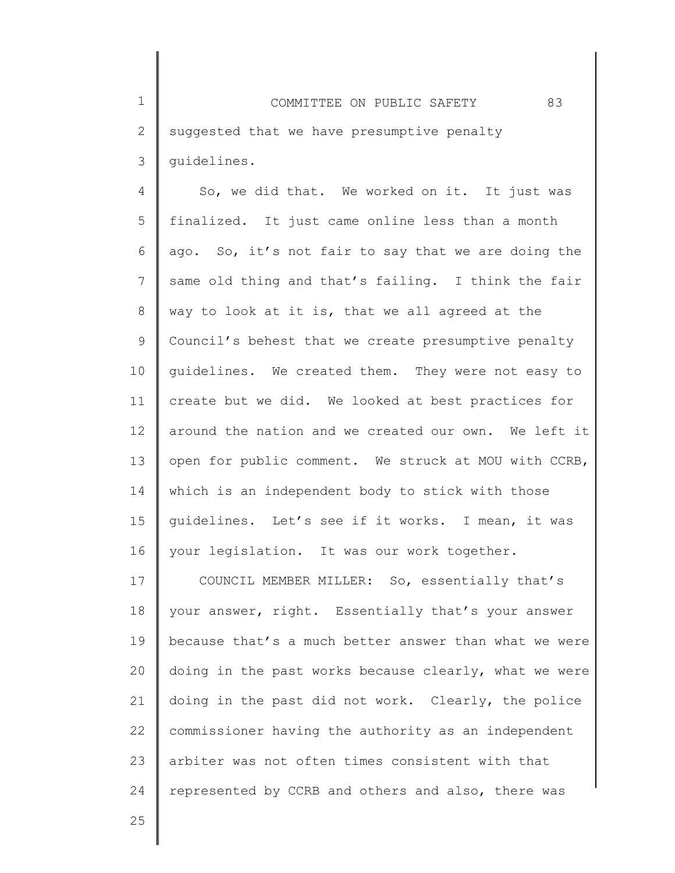1 2 3 COMMITTEE ON PUBLIC SAFETY 83 suggested that we have presumptive penalty guidelines.

4 5 6 7 8 9 10 11 12 13 14 15 16 So, we did that. We worked on it. It just was finalized. It just came online less than a month ago. So, it's not fair to say that we are doing the same old thing and that's failing. I think the fair way to look at it is, that we all agreed at the Council's behest that we create presumptive penalty guidelines. We created them. They were not easy to create but we did. We looked at best practices for around the nation and we created our own. We left it open for public comment. We struck at MOU with CCRB, which is an independent body to stick with those guidelines. Let's see if it works. I mean, it was your legislation. It was our work together.

17 18 19 20 21 22 23 24 COUNCIL MEMBER MILLER: So, essentially that's your answer, right. Essentially that's your answer because that's a much better answer than what we were doing in the past works because clearly, what we were doing in the past did not work. Clearly, the police commissioner having the authority as an independent arbiter was not often times consistent with that represented by CCRB and others and also, there was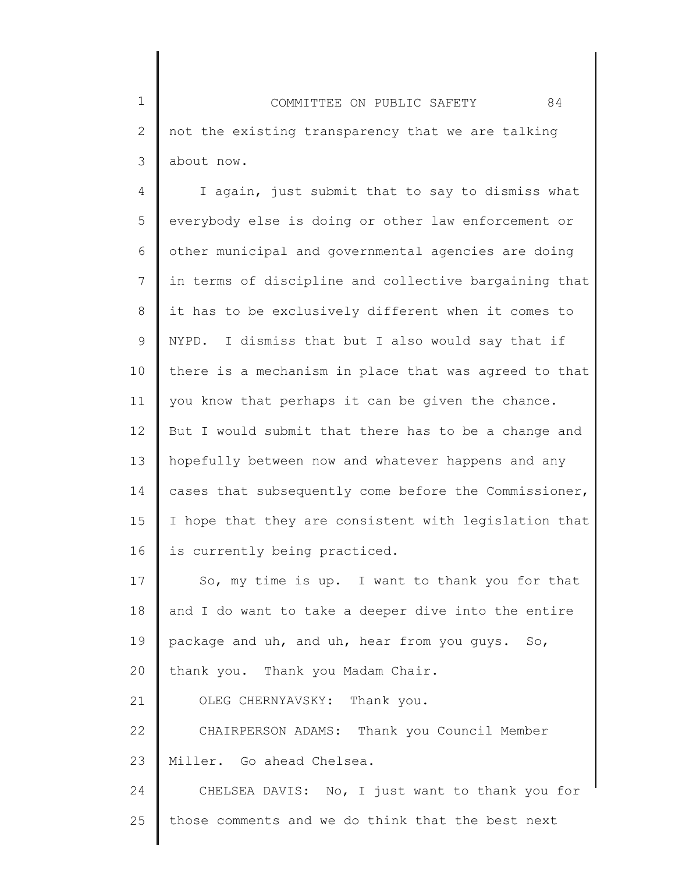1 2 3 COMMITTEE ON PUBLIC SAFETY 84 not the existing transparency that we are talking about now.

4 5 6 7 8 9 10 11 12 13 14 15 16 I again, just submit that to say to dismiss what everybody else is doing or other law enforcement or other municipal and governmental agencies are doing in terms of discipline and collective bargaining that it has to be exclusively different when it comes to NYPD. I dismiss that but I also would say that if there is a mechanism in place that was agreed to that you know that perhaps it can be given the chance. But I would submit that there has to be a change and hopefully between now and whatever happens and any cases that subsequently come before the Commissioner, I hope that they are consistent with legislation that is currently being practiced.

17 18 19 20 21 22 So, my time is up. I want to thank you for that and I do want to take a deeper dive into the entire package and uh, and uh, hear from you guys. So, thank you. Thank you Madam Chair. OLEG CHERNYAVSKY: Thank you. CHAIRPERSON ADAMS: Thank you Council Member

23 Miller. Go ahead Chelsea.

24 25 CHELSEA DAVIS: No, I just want to thank you for those comments and we do think that the best next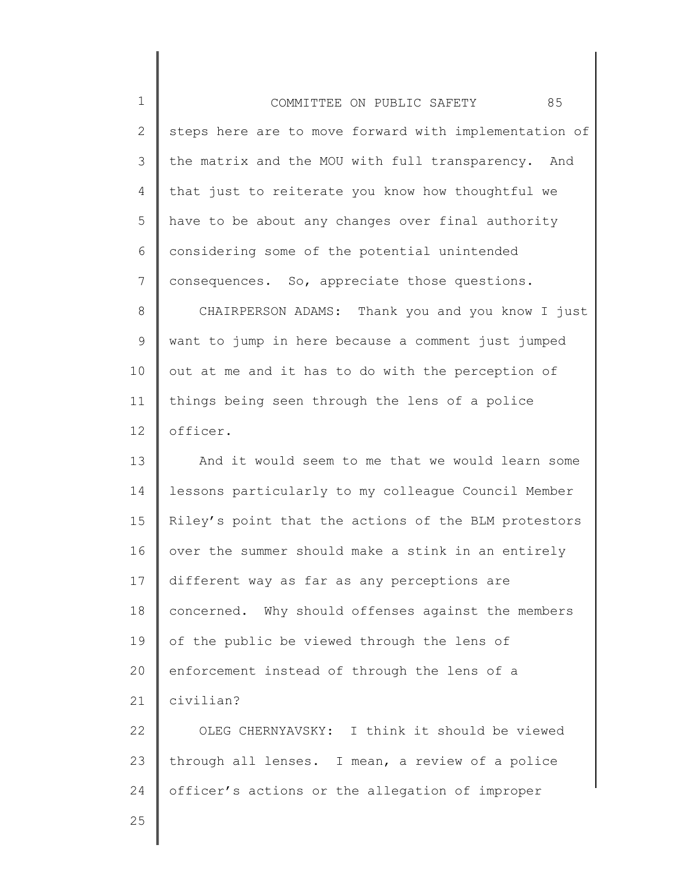1 2 3 4 5 6 7 8 9 10 11 12 13 14 15 16 17 18 19 20 21 22 23 24 25 COMMITTEE ON PUBLIC SAFETY 85 steps here are to move forward with implementation of the matrix and the MOU with full transparency. And that just to reiterate you know how thoughtful we have to be about any changes over final authority considering some of the potential unintended consequences. So, appreciate those questions. CHAIRPERSON ADAMS: Thank you and you know I just want to jump in here because a comment just jumped out at me and it has to do with the perception of things being seen through the lens of a police officer. And it would seem to me that we would learn some lessons particularly to my colleague Council Member Riley's point that the actions of the BLM protestors over the summer should make a stink in an entirely different way as far as any perceptions are concerned. Why should offenses against the members of the public be viewed through the lens of enforcement instead of through the lens of a civilian? OLEG CHERNYAVSKY: I think it should be viewed through all lenses. I mean, a review of a police officer's actions or the allegation of improper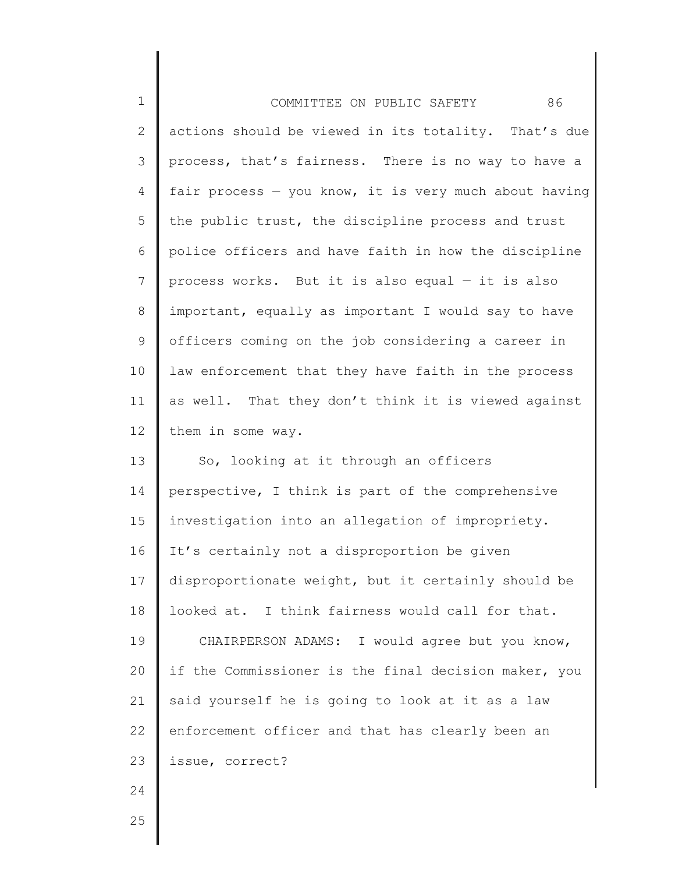| $\mathbf 1$    | 86<br>COMMITTEE ON PUBLIC SAFETY                      |
|----------------|-------------------------------------------------------|
| $\mathbf{2}$   | actions should be viewed in its totality. That's due  |
| 3              | process, that's fairness. There is no way to have a   |
| 4              | fair process - you know, it is very much about having |
| 5              | the public trust, the discipline process and trust    |
| 6              | police officers and have faith in how the discipline  |
| $7\phantom{.}$ | process works. But it is also equal $-$ it is also    |
| 8              | important, equally as important I would say to have   |
| 9              | officers coming on the job considering a career in    |
| 10             | law enforcement that they have faith in the process   |
| 11             | as well. That they don't think it is viewed against   |
| 12             | them in some way.                                     |
| 13             | So, looking at it through an officers                 |
| 14             | perspective, I think is part of the comprehensive     |
| 15             | investigation into an allegation of impropriety.      |
| 16             | It's certainly not a disproportion be given           |
| 17             | disproportionate weight, but it certainly should be   |
| 18             | looked at. I think fairness would call for that.      |
| 19             | CHAIRPERSON ADAMS: I would agree but you know,        |
| 20             | if the Commissioner is the final decision maker, you  |
| 21             | said yourself he is going to look at it as a law      |
| 22             | enforcement officer and that has clearly been an      |
| 23             | issue, correct?                                       |
| 24             |                                                       |
| 25             |                                                       |

II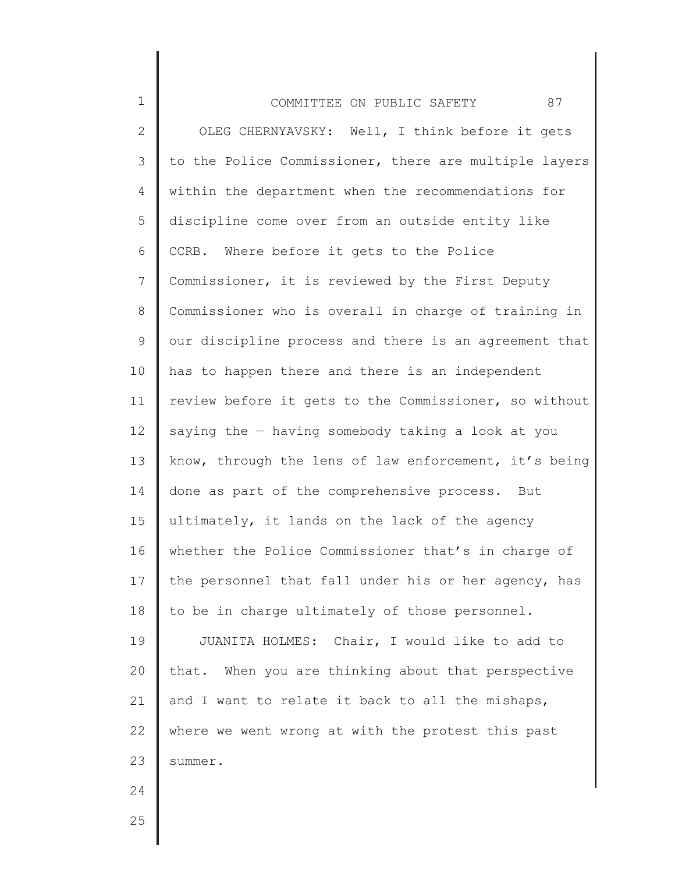| $\mathbf 1$    | 87<br>COMMITTEE ON PUBLIC SAFETY                      |
|----------------|-------------------------------------------------------|
| $\mathbf{2}$   | OLEG CHERNYAVSKY: Well, I think before it gets        |
| 3              | to the Police Commissioner, there are multiple layers |
| 4              | within the department when the recommendations for    |
| 5              | discipline come over from an outside entity like      |
| 6              | CCRB. Where before it gets to the Police              |
| $\overline{7}$ | Commissioner, it is reviewed by the First Deputy      |
| 8              | Commissioner who is overall in charge of training in  |
| 9              | our discipline process and there is an agreement that |
| 10             | has to happen there and there is an independent       |
| 11             | review before it gets to the Commissioner, so without |
| 12             | saying the $-$ having somebody taking a look at you   |
| 13             | know, through the lens of law enforcement, it's being |
| 14             | done as part of the comprehensive process. But        |
| 15             | ultimately, it lands on the lack of the agency        |
| 16             | whether the Police Commissioner that's in charge of   |
| 17             | the personnel that fall under his or her agency, has  |
| 18             | to be in charge ultimately of those personnel.        |
| 19             | JUANITA HOLMES: Chair, I would like to add to         |
| 20             | that. When you are thinking about that perspective    |
| 21             | and I want to relate it back to all the mishaps,      |
| 22             | where we went wrong at with the protest this past     |
| 23             | summer.                                               |
| 24             |                                                       |
| 25             |                                                       |
|                |                                                       |

∥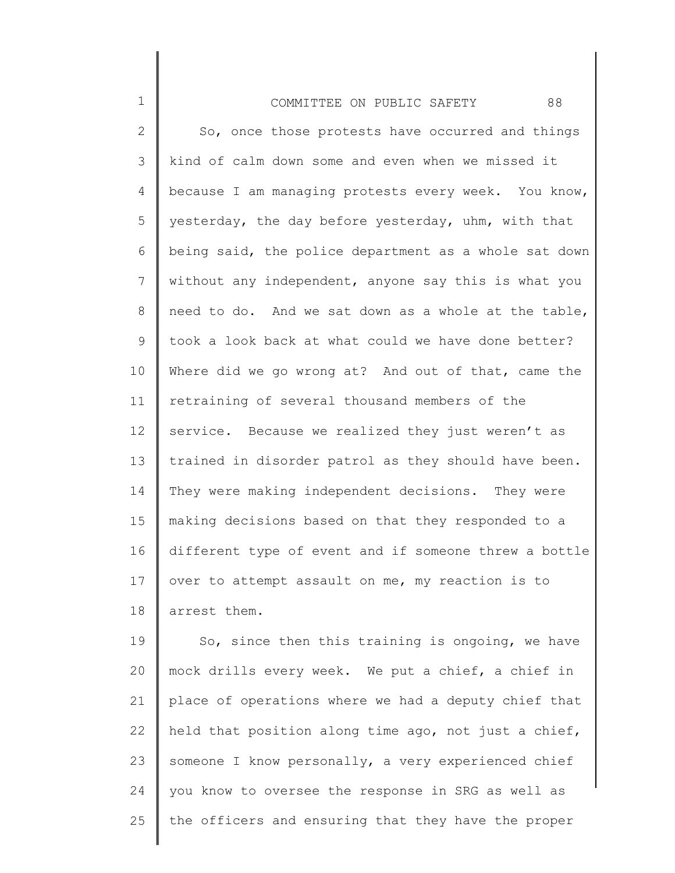| $\mathbf 1$    | 88<br>COMMITTEE ON PUBLIC SAFETY                      |
|----------------|-------------------------------------------------------|
| $\mathbf{2}$   | So, once those protests have occurred and things      |
| 3              | kind of calm down some and even when we missed it     |
| 4              | because I am managing protests every week. You know,  |
| 5              | yesterday, the day before yesterday, uhm, with that   |
| 6              | being said, the police department as a whole sat down |
| $\overline{7}$ | without any independent, anyone say this is what you  |
| $8\,$          | need to do. And we sat down as a whole at the table,  |
| 9              | took a look back at what could we have done better?   |
| 10             | Where did we go wrong at? And out of that, came the   |
| 11             | retraining of several thousand members of the         |
| 12             | service. Because we realized they just weren't as     |
| 13             | trained in disorder patrol as they should have been.  |
| 14             | They were making independent decisions. They were     |
| 15             | making decisions based on that they responded to a    |
| 16             | different type of event and if someone threw a bottle |
| 17             | over to attempt assault on me, my reaction is to      |
| 18             | arrest them.                                          |
| 19             | So, since then this training is ongoing, we have      |
| 20             | mock drills every week. We put a chief, a chief in    |
| 21             | place of operations where we had a deputy chief that  |

22 23 24 25 held that position along time ago, not just a chief, someone I know personally, a very experienced chief you know to oversee the response in SRG as well as the officers and ensuring that they have the proper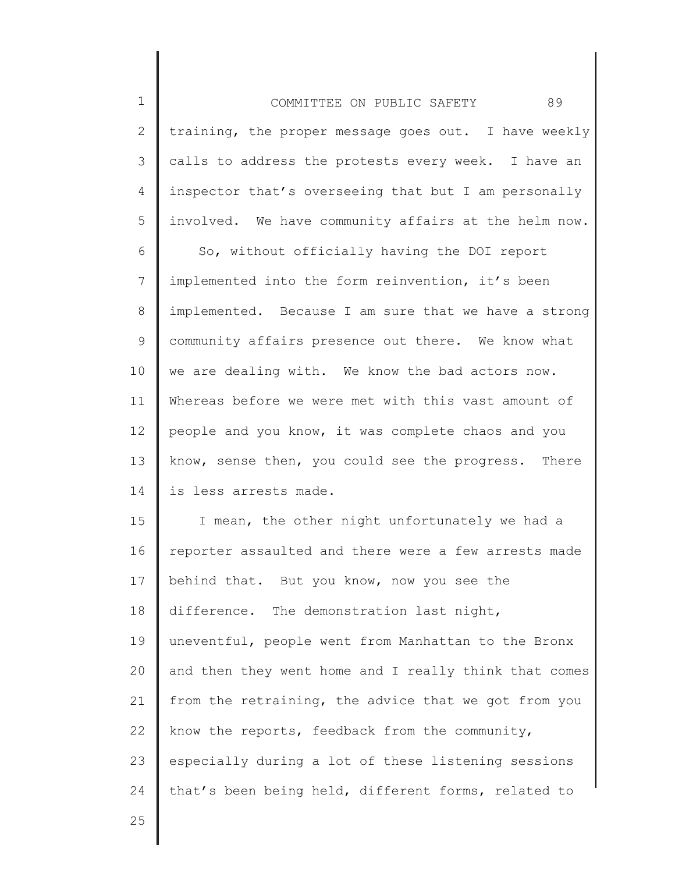| $\mathbf 1$    | 89<br>COMMITTEE ON PUBLIC SAFETY                      |
|----------------|-------------------------------------------------------|
| $\overline{2}$ | training, the proper message goes out. I have weekly  |
| 3              | calls to address the protests every week. I have an   |
| 4              | inspector that's overseeing that but I am personally  |
| 5              | involved. We have community affairs at the helm now.  |
| 6              | So, without officially having the DOI report          |
| 7              | implemented into the form reinvention, it's been      |
| 8              | implemented. Because I am sure that we have a strong  |
| 9              | community affairs presence out there. We know what    |
| 10             | we are dealing with. We know the bad actors now.      |
| 11             | Whereas before we were met with this vast amount of   |
| 12             | people and you know, it was complete chaos and you    |
| 13             | know, sense then, you could see the progress. There   |
| 14             | is less arrests made.                                 |
| 15             | I mean, the other night unfortunately we had a        |
| 16             | reporter assaulted and there were a few arrests made  |
| 17             | behind that. But you know, now you see the            |
| 18             | difference. The demonstration last night,             |
| 19             | uneventful, people went from Manhattan to the Bronx   |
| 20             | and then they went home and I really think that comes |
| 21             | from the retraining, the advice that we got from you  |
| 22             | know the reports, feedback from the community,        |
| 23             | especially during a lot of these listening sessions   |
| 24             | that's been being held, different forms, related to   |
| 25             |                                                       |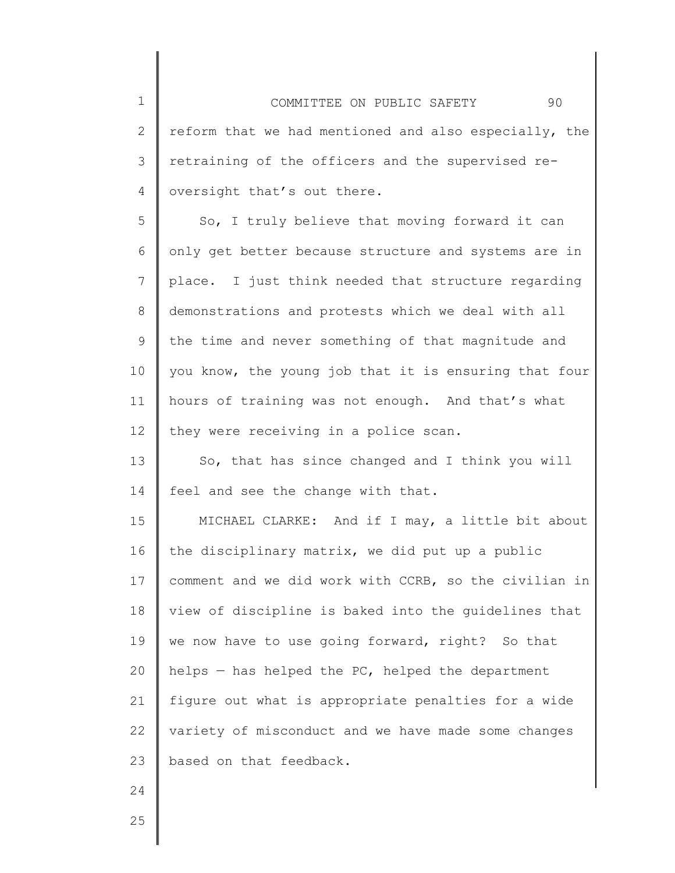1 2 3 4 5 6 7 8 9 10 11 12 13 14 15 16 17 18 19 20 21 22 23 COMMITTEE ON PUBLIC SAFETY 90 reform that we had mentioned and also especially, the retraining of the officers and the supervised reoversight that's out there. So, I truly believe that moving forward it can only get better because structure and systems are in place. I just think needed that structure regarding demonstrations and protests which we deal with all the time and never something of that magnitude and you know, the young job that it is ensuring that four hours of training was not enough. And that's what they were receiving in a police scan. So, that has since changed and I think you will feel and see the change with that. MICHAEL CLARKE: And if I may, a little bit about the disciplinary matrix, we did put up a public comment and we did work with CCRB, so the civilian in view of discipline is baked into the guidelines that we now have to use going forward, right? So that helps — has helped the PC, helped the department figure out what is appropriate penalties for a wide variety of misconduct and we have made some changes based on that feedback.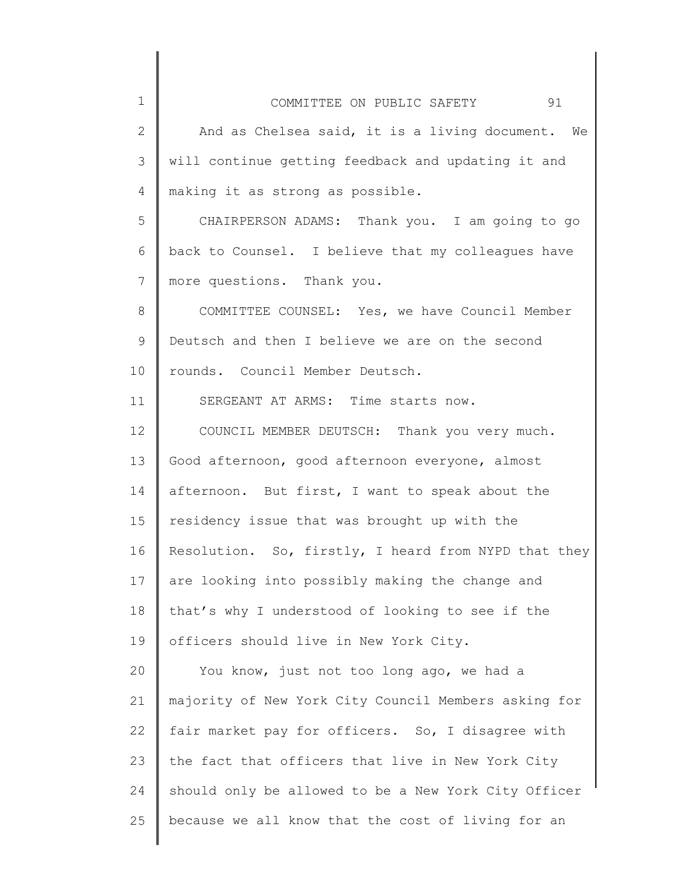| $\mathbf 1$     | 91<br>COMMITTEE ON PUBLIC SAFETY                     |
|-----------------|------------------------------------------------------|
| $\mathbf{2}$    | And as Chelsea said, it is a living document. We     |
| 3               | will continue getting feedback and updating it and   |
| $\overline{4}$  | making it as strong as possible.                     |
| 5               | CHAIRPERSON ADAMS: Thank you. I am going to go       |
| 6               | back to Counsel. I believe that my colleagues have   |
| $\overline{7}$  | more questions. Thank you.                           |
| $\,8\,$         | COMMITTEE COUNSEL: Yes, we have Council Member       |
| $\mathsf 9$     | Deutsch and then I believe we are on the second      |
| 10              | rounds. Council Member Deutsch.                      |
| 11              | SERGEANT AT ARMS: Time starts now.                   |
| 12 <sup>°</sup> | COUNCIL MEMBER DEUTSCH: Thank you very much.         |
| 13              | Good afternoon, good afternoon everyone, almost      |
| 14              | afternoon. But first, I want to speak about the      |
| 15              | residency issue that was brought up with the         |
| 16              | Resolution. So, firstly, I heard from NYPD that they |
| 17              | are looking into possibly making the change and      |
| 18              | that's why I understood of looking to see if the     |
| 19              | officers should live in New York City.               |
| 20              | You know, just not too long ago, we had a            |
| 21              | majority of New York City Council Members asking for |
| 22              | fair market pay for officers. So, I disagree with    |
| 23              | the fact that officers that live in New York City    |
| 24              | should only be allowed to be a New York City Officer |
| 25              | because we all know that the cost of living for an   |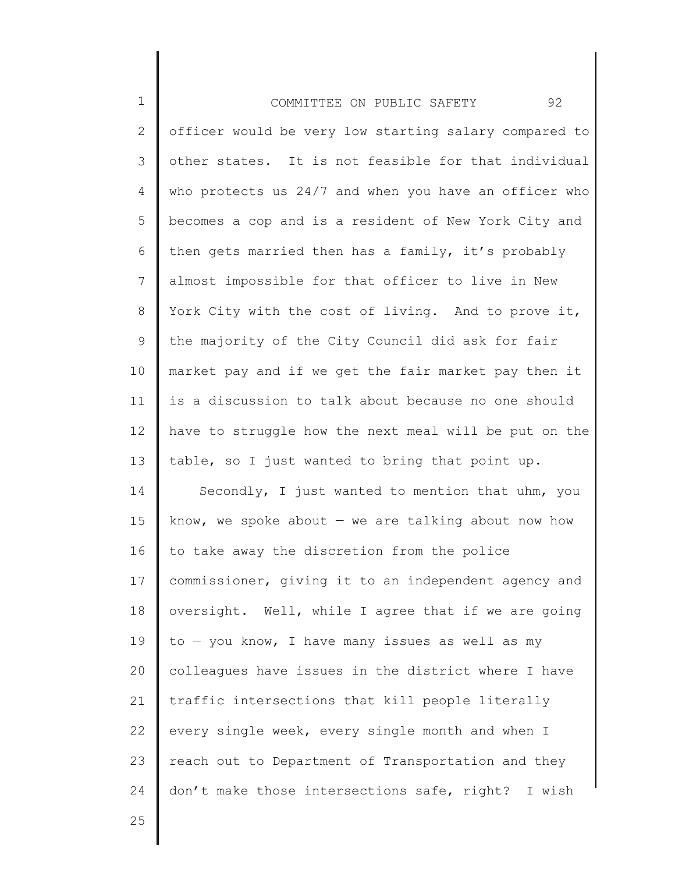| $\mathbf 1$   | 92<br>COMMITTEE ON PUBLIC SAFETY                      |
|---------------|-------------------------------------------------------|
| $\mathbf{2}$  | officer would be very low starting salary compared to |
| $\mathcal{S}$ | other states. It is not feasible for that individual  |
| 4             | who protects us 24/7 and when you have an officer who |
| 5             | becomes a cop and is a resident of New York City and  |
| 6             | then gets married then has a family, it's probably    |
| 7             | almost impossible for that officer to live in New     |
| $8\,$         | York City with the cost of living. And to prove it,   |
| $\mathsf 9$   | the majority of the City Council did ask for fair     |
| 10            | market pay and if we get the fair market pay then it  |
| 11            | is a discussion to talk about because no one should   |
| 12            | have to struggle how the next meal will be put on the |
| 13            | table, so I just wanted to bring that point up.       |
| 14            | Secondly, I just wanted to mention that uhm, you      |
| 15            | know, we spoke about $-$ we are talking about now how |
| 16            | to take away the discretion from the police           |
| 17            | commissioner, giving it to an independent agency and  |
| 18            | oversight. Well, while I agree that if we are going   |
| 19            | $to -$ you know, I have many issues as well as my     |
| 20            | colleagues have issues in the district where I have   |
| 21            | traffic intersections that kill people literally      |
| 22            | every single week, every single month and when I      |
| 23            | reach out to Department of Transportation and they    |
| 24            | don't make those intersections safe, right? I wish    |
| 25            |                                                       |
|               |                                                       |

I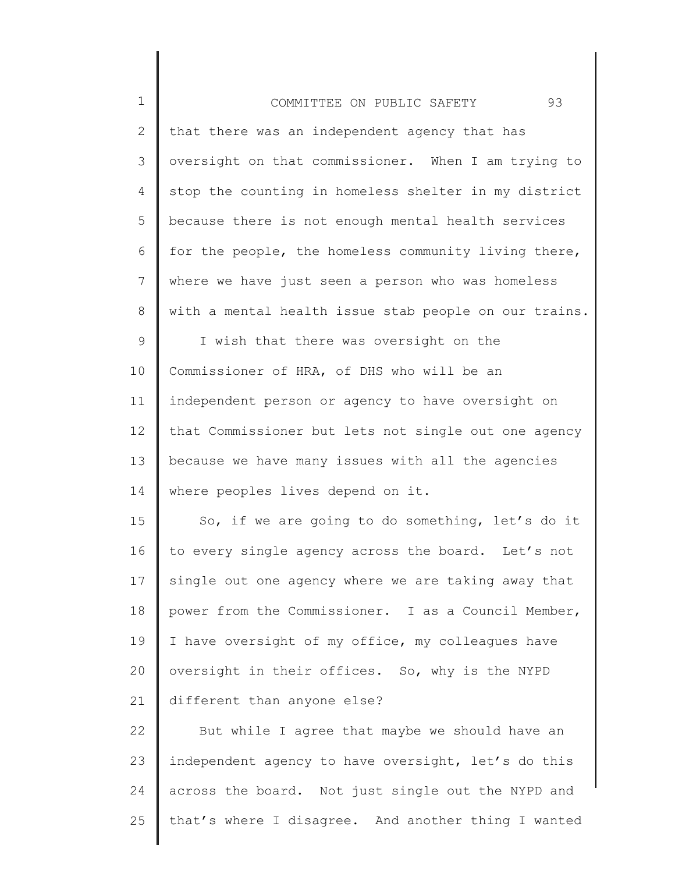| $\mathbf 1$  | 93<br>COMMITTEE ON PUBLIC SAFETY                      |
|--------------|-------------------------------------------------------|
| $\mathbf{2}$ | that there was an independent agency that has         |
| 3            | oversight on that commissioner. When I am trying to   |
| 4            | stop the counting in homeless shelter in my district  |
| 5            | because there is not enough mental health services    |
| 6            | for the people, the homeless community living there,  |
| 7            | where we have just seen a person who was homeless     |
| 8            | with a mental health issue stab people on our trains. |
| 9            | I wish that there was oversight on the                |
| 10           | Commissioner of HRA, of DHS who will be an            |
| 11           | independent person or agency to have oversight on     |
| 12           | that Commissioner but lets not single out one agency  |
| 13           | because we have many issues with all the agencies     |
| 14           | where peoples lives depend on it.                     |
| 15           | So, if we are going to do something, let's do it      |
| 16           | to every single agency across the board. Let's not    |
| 17           | single out one agency where we are taking away that   |
| 18           | power from the Commissioner. I as a Council Member,   |
| 19           | I have oversight of my office, my colleagues have     |
| 20           | oversight in their offices. So, why is the NYPD       |
| 21           | different than anyone else?                           |
| 22           | But while I agree that maybe we should have an        |
| 23           | independent agency to have oversight, let's do this   |
| 24           | across the board. Not just single out the NYPD and    |
| 25           | that's where I disagree. And another thing I wanted   |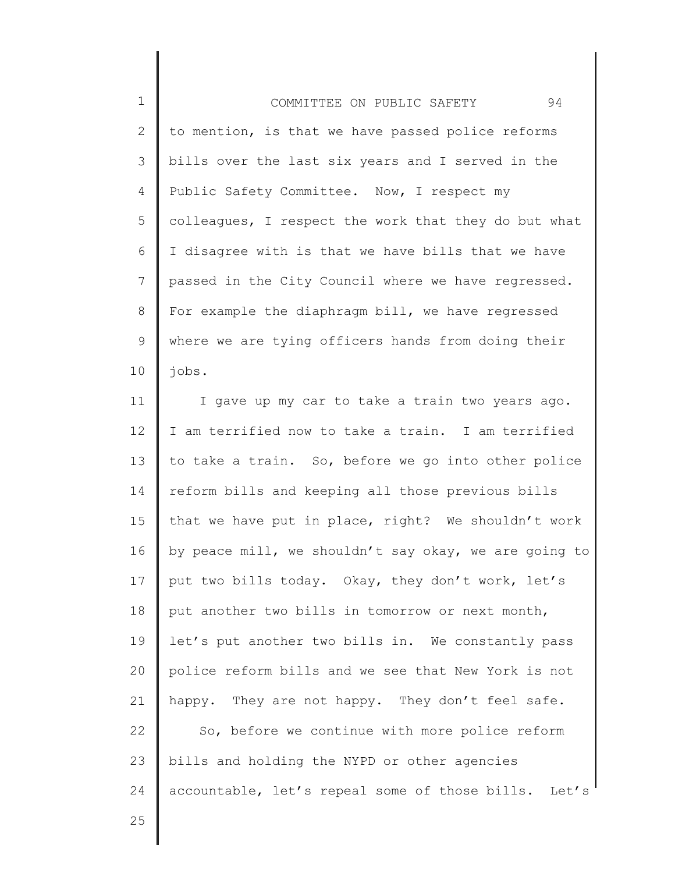1 2 3 4 5 6 7 8 9 10 COMMITTEE ON PUBLIC SAFETY 94 to mention, is that we have passed police reforms bills over the last six years and I served in the Public Safety Committee. Now, I respect my colleagues, I respect the work that they do but what I disagree with is that we have bills that we have passed in the City Council where we have regressed. For example the diaphragm bill, we have regressed where we are tying officers hands from doing their jobs.

11 12 13 14 15 16 17 18 19 20 21 22 23 24 I gave up my car to take a train two years ago. I am terrified now to take a train. I am terrified to take a train. So, before we go into other police reform bills and keeping all those previous bills that we have put in place, right? We shouldn't work by peace mill, we shouldn't say okay, we are going to put two bills today. Okay, they don't work, let's put another two bills in tomorrow or next month, let's put another two bills in. We constantly pass police reform bills and we see that New York is not happy. They are not happy. They don't feel safe. So, before we continue with more police reform bills and holding the NYPD or other agencies accountable, let's repeal some of those bills. Let's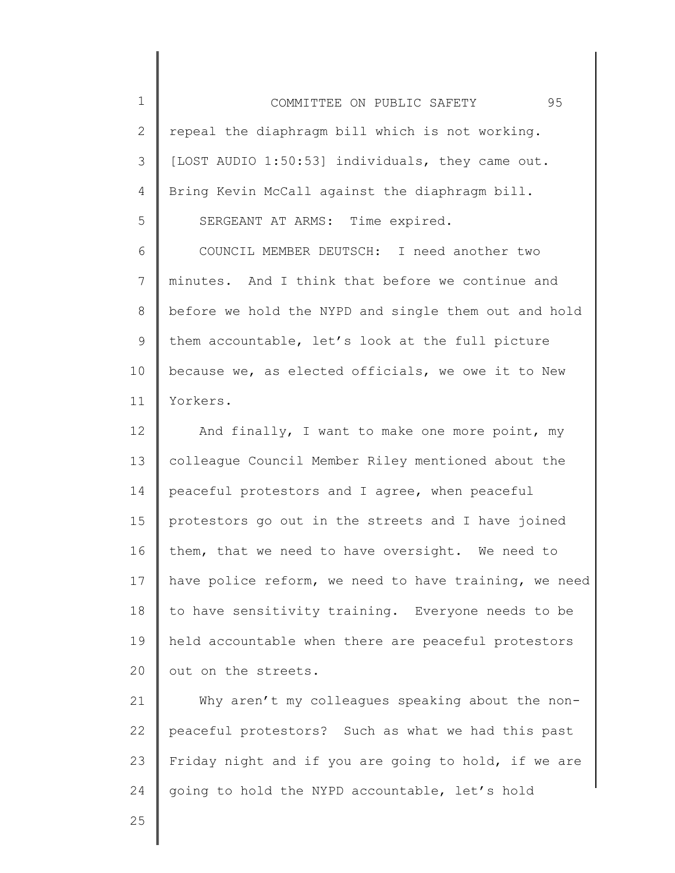1 2 3 4 5 COMMITTEE ON PUBLIC SAFETY 95 repeal the diaphragm bill which is not working. [LOST AUDIO 1:50:53] individuals, they came out. Bring Kevin McCall against the diaphragm bill. SERGEANT AT ARMS: Time expired.

6 7 8 9 10 11 COUNCIL MEMBER DEUTSCH: I need another two minutes. And I think that before we continue and before we hold the NYPD and single them out and hold them accountable, let's look at the full picture because we, as elected officials, we owe it to New Yorkers.

12 13 14 15 16 17 18 19 20 And finally, I want to make one more point, my colleague Council Member Riley mentioned about the peaceful protestors and I agree, when peaceful protestors go out in the streets and I have joined them, that we need to have oversight. We need to have police reform, we need to have training, we need to have sensitivity training. Everyone needs to be held accountable when there are peaceful protestors out on the streets.

21 22 23 24 Why aren't my colleagues speaking about the nonpeaceful protestors? Such as what we had this past Friday night and if you are going to hold, if we are going to hold the NYPD accountable, let's hold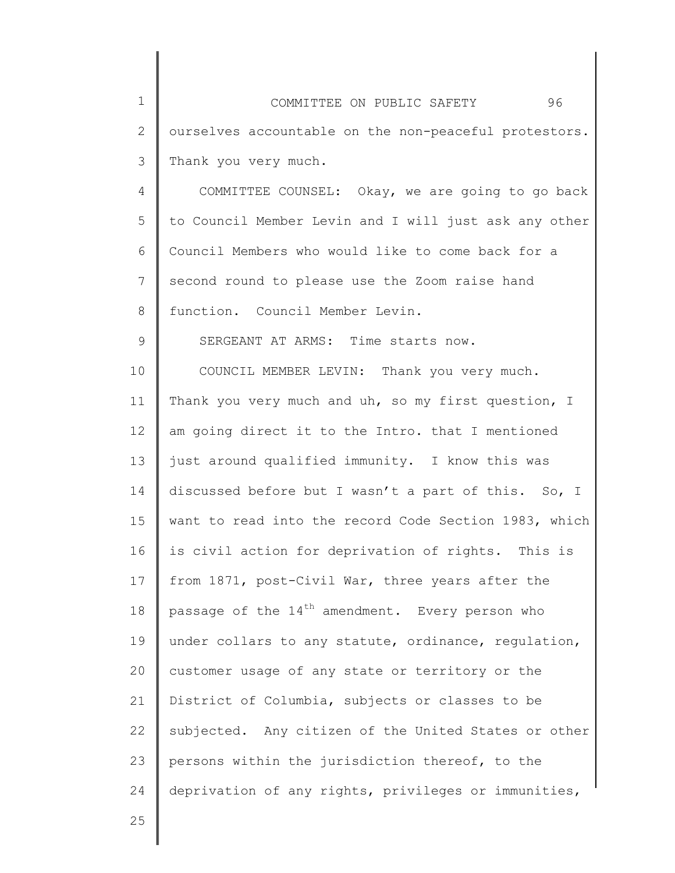1 2 3 COMMITTEE ON PUBLIC SAFETY 96 ourselves accountable on the non-peaceful protestors. Thank you very much.

4 5 6 7 8 COMMITTEE COUNSEL: Okay, we are going to go back to Council Member Levin and I will just ask any other Council Members who would like to come back for a second round to please use the Zoom raise hand function. Council Member Levin.

SERGEANT AT ARMS: Time starts now.

10 11 12 13 14 15 16 17 18 19 20 21 22 23 24 COUNCIL MEMBER LEVIN: Thank you very much. Thank you very much and uh, so my first question, I am going direct it to the Intro. that I mentioned just around qualified immunity. I know this was discussed before but I wasn't a part of this. So, I want to read into the record Code Section 1983, which is civil action for deprivation of rights. This is from 1871, post-Civil War, three years after the passage of the 14<sup>th</sup> amendment. Every person who under collars to any statute, ordinance, regulation, customer usage of any state or territory or the District of Columbia, subjects or classes to be subjected. Any citizen of the United States or other persons within the jurisdiction thereof, to the deprivation of any rights, privileges or immunities,

25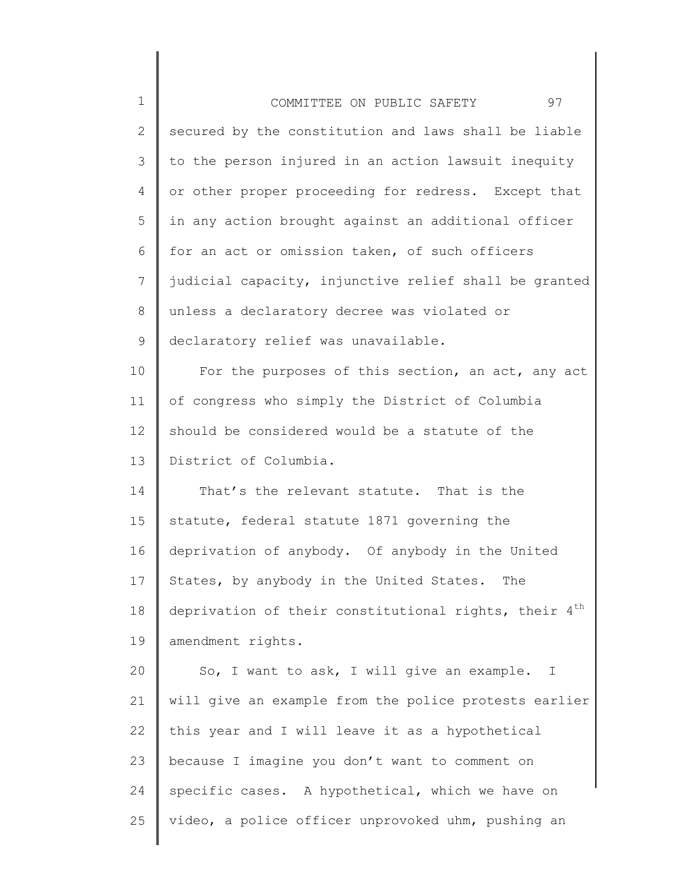| $\mathbf 1$    | 97<br>COMMITTEE ON PUBLIC SAFETY                                  |
|----------------|-------------------------------------------------------------------|
| $\overline{2}$ | secured by the constitution and laws shall be liable              |
| 3              | to the person injured in an action lawsuit inequity               |
| 4              | or other proper proceeding for redress. Except that               |
| 5              | in any action brought against an additional officer               |
| 6              | for an act or omission taken, of such officers                    |
| 7              | judicial capacity, injunctive relief shall be granted             |
| 8              | unless a declaratory decree was violated or                       |
| 9              | declaratory relief was unavailable.                               |
| 10             | For the purposes of this section, an act, any act                 |
| 11             | of congress who simply the District of Columbia                   |
| 12             | should be considered would be a statute of the                    |
| 13             | District of Columbia.                                             |
| 14             | That's the relevant statute. That is the                          |
| 15             | statute, federal statute 1871 governing the                       |
| 16             | deprivation of anybody. Of anybody in the United                  |
| 17             | States, by anybody in the United States. The                      |
| 18             | deprivation of their constitutional rights, their 4 <sup>th</sup> |
| 19             | amendment rights.                                                 |
| 20             | So, I want to ask, I will give an example. I                      |
| 21             | will give an example from the police protests earlier             |
| 22             | this year and I will leave it as a hypothetical                   |
| 23             | because I imagine you don't want to comment on                    |
| 24             | specific cases. A hypothetical, which we have on                  |
| 25             | video, a police officer unprovoked uhm, pushing an                |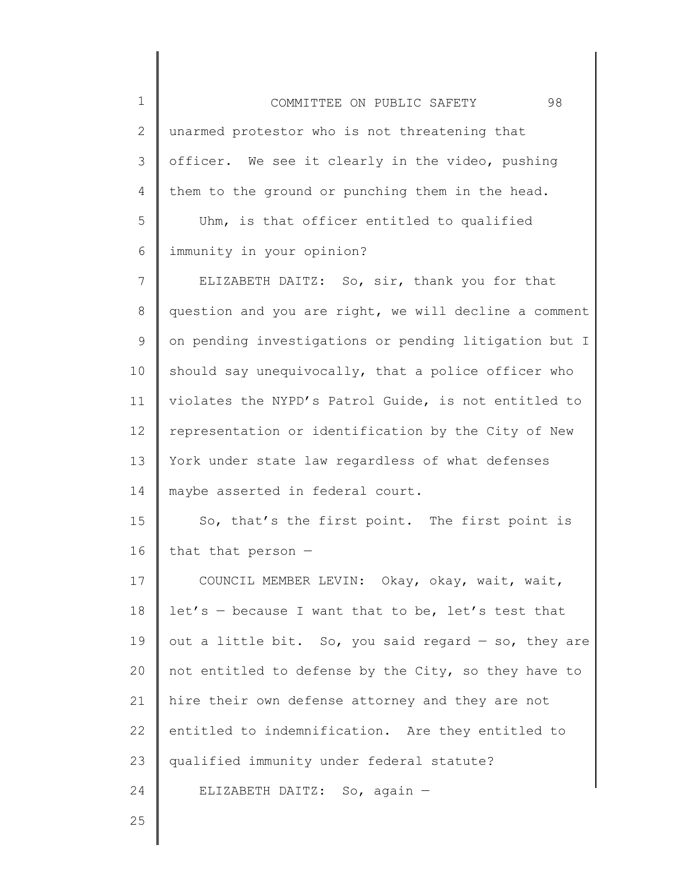| $\mathbf 1$  | 98<br>COMMITTEE ON PUBLIC SAFETY                      |
|--------------|-------------------------------------------------------|
| $\mathbf{2}$ | unarmed protestor who is not threatening that         |
| 3            | officer. We see it clearly in the video, pushing      |
| 4            | them to the ground or punching them in the head.      |
| 5            | Uhm, is that officer entitled to qualified            |
| 6            | immunity in your opinion?                             |
| 7            | ELIZABETH DAITZ: So, sir, thank you for that          |
| 8            | question and you are right, we will decline a comment |
| 9            | on pending investigations or pending litigation but I |
| 10           | should say unequivocally, that a police officer who   |
| 11           | violates the NYPD's Patrol Guide, is not entitled to  |
| 12           | representation or identification by the City of New   |
| 13           | York under state law regardless of what defenses      |
| 14           | maybe asserted in federal court.                      |
| 15           | So, that's the first point. The first point is        |
| 16           | that that person -                                    |
| 17           | COUNCIL MEMBER LEVIN: Okay, okay, wait, wait,         |
| 18           | $let's - because I want that to be, let's test that$  |
| 19           | out a little bit. So, you said regard - so, they are  |
| 20           | not entitled to defense by the City, so they have to  |
| 21           | hire their own defense attorney and they are not      |
| 22           | entitled to indemnification. Are they entitled to     |
| 23           | qualified immunity under federal statute?             |
| 24           | ELIZABETH DAITZ: So, again -                          |
|              |                                                       |

∥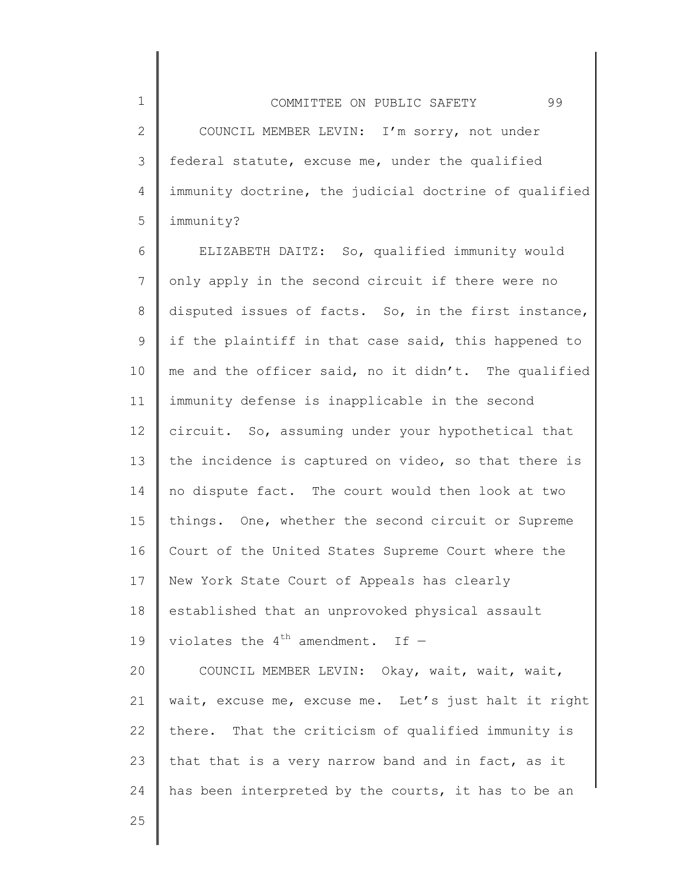2 3 4 5 COUNCIL MEMBER LEVIN: I'm sorry, not under federal statute, excuse me, under the qualified immunity doctrine, the judicial doctrine of qualified immunity?

6 7 8 9 10 11 12 13 14 15 16 17 18 19 20 21 22 23 24 ELIZABETH DAITZ: So, qualified immunity would only apply in the second circuit if there were no disputed issues of facts. So, in the first instance, if the plaintiff in that case said, this happened to me and the officer said, no it didn't. The qualified immunity defense is inapplicable in the second circuit. So, assuming under your hypothetical that the incidence is captured on video, so that there is no dispute fact. The court would then look at two things. One, whether the second circuit or Supreme Court of the United States Supreme Court where the New York State Court of Appeals has clearly established that an unprovoked physical assault violates the  $4^{th}$  amendment. If -COUNCIL MEMBER LEVIN: Okay, wait, wait, wait, wait, excuse me, excuse me. Let's just halt it right there. That the criticism of qualified immunity is that that is a very narrow band and in fact, as it has been interpreted by the courts, it has to be an

25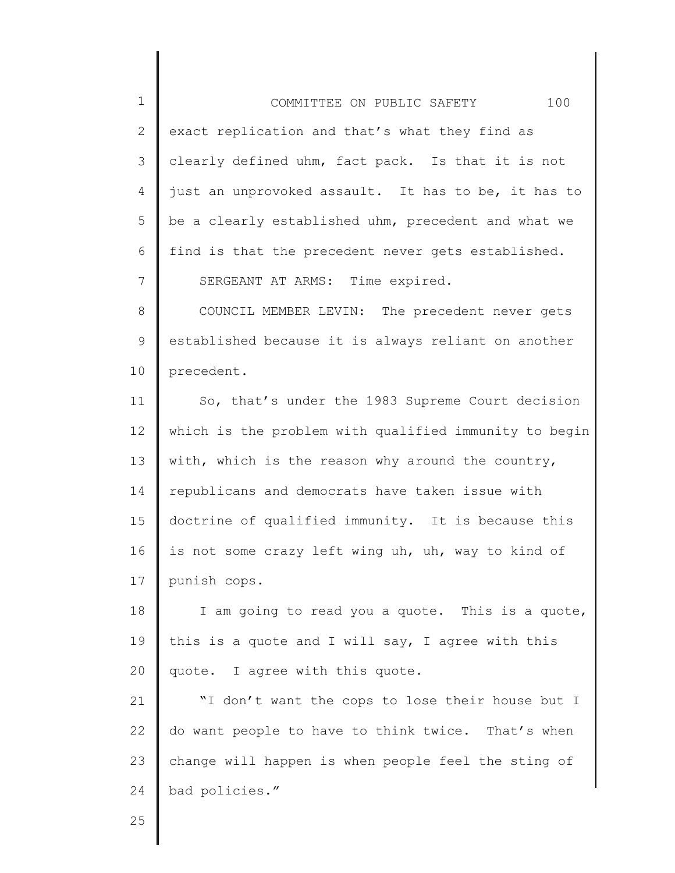| $\mathbf 1$  | 100<br>COMMITTEE ON PUBLIC SAFETY                     |
|--------------|-------------------------------------------------------|
| $\mathbf{2}$ | exact replication and that's what they find as        |
| 3            | clearly defined uhm, fact pack. Is that it is not     |
| 4            | just an unprovoked assault. It has to be, it has to   |
| 5            | be a clearly established uhm, precedent and what we   |
| 6            | find is that the precedent never gets established.    |
| 7            | SERGEANT AT ARMS: Time expired.                       |
| $8\,$        | COUNCIL MEMBER LEVIN: The precedent never gets        |
| 9            | established because it is always reliant on another   |
| 10           | precedent.                                            |
| 11           | So, that's under the 1983 Supreme Court decision      |
| 12           | which is the problem with qualified immunity to begin |
| 13           | with, which is the reason why around the country,     |
| 14           | republicans and democrats have taken issue with       |
| 15           | doctrine of qualified immunity. It is because this    |
| 16           | is not some crazy left wing uh, uh, way to kind of    |
| 17           | punish cops.                                          |
| 18           | I am going to read you a quote. This is a quote,      |
| 19           | this is a quote and I will say, I agree with this     |
| 20           | quote. I agree with this quote.                       |
| 21           | "I don't want the cops to lose their house but I      |
| 22           | do want people to have to think twice. That's when    |
| 23           | change will happen is when people feel the sting of   |
| 24           | bad policies."                                        |
| 25           |                                                       |

║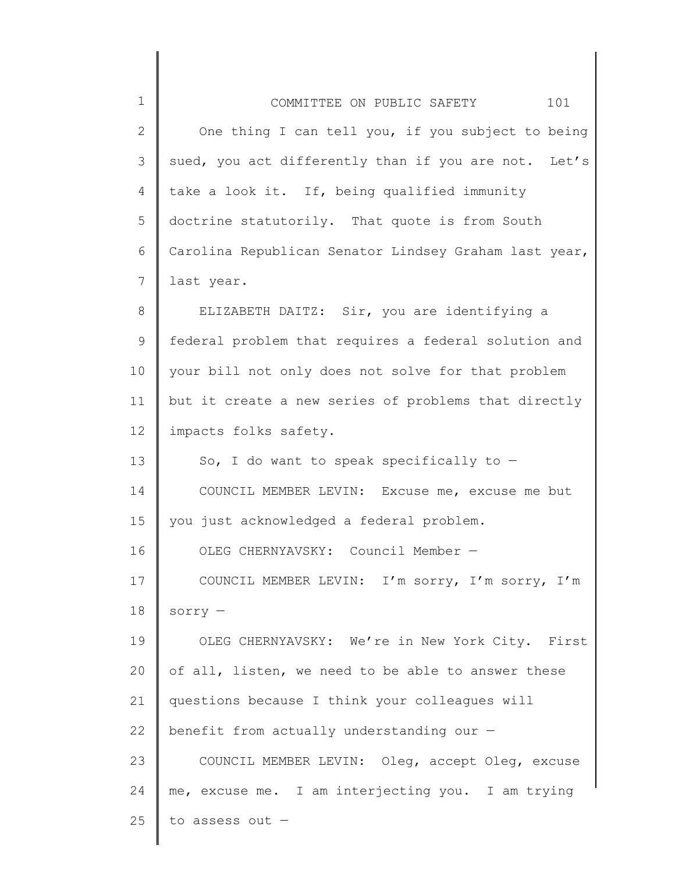| $\mathbf 1$ | 101<br>COMMITTEE ON PUBLIC SAFETY                     |
|-------------|-------------------------------------------------------|
| 2           | One thing I can tell you, if you subject to being     |
| 3           | sued, you act differently than if you are not. Let's  |
| 4           | take a look it. If, being qualified immunity          |
| 5           | doctrine statutorily. That quote is from South        |
| 6           | Carolina Republican Senator Lindsey Graham last year, |
| 7           | last year.                                            |
| 8           | ELIZABETH DAITZ: Sir, you are identifying a           |
| $\mathsf 9$ | federal problem that requires a federal solution and  |
| 10          | your bill not only does not solve for that problem    |
| 11          | but it create a new series of problems that directly  |
| 12          | impacts folks safety.                                 |
| 13          | So, I do want to speak specifically to $-$            |
| 14          | COUNCIL MEMBER LEVIN: Excuse me, excuse me but        |
| 15          | you just acknowledged a federal problem.              |
| 16          | OLEG CHERNYAVSKY: Council Member -                    |
| 17          | COUNCIL MEMBER LEVIN: I'm sorry, I'm sorry, I'm       |
| 18          | $sorry -$                                             |
| 19          | OLEG CHERNYAVSKY: We're in New York City. First       |
| 20          | of all, listen, we need to be able to answer these    |
| 21          | questions because I think your colleagues will        |
| 22          | benefit from actually understanding our -             |
| 23          | COUNCIL MEMBER LEVIN: Oleg, accept Oleg, excuse       |
| 24          | me, excuse me. I am interjecting you. I am trying     |
| 25          | to assess out -                                       |

║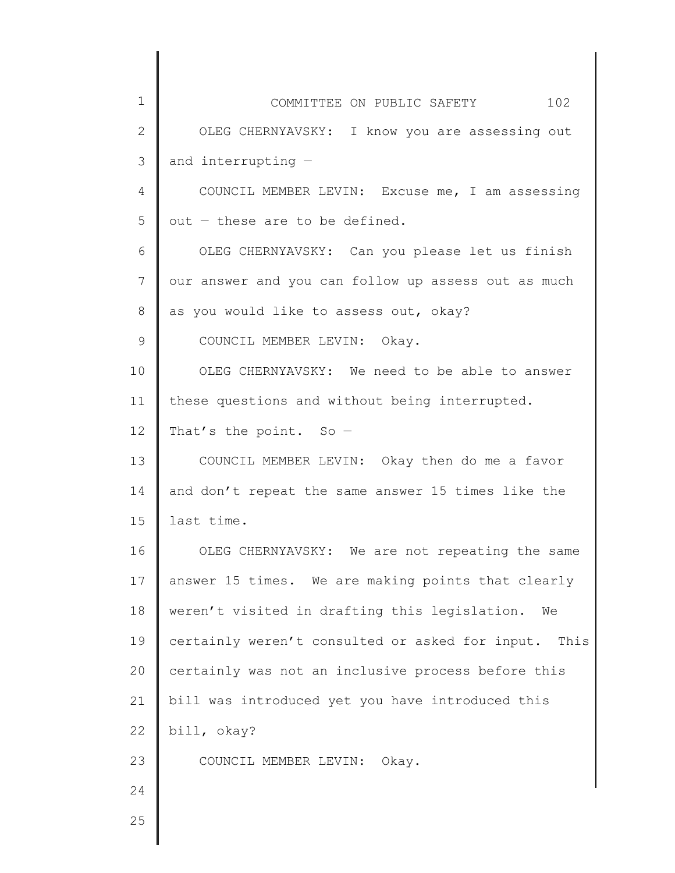| 1            | COMMITTEE ON PUBLIC SAFETY 102                       |
|--------------|------------------------------------------------------|
| $\mathbf{2}$ | OLEG CHERNYAVSKY: I know you are assessing out       |
| 3            | and interrupting -                                   |
| 4            | COUNCIL MEMBER LEVIN: Excuse me, I am assessing      |
| 5            | out - these are to be defined.                       |
| 6            | OLEG CHERNYAVSKY: Can you please let us finish       |
| 7            | our answer and you can follow up assess out as much  |
| 8            | as you would like to assess out, okay?               |
| 9            | COUNCIL MEMBER LEVIN: Okay.                          |
| 10           | OLEG CHERNYAVSKY: We need to be able to answer       |
| 11           | these questions and without being interrupted.       |
| 12           | That's the point. So $-$                             |
| 13           | COUNCIL MEMBER LEVIN: Okay then do me a favor        |
| 14           | and don't repeat the same answer 15 times like the   |
| 15           | last time.                                           |
| 16           | OLEG CHERNYAVSKY: We are not repeating the same      |
| 17           | answer 15 times. We are making points that clearly   |
| 18           | weren't visited in drafting this legislation.<br>We  |
| 19           | certainly weren't consulted or asked for input. This |
| 20           | certainly was not an inclusive process before this   |
| 21           | bill was introduced yet you have introduced this     |
| 22           | bill, okay?                                          |
| 23           | COUNCIL MEMBER LEVIN: Okay.                          |
| 24           |                                                      |
| 25           |                                                      |
|              |                                                      |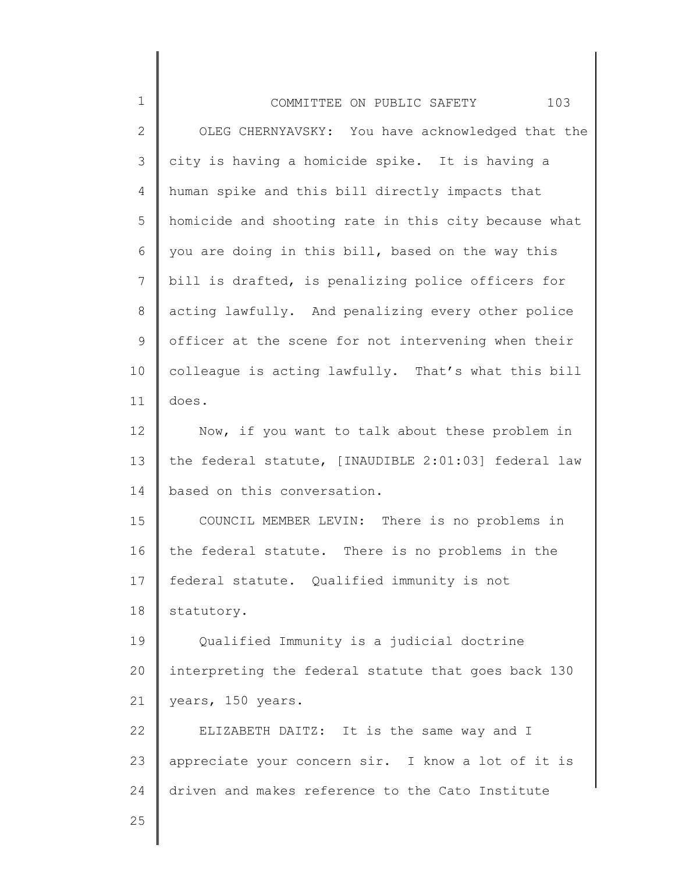| $\mathbf 1$  | 103<br>COMMITTEE ON PUBLIC SAFETY                    |
|--------------|------------------------------------------------------|
| $\mathbf{2}$ | OLEG CHERNYAVSKY: You have acknowledged that the     |
| 3            | city is having a homicide spike. It is having a      |
| 4            | human spike and this bill directly impacts that      |
| 5            | homicide and shooting rate in this city because what |
| 6            | you are doing in this bill, based on the way this    |
| 7            | bill is drafted, is penalizing police officers for   |
| 8            | acting lawfully. And penalizing every other police   |
| 9            | officer at the scene for not intervening when their  |
| 10           | colleague is acting lawfully. That's what this bill  |
| 11           | does.                                                |
| 12           | Now, if you want to talk about these problem in      |
| 13           | the federal statute, [INAUDIBLE 2:01:03] federal law |
| 14           | based on this conversation.                          |
| 15           | COUNCIL MEMBER LEVIN: There is no problems in        |
| 16           | the federal statute. There is no problems in the     |
| 17           | federal statute. Qualified immunity is not           |
| 18           | statutory.                                           |
| 19           | Qualified Immunity is a judicial doctrine            |
| 20           | interpreting the federal statute that goes back 130  |
| 21           | years, 150 years.                                    |
| 22           | ELIZABETH DAITZ: It is the same way and I            |
| 23           | appreciate your concern sir. I know a lot of it is   |
| 24           | driven and makes reference to the Cato Institute     |
| 25           |                                                      |
|              |                                                      |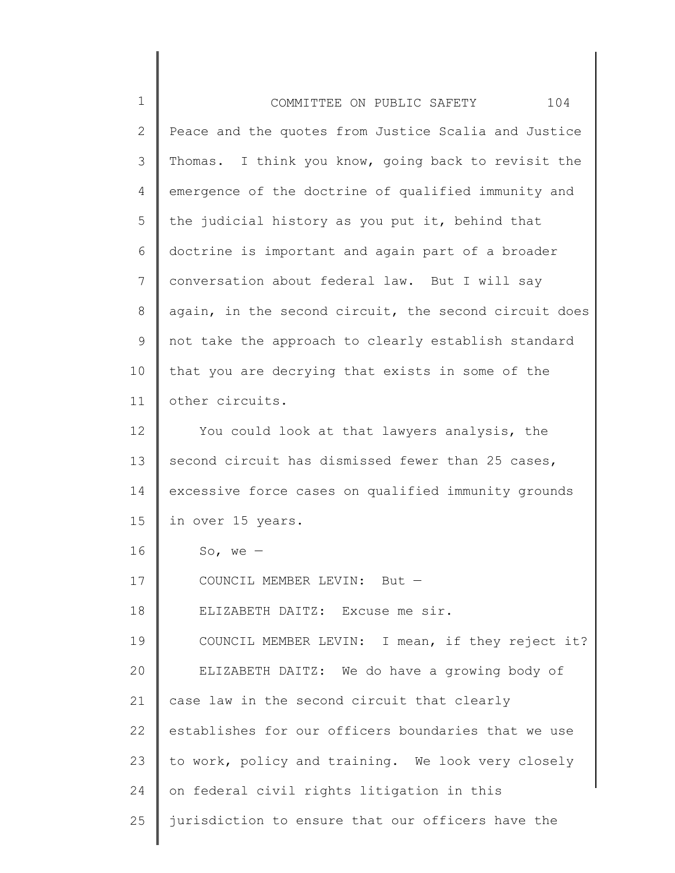| $\mathbf 1$  | 104<br>COMMITTEE ON PUBLIC SAFETY                     |
|--------------|-------------------------------------------------------|
| $\mathbf{2}$ | Peace and the quotes from Justice Scalia and Justice  |
| 3            | Thomas. I think you know, going back to revisit the   |
| 4            | emergence of the doctrine of qualified immunity and   |
| 5            | the judicial history as you put it, behind that       |
| 6            | doctrine is important and again part of a broader     |
| 7            | conversation about federal law. But I will say        |
| 8            | again, in the second circuit, the second circuit does |
| $\mathsf 9$  | not take the approach to clearly establish standard   |
| 10           | that you are decrying that exists in some of the      |
| 11           | other circuits.                                       |
| 12           | You could look at that lawyers analysis, the          |
| 13           | second circuit has dismissed fewer than 25 cases,     |
| 14           | excessive force cases on qualified immunity grounds   |
| 15           | in over 15 years.                                     |
| 16           | So, we $-$                                            |
| 17           | COUNCIL MEMBER LEVIN: But                             |
| 18           | ELIZABETH DAITZ:<br>Excuse me sir.                    |
| 19           | COUNCIL MEMBER LEVIN: I mean, if they reject it?      |
| 20           | ELIZABETH DAITZ: We do have a growing body of         |
| 21           | case law in the second circuit that clearly           |
| 22           | establishes for our officers boundaries that we use   |
| 23           | to work, policy and training. We look very closely    |
| 24           | on federal civil rights litigation in this            |
| 25           | jurisdiction to ensure that our officers have the     |
|              |                                                       |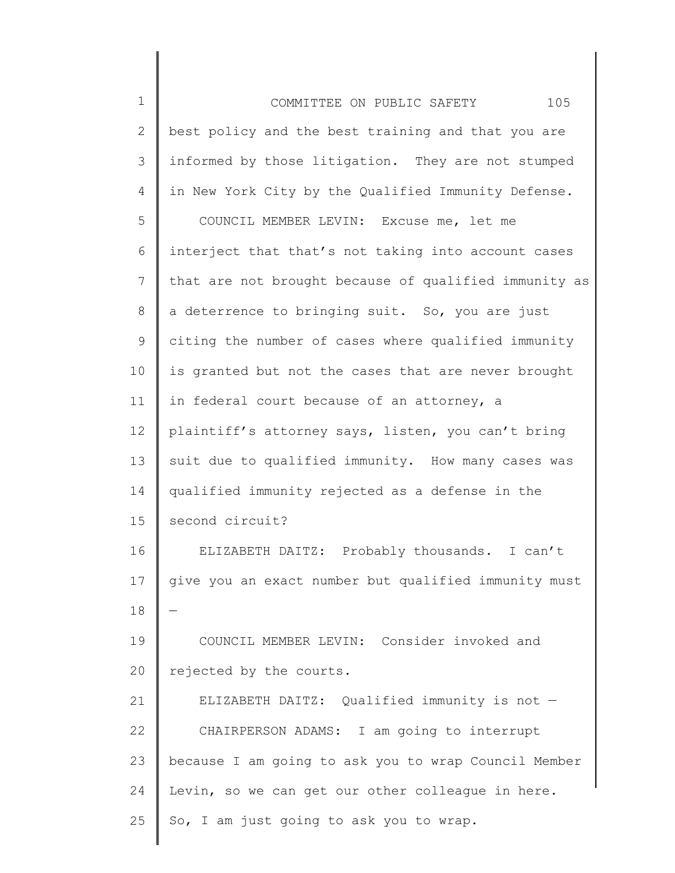| $\mathbf 1$ | 105<br>COMMITTEE ON PUBLIC SAFETY                     |
|-------------|-------------------------------------------------------|
| 2           | best policy and the best training and that you are    |
| 3           | informed by those litigation. They are not stumped    |
| 4           | in New York City by the Qualified Immunity Defense.   |
| 5           | COUNCIL MEMBER LEVIN: Excuse me, let me               |
| 6           | interject that that's not taking into account cases   |
| 7           | that are not brought because of qualified immunity as |
| 8           | a deterrence to bringing suit. So, you are just       |
| 9           | citing the number of cases where qualified immunity   |
| 10          | is granted but not the cases that are never brought   |
| 11          | in federal court because of an attorney, a            |
| 12          | plaintiff's attorney says, listen, you can't bring    |
| 13          | suit due to qualified immunity. How many cases was    |
| 14          | qualified immunity rejected as a defense in the       |
| 15          | second circuit?                                       |
| 16          | ELIZABETH DAITZ: Probably thousands. I can't          |
| 17          | give you an exact number but qualified immunity must  |
| 18          |                                                       |
| 19          | COUNCIL MEMBER LEVIN: Consider invoked and            |
| 20          | rejected by the courts.                               |
| 21          | ELIZABETH DAITZ: Qualified immunity is not -          |
| 22          | CHAIRPERSON ADAMS: I am going to interrupt            |
| 23          | because I am going to ask you to wrap Council Member  |
| 24          | Levin, so we can get our other colleague in here.     |
| 25          | So, I am just going to ask you to wrap.               |
|             |                                                       |

∥ ║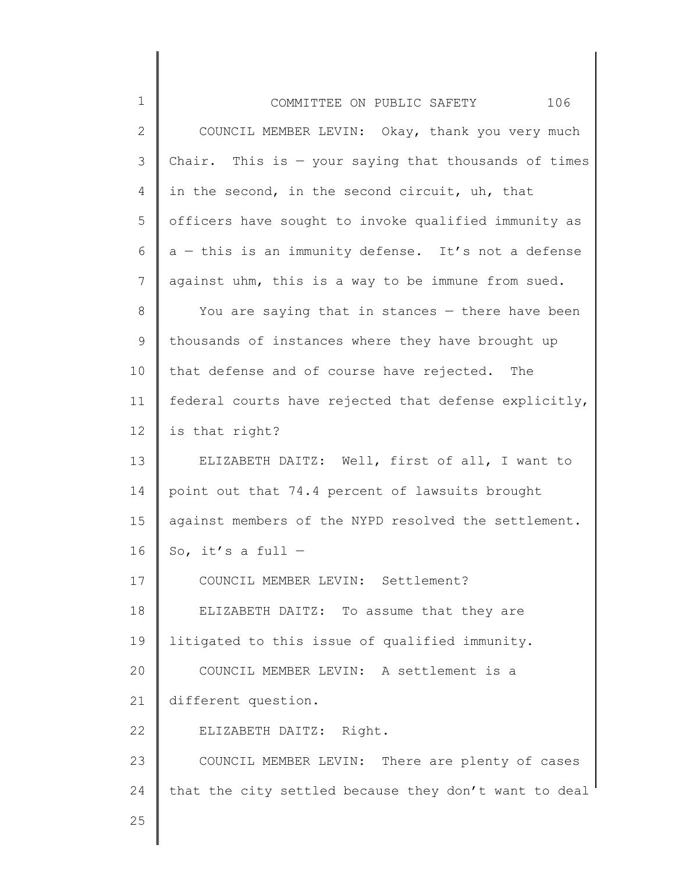| $\mathbf 1$  | 106<br>COMMITTEE ON PUBLIC SAFETY                      |
|--------------|--------------------------------------------------------|
| $\mathbf{2}$ | COUNCIL MEMBER LEVIN: Okay, thank you very much        |
| 3            | Chair. This is $-$ your saying that thousands of times |
| 4            | in the second, in the second circuit, uh, that         |
| 5            | officers have sought to invoke qualified immunity as   |
| 6            | a - this is an immunity defense. It's not a defense    |
| 7            | against uhm, this is a way to be immune from sued.     |
| 8            | You are saying that in stances - there have been       |
| 9            | thousands of instances where they have brought up      |
| 10           | that defense and of course have rejected. The          |
| 11           | federal courts have rejected that defense explicitly,  |
| 12           | is that right?                                         |
| 13           | ELIZABETH DAITZ: Well, first of all, I want to         |
| 14           | point out that 74.4 percent of lawsuits brought        |
| 15           | against members of the NYPD resolved the settlement.   |
| 16           | So, it's a full $-$                                    |
| 17           | COUNCIL MEMBER LEVIN: Settlement?                      |
| 18           | ELIZABETH DAITZ: To assume that they are               |
| 19           | litigated to this issue of qualified immunity.         |
| 20           | COUNCIL MEMBER LEVIN: A settlement is a                |
| 21           | different question.                                    |
| 22           | ELIZABETH DAITZ: Right.                                |
| 23           | COUNCIL MEMBER LEVIN: There are plenty of cases        |
| 24           | that the city settled because they don't want to deal  |
| 25           |                                                        |
|              |                                                        |

I ║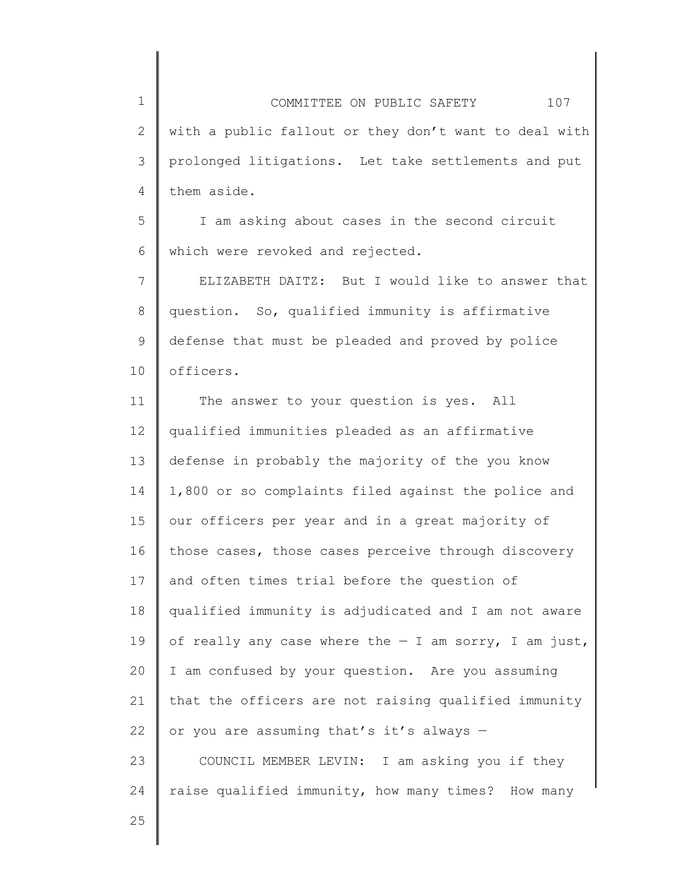2 3 4 COMMITTEE ON PUBLIC SAFETY 107 with a public fallout or they don't want to deal with prolonged litigations. Let take settlements and put them aside.

5 6 I am asking about cases in the second circuit which were revoked and rejected.

7 8 9 10 ELIZABETH DAITZ: But I would like to answer that question. So, qualified immunity is affirmative defense that must be pleaded and proved by police officers.

11 12 13 14 15 16 17 18 19 20 21 22 23 24 The answer to your question is yes. All qualified immunities pleaded as an affirmative defense in probably the majority of the you know 1,800 or so complaints filed against the police and our officers per year and in a great majority of those cases, those cases perceive through discovery and often times trial before the question of qualified immunity is adjudicated and I am not aware of really any case where the  $-$  I am sorry, I am just, I am confused by your question. Are you assuming that the officers are not raising qualified immunity or you are assuming that's it's always — COUNCIL MEMBER LEVIN: I am asking you if they raise qualified immunity, how many times? How many

25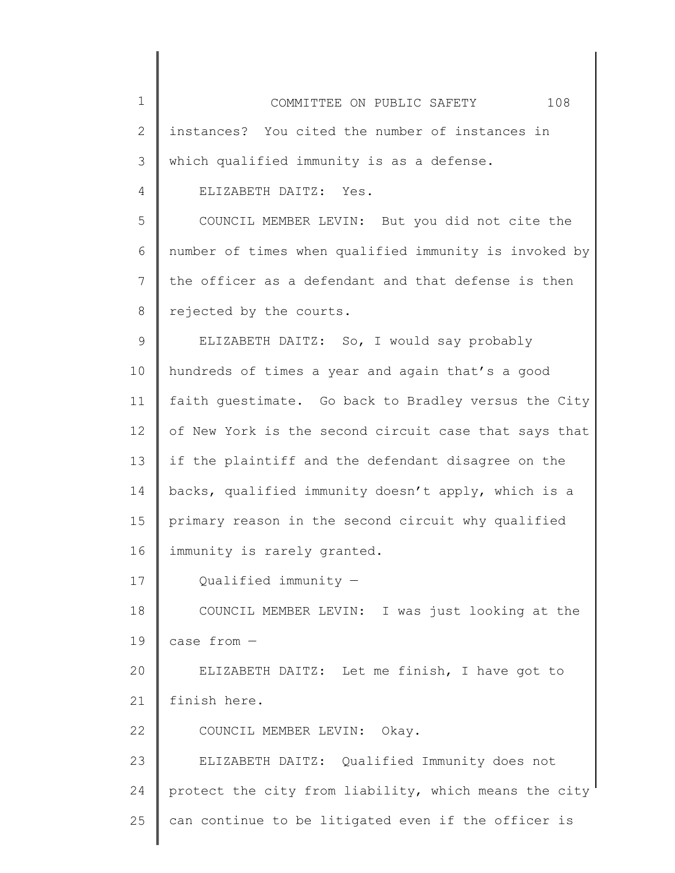| $\mathbf 1$ | 108<br>COMMITTEE ON PUBLIC SAFETY                      |
|-------------|--------------------------------------------------------|
| 2           | instances? You cited the number of instances in        |
| 3           | which qualified immunity is as a defense.              |
| 4           | ELIZABETH DAITZ: Yes.                                  |
| 5           | COUNCIL MEMBER LEVIN: But you did not cite the         |
| 6           | number of times when qualified immunity is invoked by  |
| 7           | the officer as a defendant and that defense is then    |
| 8           | rejected by the courts.                                |
| $\mathsf 9$ | ELIZABETH DAITZ: So, I would say probably              |
| 10          | hundreds of times a year and again that's a good       |
| 11          | faith guestimate. Go back to Bradley versus the City   |
| 12          | of New York is the second circuit case that says that  |
| 13          | if the plaintiff and the defendant disagree on the     |
| 14          | backs, qualified immunity doesn't apply, which is a    |
| 15          | primary reason in the second circuit why qualified     |
| 16          | immunity is rarely granted.                            |
| 17          | Qualified immunity -                                   |
| 18          | COUNCIL MEMBER LEVIN: I was just looking at the        |
| 19          | case from -                                            |
| 20          | ELIZABETH DAITZ: Let me finish, I have got to          |
| 21          | finish here.                                           |
| 22          | COUNCIL MEMBER LEVIN: Okay.                            |
| 23          | ELIZABETH DAITZ: Qualified Immunity does not           |
| 24          | protect the city from liability, which means the city' |
| 25          | can continue to be litigated even if the officer is    |
|             |                                                        |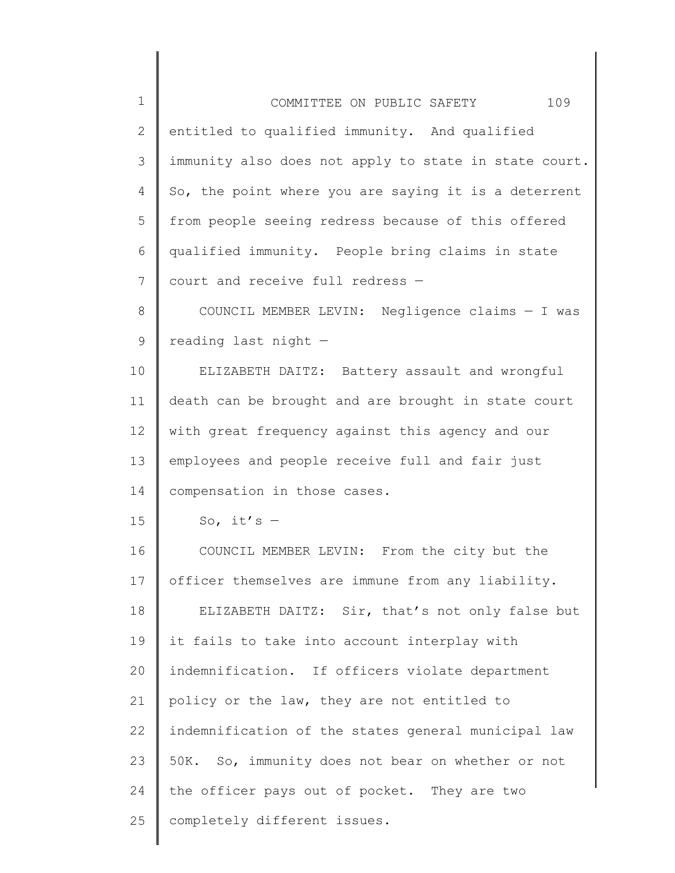| $\mathbf 1$  | 109<br>COMMITTEE ON PUBLIC SAFETY                     |
|--------------|-------------------------------------------------------|
| $\mathbf{2}$ | entitled to qualified immunity. And qualified         |
| 3            | immunity also does not apply to state in state court. |
| 4            | So, the point where you are saying it is a deterrent  |
| 5            | from people seeing redress because of this offered    |
| 6            | qualified immunity. People bring claims in state      |
| 7            | court and receive full redress -                      |
| $8\,$        | COUNCIL MEMBER LEVIN: Negligence claims - I was       |
| 9            | reading last night -                                  |
| 10           | ELIZABETH DAITZ: Battery assault and wrongful         |
| 11           | death can be brought and are brought in state court   |
| 12           | with great frequency against this agency and our      |
| 13           | employees and people receive full and fair just       |
| 14           | compensation in those cases.                          |
| 15           | So, it's $-$                                          |
| 16           | COUNCIL MEMBER LEVIN: From the city but the           |
| 17           | officer themselves are immune from any liability.     |
| 18           | ELIZABETH DAITZ: Sir, that's not only false but       |
| 19           | it fails to take into account interplay with          |
| 20           | indemnification. If officers violate department       |
| 21           | policy or the law, they are not entitled to           |
| 22           | indemnification of the states general municipal law   |
| 23           | 50K. So, immunity does not bear on whether or not     |
| 24           | the officer pays out of pocket. They are two          |
| 25           | completely different issues.                          |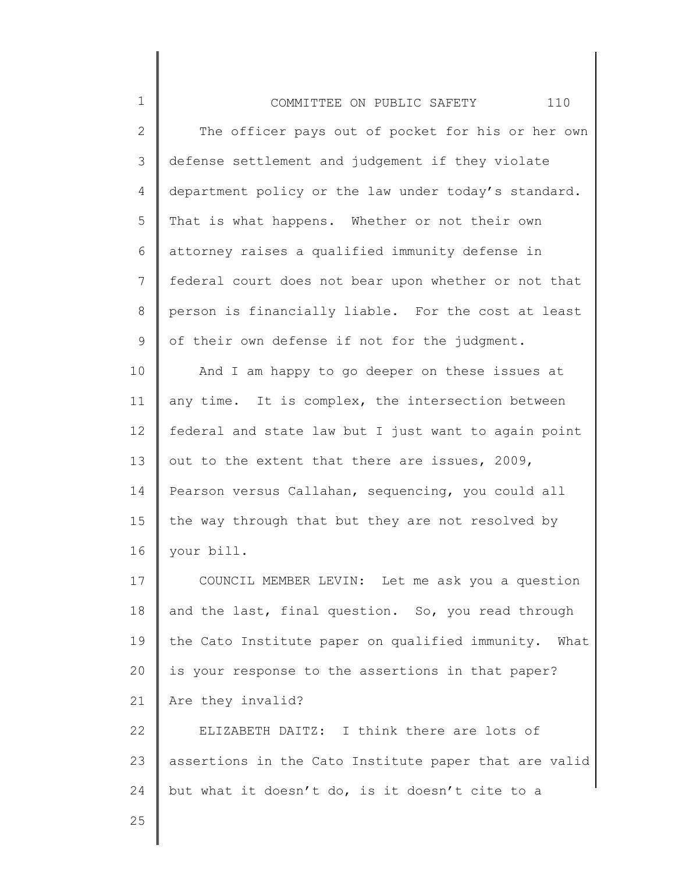| $\mathbf 1$    | 110<br>COMMITTEE ON PUBLIC SAFETY                       |
|----------------|---------------------------------------------------------|
| $\mathbf{2}$   | The officer pays out of pocket for his or her own       |
| 3              | defense settlement and judgement if they violate        |
| $\overline{4}$ | department policy or the law under today's standard.    |
| 5              | That is what happens. Whether or not their own          |
| 6              | attorney raises a qualified immunity defense in         |
| $7\phantom{.}$ | federal court does not bear upon whether or not that    |
| 8              | person is financially liable. For the cost at least     |
| 9              | of their own defense if not for the judgment.           |
| 10             | And I am happy to go deeper on these issues at          |
| 11             | any time. It is complex, the intersection between       |
| 12             | federal and state law but I just want to again point    |
| 13             | out to the extent that there are issues, 2009,          |
| 14             | Pearson versus Callahan, sequencing, you could all      |
| 15             | the way through that but they are not resolved by       |
| 16             | your bill.                                              |
| 17             | COUNCIL MEMBER LEVIN: Let me ask you a question         |
| 18             | and the last, final question. So, you read through      |
| 19             | the Cato Institute paper on qualified immunity.<br>What |
| 20             | is your response to the assertions in that paper?       |

21 Are they invalid?

22 23 24 ELIZABETH DAITZ: I think there are lots of assertions in the Cato Institute paper that are valid but what it doesn't do, is it doesn't cite to a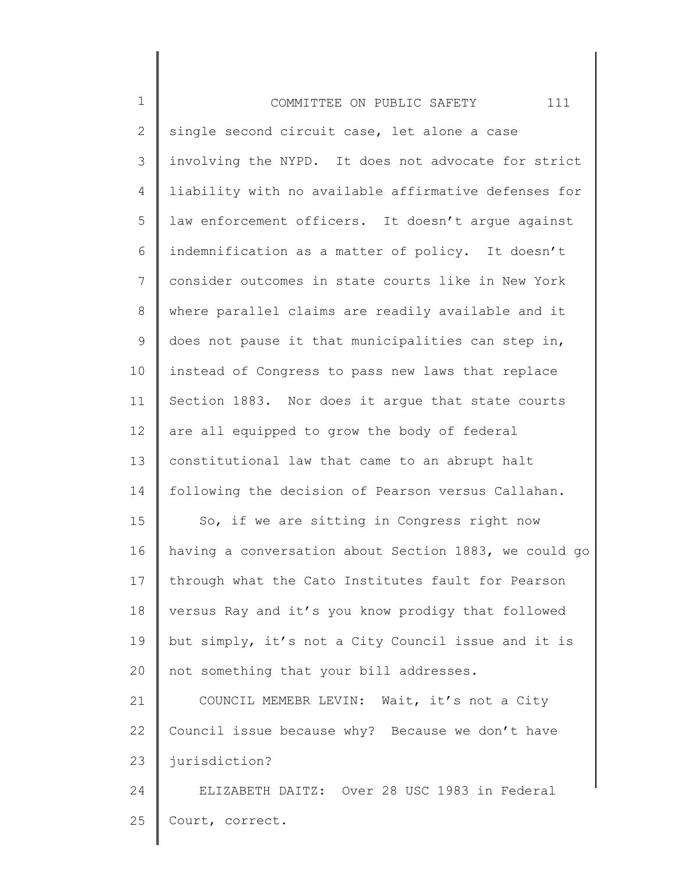| $\mathbf 1$     | 111<br>COMMITTEE ON PUBLIC SAFETY                     |
|-----------------|-------------------------------------------------------|
| 2               | single second circuit case, let alone a case          |
| 3               | involving the NYPD. It does not advocate for strict   |
| 4               | liability with no available affirmative defenses for  |
| 5               | law enforcement officers. It doesn't arque against    |
| 6               | indemnification as a matter of policy. It doesn't     |
| $7\phantom{.0}$ | consider outcomes in state courts like in New York    |
| 8               | where parallel claims are readily available and it    |
| 9               | does not pause it that municipalities can step in,    |
| 10              | instead of Congress to pass new laws that replace     |
| 11              | Section 1883. Nor does it argue that state courts     |
| 12              | are all equipped to grow the body of federal          |
| 13              | constitutional law that came to an abrupt halt        |
| 14              | following the decision of Pearson versus Callahan.    |
| 15              | So, if we are sitting in Congress right now           |
| 16              | having a conversation about Section 1883, we could go |
| 17              | through what the Cato Institutes fault for Pearson    |
| 18              | versus Ray and it's you know prodigy that followed    |
| 19              | but simply, it's not a City Council issue and it is   |
| 20              | not something that your bill addresses.               |
| 21              | COUNCIL MEMEBR LEVIN: Wait, it's not a City           |
| 22              | Council issue because why? Because we don't have      |
| 23              | jurisdiction?                                         |
| 24              | ELIZABETH DAITZ: Over 28 USC 1983 in Federal          |
| 25              | Court, correct.                                       |
|                 |                                                       |

║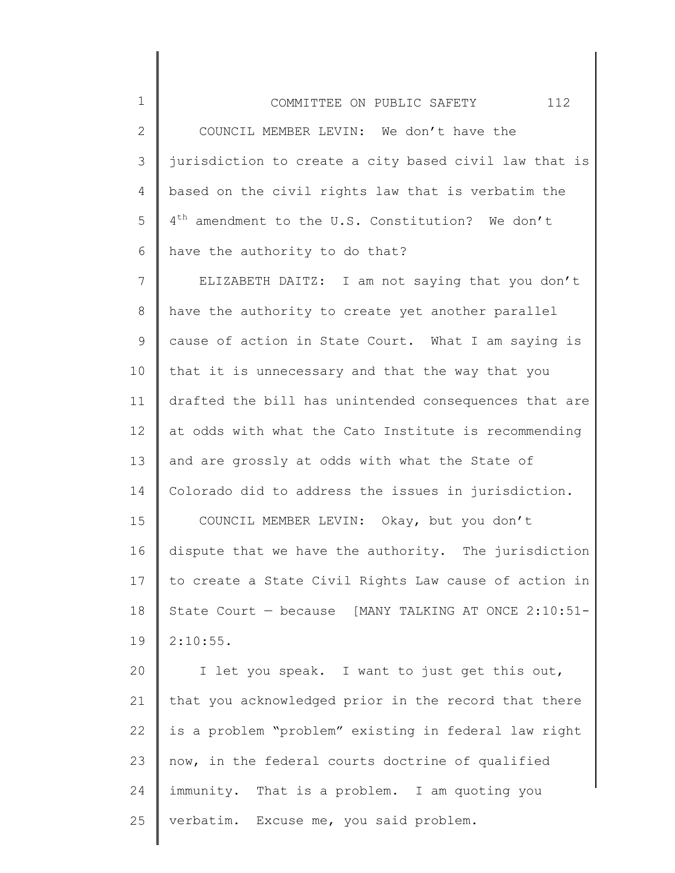2

3 4 5 6 jurisdiction to create a city based civil law that is based on the civil rights law that is verbatim the 4<sup>th</sup> amendment to the U.S. Constitution? We don't have the authority to do that?

7 8 9 10 11 12 13 14 15 16 17 ELIZABETH DAITZ: I am not saying that you don't have the authority to create yet another parallel cause of action in State Court. What I am saying is that it is unnecessary and that the way that you drafted the bill has unintended consequences that are at odds with what the Cato Institute is recommending and are grossly at odds with what the State of Colorado did to address the issues in jurisdiction. COUNCIL MEMBER LEVIN: Okay, but you don't dispute that we have the authority. The jurisdiction to create a State Civil Rights Law cause of action in

18 19 State Court — because [MANY TALKING AT ONCE 2:10:51- 2:10:55.

20 21 22 23 24 25 I let you speak. I want to just get this out, that you acknowledged prior in the record that there is a problem "problem" existing in federal law right now, in the federal courts doctrine of qualified immunity. That is a problem. I am quoting you verbatim. Excuse me, you said problem.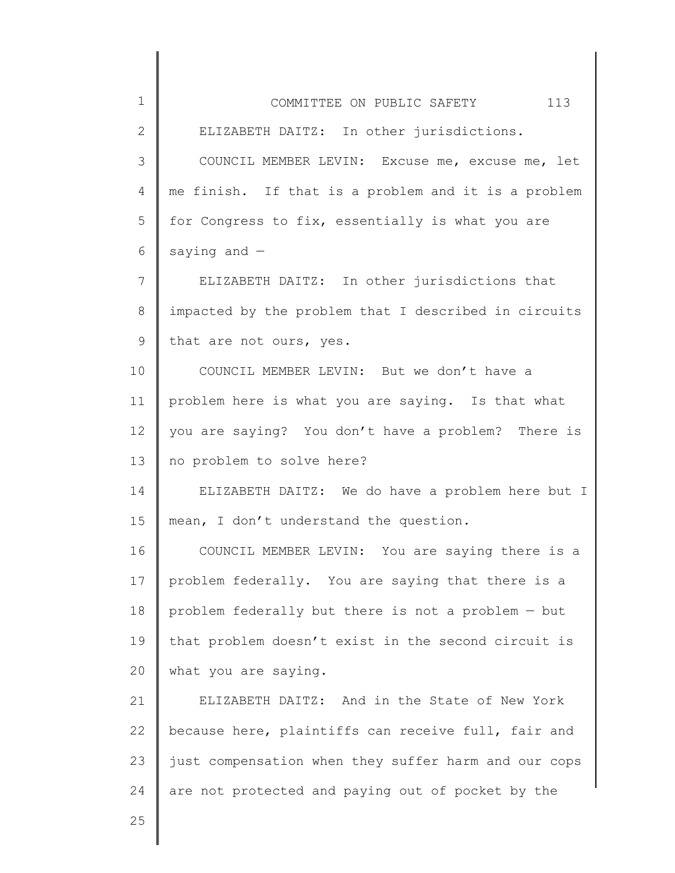| 1            | 113<br>COMMITTEE ON PUBLIC SAFETY                    |
|--------------|------------------------------------------------------|
| $\mathbf{2}$ | ELIZABETH DAITZ: In other jurisdictions.             |
| 3            | COUNCIL MEMBER LEVIN: Excuse me, excuse me, let      |
| 4            | me finish. If that is a problem and it is a problem  |
| 5            | for Congress to fix, essentially is what you are     |
| 6            | saying and $-$                                       |
| 7            | ELIZABETH DAITZ: In other jurisdictions that         |
| 8            | impacted by the problem that I described in circuits |
| 9            | that are not ours, yes.                              |
| 10           | COUNCIL MEMBER LEVIN: But we don't have a            |
| 11           | problem here is what you are saying. Is that what    |
| 12           | you are saying? You don't have a problem? There is   |
| 13           | no problem to solve here?                            |
| 14           | ELIZABETH DAITZ: We do have a problem here but I     |
| 15           | mean, I don't understand the question.               |
| 16           | COUNCIL MEMBER LEVIN: You are saying there is a      |
| 17           | problem federally. You are saying that there is a    |
| 18           | problem federally but there is not a problem - but   |
| 19           | that problem doesn't exist in the second circuit is  |
| 20           | what you are saying.                                 |
| 21           | ELIZABETH DAITZ: And in the State of New York        |
| 22           | because here, plaintiffs can receive full, fair and  |
| 23           | just compensation when they suffer harm and our cops |
| 24           | are not protected and paying out of pocket by the    |
| 25           |                                                      |
|              |                                                      |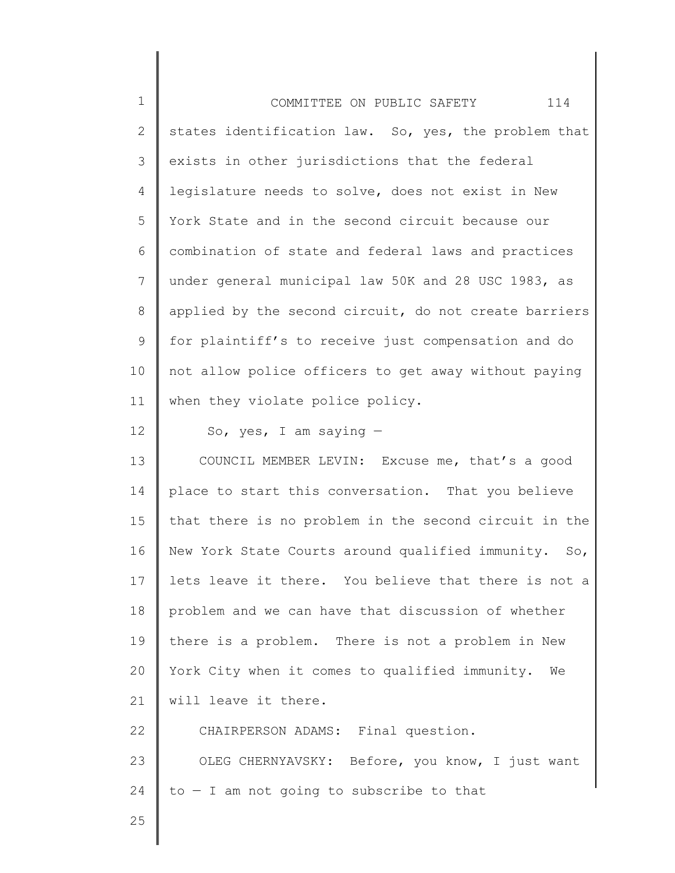| $\mathbf 1$    | 114<br>COMMITTEE ON PUBLIC SAFETY                     |
|----------------|-------------------------------------------------------|
| $\mathbf{2}$   | states identification law. So, yes, the problem that  |
| 3              | exists in other jurisdictions that the federal        |
| 4              | legislature needs to solve, does not exist in New     |
| 5              | York State and in the second circuit because our      |
| 6              | combination of state and federal laws and practices   |
| $\overline{7}$ | under general municipal law 50K and 28 USC 1983, as   |
| 8              | applied by the second circuit, do not create barriers |
| 9              | for plaintiff's to receive just compensation and do   |
| 10             | not allow police officers to get away without paying  |
| 11             | when they violate police policy.                      |
| 12             | So, yes, I am saying $-$                              |
| 13             | COUNCIL MEMBER LEVIN: Excuse me, that's a good        |
| 14             | place to start this conversation. That you believe    |
| 15             | that there is no problem in the second circuit in the |
| 16             | New York State Courts around qualified immunity. So,  |
| 17             | lets leave it there. You believe that there is not a  |
| 18             | problem and we can have that discussion of whether    |
| 19             | there is a problem. There is not a problem in New     |
| 20             | York City when it comes to qualified immunity. We     |
| 21             | will leave it there.                                  |
| 22             | CHAIRPERSON ADAMS: Final question.                    |
| 23             | OLEG CHERNYAVSKY: Before, you know, I just want       |
| 24             | $to - I$ am not going to subscribe to that            |
| 25             |                                                       |
|                |                                                       |

∥ ∥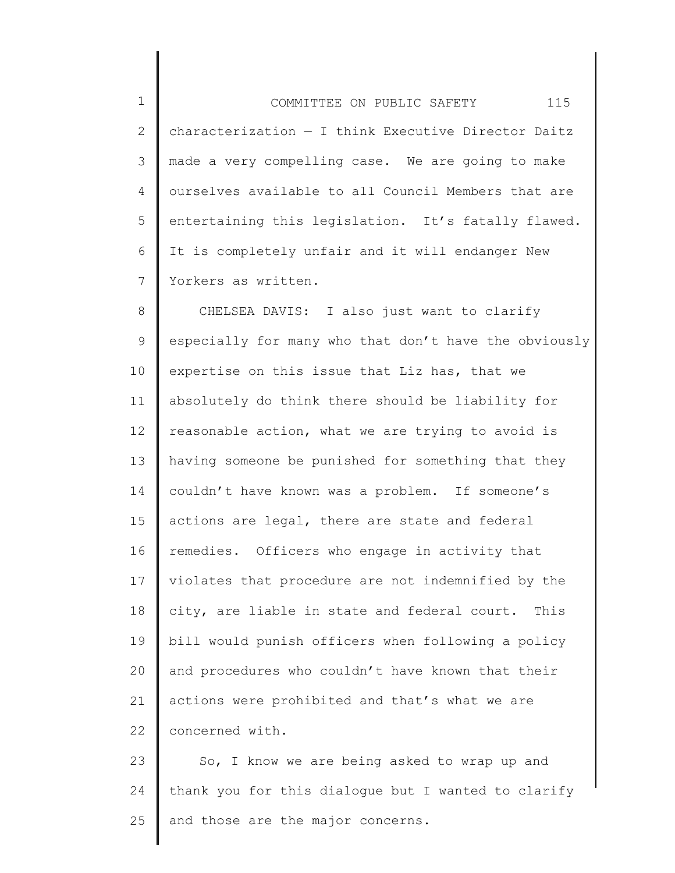1 2 3 4 5 6 7 COMMITTEE ON PUBLIC SAFETY 115 characterization — I think Executive Director Daitz made a very compelling case. We are going to make ourselves available to all Council Members that are entertaining this legislation. It's fatally flawed. It is completely unfair and it will endanger New Yorkers as written.

8 9 10 11 12 13 14 15 16 17 18 19 20 21 22 CHELSEA DAVIS: I also just want to clarify especially for many who that don't have the obviously expertise on this issue that Liz has, that we absolutely do think there should be liability for reasonable action, what we are trying to avoid is having someone be punished for something that they couldn't have known was a problem. If someone's actions are legal, there are state and federal remedies. Officers who engage in activity that violates that procedure are not indemnified by the city, are liable in state and federal court. This bill would punish officers when following a policy and procedures who couldn't have known that their actions were prohibited and that's what we are concerned with.

23 24 25 So, I know we are being asked to wrap up and thank you for this dialogue but I wanted to clarify and those are the major concerns.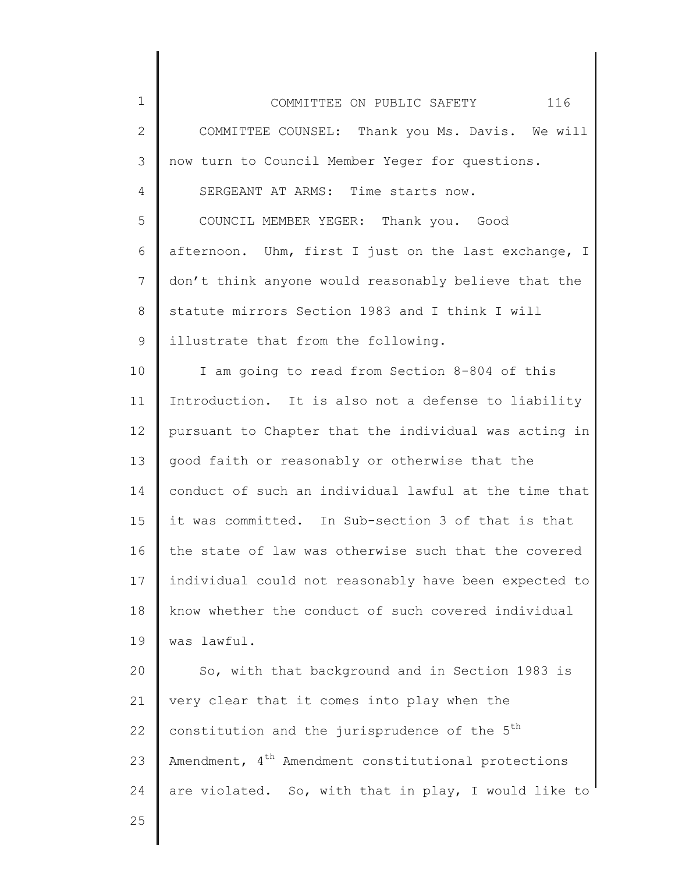1 2 3 4 5 6 7 8 9 10 11 12 13 14 15 16 17 18 19 20 21 22 23 24 25 COMMITTEE ON PUBLIC SAFETY 116 COMMITTEE COUNSEL: Thank you Ms. Davis. We will now turn to Council Member Yeger for questions. SERGEANT AT ARMS: Time starts now. COUNCIL MEMBER YEGER: Thank you. Good afternoon. Uhm, first I just on the last exchange, I don't think anyone would reasonably believe that the statute mirrors Section 1983 and I think I will illustrate that from the following. I am going to read from Section 8-804 of this Introduction. It is also not a defense to liability pursuant to Chapter that the individual was acting in good faith or reasonably or otherwise that the conduct of such an individual lawful at the time that it was committed. In Sub-section 3 of that is that the state of law was otherwise such that the covered individual could not reasonably have been expected to know whether the conduct of such covered individual was lawful. So, with that background and in Section 1983 is very clear that it comes into play when the constitution and the jurisprudence of the  $5<sup>th</sup>$ Amendment, 4<sup>th</sup> Amendment constitutional protections are violated. So, with that in play, I would like to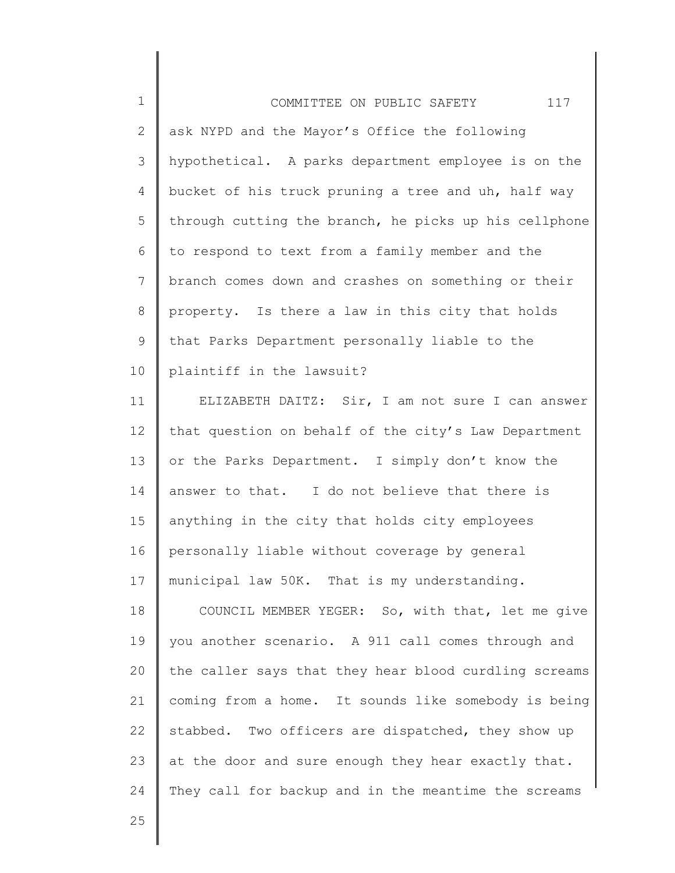1 2 3 4 5 6 7 8 9 10 COMMITTEE ON PUBLIC SAFETY 117 ask NYPD and the Mayor's Office the following hypothetical. A parks department employee is on the bucket of his truck pruning a tree and uh, half way through cutting the branch, he picks up his cellphone to respond to text from a family member and the branch comes down and crashes on something or their property. Is there a law in this city that holds that Parks Department personally liable to the plaintiff in the lawsuit?

11 12 13 14 15 16 17 ELIZABETH DAITZ: Sir, I am not sure I can answer that question on behalf of the city's Law Department or the Parks Department. I simply don't know the answer to that. I do not believe that there is anything in the city that holds city employees personally liable without coverage by general municipal law 50K. That is my understanding.

18 19 20 21 22 23 24 COUNCIL MEMBER YEGER: So, with that, let me give you another scenario. A 911 call comes through and the caller says that they hear blood curdling screams coming from a home. It sounds like somebody is being stabbed. Two officers are dispatched, they show up at the door and sure enough they hear exactly that. They call for backup and in the meantime the screams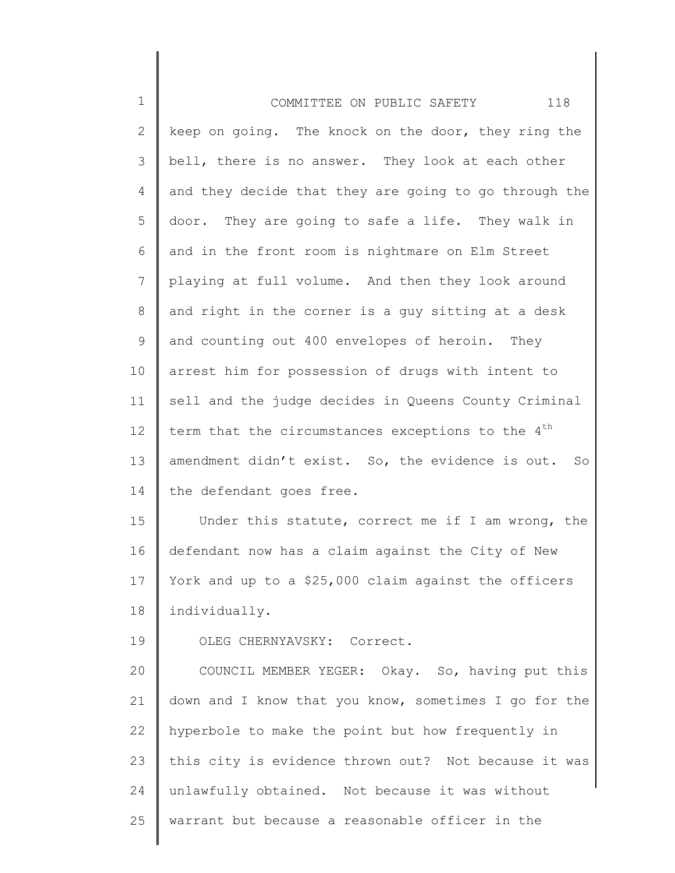| $\mathbf 1$  | 118<br>COMMITTEE ON PUBLIC SAFETY                             |
|--------------|---------------------------------------------------------------|
| $\mathbf{2}$ | keep on going. The knock on the door, they ring the           |
| 3            | bell, there is no answer. They look at each other             |
| 4            | and they decide that they are going to go through the         |
| 5            | door. They are going to safe a life. They walk in             |
| 6            | and in the front room is nightmare on Elm Street              |
| 7            | playing at full volume. And then they look around             |
| $\,8\,$      | and right in the corner is a guy sitting at a desk            |
| $\mathsf 9$  | and counting out 400 envelopes of heroin. They                |
| 10           | arrest him for possession of drugs with intent to             |
| 11           | sell and the judge decides in Queens County Criminal          |
| 12           | term that the circumstances exceptions to the 4 <sup>th</sup> |
| 13           | amendment didn't exist. So, the evidence is out. So           |
| 14           | the defendant goes free.                                      |
| 15           | Under this statute, correct me if I am wrong, the             |
| 16           | defendant now has a claim against the City of New             |
| 17           | York and up to a \$25,000 claim against the officers          |
| 18           | individually.                                                 |
| 19           | OLEG CHERNYAVSKY: Correct.                                    |
| 20           | COUNCIL MEMBER YEGER: Okay. So, having put this               |
| 21           | down and I know that you know, sometimes I go for the         |
| 22           | hyperbole to make the point but how frequently in             |
| 23           | this city is evidence thrown out? Not because it was          |
| 24           | unlawfully obtained. Not because it was without               |
| 25           | warrant but because a reasonable officer in the               |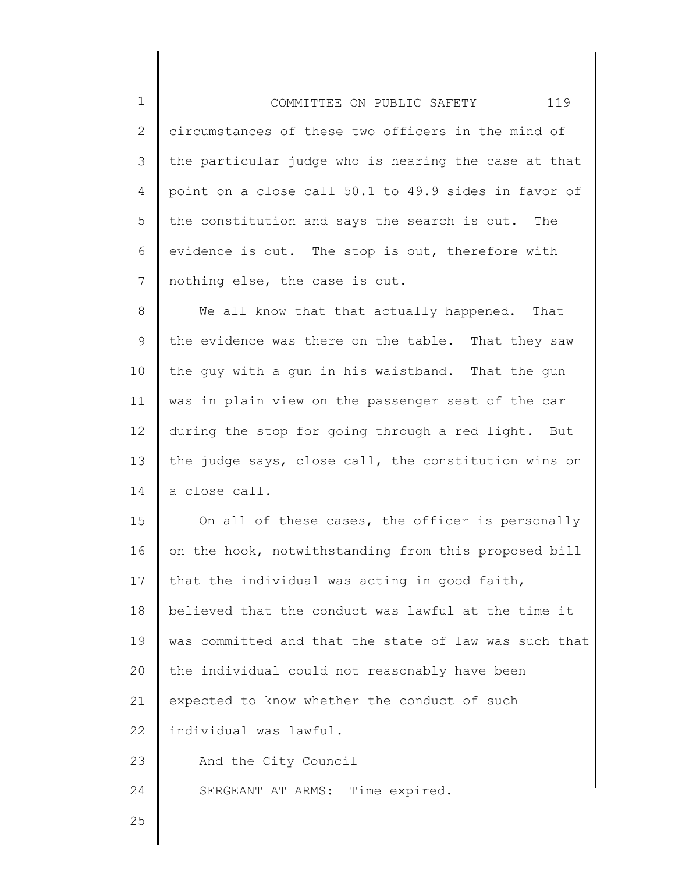1 2 3 4 5 6 7 COMMITTEE ON PUBLIC SAFETY 119 circumstances of these two officers in the mind of the particular judge who is hearing the case at that point on a close call 50.1 to 49.9 sides in favor of the constitution and says the search is out. The evidence is out. The stop is out, therefore with nothing else, the case is out.

8 9 10 11 12 13 14 We all know that that actually happened. That the evidence was there on the table. That they saw the guy with a gun in his waistband. That the gun was in plain view on the passenger seat of the car during the stop for going through a red light. But the judge says, close call, the constitution wins on a close call.

15 16 17 18 19 20 21 22 23 24 On all of these cases, the officer is personally on the hook, notwithstanding from this proposed bill that the individual was acting in good faith, believed that the conduct was lawful at the time it was committed and that the state of law was such that the individual could not reasonably have been expected to know whether the conduct of such individual was lawful. And the City Council — SERGEANT AT ARMS: Time expired.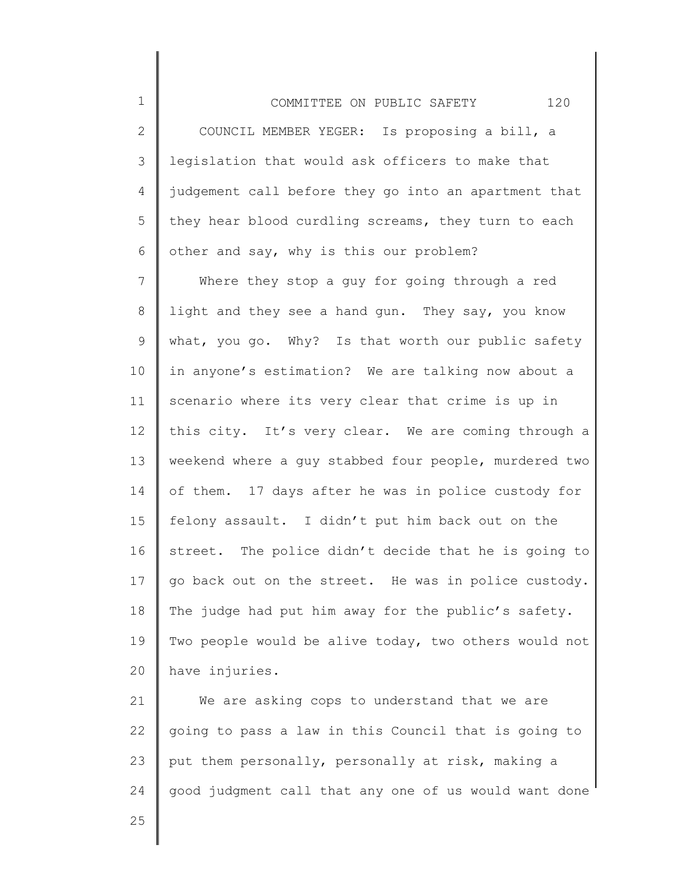1 2 3 4 5 6 COMMITTEE ON PUBLIC SAFETY 120 COUNCIL MEMBER YEGER: Is proposing a bill, a legislation that would ask officers to make that judgement call before they go into an apartment that they hear blood curdling screams, they turn to each other and say, why is this our problem?

7 8 9 10 11 12 13 14 15 16 17 18 19 20 Where they stop a guy for going through a red light and they see a hand gun. They say, you know what, you go. Why? Is that worth our public safety in anyone's estimation? We are talking now about a scenario where its very clear that crime is up in this city. It's very clear. We are coming through a weekend where a guy stabbed four people, murdered two of them. 17 days after he was in police custody for felony assault. I didn't put him back out on the street. The police didn't decide that he is going to go back out on the street. He was in police custody. The judge had put him away for the public's safety. Two people would be alive today, two others would not have injuries.

21 22 23 24 We are asking cops to understand that we are going to pass a law in this Council that is going to put them personally, personally at risk, making a good judgment call that any one of us would want done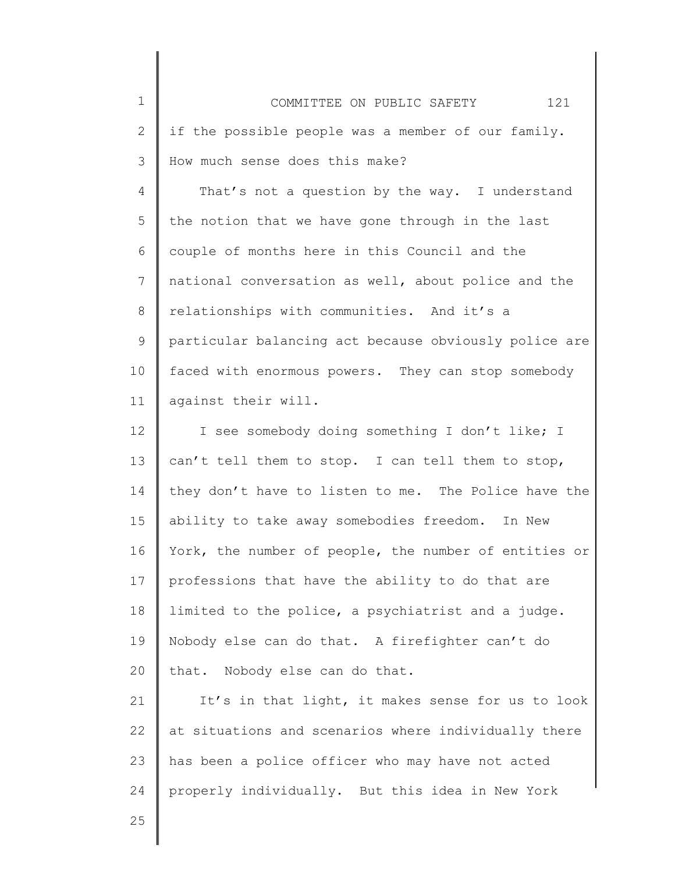| $\mathbf 1$     | 121<br>COMMITTEE ON PUBLIC SAFETY                     |
|-----------------|-------------------------------------------------------|
| $\mathbf{2}$    | if the possible people was a member of our family.    |
| 3               | How much sense does this make?                        |
| 4               | That's not a question by the way. I understand        |
| 5               | the notion that we have gone through in the last      |
| 6               | couple of months here in this Council and the         |
| $7\phantom{.0}$ | national conversation as well, about police and the   |
| $8\,$           | relationships with communities. And it's a            |
| 9               | particular balancing act because obviously police are |
| 10              | faced with enormous powers. They can stop somebody    |
| 11              | against their will.                                   |
| 12              | I see somebody doing something I don't like; I        |
| 13              | can't tell them to stop. I can tell them to stop,     |
| 14              | they don't have to listen to me. The Police have the  |
| 15              | ability to take away somebodies freedom.<br>In New    |
| 16              | York, the number of people, the number of entities or |
| 17              | professions that have the ability to do that are      |
| 18              | limited to the police, a psychiatrist and a judge.    |
| 19              | Nobody else can do that. A firefighter can't do       |
| 20              | that. Nobody else can do that.                        |
| 21              | It's in that light, it makes sense for us to look     |
| 22              | at situations and scenarios where individually there  |
| 23              | has been a police officer who may have not acted      |
| 24              | properly individually. But this idea in New York      |
| 25              |                                                       |
|                 |                                                       |

∥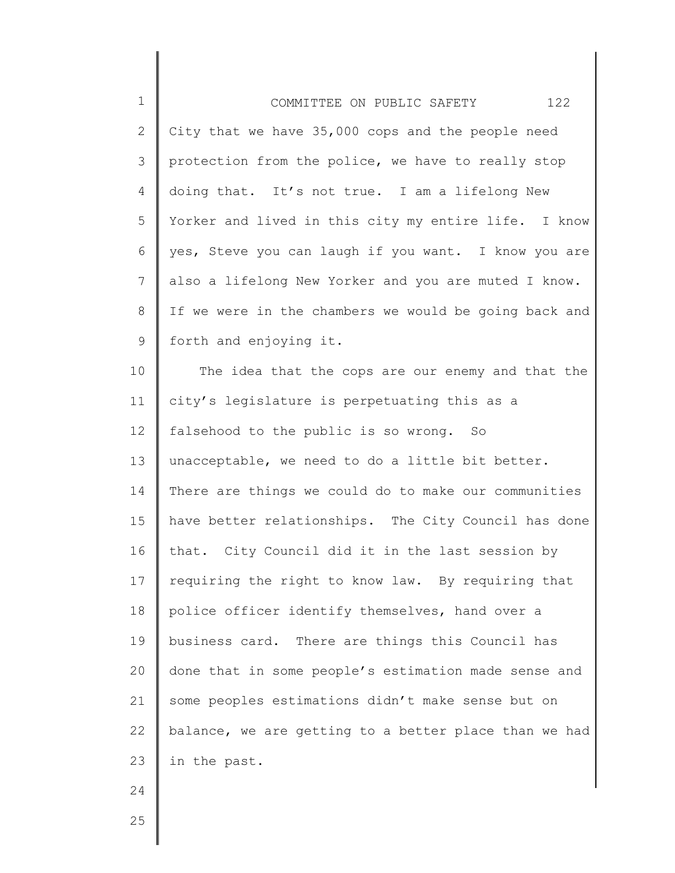| $\mathbf 1$    | 122<br>COMMITTEE ON PUBLIC SAFETY                     |
|----------------|-------------------------------------------------------|
| $\mathbf{2}$   | City that we have 35,000 cops and the people need     |
| 3              | protection from the police, we have to really stop    |
| $\overline{4}$ | doing that. It's not true. I am a lifelong New        |
| 5              | Yorker and lived in this city my entire life. I know  |
| 6              | yes, Steve you can laugh if you want. I know you are  |
| $7\phantom{.}$ | also a lifelong New Yorker and you are muted I know.  |
| $8\,$          | If we were in the chambers we would be going back and |
| 9              | forth and enjoying it.                                |
| 10             | The idea that the cops are our enemy and that the     |
| 11             | city's legislature is perpetuating this as a          |
| 12             | falsehood to the public is so wrong. So               |
| 13             | unacceptable, we need to do a little bit better.      |
| 14             | There are things we could do to make our communities  |
| 15             | have better relationships. The City Council has done  |
| 16             | that. City Council did it in the last session by      |
| 17             | requiring the right to know law. By requiring that    |
| 18             | police officer identify themselves, hand over a       |
| 19             | business card. There are things this Council has      |
| 20             | done that in some people's estimation made sense and  |
| 21             | some peoples estimations didn't make sense but on     |
| 22             | balance, we are getting to a better place than we had |
| 23             | in the past.                                          |
| 24             |                                                       |
| 25             |                                                       |
|                |                                                       |

∥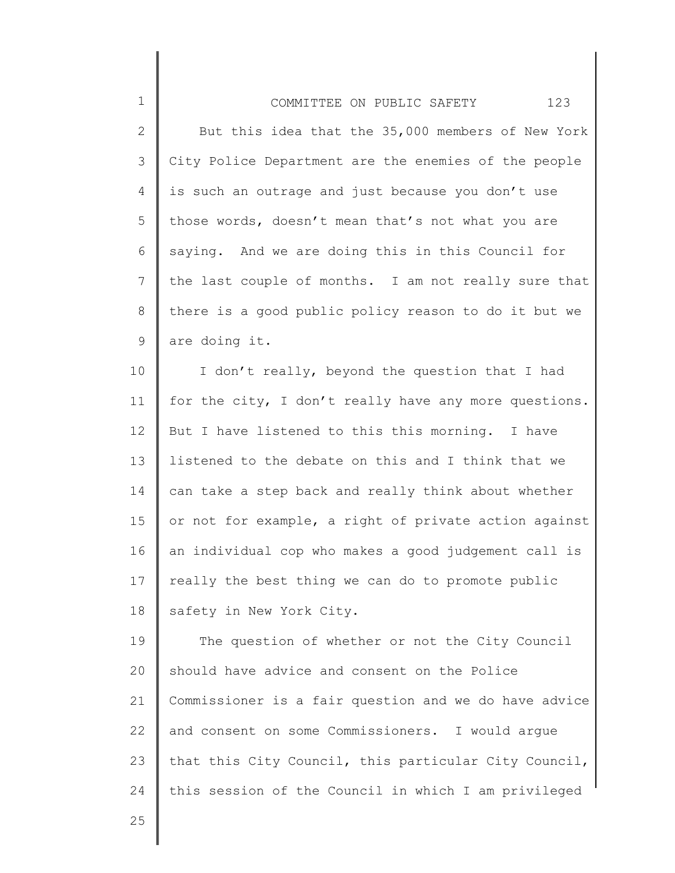| $\mathbf 1$    | 123<br>COMMITTEE ON PUBLIC SAFETY                    |
|----------------|------------------------------------------------------|
| $\overline{2}$ | But this idea that the 35,000 members of New York    |
| 3              | City Police Department are the enemies of the people |
| 4              | is such an outrage and just because you don't use    |
| 5              | those words, doesn't mean that's not what you are    |
| 6              | saying. And we are doing this in this Council for    |
| 7              | the last couple of months. I am not really sure that |
| 8              | there is a good public policy reason to do it but we |
| 9              | are doing it.                                        |

10 11 12 13 14 15 16 17 18 I don't really, beyond the question that I had for the city, I don't really have any more questions. But I have listened to this this morning. I have listened to the debate on this and I think that we can take a step back and really think about whether or not for example, a right of private action against an individual cop who makes a good judgement call is really the best thing we can do to promote public safety in New York City.

19 20 21 22 23 24 The question of whether or not the City Council should have advice and consent on the Police Commissioner is a fair question and we do have advice and consent on some Commissioners. I would argue that this City Council, this particular City Council, this session of the Council in which I am privileged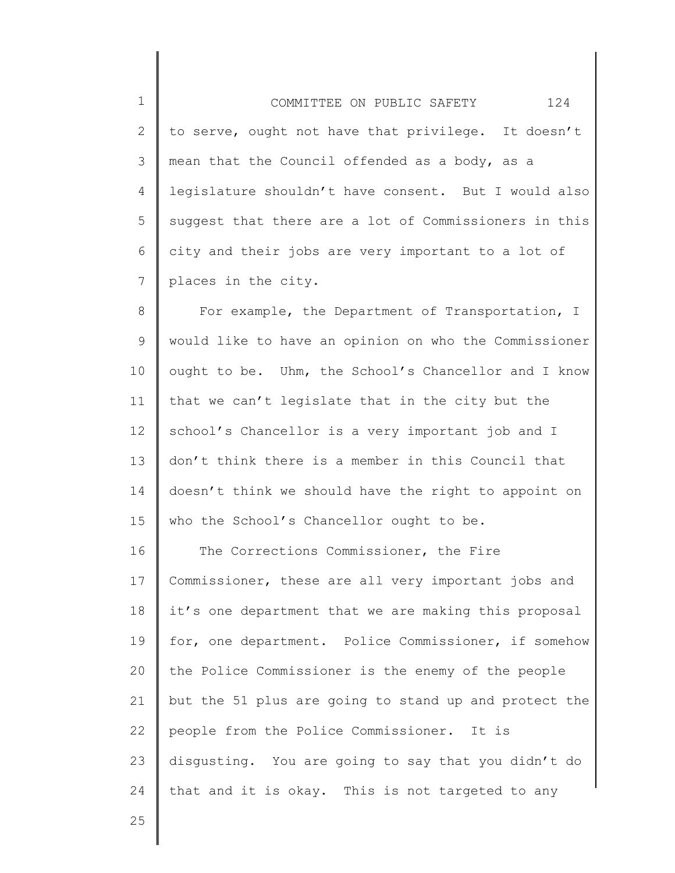1 2 3 4 5 6 7 COMMITTEE ON PUBLIC SAFETY 124 to serve, ought not have that privilege. It doesn't mean that the Council offended as a body, as a legislature shouldn't have consent. But I would also suggest that there are a lot of Commissioners in this city and their jobs are very important to a lot of places in the city.

8 9 10 11 12 13 14 15 For example, the Department of Transportation, I would like to have an opinion on who the Commissioner ought to be. Uhm, the School's Chancellor and I know that we can't legislate that in the city but the school's Chancellor is a very important job and I don't think there is a member in this Council that doesn't think we should have the right to appoint on who the School's Chancellor ought to be.

16 17 18 19 20 21 22 23 24 The Corrections Commissioner, the Fire Commissioner, these are all very important jobs and it's one department that we are making this proposal for, one department. Police Commissioner, if somehow the Police Commissioner is the enemy of the people but the 51 plus are going to stand up and protect the people from the Police Commissioner. It is disgusting. You are going to say that you didn't do that and it is okay. This is not targeted to any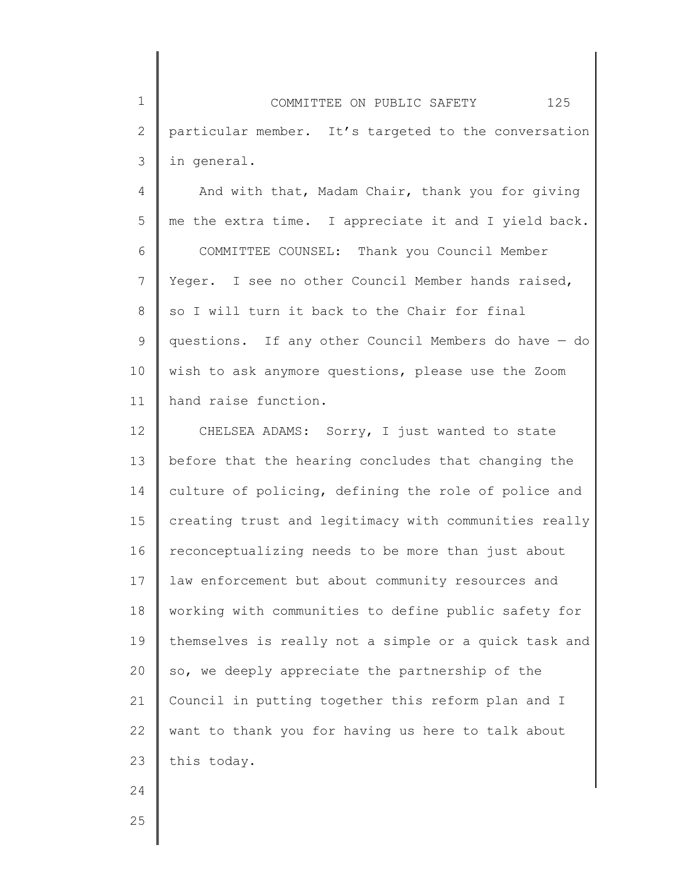1 2 3 COMMITTEE ON PUBLIC SAFETY 125 particular member. It's targeted to the conversation in general.

4 5 6 7 8 9 10 11 And with that, Madam Chair, thank you for giving me the extra time. I appreciate it and I yield back. COMMITTEE COUNSEL: Thank you Council Member Yeger. I see no other Council Member hands raised, so I will turn it back to the Chair for final questions. If any other Council Members do have — do wish to ask anymore questions, please use the Zoom hand raise function.

12 13 14 15 16 17 18 19 20 21 22 23 CHELSEA ADAMS: Sorry, I just wanted to state before that the hearing concludes that changing the culture of policing, defining the role of police and creating trust and legitimacy with communities really reconceptualizing needs to be more than just about law enforcement but about community resources and working with communities to define public safety for themselves is really not a simple or a quick task and so, we deeply appreciate the partnership of the Council in putting together this reform plan and I want to thank you for having us here to talk about this today.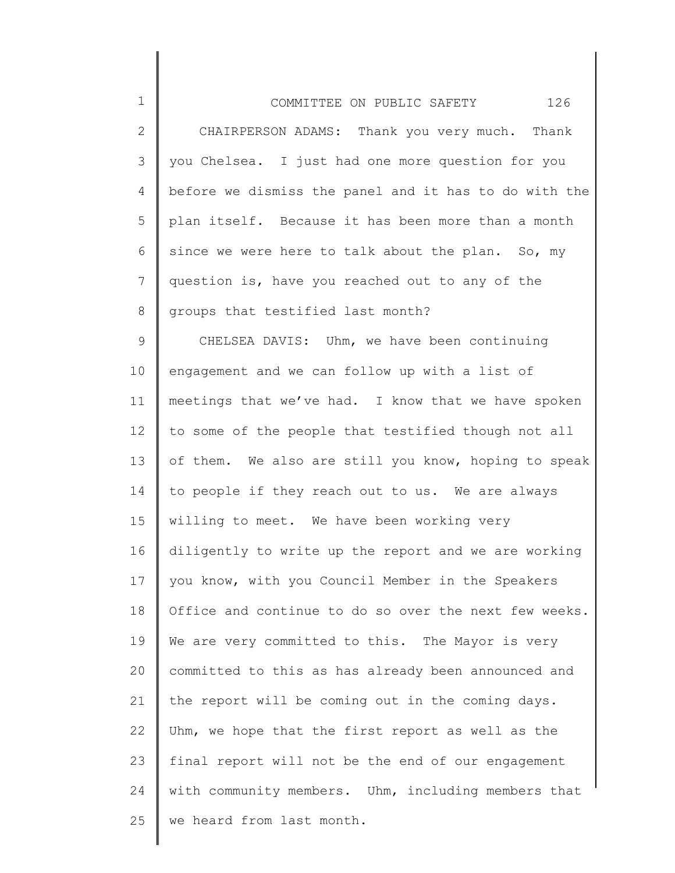| $\mathbf 1$  | 126<br>COMMITTEE ON PUBLIC SAFETY                     |
|--------------|-------------------------------------------------------|
| $\mathbf{2}$ | CHAIRPERSON ADAMS: Thank you very much. Thank         |
| 3            | you Chelsea. I just had one more question for you     |
| 4            | before we dismiss the panel and it has to do with the |
| 5            | plan itself. Because it has been more than a month    |
| 6            | since we were here to talk about the plan. So, my     |
| 7            | question is, have you reached out to any of the       |
| 8            | groups that testified last month?                     |
| 9            | CHELSEA DAVIS: Uhm, we have been continuing           |
| 10           | engagement and we can follow up with a list of        |
| 11           | meetings that we've had. I know that we have spoken   |
| 12           | to some of the people that testified though not all   |
| 13           | of them. We also are still you know, hoping to speak  |
| 14           | to people if they reach out to us. We are always      |
| 15           | willing to meet. We have been working very            |
| 16           | diligently to write up the report and we are working  |
| 17           | you know, with you Council Member in the Speakers     |
| 18           | Office and continue to do so over the next few weeks. |
| 19           | We are very committed to this. The Mayor is very      |
| 20           | committed to this as has already been announced and   |
| 21           | the report will be coming out in the coming days.     |
| 22           | Uhm, we hope that the first report as well as the     |
| 23           | final report will not be the end of our engagement    |
| 24           | with community members. Uhm, including members that   |
| 25           | we heard from last month.                             |
|              |                                                       |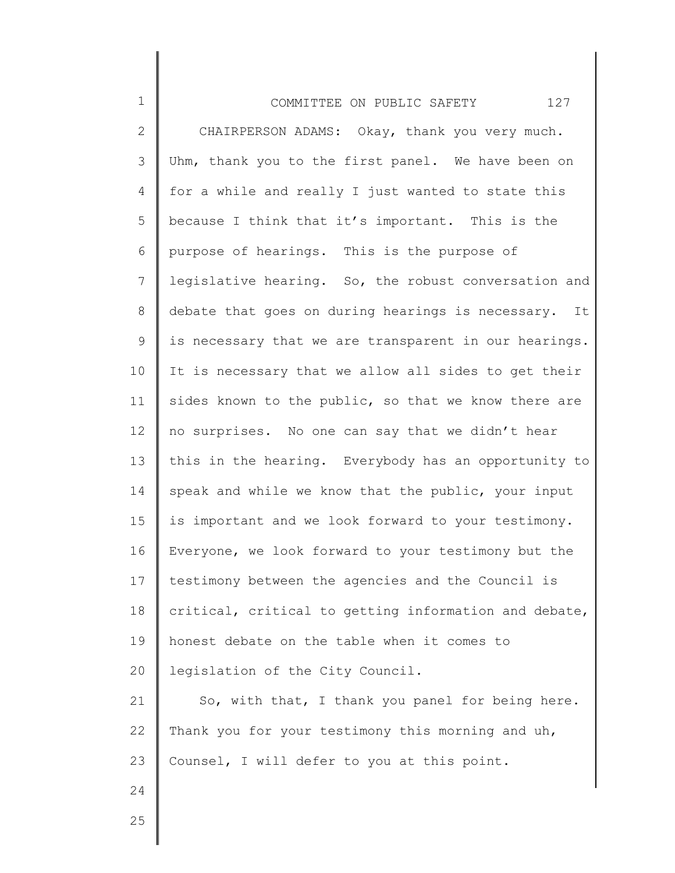| $\mathbf 1$    | 127<br>COMMITTEE ON PUBLIC SAFETY                     |
|----------------|-------------------------------------------------------|
| $\mathbf{2}$   | CHAIRPERSON ADAMS: Okay, thank you very much.         |
| 3              | Uhm, thank you to the first panel. We have been on    |
| 4              | for a while and really I just wanted to state this    |
| 5              | because I think that it's important. This is the      |
| 6              | purpose of hearings. This is the purpose of           |
| $\overline{7}$ | legislative hearing. So, the robust conversation and  |
| $8\,$          | debate that goes on during hearings is necessary. It  |
| $\mathsf 9$    | is necessary that we are transparent in our hearings. |
| 10             | It is necessary that we allow all sides to get their  |
| 11             | sides known to the public, so that we know there are  |
| 12             | no surprises. No one can say that we didn't hear      |
| 13             | this in the hearing. Everybody has an opportunity to  |
| 14             | speak and while we know that the public, your input   |
| 15             | is important and we look forward to your testimony.   |
| 16             | Everyone, we look forward to your testimony but the   |
| 17             | testimony between the agencies and the Council is     |
| 18             | critical, critical to getting information and debate, |
| 19             | honest debate on the table when it comes to           |
| 20             | legislation of the City Council.                      |
| 21             | So, with that, I thank you panel for being here.      |
| 22             | Thank you for your testimony this morning and uh,     |
| 23             | Counsel, I will defer to you at this point.           |
| 24             |                                                       |
| クら             |                                                       |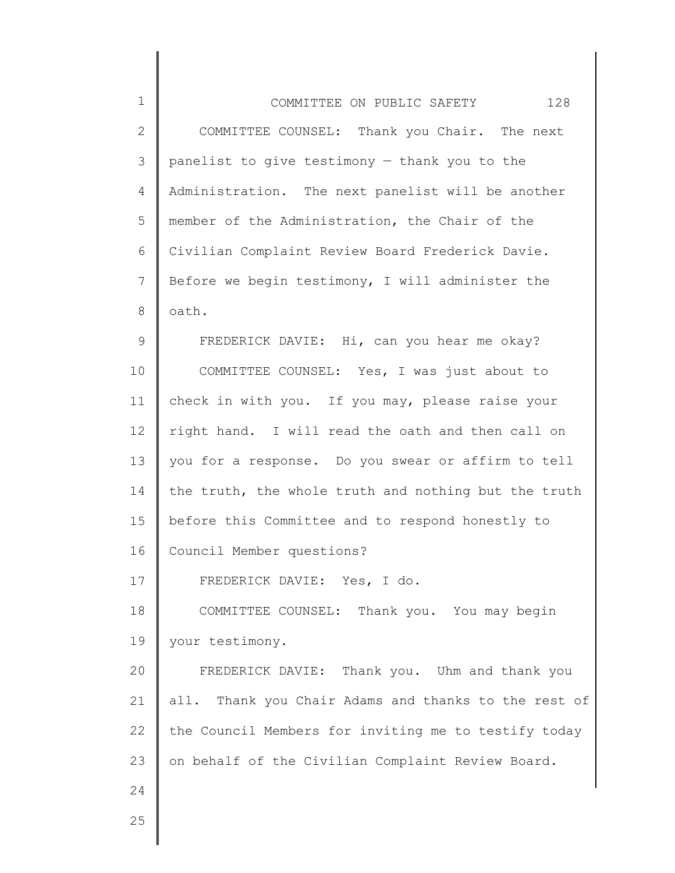| $\mathbf 1$    | 128<br>COMMITTEE ON PUBLIC SAFETY                    |
|----------------|------------------------------------------------------|
| $\mathbf{2}$   | COMMITTEE COUNSEL: Thank you Chair. The next         |
| 3              | panelist to give testimony - thank you to the        |
| 4              | Administration. The next panelist will be another    |
| 5              | member of the Administration, the Chair of the       |
| 6              | Civilian Complaint Review Board Frederick Davie.     |
| $\overline{7}$ | Before we begin testimony, I will administer the     |
| 8              | oath.                                                |
| 9              | FREDERICK DAVIE: Hi, can you hear me okay?           |
| 10             | COMMITTEE COUNSEL: Yes, I was just about to          |
| 11             | check in with you. If you may, please raise your     |
| 12             | right hand. I will read the oath and then call on    |
| 13             | you for a response. Do you swear or affirm to tell   |
| 14             | the truth, the whole truth and nothing but the truth |
| 15             | before this Committee and to respond honestly to     |
| 16             | Council Member questions?                            |
| 17             | FREDERICK DAVIE: Yes, I do.                          |
| 18             | COMMITTEE COUNSEL: Thank you. You may begin          |
| 19             | your testimony.                                      |
| 20             | FREDERICK DAVIE: Thank you. Uhm and thank you        |
| 21             | all. Thank you Chair Adams and thanks to the rest of |
| 22             | the Council Members for inviting me to testify today |
| 23             | on behalf of the Civilian Complaint Review Board.    |
| 24             |                                                      |
| 25             |                                                      |
|                |                                                      |

 $\mathsf I$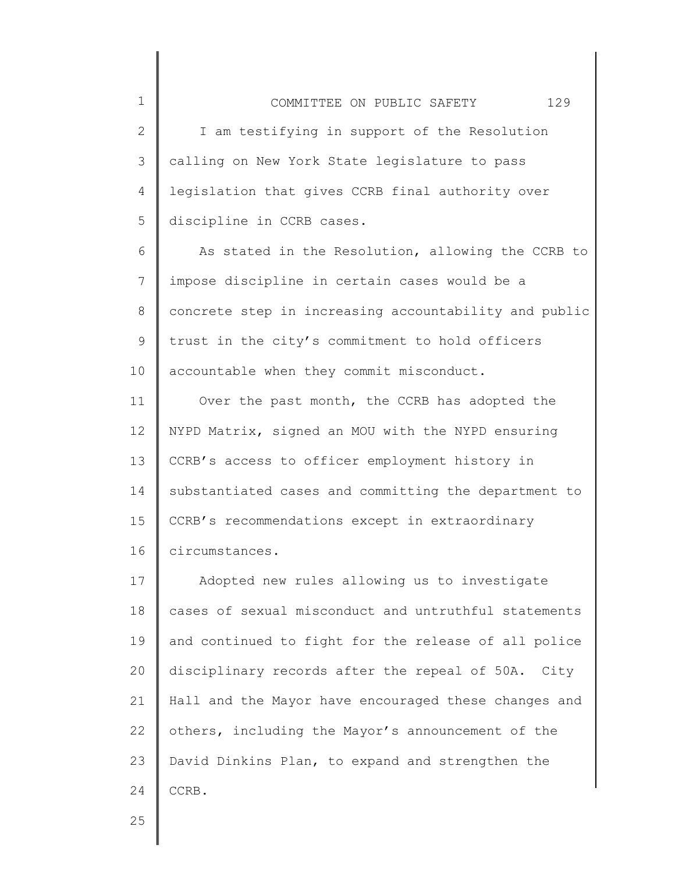2 3 4 5 I am testifying in support of the Resolution calling on New York State legislature to pass legislation that gives CCRB final authority over discipline in CCRB cases.

6 7 8 9 10 As stated in the Resolution, allowing the CCRB to impose discipline in certain cases would be a concrete step in increasing accountability and public trust in the city's commitment to hold officers accountable when they commit misconduct.

11 12 13 14 15 16 Over the past month, the CCRB has adopted the NYPD Matrix, signed an MOU with the NYPD ensuring CCRB's access to officer employment history in substantiated cases and committing the department to CCRB's recommendations except in extraordinary circumstances.

17 18 19 20 21 22 23 24 Adopted new rules allowing us to investigate cases of sexual misconduct and untruthful statements and continued to fight for the release of all police disciplinary records after the repeal of 50A. City Hall and the Mayor have encouraged these changes and others, including the Mayor's announcement of the David Dinkins Plan, to expand and strengthen the CCRB.

25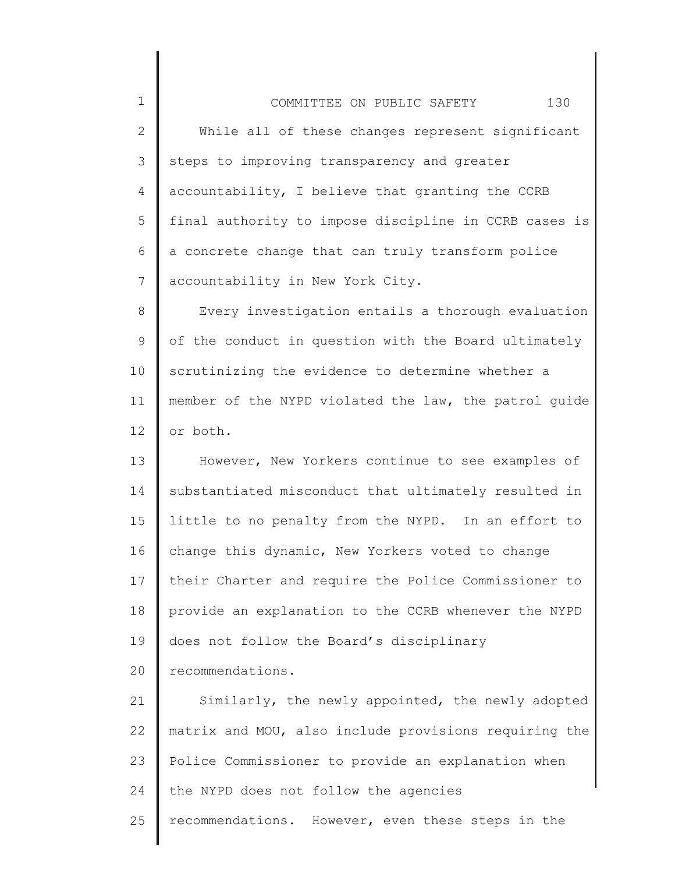1 2 3 4 5 6 7 8 9 10 11 12 13 14 15 16 17 18 19 20 21 22 23 24 COMMITTEE ON PUBLIC SAFETY 130 While all of these changes represent significant steps to improving transparency and greater accountability, I believe that granting the CCRB final authority to impose discipline in CCRB cases is a concrete change that can truly transform police accountability in New York City. Every investigation entails a thorough evaluation of the conduct in question with the Board ultimately scrutinizing the evidence to determine whether a member of the NYPD violated the law, the patrol guide or both. However, New Yorkers continue to see examples of substantiated misconduct that ultimately resulted in little to no penalty from the NYPD. In an effort to change this dynamic, New Yorkers voted to change their Charter and require the Police Commissioner to provide an explanation to the CCRB whenever the NYPD does not follow the Board's disciplinary recommendations. Similarly, the newly appointed, the newly adopted matrix and MOU, also include provisions requiring the Police Commissioner to provide an explanation when the NYPD does not follow the agencies

25 recommendations. However, even these steps in the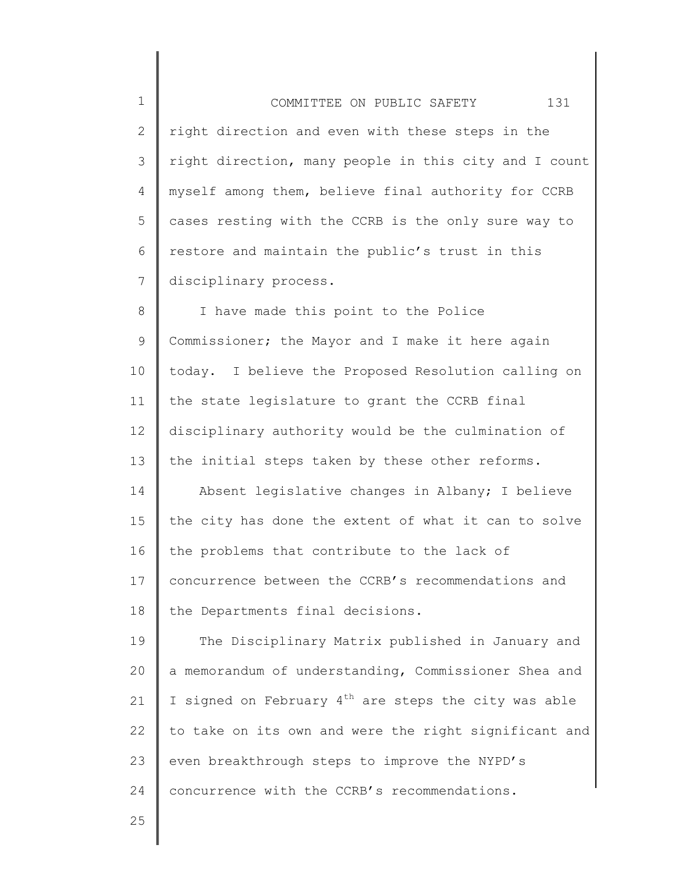1 2 3 4 5 6 7 COMMITTEE ON PUBLIC SAFETY 131 right direction and even with these steps in the right direction, many people in this city and I count myself among them, believe final authority for CCRB cases resting with the CCRB is the only sure way to restore and maintain the public's trust in this disciplinary process.

8 9 10 11 12 13 14 15 16 17 18 I have made this point to the Police Commissioner; the Mayor and I make it here again today. I believe the Proposed Resolution calling on the state legislature to grant the CCRB final disciplinary authority would be the culmination of the initial steps taken by these other reforms. Absent legislative changes in Albany; I believe the city has done the extent of what it can to solve the problems that contribute to the lack of concurrence between the CCRB's recommendations and the Departments final decisions.

19 20 21 22 23 24 The Disciplinary Matrix published in January and a memorandum of understanding, Commissioner Shea and I signed on February  $4<sup>th</sup>$  are steps the city was able to take on its own and were the right significant and even breakthrough steps to improve the NYPD's concurrence with the CCRB's recommendations.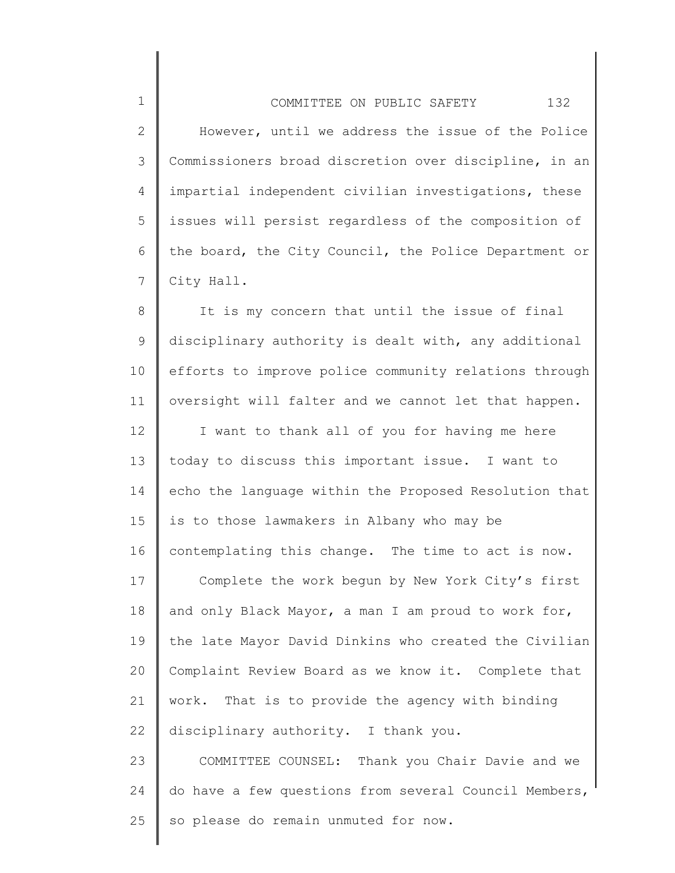2 3 4 5 6 7 However, until we address the issue of the Police Commissioners broad discretion over discipline, in an impartial independent civilian investigations, these issues will persist regardless of the composition of the board, the City Council, the Police Department or City Hall.

1

8 9 10 11 It is my concern that until the issue of final disciplinary authority is dealt with, any additional efforts to improve police community relations through oversight will falter and we cannot let that happen.

12 13 14 15 16 I want to thank all of you for having me here today to discuss this important issue. I want to echo the language within the Proposed Resolution that is to those lawmakers in Albany who may be contemplating this change. The time to act is now.

17 18 19 20 21 22 Complete the work begun by New York City's first and only Black Mayor, a man I am proud to work for, the late Mayor David Dinkins who created the Civilian Complaint Review Board as we know it. Complete that work. That is to provide the agency with binding disciplinary authority. I thank you.

23 24 25 COMMITTEE COUNSEL: Thank you Chair Davie and we do have a few questions from several Council Members, so please do remain unmuted for now.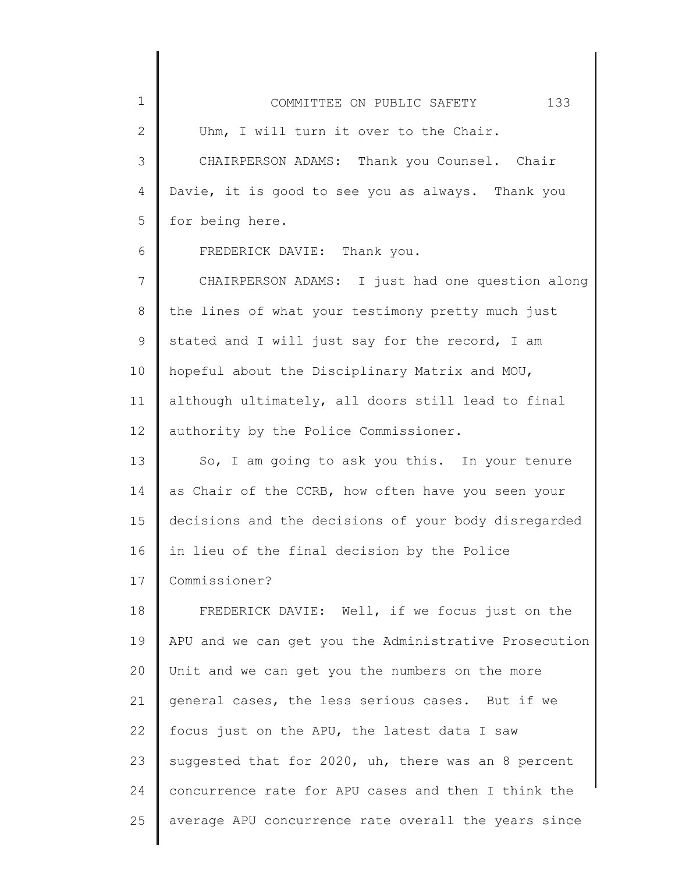| $\mathbf 1$  | 133<br>COMMITTEE ON PUBLIC SAFETY                     |
|--------------|-------------------------------------------------------|
| $\mathbf{2}$ | Uhm, I will turn it over to the Chair.                |
| 3            | CHAIRPERSON ADAMS: Thank you Counsel. Chair           |
| 4            | Davie, it is good to see you as always. Thank you     |
| 5            | for being here.                                       |
| 6            | FREDERICK DAVIE: Thank you.                           |
| 7            | CHAIRPERSON ADAMS: I just had one question along      |
| 8            | the lines of what your testimony pretty much just     |
| 9            | stated and I will just say for the record, I am       |
| 10           | hopeful about the Disciplinary Matrix and MOU,        |
| 11           | although ultimately, all doors still lead to final    |
| 12           | authority by the Police Commissioner.                 |
| 13           | So, I am going to ask you this. In your tenure        |
| 14           | as Chair of the CCRB, how often have you seen your    |
| 15           | decisions and the decisions of your body disregarded  |
| 16           | in lieu of the final decision by the Police           |
| 17           | Commissioner?                                         |
| 18           | FREDERICK DAVIE: Well, if we focus just on the        |
| 19           | APU and we can get you the Administrative Prosecution |
| 20           | Unit and we can get you the numbers on the more       |
| 21           | general cases, the less serious cases. But if we      |
| 22           | focus just on the APU, the latest data I saw          |
| 23           | suggested that for 2020, uh, there was an 8 percent   |
| 24           | concurrence rate for APU cases and then I think the   |
| 25           | average APU concurrence rate overall the years since  |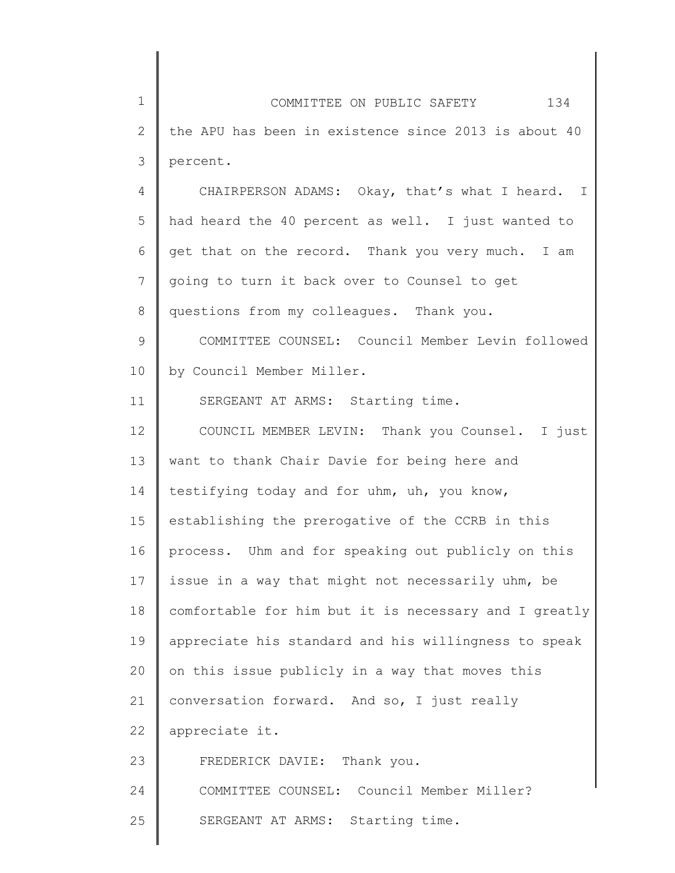| $\mathbf 1$    | COMMITTEE ON PUBLIC SAFETY 134                        |
|----------------|-------------------------------------------------------|
| $\mathbf{2}$   | the APU has been in existence since 2013 is about 40  |
| 3              | percent.                                              |
| $\overline{4}$ | CHAIRPERSON ADAMS: Okay, that's what I heard. I       |
| 5              | had heard the 40 percent as well. I just wanted to    |
| 6              | get that on the record. Thank you very much. I am     |
| $7\phantom{.}$ | going to turn it back over to Counsel to get          |
| $8\,$          | questions from my colleagues. Thank you.              |
| $\mathsf 9$    | COMMITTEE COUNSEL: Council Member Levin followed      |
| 10             | by Council Member Miller.                             |
| 11             | SERGEANT AT ARMS: Starting time.                      |
| 12             | COUNCIL MEMBER LEVIN: Thank you Counsel. I just       |
| 13             | want to thank Chair Davie for being here and          |
| 14             | testifying today and for uhm, uh, you know,           |
| 15             | establishing the prerogative of the CCRB in this      |
| 16             | process. Uhm and for speaking out publicly on this    |
| 17             | issue in a way that might not necessarily uhm, be     |
| 18             | comfortable for him but it is necessary and I greatly |
| 19             | appreciate his standard and his willingness to speak  |
| 20             | on this issue publicly in a way that moves this       |
| 21             | conversation forward. And so, I just really           |
| 22             | appreciate it.                                        |
| 23             | FREDERICK DAVIE:<br>Thank you.                        |
| 24             | COMMITTEE COUNSEL: Council Member Miller?             |
| 25             | SERGEANT AT ARMS: Starting time.                      |
|                |                                                       |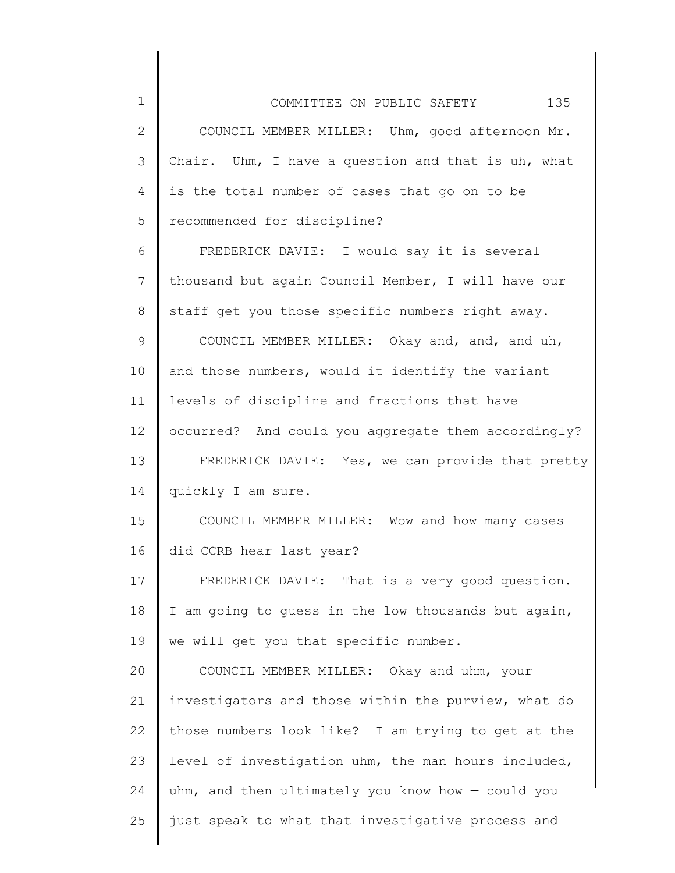| $\mathbf 1$    | 135<br>COMMITTEE ON PUBLIC SAFETY                   |
|----------------|-----------------------------------------------------|
| $\mathbf{2}$   | COUNCIL MEMBER MILLER: Uhm, good afternoon Mr.      |
| 3              | Chair. Uhm, I have a question and that is uh, what  |
| 4              | is the total number of cases that go on to be       |
| 5              | recommended for discipline?                         |
| 6              | FREDERICK DAVIE: I would say it is several          |
| $\overline{7}$ | thousand but again Council Member, I will have our  |
| $8\,$          | staff get you those specific numbers right away.    |
| $\mathsf 9$    | COUNCIL MEMBER MILLER: Okay and, and, and uh,       |
| 10             | and those numbers, would it identify the variant    |
| 11             | levels of discipline and fractions that have        |
| 12             | occurred? And could you aggregate them accordingly? |
| 13             | FREDERICK DAVIE: Yes, we can provide that pretty    |
| 14             | quickly I am sure.                                  |
| 15             | COUNCIL MEMBER MILLER: Wow and how many cases       |
| 16             | did CCRB hear last year?                            |
| 17             | FREDERICK DAVIE: That is a very good question.      |
| 18             | I am going to guess in the low thousands but again, |
| 19             | we will get you that specific number.               |
| 20             | COUNCIL MEMBER MILLER: Okay and uhm, your           |
| 21             | investigators and those within the purview, what do |
| 22             | those numbers look like? I am trying to get at the  |
| 23             | level of investigation uhm, the man hours included, |
| 24             | uhm, and then ultimately you know how - could you   |
| 25             | just speak to what that investigative process and   |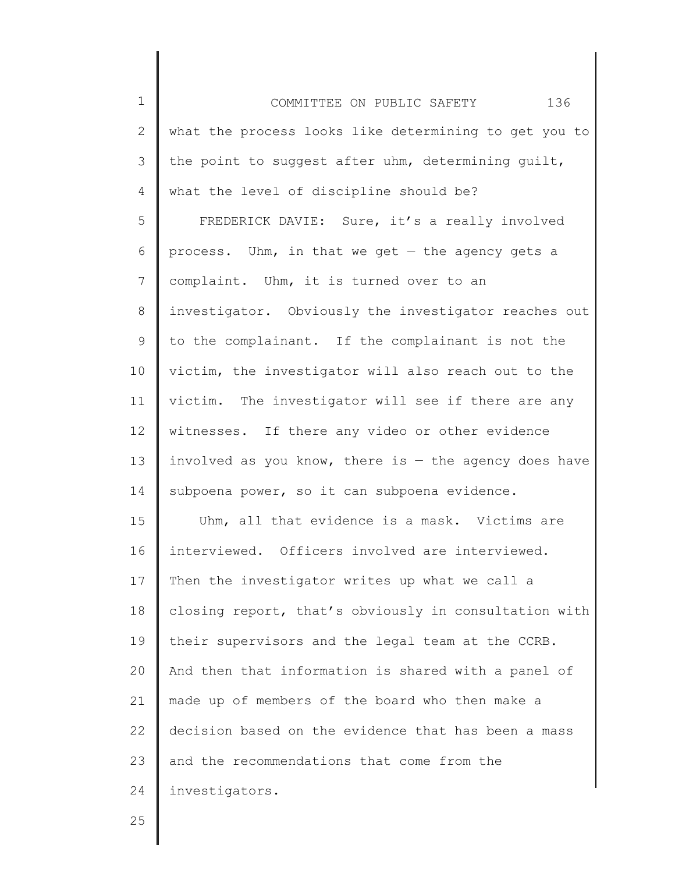1 2 3 4 5 6 7 8 9 10 11 12 13 14 15 16 17 18 19 20 21 22 23 24 COMMITTEE ON PUBLIC SAFETY 136 what the process looks like determining to get you to the point to suggest after uhm, determining guilt, what the level of discipline should be? FREDERICK DAVIE: Sure, it's a really involved process. Uhm, in that we get  $-$  the agency gets a complaint. Uhm, it is turned over to an investigator. Obviously the investigator reaches out to the complainant. If the complainant is not the victim, the investigator will also reach out to the victim. The investigator will see if there are any witnesses. If there any video or other evidence involved as you know, there is  $-$  the agency does have subpoena power, so it can subpoena evidence. Uhm, all that evidence is a mask. Victims are interviewed. Officers involved are interviewed. Then the investigator writes up what we call a closing report, that's obviously in consultation with their supervisors and the legal team at the CCRB. And then that information is shared with a panel of made up of members of the board who then make a decision based on the evidence that has been a mass and the recommendations that come from the investigators.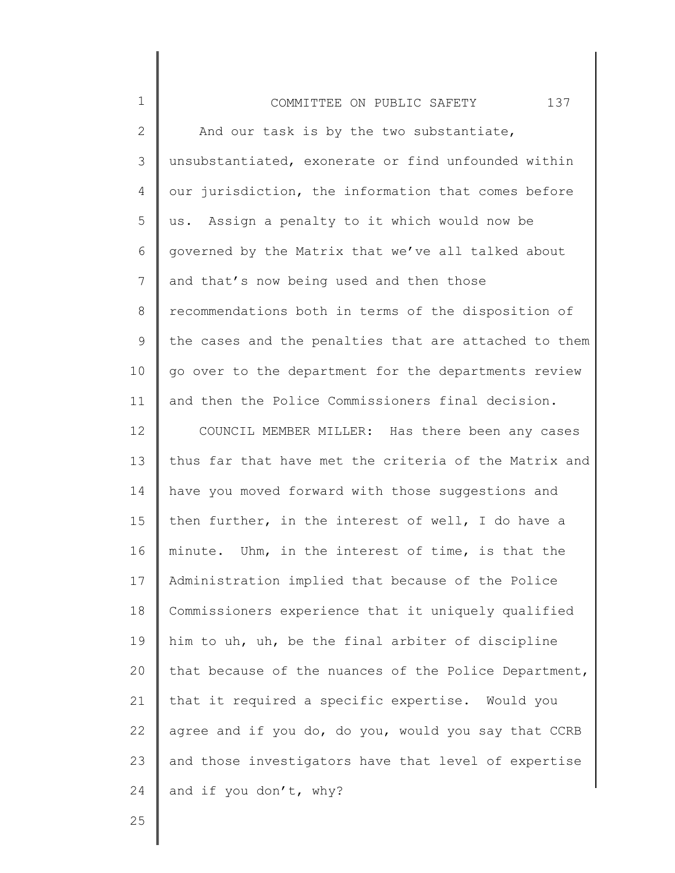| $\mathbf 1$     | 137<br>COMMITTEE ON PUBLIC SAFETY                     |
|-----------------|-------------------------------------------------------|
| 2               | And our task is by the two substantiate,              |
| 3               | unsubstantiated, exonerate or find unfounded within   |
| 4               | our jurisdiction, the information that comes before   |
| 5               | us. Assign a penalty to it which would now be         |
| 6               | governed by the Matrix that we've all talked about    |
| $7\phantom{.0}$ | and that's now being used and then those              |
| 8               | recommendations both in terms of the disposition of   |
| 9               | the cases and the penalties that are attached to them |
| 10              | go over to the department for the departments review  |
| 11              | and then the Police Commissioners final decision.     |
| 12              | COUNCIL MEMBER MILLER: Has there been any cases       |
| 13              | thus far that have met the criteria of the Matrix and |
| 14              | have you moved forward with those suggestions and     |
| 15              | then further, in the interest of well, I do have a    |
| 16              | minute. Uhm, in the interest of time, is that the     |
| 17              | Administration implied that because of the Police     |
| 18              | Commissioners experience that it uniquely qualified   |
| 19              | him to uh, uh, be the final arbiter of discipline     |
| 20              | that because of the nuances of the Police Department, |
| 21              | that it required a specific expertise. Would you      |
| 22              | agree and if you do, do you, would you say that CCRB  |
| 23              | and those investigators have that level of expertise  |
| 24              | and if you don't, why?                                |
|                 |                                                       |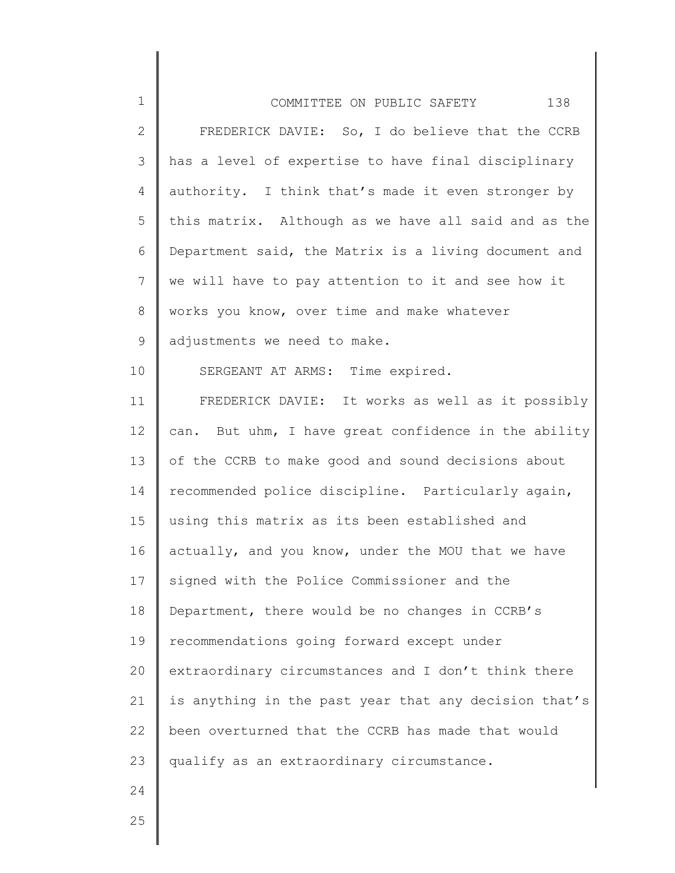| $\mathbf 1$     | 138<br>COMMITTEE ON PUBLIC SAFETY                     |
|-----------------|-------------------------------------------------------|
| $\mathbf{2}$    | FREDERICK DAVIE: So, I do believe that the CCRB       |
| 3               | has a level of expertise to have final disciplinary   |
| 4               | authority. I think that's made it even stronger by    |
| 5               | this matrix. Although as we have all said and as the  |
| 6               | Department said, the Matrix is a living document and  |
| $7\phantom{.0}$ | we will have to pay attention to it and see how it    |
| 8               | works you know, over time and make whatever           |
| 9               | adjustments we need to make.                          |
| 10              | SERGEANT AT ARMS: Time expired.                       |
| 11              | FREDERICK DAVIE: It works as well as it possibly      |
| 12              | can. But uhm, I have great confidence in the ability  |
| 13              | of the CCRB to make good and sound decisions about    |
| 14              | recommended police discipline. Particularly again,    |
| 15              | using this matrix as its been established and         |
| 16              | actually, and you know, under the MOU that we have    |
| 17              | signed with the Police Commissioner and the           |
| 18              | Department, there would be no changes in CCRB's       |
| 19              | recommendations going forward except under            |
| 20              | extraordinary circumstances and I don't think there   |
| 21              | is anything in the past year that any decision that's |
| 22              | been overturned that the CCRB has made that would     |
| 23              | qualify as an extraordinary circumstance.             |
| 24              |                                                       |
|                 |                                                       |

║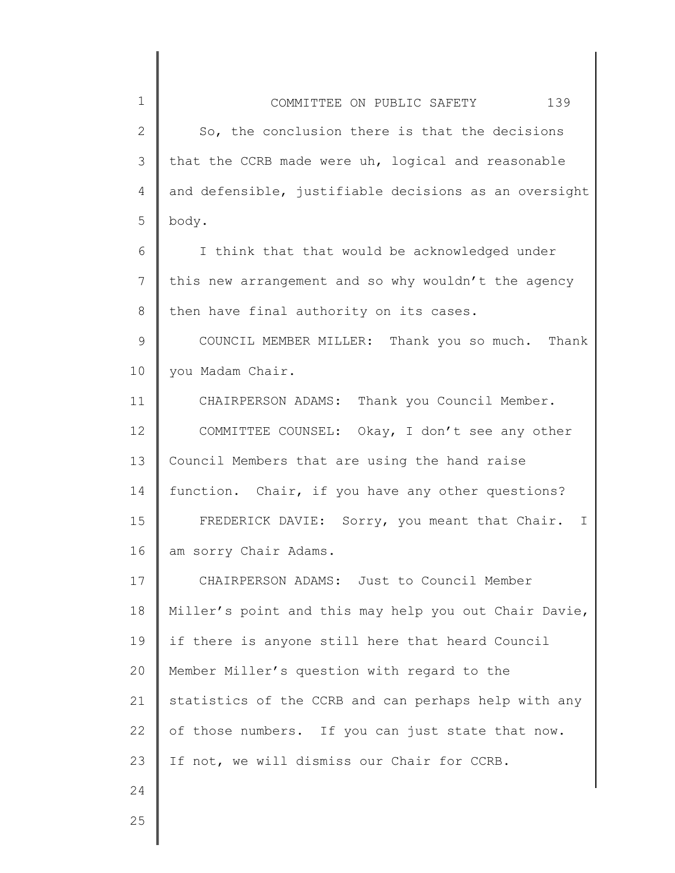| COMMITTEE ON PUBLIC SAFETY                            | 139 |
|-------------------------------------------------------|-----|
| So, the conclusion there is that the decisions        |     |
| that the CCRB made were uh, logical and reasonable    |     |
| and defensible, justifiable decisions as an oversight |     |

body.

1

2

3

4

5

6 7 8 I think that that would be acknowledged under this new arrangement and so why wouldn't the agency then have final authority on its cases.

9 10 COUNCIL MEMBER MILLER: Thank you so much. Thank you Madam Chair.

11 12 13 14 15 16 CHAIRPERSON ADAMS: Thank you Council Member. COMMITTEE COUNSEL: Okay, I don't see any other Council Members that are using the hand raise function. Chair, if you have any other questions? FREDERICK DAVIE: Sorry, you meant that Chair. I am sorry Chair Adams.

17 18 19 20 21 22 23 CHAIRPERSON ADAMS: Just to Council Member Miller's point and this may help you out Chair Davie, if there is anyone still here that heard Council Member Miller's question with regard to the statistics of the CCRB and can perhaps help with any of those numbers. If you can just state that now. If not, we will dismiss our Chair for CCRB.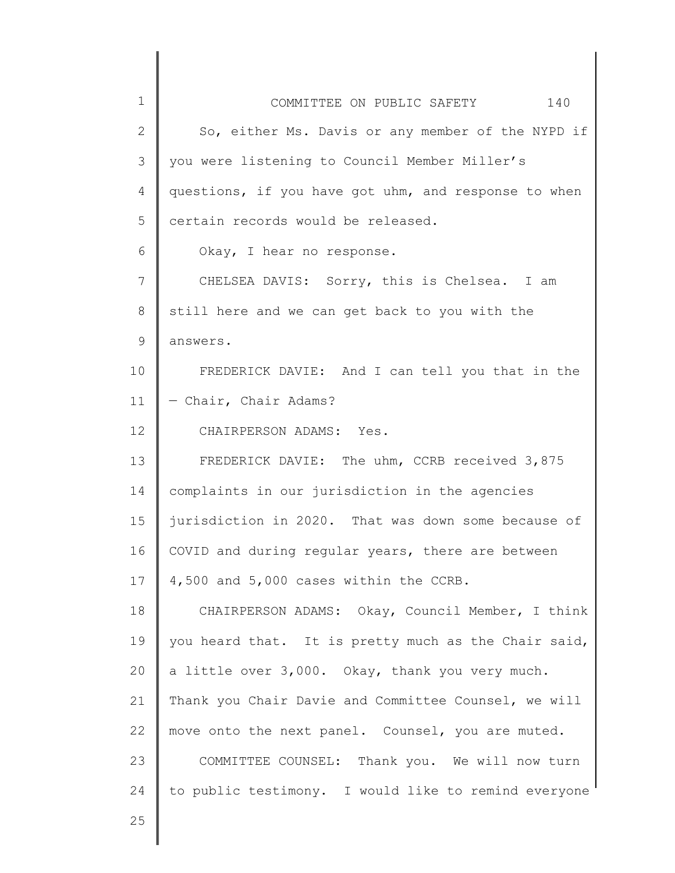| $\mathbf 1$     | COMMITTEE ON PUBLIC SAFETY<br>140                    |
|-----------------|------------------------------------------------------|
| $\mathbf{2}$    | So, either Ms. Davis or any member of the NYPD if    |
| 3               | you were listening to Council Member Miller's        |
| 4               | questions, if you have got uhm, and response to when |
| 5               | certain records would be released.                   |
| 6               | Okay, I hear no response.                            |
| 7               | CHELSEA DAVIS: Sorry, this is Chelsea. I am          |
| 8               | still here and we can get back to you with the       |
| 9               | answers.                                             |
| 10              | FREDERICK DAVIE: And I can tell you that in the      |
| 11              | - Chair, Chair Adams?                                |
| 12 <sup>°</sup> | CHAIRPERSON ADAMS: Yes.                              |
| 13              | FREDERICK DAVIE: The uhm, CCRB received 3,875        |
| 14              | complaints in our jurisdiction in the agencies       |
| 15              | jurisdiction in 2020. That was down some because of  |
| 16              | COVID and during regular years, there are between    |
| 17              | 4,500 and 5,000 cases within the CCRB.               |
| 18              | CHAIRPERSON ADAMS: Okay, Council Member, I think     |
| 19              | you heard that. It is pretty much as the Chair said, |
| 20              | a little over 3,000. Okay, thank you very much.      |
| 21              | Thank you Chair Davie and Committee Counsel, we will |
| 22              | move onto the next panel. Counsel, you are muted.    |
| 23              | COMMITTEE COUNSEL: Thank you. We will now turn       |
| 24              | to public testimony. I would like to remind everyone |
| 25              |                                                      |
|                 |                                                      |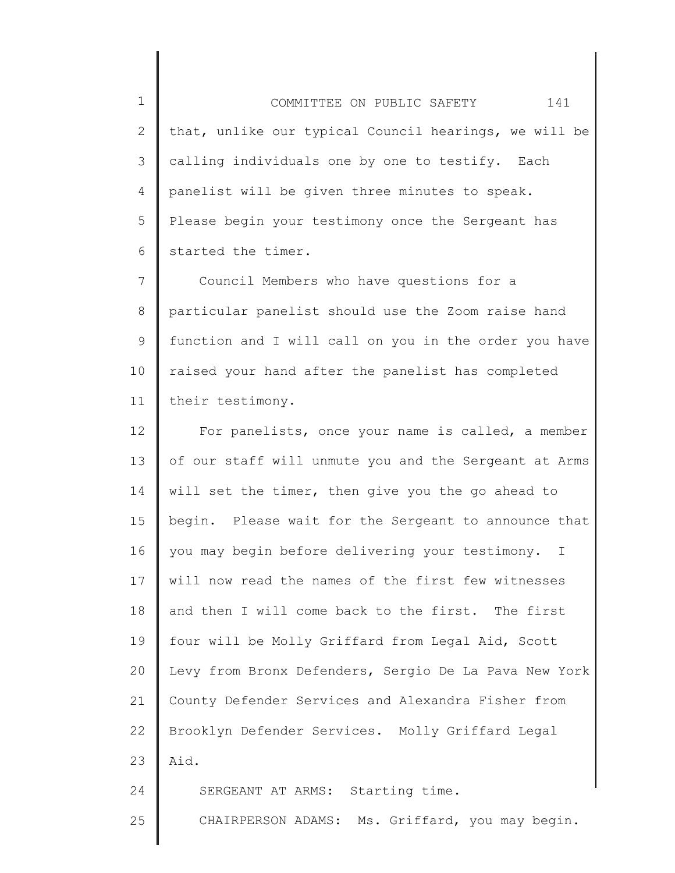1 2 3 4 5 6 COMMITTEE ON PUBLIC SAFETY 141 that, unlike our typical Council hearings, we will be calling individuals one by one to testify. Each panelist will be given three minutes to speak. Please begin your testimony once the Sergeant has started the timer.

7 8 9 10 11 Council Members who have questions for a particular panelist should use the Zoom raise hand function and I will call on you in the order you have raised your hand after the panelist has completed their testimony.

12 13 14 15 16 17 18 19 20 21 22 23 24 For panelists, once your name is called, a member of our staff will unmute you and the Sergeant at Arms will set the timer, then give you the go ahead to begin. Please wait for the Sergeant to announce that you may begin before delivering your testimony. I will now read the names of the first few witnesses and then I will come back to the first. The first four will be Molly Griffard from Legal Aid, Scott Levy from Bronx Defenders, Sergio De La Pava New York County Defender Services and Alexandra Fisher from Brooklyn Defender Services. Molly Griffard Legal Aid. SERGEANT AT ARMS: Starting time.

25 CHAIRPERSON ADAMS: Ms. Griffard, you may begin.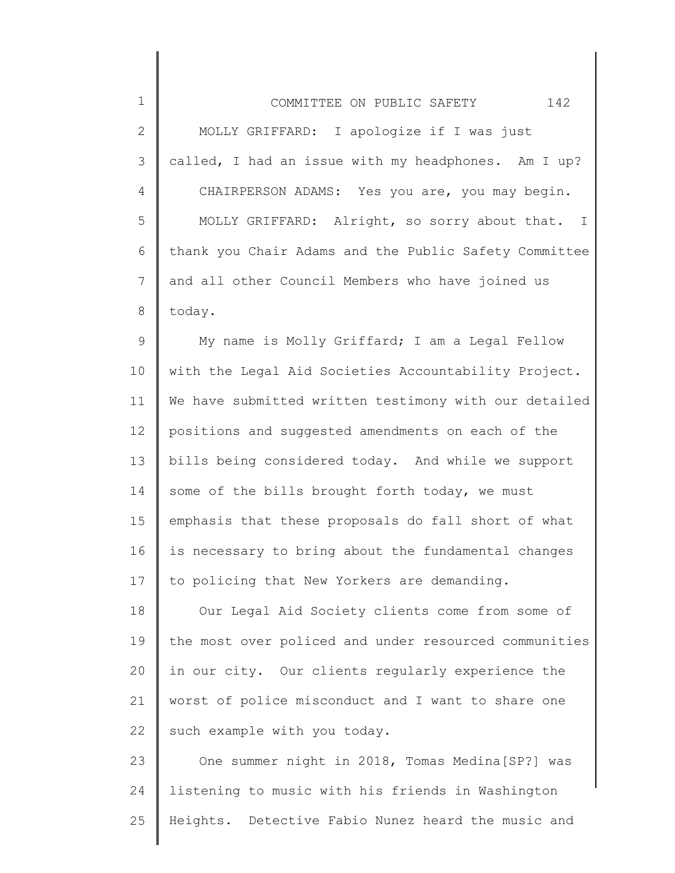| $\mathbf 1$    | 142<br>COMMITTEE ON PUBLIC SAFETY                     |
|----------------|-------------------------------------------------------|
| $\mathbf{2}$   | MOLLY GRIFFARD: I apologize if I was just             |
| $\mathcal{S}$  | called, I had an issue with my headphones. Am I up?   |
| $\overline{4}$ | CHAIRPERSON ADAMS: Yes you are, you may begin.        |
| 5              | MOLLY GRIFFARD: Alright, so sorry about that. I       |
| 6              | thank you Chair Adams and the Public Safety Committee |
| 7              | and all other Council Members who have joined us      |
| 8              | today.                                                |
| $\mathsf 9$    | My name is Molly Griffard; I am a Legal Fellow        |
| 10             | with the Legal Aid Societies Accountability Project.  |
| 11             | We have submitted written testimony with our detailed |
| 12             | positions and suggested amendments on each of the     |
| 13             | bills being considered today. And while we support    |
| 14             | some of the bills brought forth today, we must        |
| 15             | emphasis that these proposals do fall short of what   |
| 16             | is necessary to bring about the fundamental changes   |
| 17             | to policing that New Yorkers are demanding.           |
| 18             | Our Legal Aid Society clients come from some of       |
| 19             | the most over policed and under resourced communities |
| 20             | in our city. Our clients regularly experience the     |
| 21             | worst of police misconduct and I want to share one    |
| 22             | such example with you today.                          |
| 23             | One summer night in 2018, Tomas Medina [SP?] was      |
| 24             | listening to music with his friends in Washington     |
| 25             | Heights. Detective Fabio Nunez heard the music and    |

 $\mathsf{l}$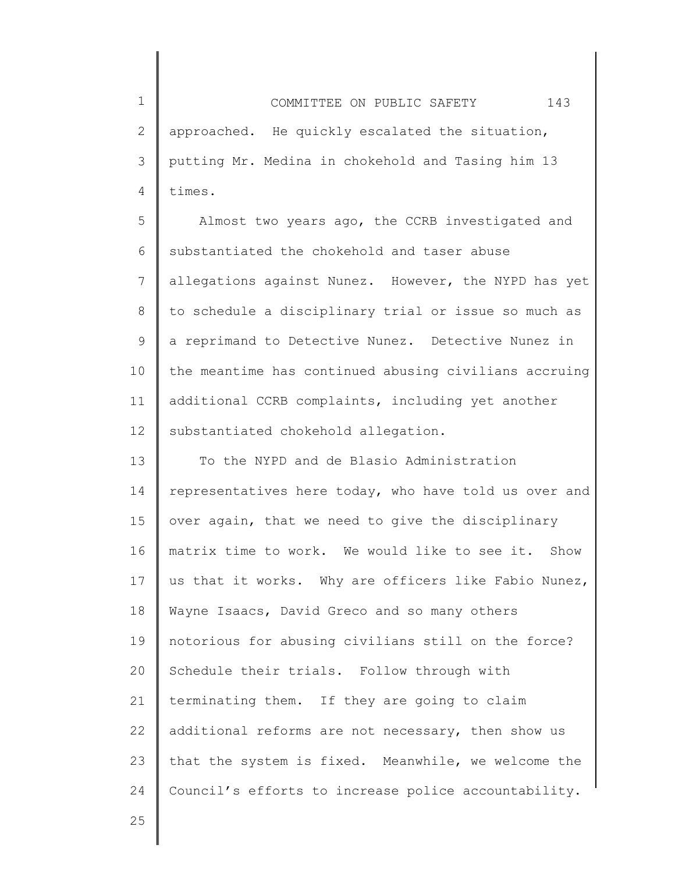1 2 3 4 COMMITTEE ON PUBLIC SAFETY 143 approached. He quickly escalated the situation, putting Mr. Medina in chokehold and Tasing him 13 times.

5 6 7 8 9 10 11 12 Almost two years ago, the CCRB investigated and substantiated the chokehold and taser abuse allegations against Nunez. However, the NYPD has yet to schedule a disciplinary trial or issue so much as a reprimand to Detective Nunez. Detective Nunez in the meantime has continued abusing civilians accruing additional CCRB complaints, including yet another substantiated chokehold allegation.

13 14 15 16 17 18 19 20 21 22 23 24 To the NYPD and de Blasio Administration representatives here today, who have told us over and over again, that we need to give the disciplinary matrix time to work. We would like to see it. Show us that it works. Why are officers like Fabio Nunez, Wayne Isaacs, David Greco and so many others notorious for abusing civilians still on the force? Schedule their trials. Follow through with terminating them. If they are going to claim additional reforms are not necessary, then show us that the system is fixed. Meanwhile, we welcome the Council's efforts to increase police accountability.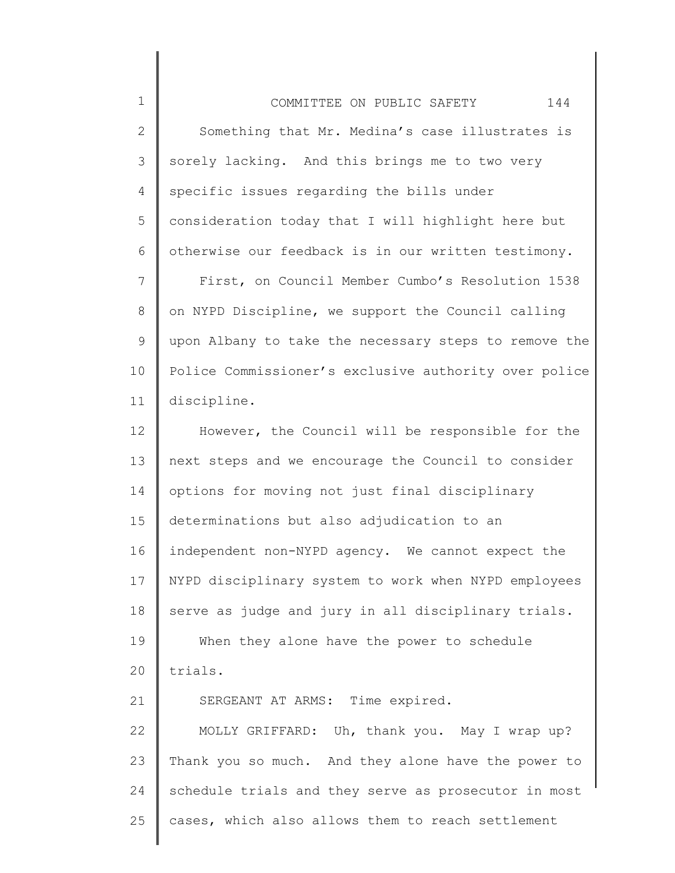1 2 3 4 5 6 7 8 9 10 11 12 13 14 15 16 17 18 19 20 21 22 23 24 COMMITTEE ON PUBLIC SAFETY 144 Something that Mr. Medina's case illustrates is sorely lacking. And this brings me to two very specific issues regarding the bills under consideration today that I will highlight here but otherwise our feedback is in our written testimony. First, on Council Member Cumbo's Resolution 1538 on NYPD Discipline, we support the Council calling upon Albany to take the necessary steps to remove the Police Commissioner's exclusive authority over police discipline. However, the Council will be responsible for the next steps and we encourage the Council to consider options for moving not just final disciplinary determinations but also adjudication to an independent non-NYPD agency. We cannot expect the NYPD disciplinary system to work when NYPD employees serve as judge and jury in all disciplinary trials. When they alone have the power to schedule trials. SERGEANT AT ARMS: Time expired. MOLLY GRIFFARD: Uh, thank you. May I wrap up? Thank you so much. And they alone have the power to schedule trials and they serve as prosecutor in most

cases, which also allows them to reach settlement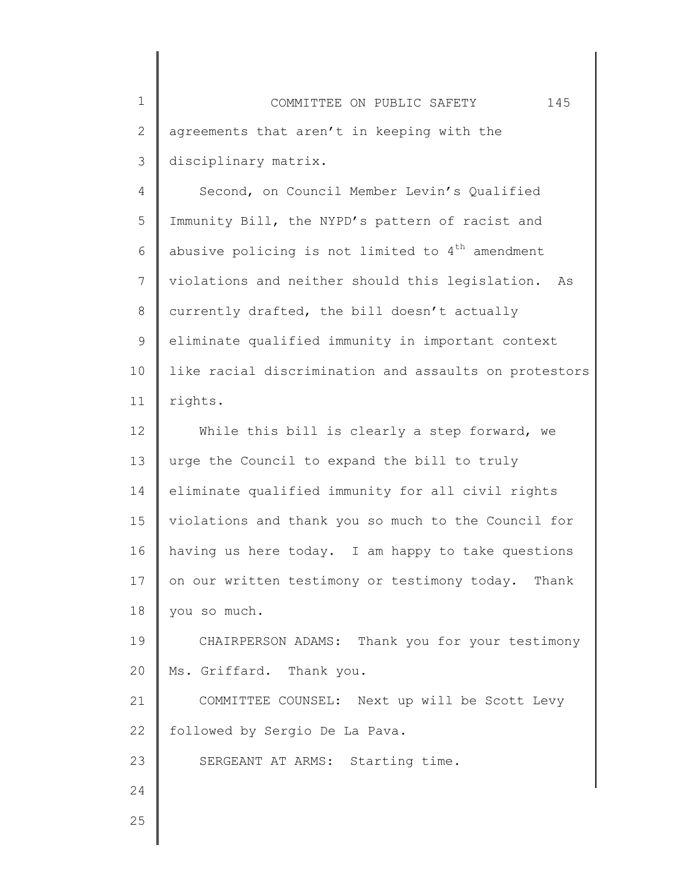1 2 3 COMMITTEE ON PUBLIC SAFETY 145 agreements that aren't in keeping with the disciplinary matrix.

4 5 6 7 8 9 10 11 Second, on Council Member Levin's Qualified Immunity Bill, the NYPD's pattern of racist and abusive policing is not limited to  $4<sup>th</sup>$  amendment violations and neither should this legislation. As currently drafted, the bill doesn't actually eliminate qualified immunity in important context like racial discrimination and assaults on protestors rights.

12 13 14 15 16 17 18 19 20 21 22 23 24 While this bill is clearly a step forward, we urge the Council to expand the bill to truly eliminate qualified immunity for all civil rights violations and thank you so much to the Council for having us here today. I am happy to take questions on our written testimony or testimony today. Thank you so much. CHAIRPERSON ADAMS: Thank you for your testimony Ms. Griffard. Thank you. COMMITTEE COUNSEL: Next up will be Scott Levy followed by Sergio De La Pava. SERGEANT AT ARMS: Starting time.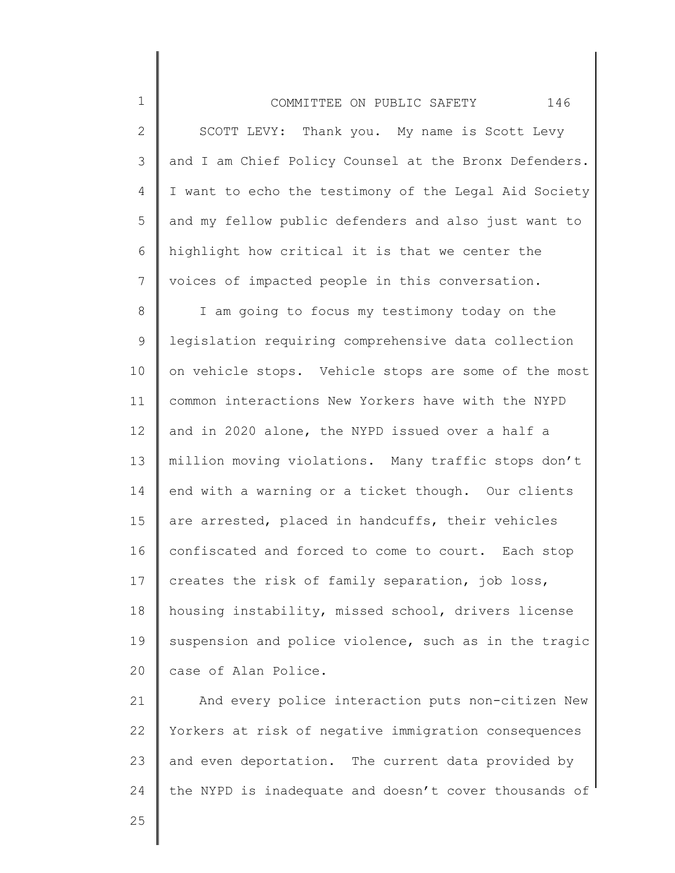3 4 5 6 7 and I am Chief Policy Counsel at the Bronx Defenders. I want to echo the testimony of the Legal Aid Society and my fellow public defenders and also just want to highlight how critical it is that we center the voices of impacted people in this conversation.

8 9 10 11 12 13 14 15 16 17 18 19 20 I am going to focus my testimony today on the legislation requiring comprehensive data collection on vehicle stops. Vehicle stops are some of the most common interactions New Yorkers have with the NYPD and in 2020 alone, the NYPD issued over a half a million moving violations. Many traffic stops don't end with a warning or a ticket though. Our clients are arrested, placed in handcuffs, their vehicles confiscated and forced to come to court. Each stop creates the risk of family separation, job loss, housing instability, missed school, drivers license suspension and police violence, such as in the tragic case of Alan Police.

21 22 23 24 And every police interaction puts non-citizen New Yorkers at risk of negative immigration consequences and even deportation. The current data provided by the NYPD is inadequate and doesn't cover thousands of

25

1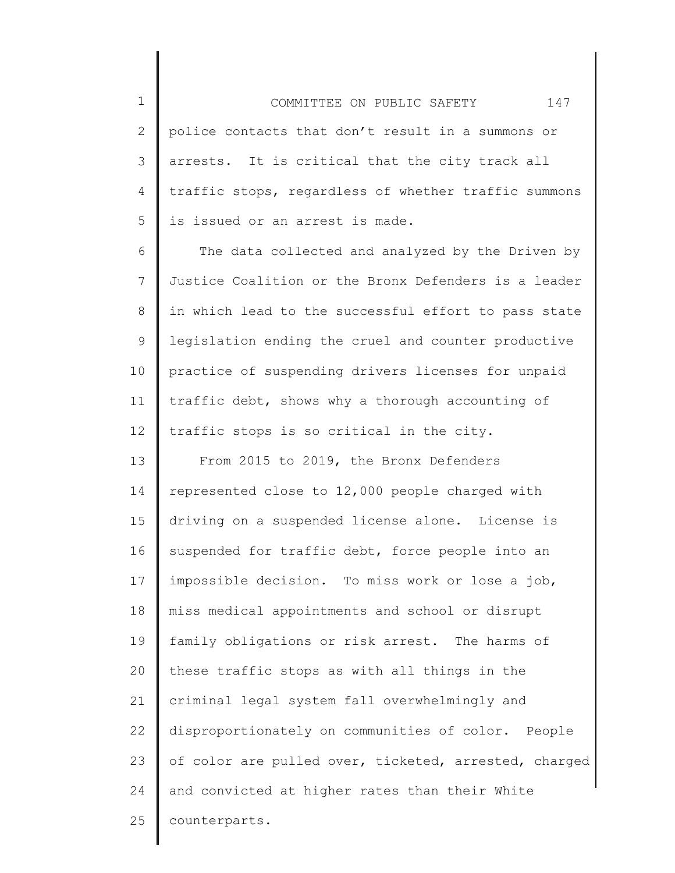2 3 4 5 COMMITTEE ON PUBLIC SAFETY 147 police contacts that don't result in a summons or arrests. It is critical that the city track all traffic stops, regardless of whether traffic summons is issued or an arrest is made.

1

6 7 8 9 10 11 12 The data collected and analyzed by the Driven by Justice Coalition or the Bronx Defenders is a leader in which lead to the successful effort to pass state legislation ending the cruel and counter productive practice of suspending drivers licenses for unpaid traffic debt, shows why a thorough accounting of traffic stops is so critical in the city.

13 14 15 16 17 18 19 20 21 22 23 24 25 From 2015 to 2019, the Bronx Defenders represented close to 12,000 people charged with driving on a suspended license alone. License is suspended for traffic debt, force people into an impossible decision. To miss work or lose a job, miss medical appointments and school or disrupt family obligations or risk arrest. The harms of these traffic stops as with all things in the criminal legal system fall overwhelmingly and disproportionately on communities of color. People of color are pulled over, ticketed, arrested, charged and convicted at higher rates than their White counterparts.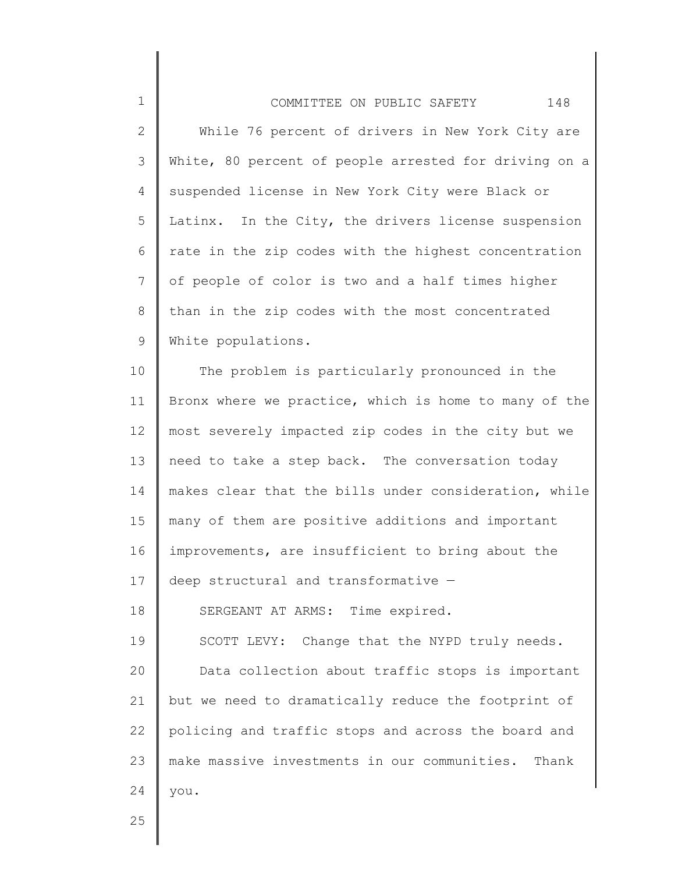## 1 2 3 4 5 6 7 8 9 COMMITTEE ON PUBLIC SAFETY 148 While 76 percent of drivers in New York City are White, 80 percent of people arrested for driving on a suspended license in New York City were Black or Latinx. In the City, the drivers license suspension rate in the zip codes with the highest concentration of people of color is two and a half times higher than in the zip codes with the most concentrated White populations.

10 11 12 13 14 15 16 17 18 19 The problem is particularly pronounced in the Bronx where we practice, which is home to many of the most severely impacted zip codes in the city but we need to take a step back. The conversation today makes clear that the bills under consideration, while many of them are positive additions and important improvements, are insufficient to bring about the deep structural and transformative — SERGEANT AT ARMS: Time expired. SCOTT LEVY: Change that the NYPD truly needs.

20 21 22 23 24 Data collection about traffic stops is important but we need to dramatically reduce the footprint of policing and traffic stops and across the board and make massive investments in our communities. Thank you.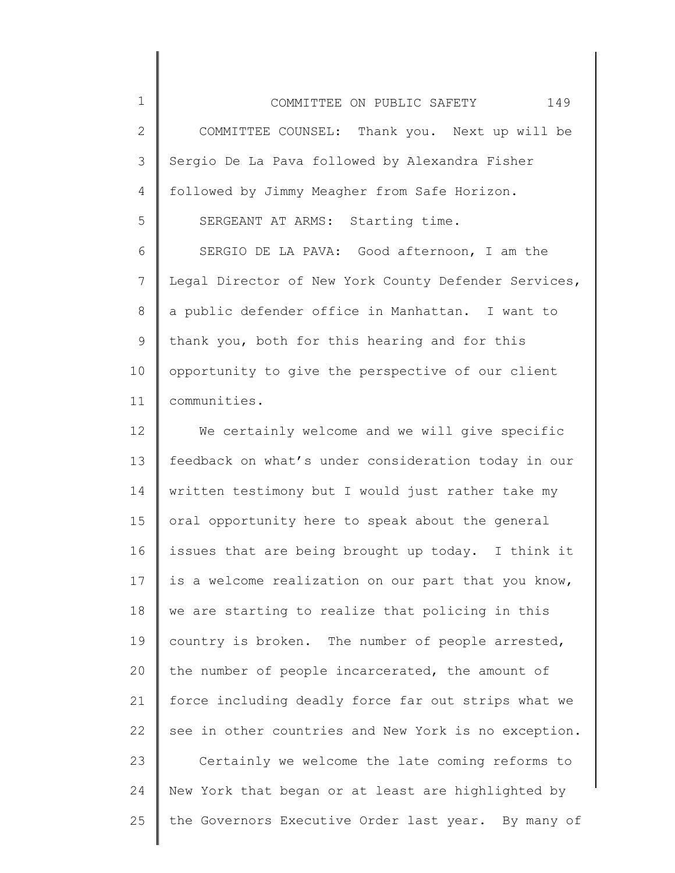1 2 3 4 5 6 7 8 9 COMMITTEE ON PUBLIC SAFETY 149 COMMITTEE COUNSEL: Thank you. Next up will be Sergio De La Pava followed by Alexandra Fisher followed by Jimmy Meagher from Safe Horizon. SERGEANT AT ARMS: Starting time. SERGIO DE LA PAVA: Good afternoon, I am the Legal Director of New York County Defender Services, a public defender office in Manhattan. I want to thank you, both for this hearing and for this

10 11 opportunity to give the perspective of our client communities.

12 13 14 15 16 17 18 19 20 21 22 23 24 25 We certainly welcome and we will give specific feedback on what's under consideration today in our written testimony but I would just rather take my oral opportunity here to speak about the general issues that are being brought up today. I think it is a welcome realization on our part that you know, we are starting to realize that policing in this country is broken. The number of people arrested, the number of people incarcerated, the amount of force including deadly force far out strips what we see in other countries and New York is no exception. Certainly we welcome the late coming reforms to New York that began or at least are highlighted by the Governors Executive Order last year. By many of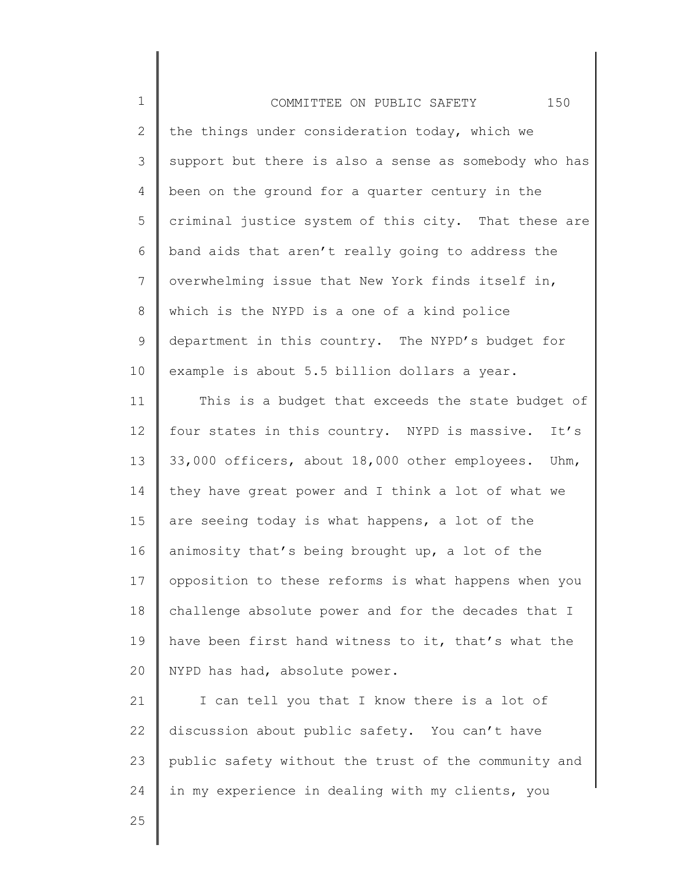| $\mathbf 1$   | 150<br>COMMITTEE ON PUBLIC SAFETY                     |
|---------------|-------------------------------------------------------|
| $\mathbf{2}$  | the things under consideration today, which we        |
| 3             | support but there is also a sense as somebody who has |
| 4             | been on the ground for a quarter century in the       |
| 5             | criminal justice system of this city. That these are  |
| 6             | band aids that aren't really going to address the     |
| 7             | overwhelming issue that New York finds itself in,     |
| 8             | which is the NYPD is a one of a kind police           |
| $\mathcal{G}$ | department in this country. The NYPD's budget for     |
| 10            | example is about 5.5 billion dollars a year.          |
| 11            | This is a budget that exceeds the state budget of     |
| 12            | four states in this country. NYPD is massive. It's    |
| 13            | 33,000 officers, about 18,000 other employees. Uhm,   |
| 14            | they have great power and I think a lot of what we    |
| 15            | are seeing today is what happens, a lot of the        |
| 16            | animosity that's being brought up, a lot of the       |
| 17            | opposition to these reforms is what happens when you  |
| 18            | challenge absolute power and for the decades that I   |
| 19            | have been first hand witness to it, that's what the   |
| 20            | NYPD has had, absolute power.                         |
| 21            | I can tell you that I know there is a lot of          |
| 22            | discussion about public safety. You can't have        |
| 23            | public safety without the trust of the community and  |
| 24            | in my experience in dealing with my clients, you      |
| 25            |                                                       |
|               |                                                       |

║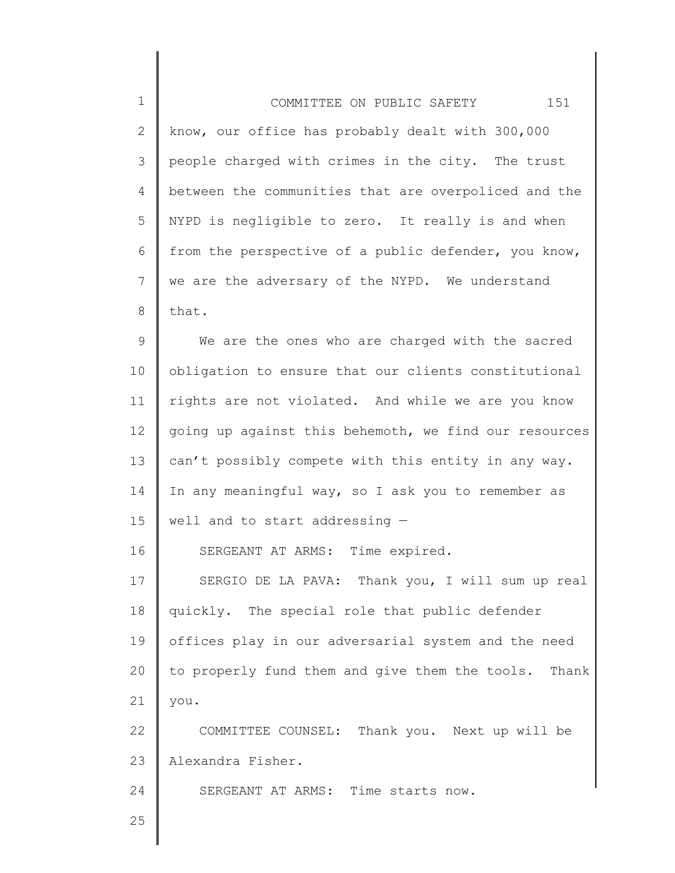| $\mathbf 1$  | 151<br>COMMITTEE ON PUBLIC SAFETY                       |
|--------------|---------------------------------------------------------|
| $\mathbf{2}$ | know, our office has probably dealt with 300,000        |
| 3            | people charged with crimes in the city. The trust       |
| 4            | between the communities that are overpoliced and the    |
| 5            | NYPD is negligible to zero. It really is and when       |
| 6            | from the perspective of a public defender, you know,    |
| 7            | we are the adversary of the NYPD. We understand         |
| 8            | that.                                                   |
| $\mathsf 9$  | We are the ones who are charged with the sacred         |
| 10           | obligation to ensure that our clients constitutional    |
| 11           | rights are not violated. And while we are you know      |
| 12           | going up against this behemoth, we find our resources   |
| 13           | can't possibly compete with this entity in any way.     |
| 14           | In any meaningful way, so I ask you to remember as      |
| 15           | well and to start addressing $-$                        |
| 16           | SERGEANT AT ARMS: Time expired.                         |
| 17           | SERGIO DE LA PAVA: Thank you, I will sum up real        |
| 18           | quickly. The special role that public defender          |
| 19           | offices play in our adversarial system and the need     |
| 20           | to properly fund them and give them the tools.<br>Thank |
| 21           | you.                                                    |
| 22           | COMMITTEE COUNSEL: Thank you. Next up will be           |
| 23           | Alexandra Fisher.                                       |
| 24           | SERGEANT AT ARMS: Time starts now.                      |
| 25           |                                                         |

 $\parallel$ 

║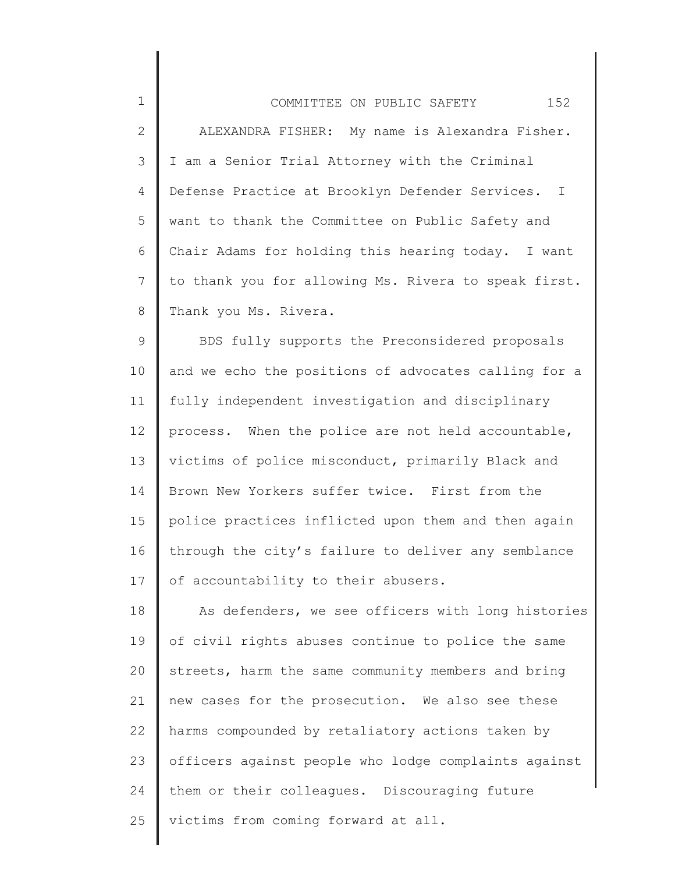| $\mathbf 1$    | 152<br>COMMITTEE ON PUBLIC SAFETY                    |
|----------------|------------------------------------------------------|
| $\overline{2}$ | ALEXANDRA FISHER: My name is Alexandra Fisher.       |
| 3              | I am a Senior Trial Attorney with the Criminal       |
| 4              | Defense Practice at Brooklyn Defender Services. I    |
| 5              | want to thank the Committee on Public Safety and     |
| 6              | Chair Adams for holding this hearing today. I want   |
| $\overline{7}$ | to thank you for allowing Ms. Rivera to speak first. |
| 8              | Thank you Ms. Rivera.                                |
| 9              | BDS fully supports the Preconsidered proposals       |
| 10             | and we echo the positions of advocates calling for a |
| 11             | fully independent investigation and disciplinary     |
| 12             | process. When the police are not held accountable,   |
| 13             | victims of police misconduct, primarily Black and    |
| 14             | Brown New Yorkers suffer twice. First from the       |
| 15             | police practices inflicted upon them and then again  |
| 16             | through the city's failure to deliver any semblance  |
| 17             | of accountability to their abusers.                  |
| 18             | As defenders, we see officers with long histories    |
| $\sim$ $\sim$  |                                                      |

19 20 21 22 23 24 25 of civil rights abuses continue to police the same streets, harm the same community members and bring new cases for the prosecution. We also see these harms compounded by retaliatory actions taken by officers against people who lodge complaints against them or their colleagues. Discouraging future victims from coming forward at all.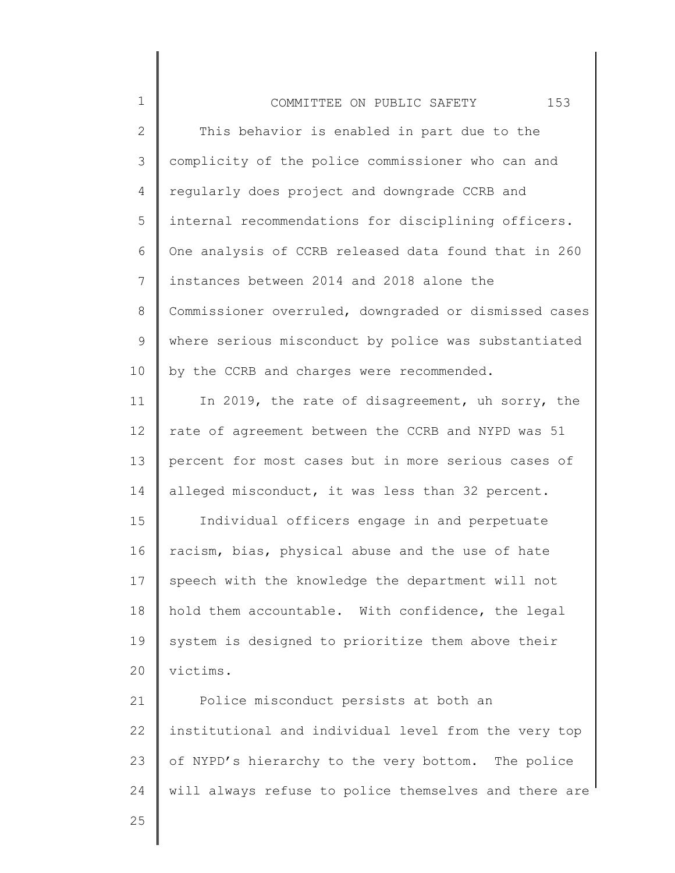| $\mathbf 1$  | 153<br>COMMITTEE ON PUBLIC SAFETY                     |
|--------------|-------------------------------------------------------|
| $\mathbf{2}$ | This behavior is enabled in part due to the           |
| 3            | complicity of the police commissioner who can and     |
| 4            | regularly does project and downgrade CCRB and         |
| 5            | internal recommendations for disciplining officers.   |
| 6            | One analysis of CCRB released data found that in 260  |
| 7            | instances between 2014 and 2018 alone the             |
| 8            | Commissioner overruled, downgraded or dismissed cases |
| 9            | where serious misconduct by police was substantiated  |
| 10           | by the CCRB and charges were recommended.             |
| 11           | In 2019, the rate of disagreement, uh sorry, the      |
| 12           | rate of agreement between the CCRB and NYPD was 51    |
| 13           | percent for most cases but in more serious cases of   |
| 14           | alleged misconduct, it was less than 32 percent.      |
| 15           | Individual officers engage in and perpetuate          |
| 16           | racism, bias, physical abuse and the use of hate      |
| 17           | speech with the knowledge the department will not     |
| 18           | hold them accountable. With confidence, the legal     |
| 19           | system is designed to prioritize them above their     |
| 20           | victims.                                              |
| 21           | Police misconduct persists at both an                 |
| 22           | institutional and individual level from the very top  |
| 23           | of NYPD's hierarchy to the very bottom. The police    |
| 24           | will always refuse to police themselves and there are |
| 25           |                                                       |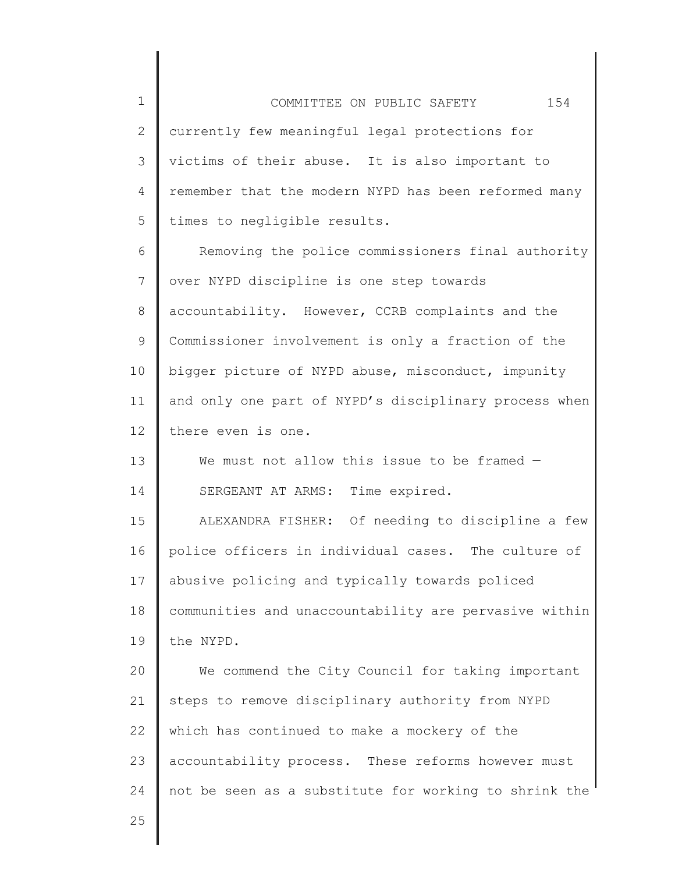1 2 3 4 5 6 7 8 9 10 11 12 13 14 15 16 17 18 19 20 21 22 23 24 COMMITTEE ON PUBLIC SAFETY 154 currently few meaningful legal protections for victims of their abuse. It is also important to remember that the modern NYPD has been reformed many times to negligible results. Removing the police commissioners final authority over NYPD discipline is one step towards accountability. However, CCRB complaints and the Commissioner involvement is only a fraction of the bigger picture of NYPD abuse, misconduct, impunity and only one part of NYPD's disciplinary process when there even is one. We must not allow this issue to be framed -SERGEANT AT ARMS: Time expired. ALEXANDRA FISHER: Of needing to discipline a few police officers in individual cases. The culture of abusive policing and typically towards policed communities and unaccountability are pervasive within the NYPD. We commend the City Council for taking important steps to remove disciplinary authority from NYPD which has continued to make a mockery of the accountability process. These reforms however must not be seen as a substitute for working to shrink the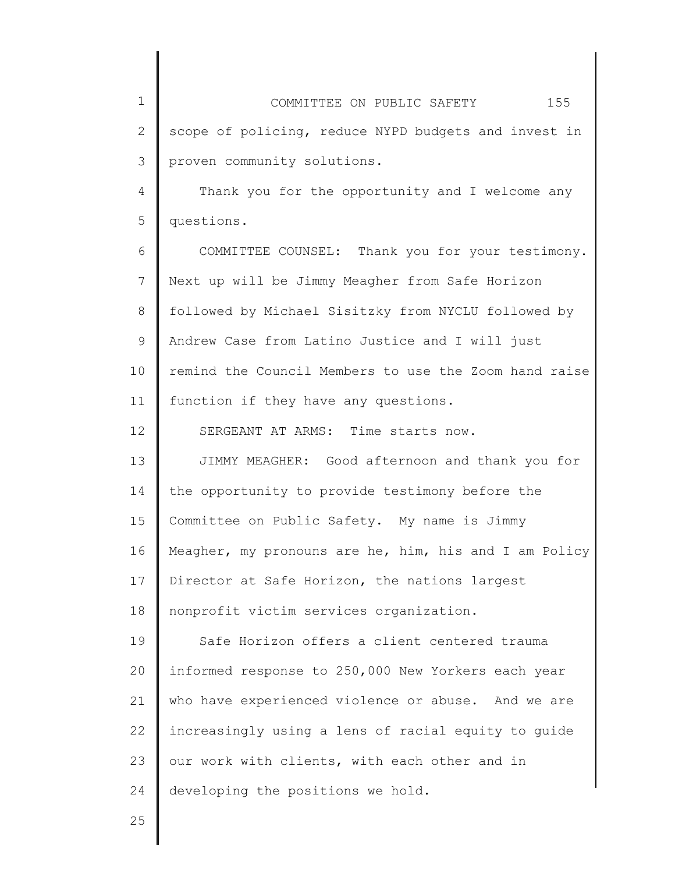1 2 3 4 5 6 7 8 9 10 11 12 13 14 15 16 17 18 19 20 21 22 23 24 25 COMMITTEE ON PUBLIC SAFETY 155 scope of policing, reduce NYPD budgets and invest in proven community solutions. Thank you for the opportunity and I welcome any questions. COMMITTEE COUNSEL: Thank you for your testimony. Next up will be Jimmy Meagher from Safe Horizon followed by Michael Sisitzky from NYCLU followed by Andrew Case from Latino Justice and I will just remind the Council Members to use the Zoom hand raise function if they have any questions. SERGEANT AT ARMS: Time starts now. JIMMY MEAGHER: Good afternoon and thank you for the opportunity to provide testimony before the Committee on Public Safety. My name is Jimmy Meagher, my pronouns are he, him, his and I am Policy Director at Safe Horizon, the nations largest nonprofit victim services organization. Safe Horizon offers a client centered trauma informed response to 250,000 New Yorkers each year who have experienced violence or abuse. And we are increasingly using a lens of racial equity to guide our work with clients, with each other and in developing the positions we hold.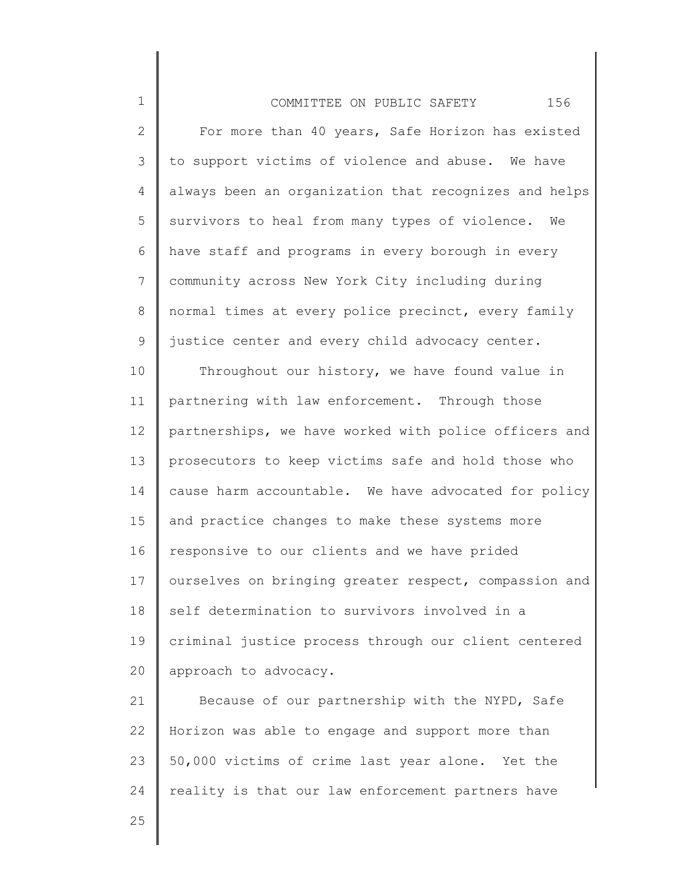| $\mathbf 1$ | 156<br>COMMITTEE ON PUBLIC SAFETY                     |
|-------------|-------------------------------------------------------|
| 2           | For more than 40 years, Safe Horizon has existed      |
| 3           | to support victims of violence and abuse. We have     |
| 4           | always been an organization that recognizes and helps |
| 5           | survivors to heal from many types of violence. We     |
| 6           | have staff and programs in every borough in every     |
| 7           | community across New York City including during       |
| 8           | normal times at every police precinct, every family   |
| 9           | justice center and every child advocacy center.       |
| 10          | Throughout our history, we have found value in        |
| 11          | partnering with law enforcement. Through those        |
| 12          | partnerships, we have worked with police officers and |
| 13          | prosecutors to keep victims safe and hold those who   |
| 14          | cause harm accountable. We have advocated for policy  |
| 15          | and practice changes to make these systems more       |
| 16          | responsive to our clients and we have prided          |
| 17          | ourselves on bringing greater respect, compassion and |
| 18          | self determination to survivors involved in a         |
| 19          | criminal justice process through our client centered  |
| 20          | approach to advocacy.                                 |
| 21          | Because of our partnership with the NYPD, Safe        |
| 22          | Horizon was able to engage and support more than      |

23 24 Horizon was able to engage and support more than 50,000 victims of crime last year alone. Yet the reality is that our law enforcement partners have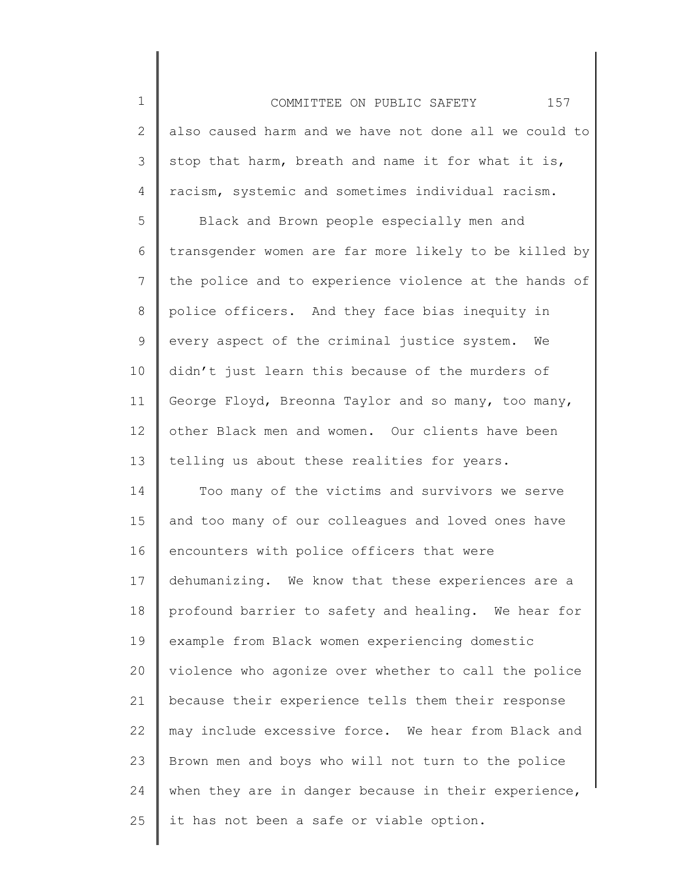1 2 3 4 COMMITTEE ON PUBLIC SAFETY 157 also caused harm and we have not done all we could to stop that harm, breath and name it for what it is, racism, systemic and sometimes individual racism.

5 6 7 8 9 10 11 12 13 Black and Brown people especially men and transgender women are far more likely to be killed by the police and to experience violence at the hands of police officers. And they face bias inequity in every aspect of the criminal justice system. We didn't just learn this because of the murders of George Floyd, Breonna Taylor and so many, too many, other Black men and women. Our clients have been telling us about these realities for years.

14 15 16 17 18 19 20 21 22 23 24 25 Too many of the victims and survivors we serve and too many of our colleagues and loved ones have encounters with police officers that were dehumanizing. We know that these experiences are a profound barrier to safety and healing. We hear for example from Black women experiencing domestic violence who agonize over whether to call the police because their experience tells them their response may include excessive force. We hear from Black and Brown men and boys who will not turn to the police when they are in danger because in their experience, it has not been a safe or viable option.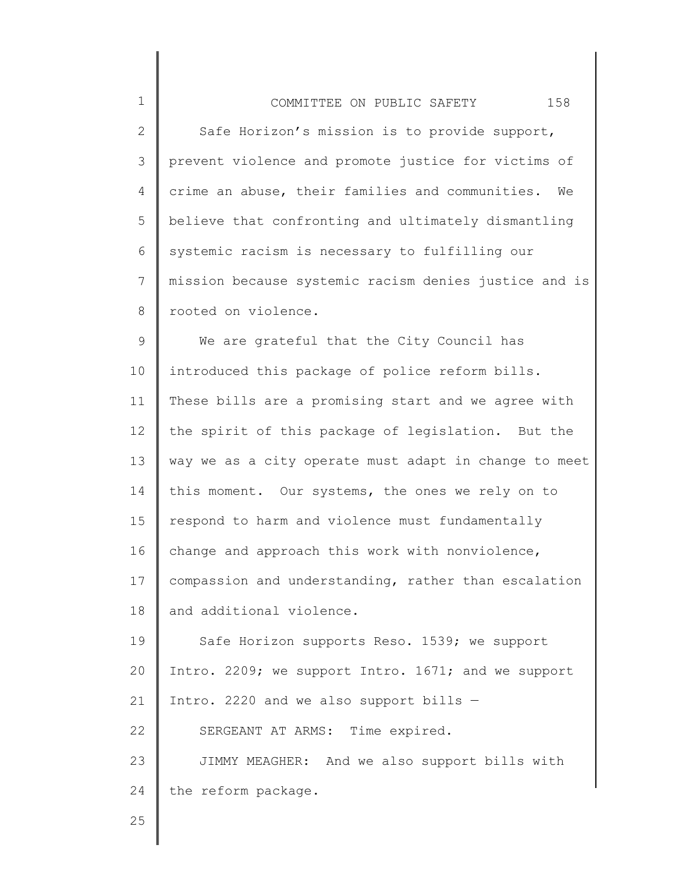| $\mathbf 1$     | 158<br>COMMITTEE ON PUBLIC SAFETY                     |
|-----------------|-------------------------------------------------------|
| $\mathbf{2}$    | Safe Horizon's mission is to provide support,         |
| 3               | prevent violence and promote justice for victims of   |
| 4               | crime an abuse, their families and communities.<br>We |
| 5               | believe that confronting and ultimately dismantling   |
| 6               | systemic racism is necessary to fulfilling our        |
| $7\phantom{.0}$ | mission because systemic racism denies justice and is |
| 8               | rooted on violence.                                   |
| 9               | We are grateful that the City Council has             |
| 10              | introduced this package of police reform bills.       |
| 11              | These bills are a promising start and we agree with   |
| 12              | the spirit of this package of legislation. But the    |
| 13              | way we as a city operate must adapt in change to meet |
| 14              | this moment. Our systems, the ones we rely on to      |
| 15              | respond to harm and violence must fundamentally       |
| 16              | change and approach this work with nonviolence,       |
| 17 <sub>2</sub> | compassion and understanding, rather than escalation  |
| 18              | and additional violence.                              |
| 19              | Safe Horizon supports Reso. 1539; we support          |
| 20              | Intro. 2209; we support Intro. 1671; and we support   |
| 21              | Intro. 2220 and we also support bills -               |
| 22              | SERGEANT AT ARMS: Time expired.                       |
| 23              | JIMMY MEAGHER: And we also support bills with         |
| 24              | the reform package.                                   |
|                 |                                                       |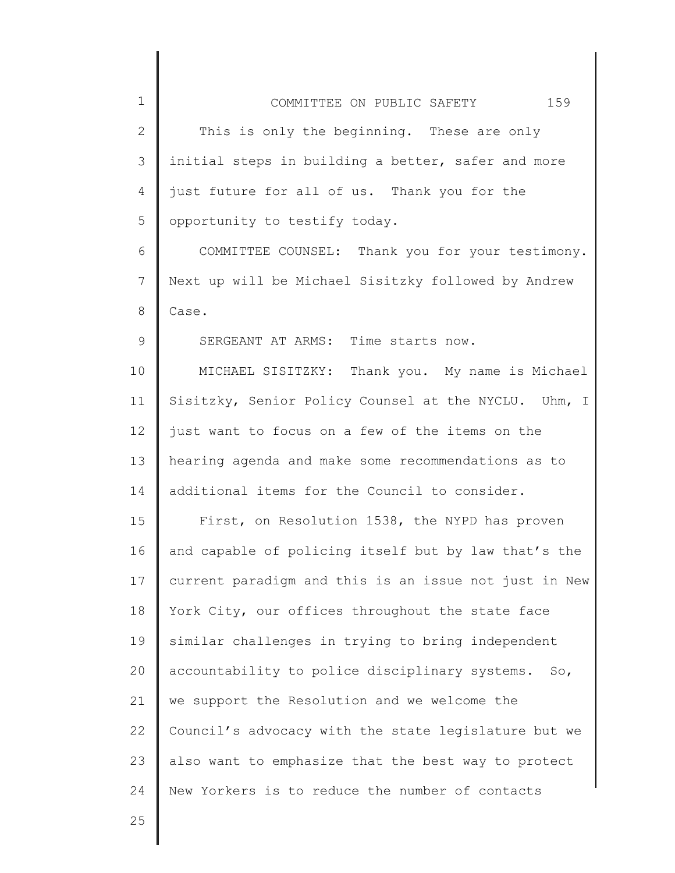| $\mathbf 1$  | 159<br>COMMITTEE ON PUBLIC SAFETY                     |
|--------------|-------------------------------------------------------|
| $\mathbf{2}$ | This is only the beginning. These are only            |
| 3            | initial steps in building a better, safer and more    |
| 4            | just future for all of us. Thank you for the          |
| 5            | opportunity to testify today.                         |
| 6            | COMMITTEE COUNSEL: Thank you for your testimony.      |
| 7            | Next up will be Michael Sisitzky followed by Andrew   |
| 8            | Case.                                                 |
| 9            | SERGEANT AT ARMS: Time starts now.                    |
| 10           | MICHAEL SISITZKY: Thank you. My name is Michael       |
| 11           | Sisitzky, Senior Policy Counsel at the NYCLU. Uhm, I  |
| 12           | just want to focus on a few of the items on the       |
| 13           | hearing agenda and make some recommendations as to    |
| 14           | additional items for the Council to consider.         |
| 15           | First, on Resolution 1538, the NYPD has proven        |
| 16           | and capable of policing itself but by law that's the  |
| 17           | current paradigm and this is an issue not just in New |
| 18           | York City, our offices throughout the state face      |
| 19           | similar challenges in trying to bring independent     |
| 20           | accountability to police disciplinary systems.<br>So, |
| 21           | we support the Resolution and we welcome the          |
| 22           | Council's advocacy with the state legislature but we  |
| 23           | also want to emphasize that the best way to protect   |
| 24           | New Yorkers is to reduce the number of contacts       |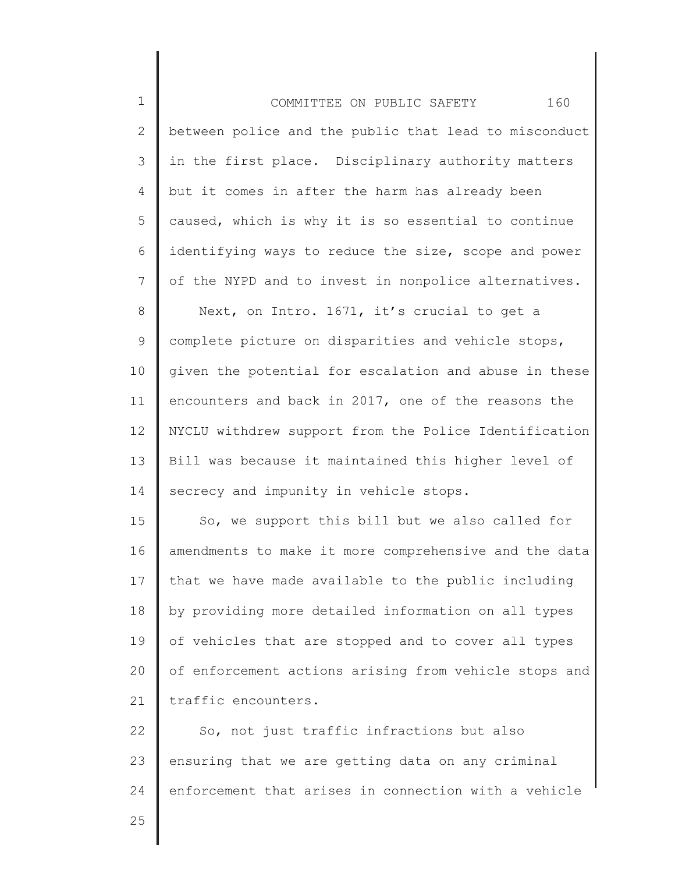1 2 3 4 5 6 7 8 9 10 11 12 13 14 15 16 17 18 19 20 21 22 23 24 COMMITTEE ON PUBLIC SAFETY 160 between police and the public that lead to misconduct in the first place. Disciplinary authority matters but it comes in after the harm has already been caused, which is why it is so essential to continue identifying ways to reduce the size, scope and power of the NYPD and to invest in nonpolice alternatives. Next, on Intro. 1671, it's crucial to get a complete picture on disparities and vehicle stops, given the potential for escalation and abuse in these encounters and back in 2017, one of the reasons the NYCLU withdrew support from the Police Identification Bill was because it maintained this higher level of secrecy and impunity in vehicle stops. So, we support this bill but we also called for amendments to make it more comprehensive and the data that we have made available to the public including by providing more detailed information on all types of vehicles that are stopped and to cover all types of enforcement actions arising from vehicle stops and traffic encounters. So, not just traffic infractions but also ensuring that we are getting data on any criminal enforcement that arises in connection with a vehicle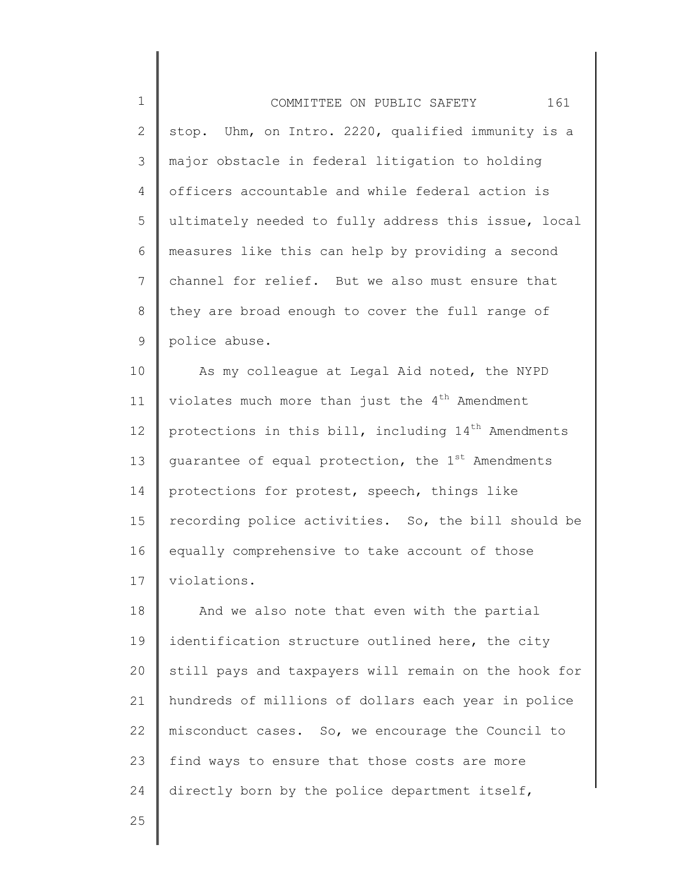1 2 3 4 5 6 7 8 9 COMMITTEE ON PUBLIC SAFETY 161 stop. Uhm, on Intro. 2220, qualified immunity is a major obstacle in federal litigation to holding officers accountable and while federal action is ultimately needed to fully address this issue, local measures like this can help by providing a second channel for relief. But we also must ensure that they are broad enough to cover the full range of police abuse.

10 11 12 13 14 15 16 17 As my colleague at Legal Aid noted, the NYPD violates much more than just the  $4<sup>th</sup>$  Amendment protections in this bill, including  $14<sup>th</sup>$  Amendments guarantee of equal protection, the 1<sup>st</sup> Amendments protections for protest, speech, things like recording police activities. So, the bill should be equally comprehensive to take account of those violations.

18 19 20 21 22 23 24 And we also note that even with the partial identification structure outlined here, the city still pays and taxpayers will remain on the hook for hundreds of millions of dollars each year in police misconduct cases. So, we encourage the Council to find ways to ensure that those costs are more directly born by the police department itself,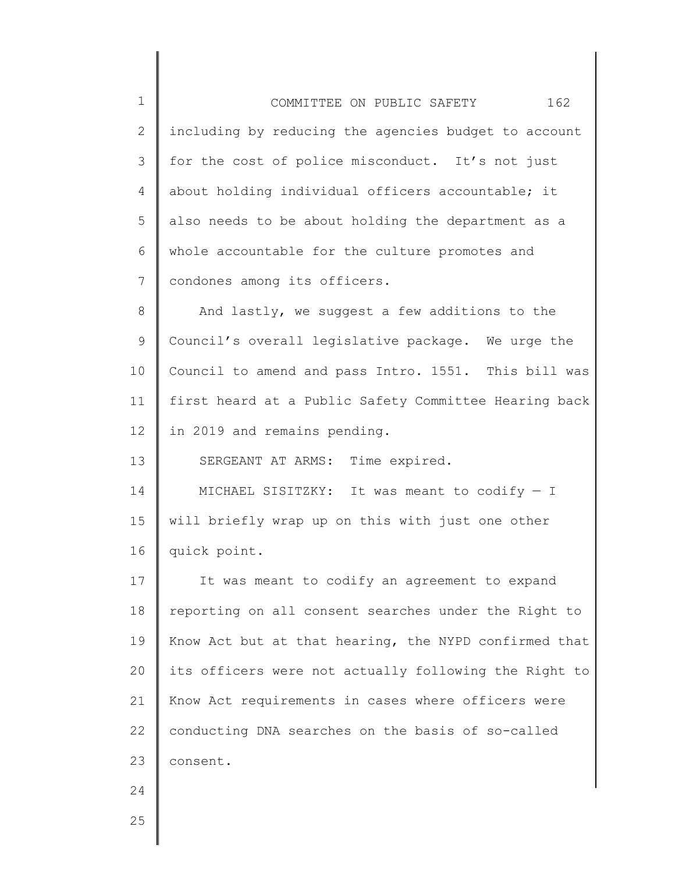1 2 3 4 5 6 7 8 9 10 11 12 13 14 15 16 17 18 19 20 21 22 23 24 25 COMMITTEE ON PUBLIC SAFETY 162 including by reducing the agencies budget to account for the cost of police misconduct. It's not just about holding individual officers accountable; it also needs to be about holding the department as a whole accountable for the culture promotes and condones among its officers. And lastly, we suggest a few additions to the Council's overall legislative package. We urge the Council to amend and pass Intro. 1551. This bill was first heard at a Public Safety Committee Hearing back in 2019 and remains pending. SERGEANT AT ARMS: Time expired. MICHAEL SISITZKY: It was meant to codify  $-$  I will briefly wrap up on this with just one other quick point. It was meant to codify an agreement to expand reporting on all consent searches under the Right to Know Act but at that hearing, the NYPD confirmed that its officers were not actually following the Right to Know Act requirements in cases where officers were conducting DNA searches on the basis of so-called consent.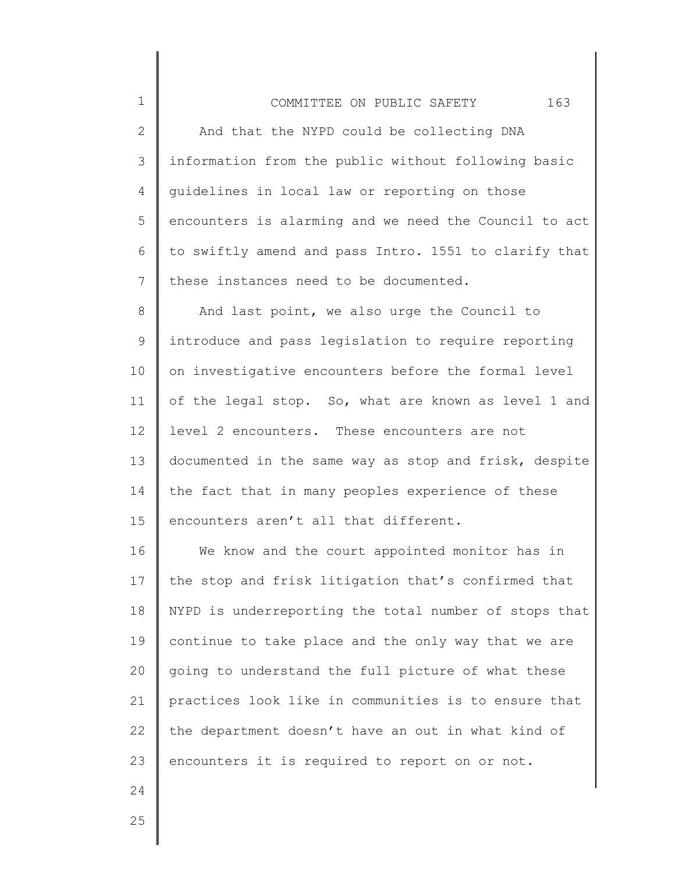## COMMITTEE ON PUBLIC SAFETY 163

2 3 4 5 6 7 And that the NYPD could be collecting DNA information from the public without following basic guidelines in local law or reporting on those encounters is alarming and we need the Council to act to swiftly amend and pass Intro. 1551 to clarify that these instances need to be documented.

8 9 10 11 12 13 14 15 And last point, we also urge the Council to introduce and pass legislation to require reporting on investigative encounters before the formal level of the legal stop. So, what are known as level 1 and level 2 encounters. These encounters are not documented in the same way as stop and frisk, despite the fact that in many peoples experience of these encounters aren't all that different.

16 17 18 19 20 21 22 23 We know and the court appointed monitor has in the stop and frisk litigation that's confirmed that NYPD is underreporting the total number of stops that continue to take place and the only way that we are going to understand the full picture of what these practices look like in communities is to ensure that the department doesn't have an out in what kind of encounters it is required to report on or not.

24

1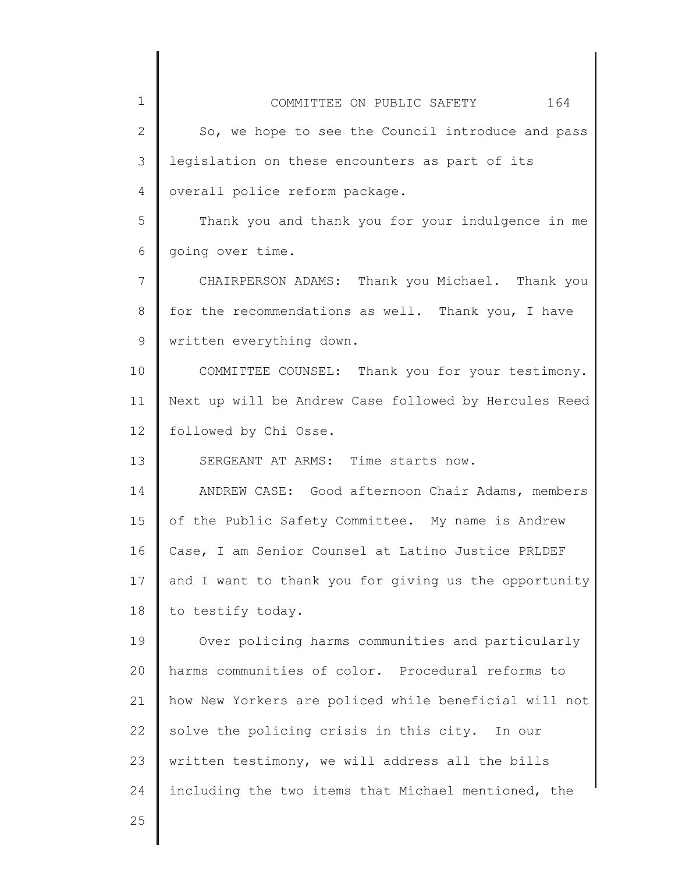| 1            | 164<br>COMMITTEE ON PUBLIC SAFETY                     |
|--------------|-------------------------------------------------------|
| $\mathbf{2}$ | So, we hope to see the Council introduce and pass     |
| 3            | legislation on these encounters as part of its        |
| 4            | overall police reform package.                        |
| 5            | Thank you and thank you for your indulgence in me     |
| 6            | going over time.                                      |
| 7            | CHAIRPERSON ADAMS: Thank you Michael. Thank you       |
| 8            | for the recommendations as well. Thank you, I have    |
| 9            | written everything down.                              |
| 10           | COMMITTEE COUNSEL: Thank you for your testimony.      |
| 11           | Next up will be Andrew Case followed by Hercules Reed |
| 12           | followed by Chi Osse.                                 |
| 13           | SERGEANT AT ARMS: Time starts now.                    |
| 14           | ANDREW CASE: Good afternoon Chair Adams, members      |
| 15           | of the Public Safety Committee. My name is Andrew     |
| 16           | Case, I am Senior Counsel at Latino Justice PRLDEF    |
| 17           | and I want to thank you for giving us the opportunity |
| 18           | to testify today.                                     |
| 19           | Over policing harms communities and particularly      |
| 20           | harms communities of color. Procedural reforms to     |
| 21           | how New Yorkers are policed while beneficial will not |
| 22           | solve the policing crisis in this city. In our        |
| 23           | written testimony, we will address all the bills      |
| 24           | including the two items that Michael mentioned, the   |
| 25           |                                                       |

║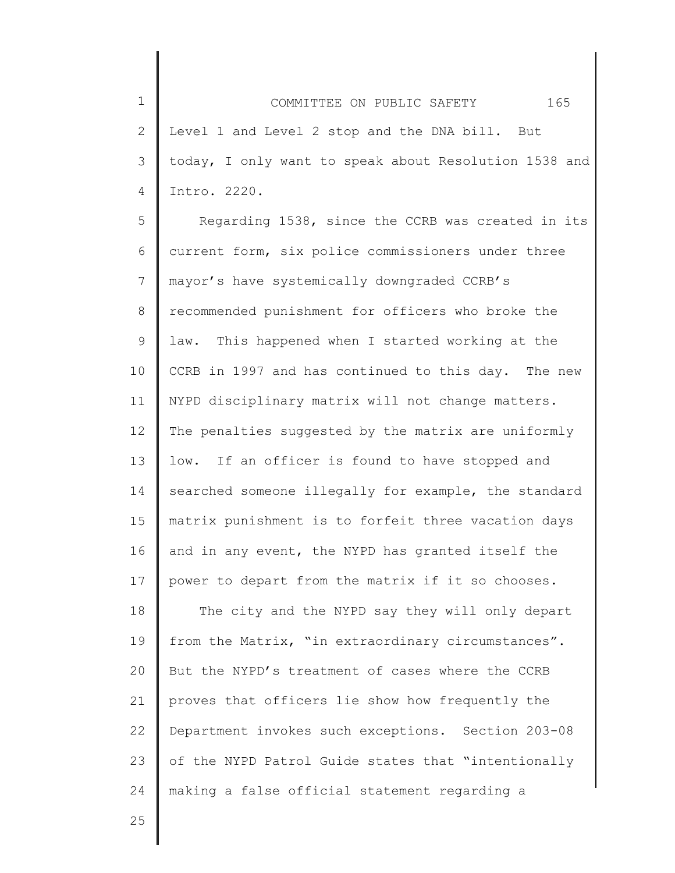1 2 3 4 COMMITTEE ON PUBLIC SAFETY 165 Level 1 and Level 2 stop and the DNA bill. But today, I only want to speak about Resolution 1538 and Intro. 2220.

5 6 7 8 9 10 11 12 13 14 15 16 17 Regarding 1538, since the CCRB was created in its current form, six police commissioners under three mayor's have systemically downgraded CCRB's recommended punishment for officers who broke the law. This happened when I started working at the CCRB in 1997 and has continued to this day. The new NYPD disciplinary matrix will not change matters. The penalties suggested by the matrix are uniformly low. If an officer is found to have stopped and searched someone illegally for example, the standard matrix punishment is to forfeit three vacation days and in any event, the NYPD has granted itself the power to depart from the matrix if it so chooses.

18 19 20 21 22 23 24 The city and the NYPD say they will only depart from the Matrix, "in extraordinary circumstances". But the NYPD's treatment of cases where the CCRB proves that officers lie show how frequently the Department invokes such exceptions. Section 203-08 of the NYPD Patrol Guide states that "intentionally making a false official statement regarding a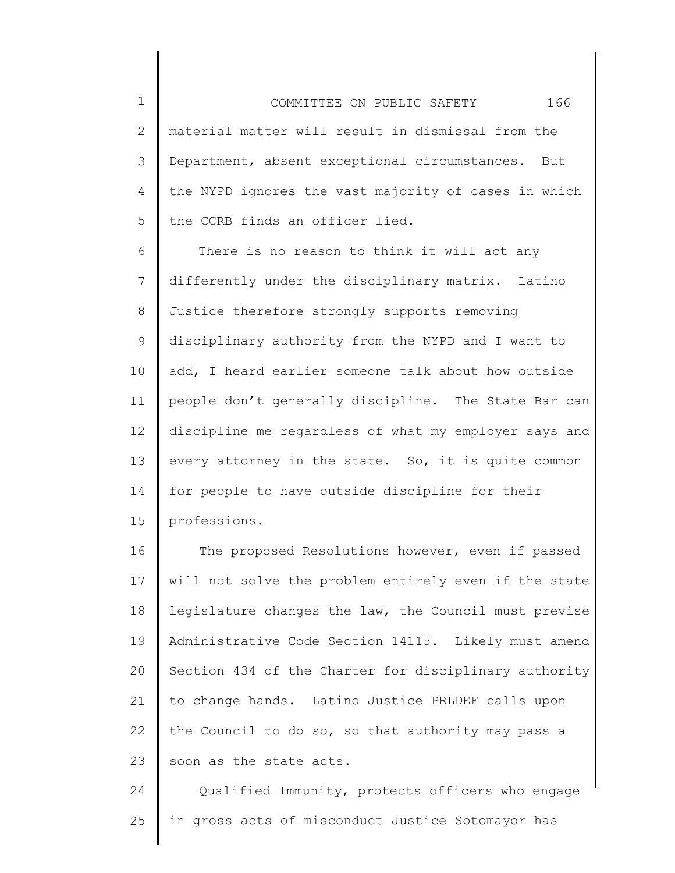1 2 3 4 5 COMMITTEE ON PUBLIC SAFETY 166 material matter will result in dismissal from the Department, absent exceptional circumstances. But the NYPD ignores the vast majority of cases in which the CCRB finds an officer lied.

6 7 8 9 10 11 12 13 14 15 There is no reason to think it will act any differently under the disciplinary matrix. Latino Justice therefore strongly supports removing disciplinary authority from the NYPD and I want to add, I heard earlier someone talk about how outside people don't generally discipline. The State Bar can discipline me regardless of what my employer says and every attorney in the state. So, it is quite common for people to have outside discipline for their professions.

16 17 18 19 20 21 22 23 The proposed Resolutions however, even if passed will not solve the problem entirely even if the state legislature changes the law, the Council must previse Administrative Code Section 14115. Likely must amend Section 434 of the Charter for disciplinary authority to change hands. Latino Justice PRLDEF calls upon the Council to do so, so that authority may pass a soon as the state acts.

24 25 Qualified Immunity, protects officers who engage in gross acts of misconduct Justice Sotomayor has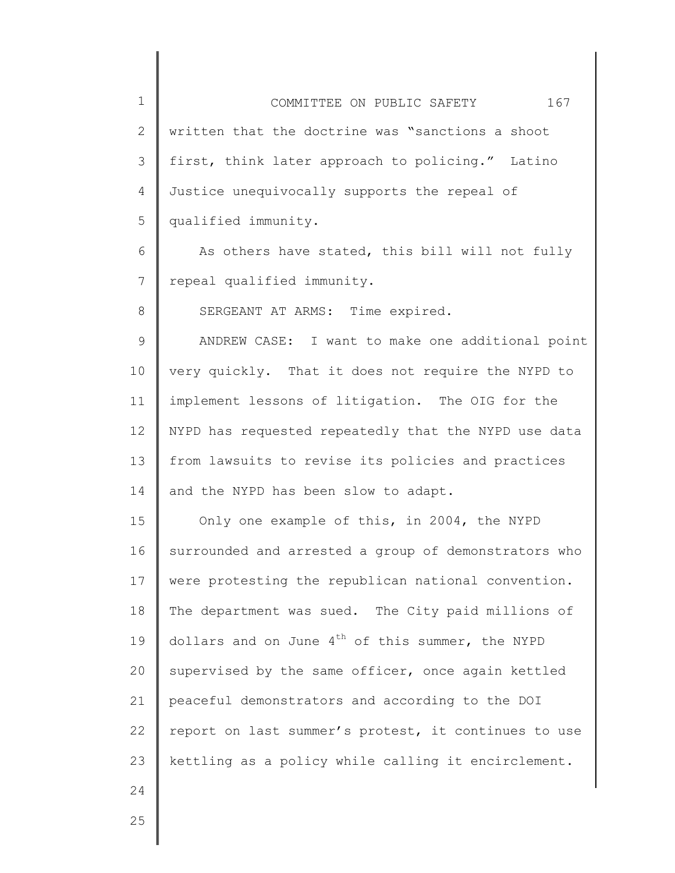| $\mathbf 1$    | 167<br>COMMITTEE ON PUBLIC SAFETY                    |
|----------------|------------------------------------------------------|
| 2              | written that the doctrine was "sanctions a shoot     |
| 3              | first, think later approach to policing." Latino     |
| 4              | Justice unequivocally supports the repeal of         |
| 5              | qualified immunity.                                  |
| 6              | As others have stated, this bill will not fully      |
| $7\phantom{.}$ | repeal qualified immunity.                           |
| 8              | SERGEANT AT ARMS: Time expired.                      |
| $\mathsf 9$    | ANDREW CASE: I want to make one additional point     |
| 10             | very quickly. That it does not require the NYPD to   |
| 11             | implement lessons of litigation. The OIG for the     |
| 12             | NYPD has requested repeatedly that the NYPD use data |
| 13             | from lawsuits to revise its policies and practices   |
| 14             | and the NYPD has been slow to adapt.                 |
| 15             | Only one example of this, in 2004, the NYPD          |
| 16             | surrounded and arrested a group of demonstrators who |
| 17             | were protesting the republican national convention.  |
| 18             | The department was sued. The City paid millions of   |
| 19             | dollars and on June $4th$ of this summer, the NYPD   |
| 20             | supervised by the same officer, once again kettled   |
| 21             | peaceful demonstrators and according to the DOI      |
| 22             | report on last summer's protest, it continues to use |
| 23             | kettling as a policy while calling it encirclement.  |
| 24             |                                                      |
| 25             |                                                      |

∥

 $\parallel$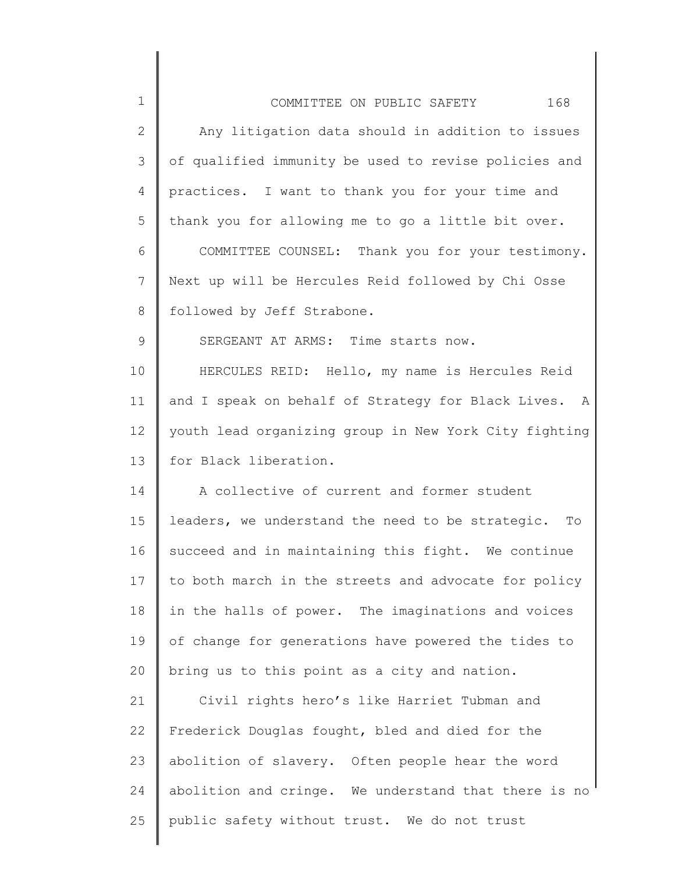| $1\,$        | 168<br>COMMITTEE ON PUBLIC SAFETY                      |
|--------------|--------------------------------------------------------|
| $\mathbf{2}$ | Any litigation data should in addition to issues       |
| 3            | of qualified immunity be used to revise policies and   |
| 4            | practices. I want to thank you for your time and       |
| 5            | thank you for allowing me to go a little bit over.     |
| 6            | COMMITTEE COUNSEL: Thank you for your testimony.       |
| 7            | Next up will be Hercules Reid followed by Chi Osse     |
| 8            | followed by Jeff Strabone.                             |
| $\mathsf 9$  | SERGEANT AT ARMS: Time starts now.                     |
| 10           | HERCULES REID: Hello, my name is Hercules Reid         |
| 11           | and I speak on behalf of Strategy for Black Lives. A   |
| 12           | youth lead organizing group in New York City fighting  |
| 13           | for Black liberation.                                  |
| 14           | A collective of current and former student             |
| 15           | leaders, we understand the need to be strategic.<br>To |
| 16           | succeed and in maintaining this fight. We continue     |
| 17           | to both march in the streets and advocate for policy   |
| 18           | in the halls of power. The imaginations and voices     |
| 19           | of change for generations have powered the tides to    |
| 20           | bring us to this point as a city and nation.           |
| 21           | Civil rights hero's like Harriet Tubman and            |
| 22           | Frederick Douglas fought, bled and died for the        |
| 23           | abolition of slavery. Often people hear the word       |
| 24           | abolition and cringe. We understand that there is no   |
| 25           | public safety without trust. We do not trust           |
|              |                                                        |

 $\parallel$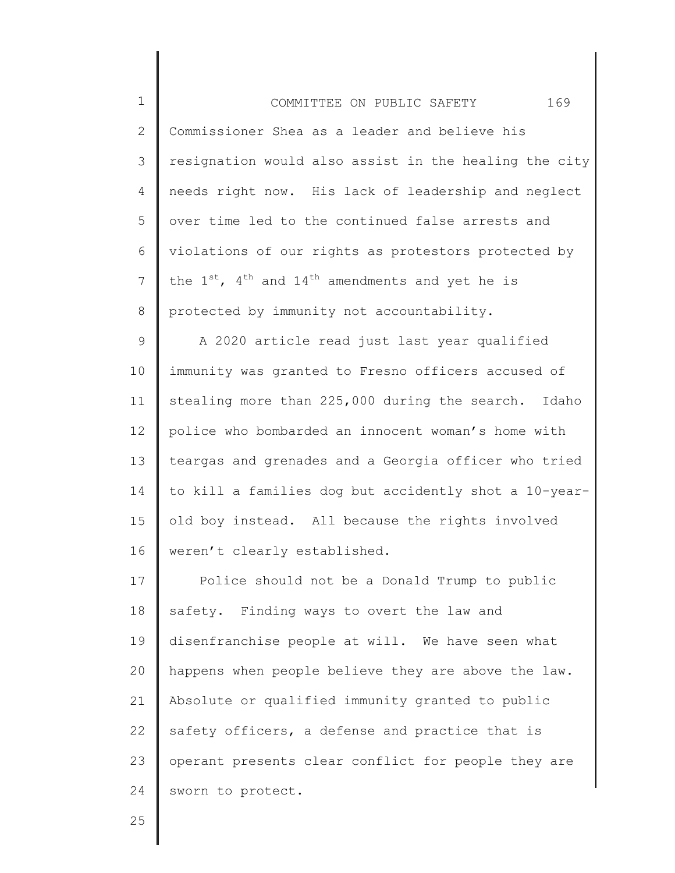| $\mathbf 1$  | 169<br>COMMITTEE ON PUBLIC SAFETY                              |
|--------------|----------------------------------------------------------------|
| $\mathbf{2}$ | Commissioner Shea as a leader and believe his                  |
| 3            | resignation would also assist in the healing the city          |
| 4            | needs right now. His lack of leadership and neglect            |
| 5            | over time led to the continued false arrests and               |
| 6            | violations of our rights as protestors protected by            |
| 7            | the $1^{st}$ , $4^{th}$ and $14^{th}$ amendments and yet he is |
| 8            | protected by immunity not accountability.                      |
| 9            | A 2020 article read just last year qualified                   |
| 10           | immunity was granted to Fresno officers accused of             |
| 11           | stealing more than 225,000 during the search. Idaho            |
| 12           | police who bombarded an innocent woman's home with             |
| 13           | teargas and grenades and a Georgia officer who tried           |
| 14           | to kill a families dog but accidently shot a 10-year-          |
| 15           | old boy instead. All because the rights involved               |
| 16           | weren't clearly established.                                   |
| 17           | Police should not be a Donald Trump to public                  |
| 18           | safety. Finding ways to overt the law and                      |
| 19           | disenfranchise people at will. We have seen what               |
| 20           | happens when people believe they are above the law.            |
| 21           | Absolute or qualified immunity granted to public               |
| 22           | safety officers, a defense and practice that is                |
| 23           | operant presents clear conflict for people they are            |
| 24           | sworn to protect.                                              |

║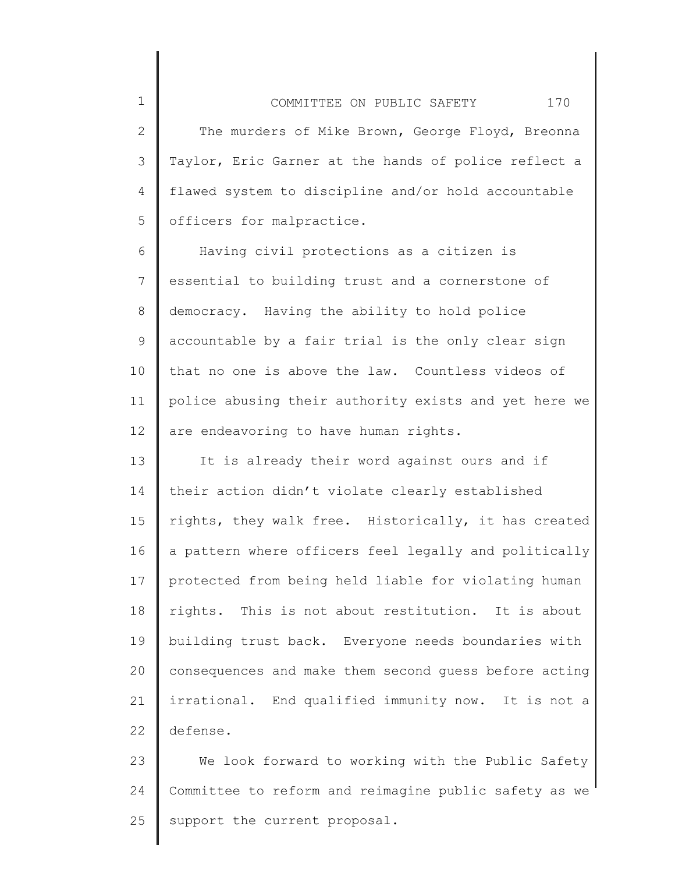2 3 4 5 The murders of Mike Brown, George Floyd, Breonna Taylor, Eric Garner at the hands of police reflect a flawed system to discipline and/or hold accountable officers for malpractice.

1

6 7 8 9 10 11 12 Having civil protections as a citizen is essential to building trust and a cornerstone of democracy. Having the ability to hold police accountable by a fair trial is the only clear sign that no one is above the law. Countless videos of police abusing their authority exists and yet here we are endeavoring to have human rights.

13 14 15 16 17 18 19 20 21 22 It is already their word against ours and if their action didn't violate clearly established rights, they walk free. Historically, it has created a pattern where officers feel legally and politically protected from being held liable for violating human rights. This is not about restitution. It is about building trust back. Everyone needs boundaries with consequences and make them second guess before acting irrational. End qualified immunity now. It is not a defense.

23 24 25 We look forward to working with the Public Safety Committee to reform and reimagine public safety as we support the current proposal.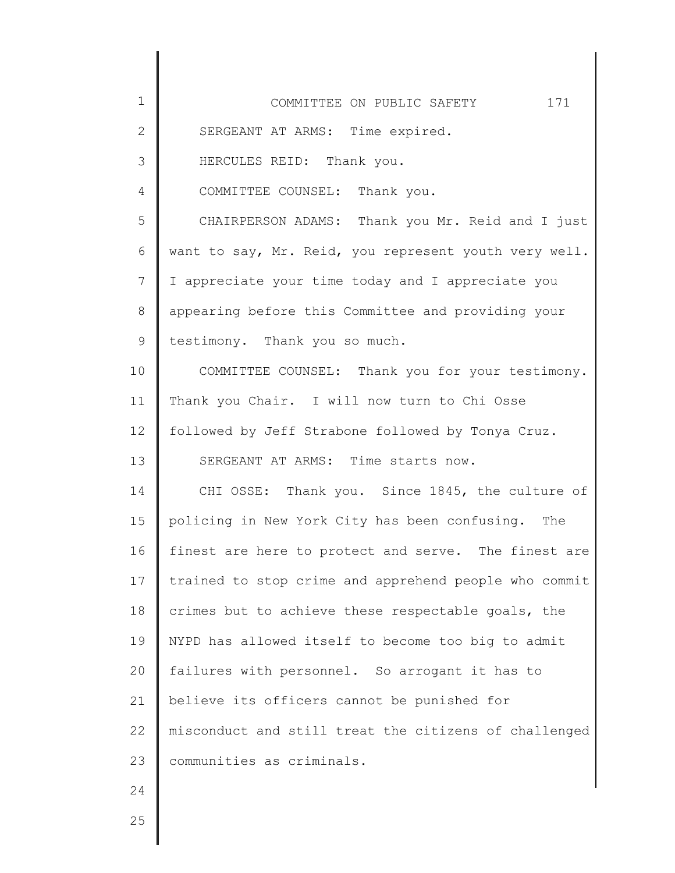| $\mathbf 1$  | 171<br>COMMITTEE ON PUBLIC SAFETY                     |
|--------------|-------------------------------------------------------|
| $\mathbf{2}$ | SERGEANT AT ARMS: Time expired.                       |
| 3            | HERCULES REID: Thank you.                             |
| 4            | COMMITTEE COUNSEL: Thank you.                         |
| 5            | CHAIRPERSON ADAMS: Thank you Mr. Reid and I just      |
| 6            | want to say, Mr. Reid, you represent youth very well. |
| 7            | I appreciate your time today and I appreciate you     |
| $8\,$        | appearing before this Committee and providing your    |
| 9            | testimony. Thank you so much.                         |
| 10           | COMMITTEE COUNSEL: Thank you for your testimony.      |
| 11           | Thank you Chair. I will now turn to Chi Osse          |
| 12           | followed by Jeff Strabone followed by Tonya Cruz.     |
| 13           | SERGEANT AT ARMS: Time starts now.                    |
| 14           | CHI OSSE: Thank you. Since 1845, the culture of       |
| 15           | policing in New York City has been confusing. The     |
| 16           | finest are here to protect and serve. The finest are  |
| 17           | trained to stop crime and apprehend people who commit |
| 18           | crimes but to achieve these respectable goals, the    |
| 19           | NYPD has allowed itself to become too big to admit    |
| 20           | failures with personnel. So arrogant it has to        |
| 21           | believe its officers cannot be punished for           |
| 22           | misconduct and still treat the citizens of challenged |
| 23           | communities as criminals.                             |
| 24           |                                                       |
| 25           |                                                       |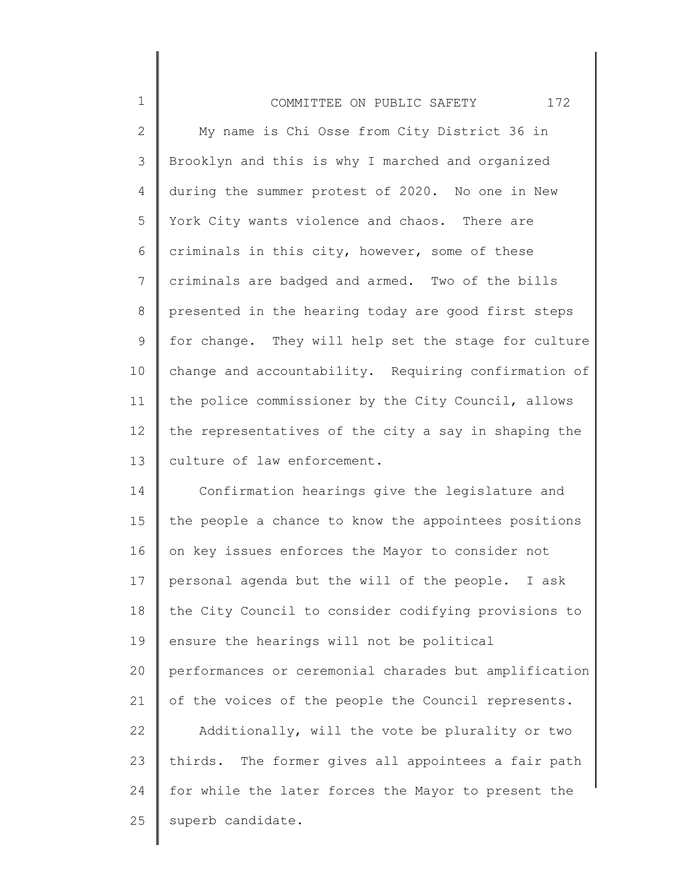| $\mathbf 1$     | 172<br>COMMITTEE ON PUBLIC SAFETY                     |
|-----------------|-------------------------------------------------------|
| $\overline{2}$  | My name is Chi Osse from City District 36 in          |
| 3               | Brooklyn and this is why I marched and organized      |
| 4               | during the summer protest of 2020. No one in New      |
| 5               | York City wants violence and chaos. There are         |
| 6               | criminals in this city, however, some of these        |
| $7\phantom{.0}$ | criminals are badged and armed. Two of the bills      |
| 8               | presented in the hearing today are good first steps   |
| 9               | for change. They will help set the stage for culture  |
| 10              | change and accountability. Requiring confirmation of  |
| 11              | the police commissioner by the City Council, allows   |
| 12              | the representatives of the city a say in shaping the  |
| 13              | culture of law enforcement.                           |
| 14              | Confirmation hearings give the legislature and        |
| 15              | the people a chance to know the appointees positions  |
| 16              | on key issues enforces the Mayor to consider not      |
| 17              | personal agenda but the will of the people. I ask     |
| 18              | the City Council to consider codifying provisions to  |
| 19              | ensure the hearings will not be political             |
| 20              | performances or ceremonial charades but amplification |
| 21              | of the voices of the people the Council represents.   |
| 22              | Additionally, will the vote be plurality or two       |
| 23              | thirds. The former gives all appointees a fair path   |
| 24              | for while the later forces the Mayor to present the   |
| 25              | superb candidate.                                     |
|                 |                                                       |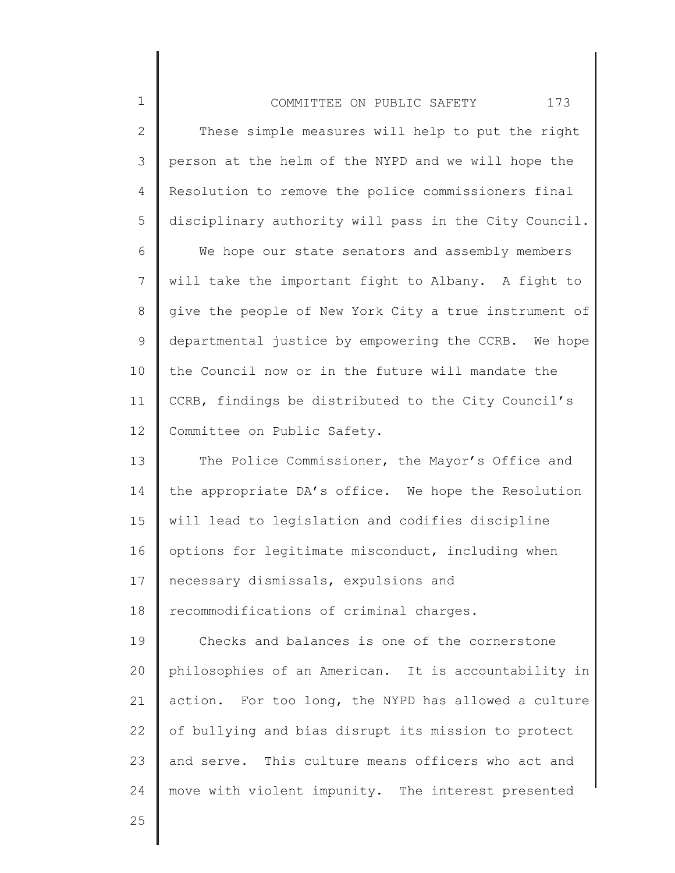| $\mathbf 1$    | 173<br>COMMITTEE ON PUBLIC SAFETY                     |  |
|----------------|-------------------------------------------------------|--|
| $\mathbf{2}$   | These simple measures will help to put the right      |  |
| 3              | person at the helm of the NYPD and we will hope the   |  |
| 4              | Resolution to remove the police commissioners final   |  |
| 5              | disciplinary authority will pass in the City Council. |  |
| 6              | We hope our state senators and assembly members       |  |
| $7\phantom{.}$ | will take the important fight to Albany. A fight to   |  |
| 8              | give the people of New York City a true instrument of |  |
| $\mathsf 9$    | departmental justice by empowering the CCRB. We hope  |  |
| 10             | the Council now or in the future will mandate the     |  |
| 11             | CCRB, findings be distributed to the City Council's   |  |
| 12             | Committee on Public Safety.                           |  |
| 13             | The Police Commissioner, the Mayor's Office and       |  |
| 14             | the appropriate DA's office. We hope the Resolution   |  |
| 15             | will lead to legislation and codifies discipline      |  |
| 16             | options for legitimate misconduct, including when     |  |
| 17             | necessary dismissals, expulsions and                  |  |
| 18             | recommodifications of criminal charges.               |  |
| 19             | Checks and balances is one of the cornerstone         |  |
| 20             | philosophies of an American. It is accountability in  |  |
| 21             | action. For too long, the NYPD has allowed a culture  |  |
| 22             | of bullying and bias disrupt its mission to protect   |  |
| 23             | and serve. This culture means officers who act and    |  |
| 24             | move with violent impunity. The interest presented    |  |
|                |                                                       |  |

Π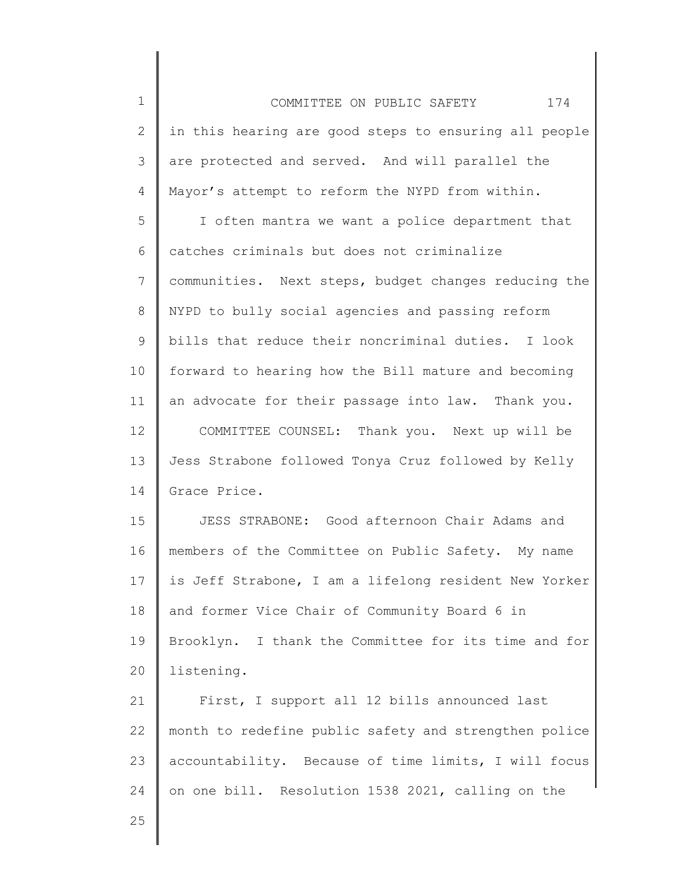1 2 3 4 5 6 7 8 9 10 11 12 13 14 15 16 17 18 19 20 21 22 23 24 25 COMMITTEE ON PUBLIC SAFETY 174 in this hearing are good steps to ensuring all people are protected and served. And will parallel the Mayor's attempt to reform the NYPD from within. I often mantra we want a police department that catches criminals but does not criminalize communities. Next steps, budget changes reducing the NYPD to bully social agencies and passing reform bills that reduce their noncriminal duties. I look forward to hearing how the Bill mature and becoming an advocate for their passage into law. Thank you. COMMITTEE COUNSEL: Thank you. Next up will be Jess Strabone followed Tonya Cruz followed by Kelly Grace Price. JESS STRABONE: Good afternoon Chair Adams and members of the Committee on Public Safety. My name is Jeff Strabone, I am a lifelong resident New Yorker and former Vice Chair of Community Board 6 in Brooklyn. I thank the Committee for its time and for listening. First, I support all 12 bills announced last month to redefine public safety and strengthen police accountability. Because of time limits, I will focus on one bill. Resolution 1538 2021, calling on the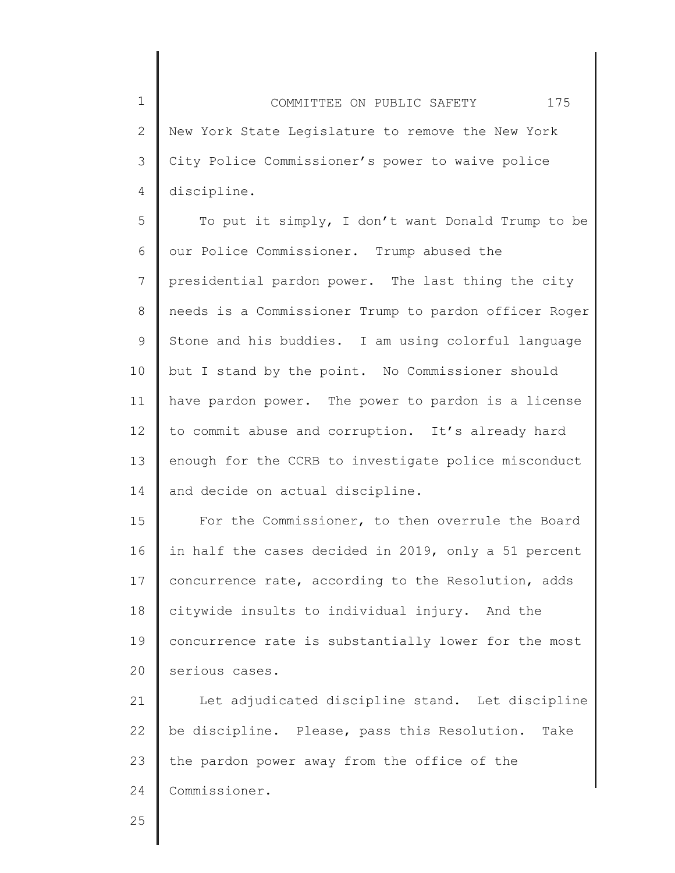1 2 3 4 COMMITTEE ON PUBLIC SAFETY 175 New York State Legislature to remove the New York City Police Commissioner's power to waive police discipline.

5 6 7 8 9 10 11 12 13 14 To put it simply, I don't want Donald Trump to be our Police Commissioner. Trump abused the presidential pardon power. The last thing the city needs is a Commissioner Trump to pardon officer Roger Stone and his buddies. I am using colorful language but I stand by the point. No Commissioner should have pardon power. The power to pardon is a license to commit abuse and corruption. It's already hard enough for the CCRB to investigate police misconduct and decide on actual discipline.

15 16 17 18 19 20 For the Commissioner, to then overrule the Board in half the cases decided in 2019, only a 51 percent concurrence rate, according to the Resolution, adds citywide insults to individual injury. And the concurrence rate is substantially lower for the most serious cases.

21 22 23 24 Let adjudicated discipline stand. Let discipline be discipline. Please, pass this Resolution. Take the pardon power away from the office of the Commissioner.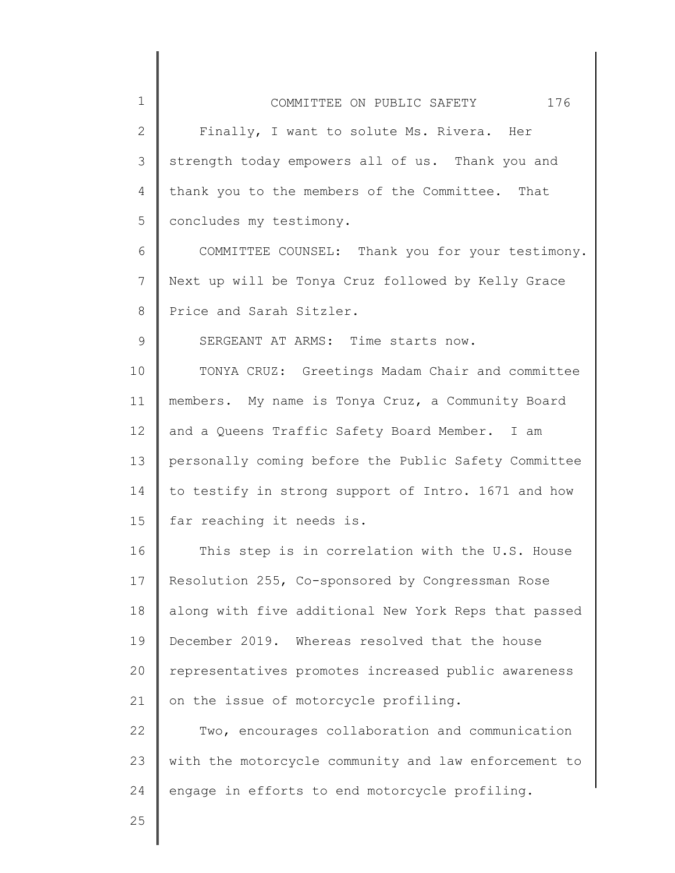| 1               | 176<br>COMMITTEE ON PUBLIC SAFETY                    |
|-----------------|------------------------------------------------------|
| $\mathbf{2}$    | Finally, I want to solute Ms. Rivera. Her            |
| 3               | strength today empowers all of us. Thank you and     |
| 4               | thank you to the members of the Committee. That      |
| 5               | concludes my testimony.                              |
| 6               | COMMITTEE COUNSEL: Thank you for your testimony.     |
| 7               | Next up will be Tonya Cruz followed by Kelly Grace   |
| 8               | Price and Sarah Sitzler.                             |
| 9               | SERGEANT AT ARMS: Time starts now.                   |
| 10              | TONYA CRUZ: Greetings Madam Chair and committee      |
| 11              | members. My name is Tonya Cruz, a Community Board    |
| 12 <sup>°</sup> | and a Queens Traffic Safety Board Member. I am       |
| 13              | personally coming before the Public Safety Committee |
| 14              | to testify in strong support of Intro. 1671 and how  |
| 15              | far reaching it needs is.                            |
| 16              | This step is in correlation with the U.S. House      |
| 17              | Resolution 255, Co-sponsored by Congressman Rose     |
| 18              | along with five additional New York Reps that passed |
| 19              | December 2019. Whereas resolved that the house       |
| 20              | representatives promotes increased public awareness  |
| 21              | on the issue of motorcycle profiling.                |
| 22              | Two, encourages collaboration and communication      |
| 23              | with the motorcycle community and law enforcement to |
| 24              | engage in efforts to end motorcycle profiling.       |
|                 |                                                      |

 $\begin{array}{c} \hline \end{array}$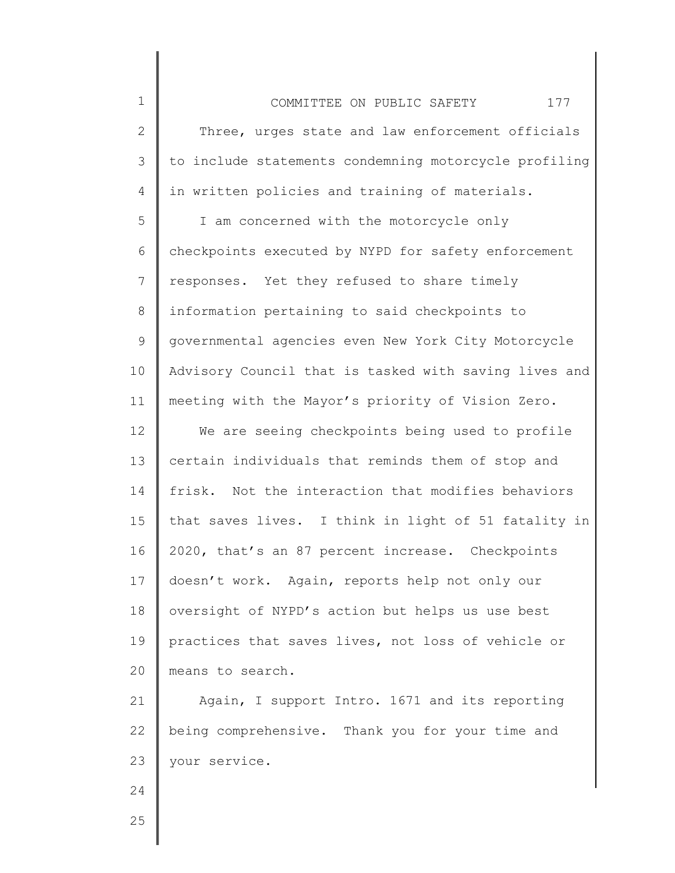| 177<br>COMMITTEE ON PUBLIC SAFETY                     |  |  |
|-------------------------------------------------------|--|--|
| Three, urges state and law enforcement officials      |  |  |
| to include statements condemning motorcycle profiling |  |  |
| in written policies and training of materials.        |  |  |
| I am concerned with the motorcycle only               |  |  |
| checkpoints executed by NYPD for safety enforcement   |  |  |
| responses. Yet they refused to share timely           |  |  |
| information pertaining to said checkpoints to         |  |  |
| governmental agencies even New York City Motorcycle   |  |  |
| Advisory Council that is tasked with saving lives and |  |  |
| meeting with the Mayor's priority of Vision Zero.     |  |  |
| We are seeing checkpoints being used to profile       |  |  |
| certain individuals that reminds them of stop and     |  |  |
| frisk. Not the interaction that modifies behaviors    |  |  |
| that saves lives. I think in light of 51 fatality in  |  |  |

2020, that's an 87 percent increase. Checkpoints

doesn't work. Again, reports help not only our

oversight of NYPD's action but helps us use best

practices that saves lives, not loss of vehicle or

21 22 23 Again, I support Intro. 1671 and its reporting being comprehensive. Thank you for your time and your service.

25

24

1

2

3

4

5

6

7

8

9

10

11

12

13

14

15

16

17

18

19

20

means to search.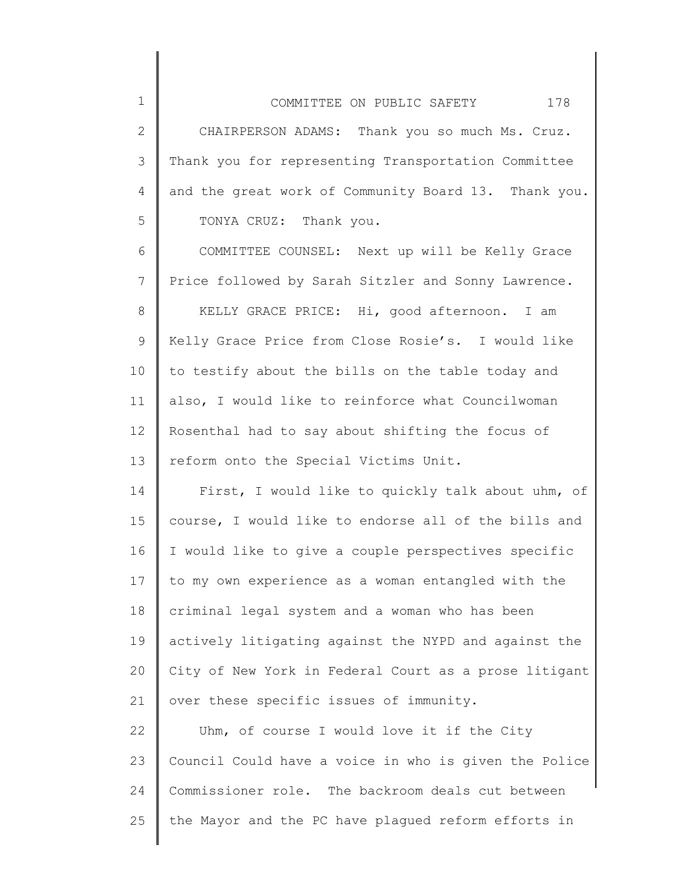| COMMITTEE ON PUBLIC SAFETY                           | 178 |
|------------------------------------------------------|-----|
| CHAIRPERSON ADAMS: Thank you so much Ms. Cruz.       |     |
| Thank you for representing Transportation Committee  |     |
| and the great work of Community Board 13. Thank you. |     |
| TONYA CRUZ: Thank you.                               |     |

2

3

4

5

6 7 8 9 10 11 12 13 COMMITTEE COUNSEL: Next up will be Kelly Grace Price followed by Sarah Sitzler and Sonny Lawrence. KELLY GRACE PRICE: Hi, good afternoon. I am Kelly Grace Price from Close Rosie's. I would like to testify about the bills on the table today and also, I would like to reinforce what Councilwoman Rosenthal had to say about shifting the focus of reform onto the Special Victims Unit.

14 15 16 17 18 19 20 21 First, I would like to quickly talk about uhm, of course, I would like to endorse all of the bills and I would like to give a couple perspectives specific to my own experience as a woman entangled with the criminal legal system and a woman who has been actively litigating against the NYPD and against the City of New York in Federal Court as a prose litigant over these specific issues of immunity.

22 23 24 25 Uhm, of course I would love it if the City Council Could have a voice in who is given the Police Commissioner role. The backroom deals cut between the Mayor and the PC have plagued reform efforts in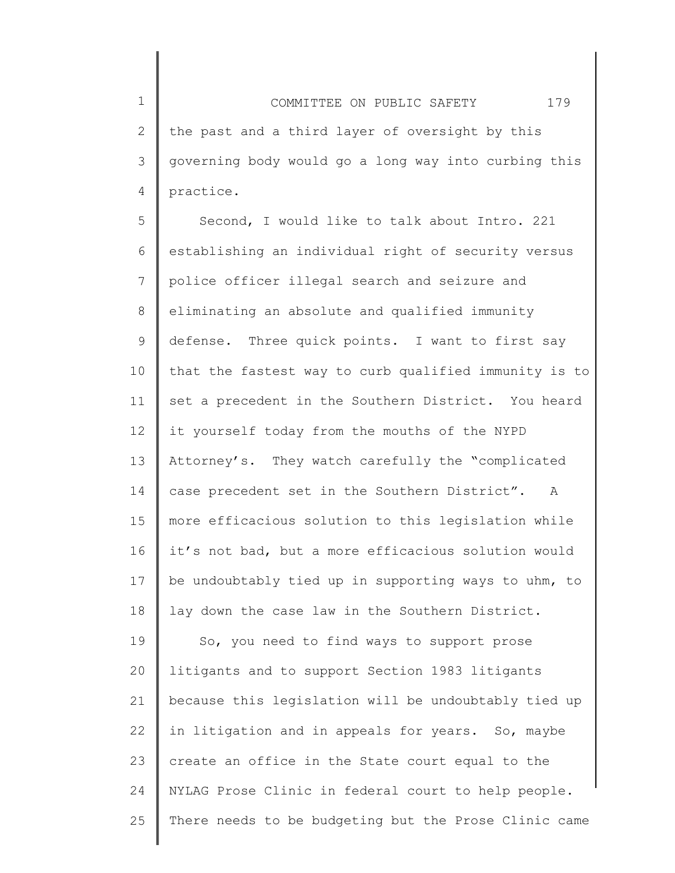1 2 3 4 COMMITTEE ON PUBLIC SAFETY 179 the past and a third layer of oversight by this governing body would go a long way into curbing this practice.

5 6 7 8 9 10 11 12 13 14 15 16 17 18 Second, I would like to talk about Intro. 221 establishing an individual right of security versus police officer illegal search and seizure and eliminating an absolute and qualified immunity defense. Three quick points. I want to first say that the fastest way to curb qualified immunity is to set a precedent in the Southern District. You heard it yourself today from the mouths of the NYPD Attorney's. They watch carefully the "complicated case precedent set in the Southern District". A more efficacious solution to this legislation while it's not bad, but a more efficacious solution would be undoubtably tied up in supporting ways to uhm, to lay down the case law in the Southern District.

19 20 21 22 23 24 25 So, you need to find ways to support prose litigants and to support Section 1983 litigants because this legislation will be undoubtably tied up in litigation and in appeals for years. So, maybe create an office in the State court equal to the NYLAG Prose Clinic in federal court to help people. There needs to be budgeting but the Prose Clinic came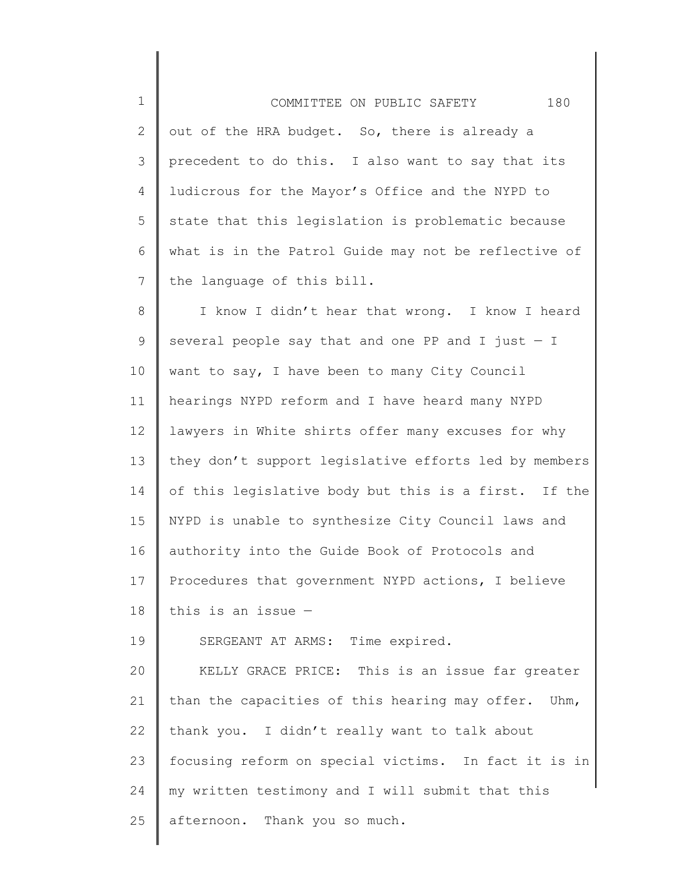| $1\,$        | 180<br>COMMITTEE ON PUBLIC SAFETY                     |
|--------------|-------------------------------------------------------|
| $\mathbf{2}$ | out of the HRA budget. So, there is already a         |
| 3            | precedent to do this. I also want to say that its     |
| 4            | ludicrous for the Mayor's Office and the NYPD to      |
| 5            | state that this legislation is problematic because    |
| 6            | what is in the Patrol Guide may not be reflective of  |
| 7            | the language of this bill.                            |
| $8\,$        | I know I didn't hear that wrong. I know I heard       |
| 9            | several people say that and one PP and I just $-$ I   |
| 10           | want to say, I have been to many City Council         |
| 11           | hearings NYPD reform and I have heard many NYPD       |
| 12           | lawyers in White shirts offer many excuses for why    |
| 13           | they don't support legislative efforts led by members |
| 14           | of this legislative body but this is a first. If the  |
| 15           | NYPD is unable to synthesize City Council laws and    |
| 16           | authority into the Guide Book of Protocols and        |
| 17           | Procedures that government NYPD actions, I believe    |
| 18           | this is an issue $-$                                  |
| 19           | SERGEANT AT ARMS: Time expired.                       |
| 20           | KELLY GRACE PRICE: This is an issue far greater       |
| 21           | than the capacities of this hearing may offer. Uhm,   |
| 22           | thank you. I didn't really want to talk about         |
| 23           | focusing reform on special victims. In fact it is in  |
| 24           | my written testimony and I will submit that this      |
| 25           | afternoon. Thank you so much.                         |

∥

 $\parallel$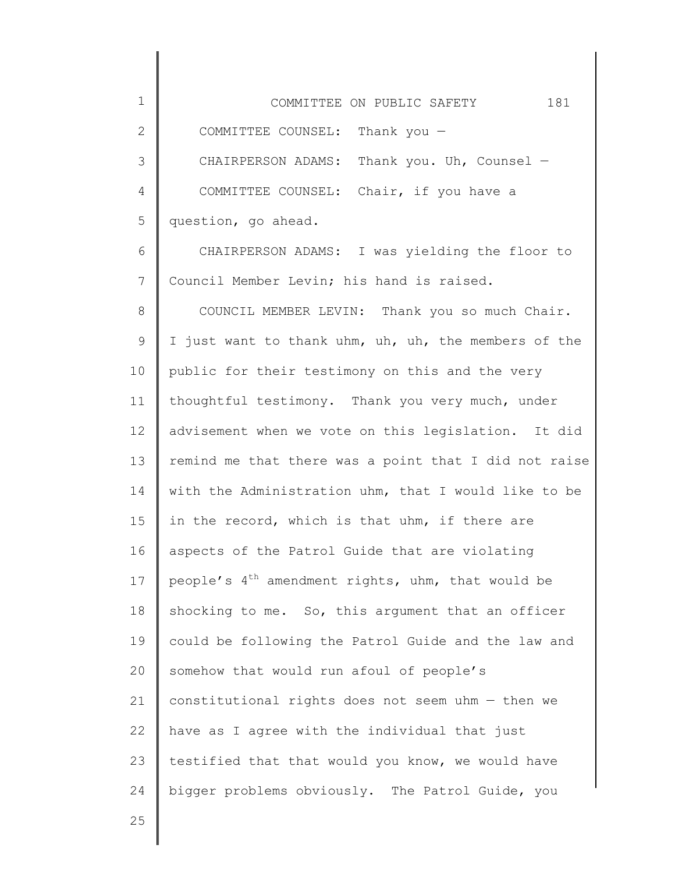| 1            | 181<br>COMMITTEE ON PUBLIC SAFETY                      |
|--------------|--------------------------------------------------------|
| $\mathbf{2}$ | COMMITTEE COUNSEL: Thank you $-$                       |
| 3            | CHAIRPERSON ADAMS: Thank you. Uh, Counsel -            |
| 4            | COMMITTEE COUNSEL: Chair, if you have a                |
| 5            | question, go ahead.                                    |
| 6            | CHAIRPERSON ADAMS: I was yielding the floor to         |
| 7            | Council Member Levin; his hand is raised.              |
| 8            | COUNCIL MEMBER LEVIN: Thank you so much Chair.         |
| 9            | I just want to thank uhm, uh, uh, the members of the   |
| 10           | public for their testimony on this and the very        |
| 11           | thoughtful testimony. Thank you very much, under       |
| 12           | advisement when we vote on this legislation. It did    |
| 13           | remind me that there was a point that I did not raise  |
| 14           | with the Administration uhm, that I would like to be   |
| 15           | in the record, which is that uhm, if there are         |
| 16           | aspects of the Patrol Guide that are violating         |
| 17           | people's $4^{th}$ amendment rights, uhm, that would be |
| 18           | shocking to me. So, this argument that an officer      |
| 19           | could be following the Patrol Guide and the law and    |
| 20           | somehow that would run afoul of people's               |
| 21           | constitutional rights does not seem uhm - then we      |
| 22           | have as I agree with the individual that just          |
| 23           | testified that that would you know, we would have      |
| 24           | bigger problems obviously. The Patrol Guide, you       |
| つに           |                                                        |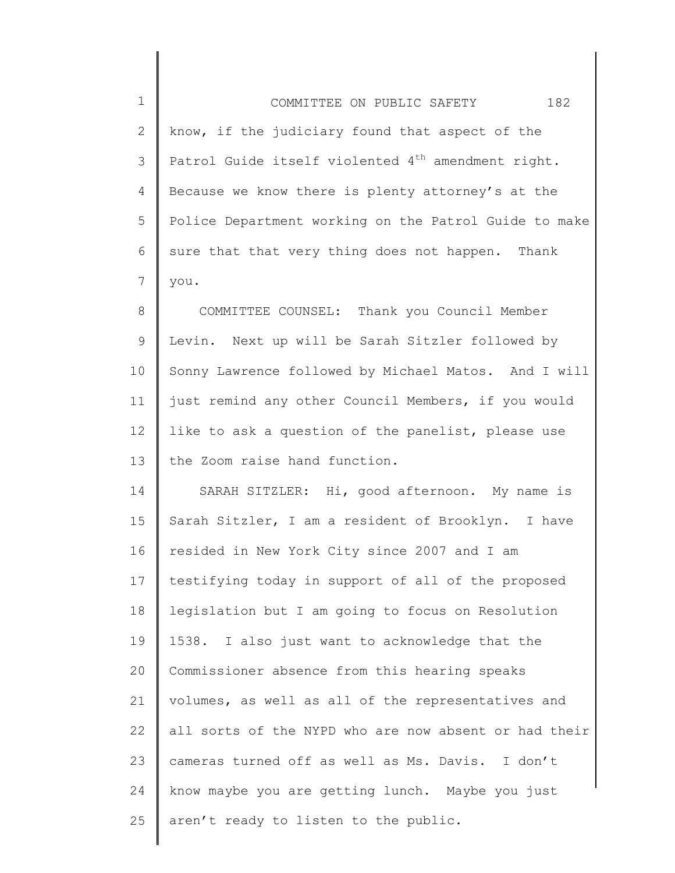| $\mathbf{1}$ | 182<br>COMMITTEE ON PUBLIC SAFETY                              |
|--------------|----------------------------------------------------------------|
| $\mathbf{2}$ | know, if the judiciary found that aspect of the                |
| 3            | Patrol Guide itself violented 4 <sup>th</sup> amendment right. |
| 4            | Because we know there is plenty attorney's at the              |
| 5            | Police Department working on the Patrol Guide to make          |
| 6            | sure that that very thing does not happen. Thank               |
| 7            | you.                                                           |
| 8            | COMMITTEE COUNSEL: Thank you Council Member                    |
| 9            | Levin. Next up will be Sarah Sitzler followed by               |
| 10           | Sonny Lawrence followed by Michael Matos. And I will           |
| 11           | just remind any other Council Members, if you would            |
| 12           | like to ask a question of the panelist, please use             |
| 13           | the Zoom raise hand function.                                  |
| 14           | SARAH SITZLER: Hi, good afternoon. My name is                  |
| 15           | Sarah Sitzler, I am a resident of Brooklyn. I have             |
| 16           | resided in New York City since 2007 and I am                   |
| 17           | testifying today in support of all of the proposed             |
| 18           | legislation but I am going to focus on Resolution              |
| 19           | 1538. I also just want to acknowledge that the                 |
| 20           | Commissioner absence from this hearing speaks                  |
| 21           | volumes, as well as all of the representatives and             |
| 22           | all sorts of the NYPD who are now absent or had their          |
| 23           | cameras turned off as well as Ms. Davis. I don't               |
| 24           | know maybe you are getting lunch. Maybe you just               |
| 25           | aren't ready to listen to the public.                          |
|              |                                                                |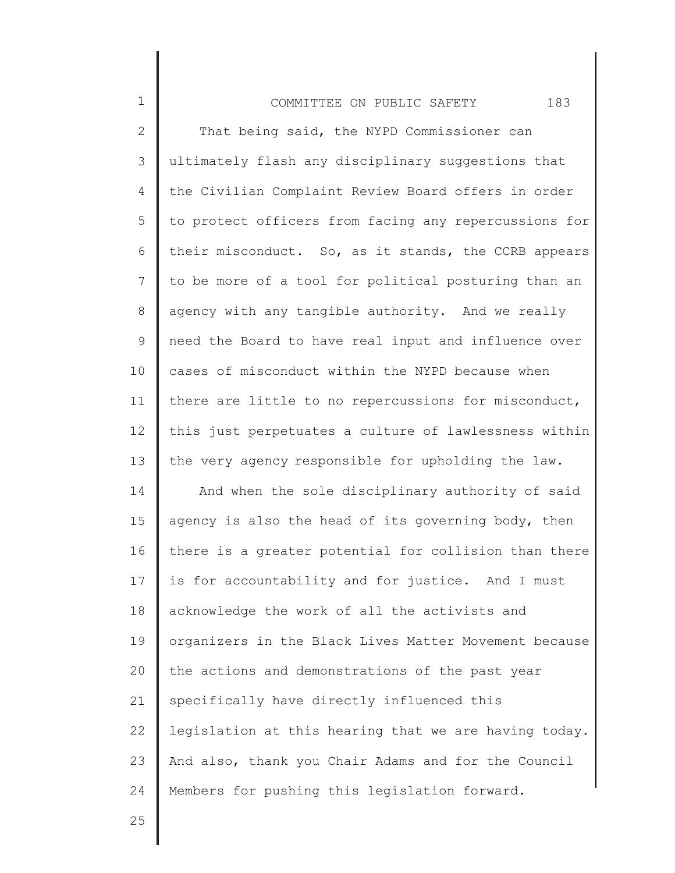## COMMITTEE ON PUBLIC SAFETY 183

2 3 4 5 6 7 8 9 10 11 12 13 14 15 16 17 18 19 20 21 22 23 24 That being said, the NYPD Commissioner can ultimately flash any disciplinary suggestions that the Civilian Complaint Review Board offers in order to protect officers from facing any repercussions for their misconduct. So, as it stands, the CCRB appears to be more of a tool for political posturing than an agency with any tangible authority. And we really need the Board to have real input and influence over cases of misconduct within the NYPD because when there are little to no repercussions for misconduct, this just perpetuates a culture of lawlessness within the very agency responsible for upholding the law. And when the sole disciplinary authority of said agency is also the head of its governing body, then there is a greater potential for collision than there is for accountability and for justice. And I must acknowledge the work of all the activists and organizers in the Black Lives Matter Movement because the actions and demonstrations of the past year specifically have directly influenced this legislation at this hearing that we are having today. And also, thank you Chair Adams and for the Council Members for pushing this legislation forward.

25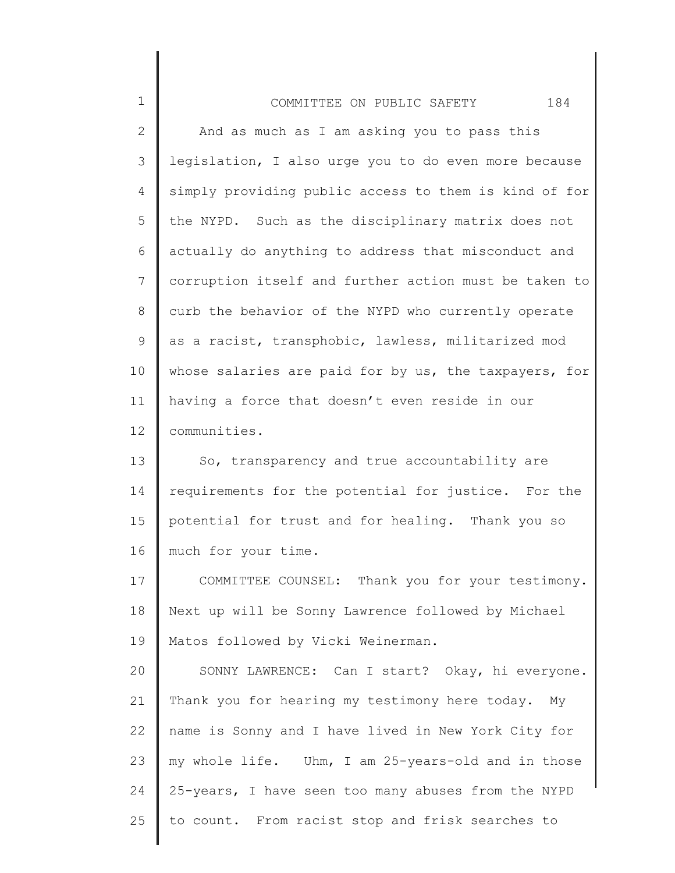| $\mathbf 1$     | 184<br>COMMITTEE ON PUBLIC SAFETY                     |
|-----------------|-------------------------------------------------------|
| $\mathbf{2}$    | And as much as I am asking you to pass this           |
| $\mathcal{S}$   | legislation, I also urge you to do even more because  |
| 4               | simply providing public access to them is kind of for |
| 5               | the NYPD. Such as the disciplinary matrix does not    |
| 6               | actually do anything to address that misconduct and   |
| $\overline{7}$  | corruption itself and further action must be taken to |
| 8               | curb the behavior of the NYPD who currently operate   |
| $\mathsf 9$     | as a racist, transphobic, lawless, militarized mod    |
| 10              | whose salaries are paid for by us, the taxpayers, for |
| 11              | having a force that doesn't even reside in our        |
| 12 <sup>°</sup> | communities.                                          |
| 13              | So, transparency and true accountability are          |
| 14              | requirements for the potential for justice. For the   |
| 15              | potential for trust and for healing. Thank you so     |
| 16              | much for your time.                                   |
| 17              | COMMITTEE COUNSEL: Thank you for your testimony.      |
| 18              | Next up will be Sonny Lawrence followed by Michael    |
| 19              | Matos followed by Vicki Weinerman.                    |
| 20              | SONNY LAWRENCE: Can I start? Okay, hi everyone.       |
| 21              | Thank you for hearing my testimony here today. My     |
| 22              | name is Sonny and I have lived in New York City for   |
| 23              | my whole life. Uhm, I am 25-years-old and in those    |
| 24              | 25-years, I have seen too many abuses from the NYPD   |
| 25              | to count. From racist stop and frisk searches to      |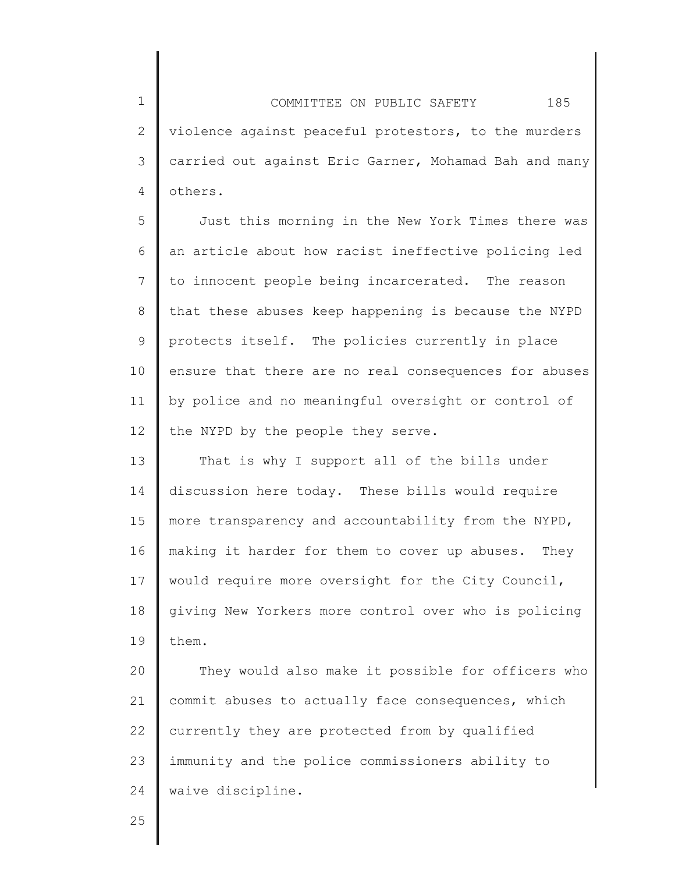1 2 3 4 COMMITTEE ON PUBLIC SAFETY 185 violence against peaceful protestors, to the murders carried out against Eric Garner, Mohamad Bah and many others.

5 6 7 8 9 10 11 12 Just this morning in the New York Times there was an article about how racist ineffective policing led to innocent people being incarcerated. The reason that these abuses keep happening is because the NYPD protects itself. The policies currently in place ensure that there are no real consequences for abuses by police and no meaningful oversight or control of the NYPD by the people they serve.

13 14 15 16 17 18 19 That is why I support all of the bills under discussion here today. These bills would require more transparency and accountability from the NYPD, making it harder for them to cover up abuses. They would require more oversight for the City Council, giving New Yorkers more control over who is policing them.

20 21 22 23 24 They would also make it possible for officers who commit abuses to actually face consequences, which currently they are protected from by qualified immunity and the police commissioners ability to waive discipline.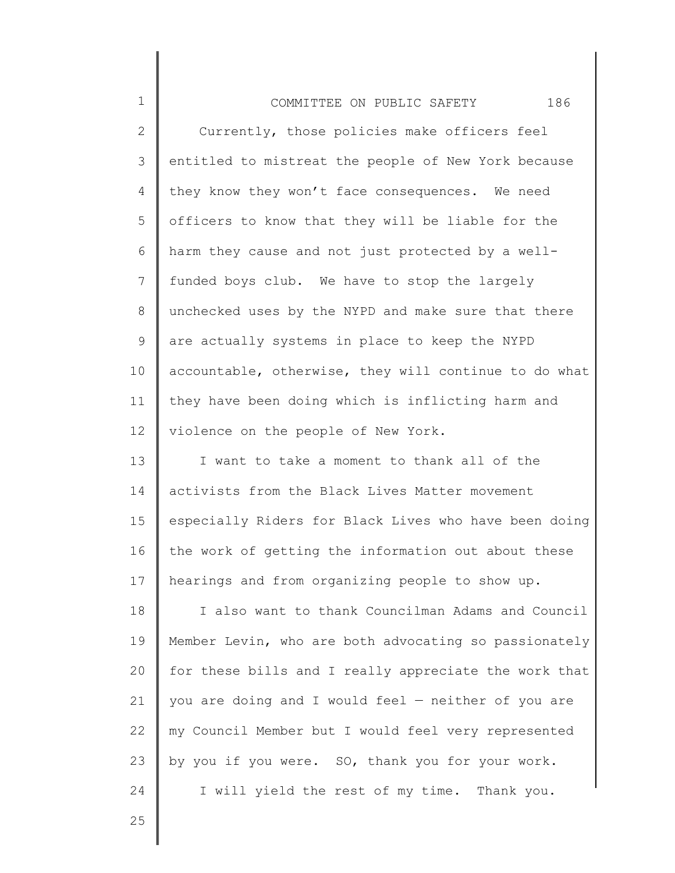| $\mathbf 1$  | 186<br>COMMITTEE ON PUBLIC SAFETY                     |
|--------------|-------------------------------------------------------|
| $\mathbf{2}$ | Currently, those policies make officers feel          |
| 3            | entitled to mistreat the people of New York because   |
| 4            | they know they won't face consequences. We need       |
| 5            | officers to know that they will be liable for the     |
| 6            | harm they cause and not just protected by a well-     |
| 7            | funded boys club. We have to stop the largely         |
| 8            | unchecked uses by the NYPD and make sure that there   |
| 9            | are actually systems in place to keep the NYPD        |
| 10           | accountable, otherwise, they will continue to do what |
| 11           | they have been doing which is inflicting harm and     |
| 12           | violence on the people of New York.                   |
| 13           | I want to take a moment to thank all of the           |
| 14           | activists from the Black Lives Matter movement        |
| 15           | especially Riders for Black Lives who have been doing |
| 16           | the work of getting the information out about these   |
| 17           | hearings and from organizing people to show up.       |
| 18           | I also want to thank Councilman Adams and Council     |
| 19           | Member Levin, who are both advocating so passionately |
| 20           | for these bills and I really appreciate the work that |
| 21           | you are doing and I would feel - neither of you are   |
| 22           | my Council Member but I would feel very represented   |
| 23           | by you if you were. SO, thank you for your work.      |
| 24           | I will yield the rest of my time. Thank you.          |

25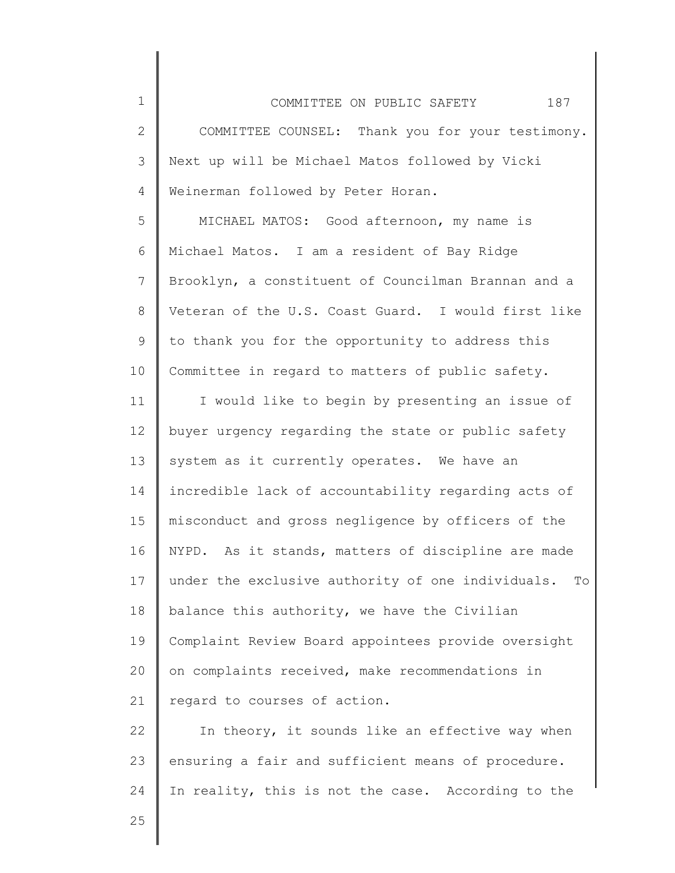2 3 4 COMMITTEE COUNSEL: Thank you for your testimony. Next up will be Michael Matos followed by Vicki Weinerman followed by Peter Horan.

5 6 7 8 9 10 MICHAEL MATOS: Good afternoon, my name is Michael Matos. I am a resident of Bay Ridge Brooklyn, a constituent of Councilman Brannan and a Veteran of the U.S. Coast Guard. I would first like to thank you for the opportunity to address this Committee in regard to matters of public safety.

11 12 13 14 15 16 17 18 19 20 21 I would like to begin by presenting an issue of buyer urgency regarding the state or public safety system as it currently operates. We have an incredible lack of accountability regarding acts of misconduct and gross negligence by officers of the NYPD. As it stands, matters of discipline are made under the exclusive authority of one individuals. To balance this authority, we have the Civilian Complaint Review Board appointees provide oversight on complaints received, make recommendations in regard to courses of action.

22 23 24 In theory, it sounds like an effective way when ensuring a fair and sufficient means of procedure. In reality, this is not the case. According to the

25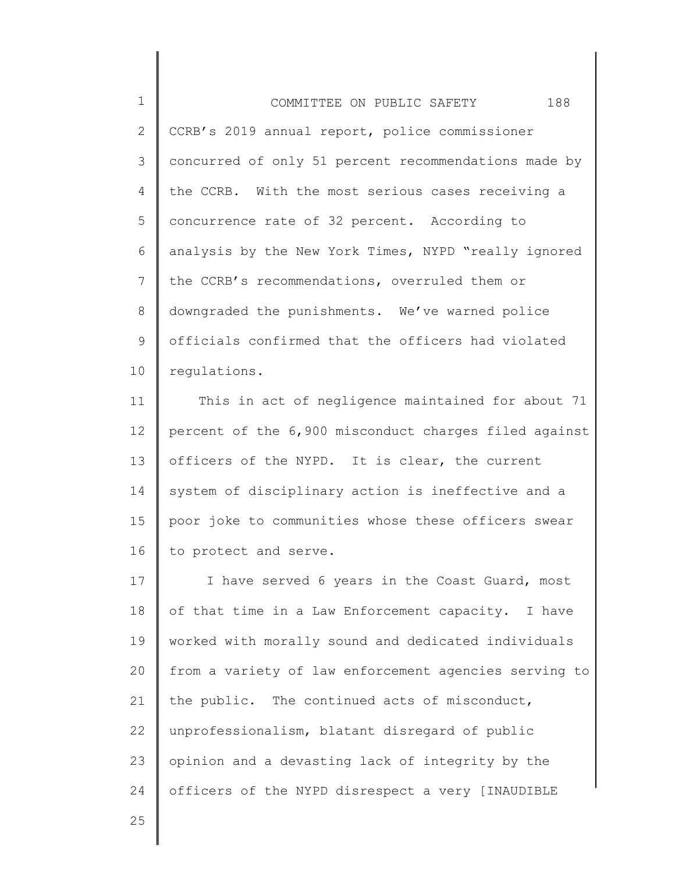1 2 3 4 5 6 7 8 9 10 COMMITTEE ON PUBLIC SAFETY 188 CCRB's 2019 annual report, police commissioner concurred of only 51 percent recommendations made by the CCRB. With the most serious cases receiving a concurrence rate of 32 percent. According to analysis by the New York Times, NYPD "really ignored the CCRB's recommendations, overruled them or downgraded the punishments. We've warned police officials confirmed that the officers had violated regulations.

11 12 13 14 15 16 This in act of negligence maintained for about 71 percent of the 6,900 misconduct charges filed against officers of the NYPD. It is clear, the current system of disciplinary action is ineffective and a poor joke to communities whose these officers swear to protect and serve.

17 18 19 20 21 22 23 24 I have served 6 years in the Coast Guard, most of that time in a Law Enforcement capacity. I have worked with morally sound and dedicated individuals from a variety of law enforcement agencies serving to the public. The continued acts of misconduct, unprofessionalism, blatant disregard of public opinion and a devasting lack of integrity by the officers of the NYPD disrespect a very [INAUDIBLE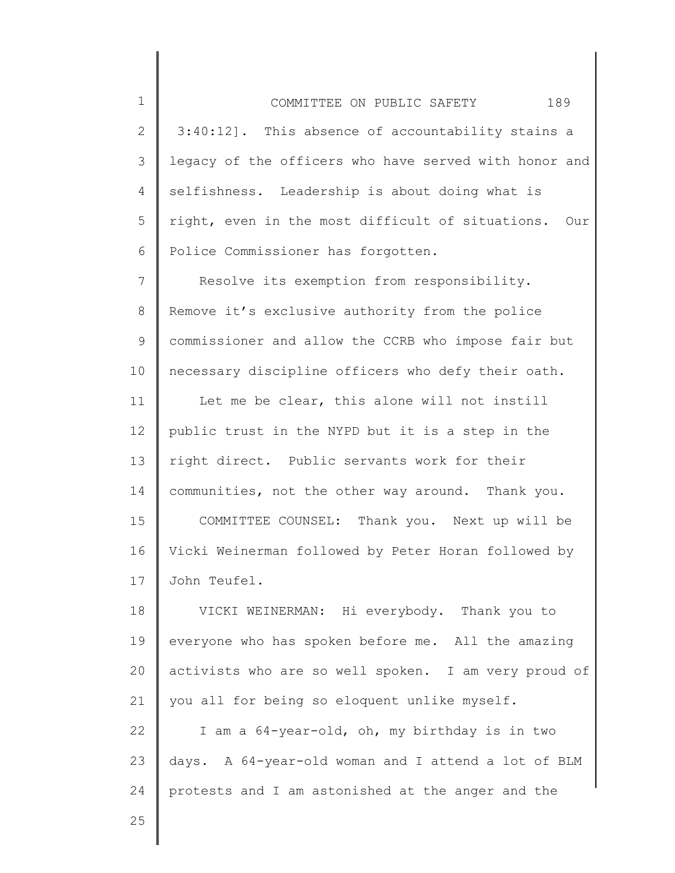1 2 3 4 5 6 COMMITTEE ON PUBLIC SAFETY 189 3:40:12]. This absence of accountability stains a legacy of the officers who have served with honor and selfishness. Leadership is about doing what is right, even in the most difficult of situations. Our Police Commissioner has forgotten.

7 8 9 10 Resolve its exemption from responsibility. Remove it's exclusive authority from the police commissioner and allow the CCRB who impose fair but necessary discipline officers who defy their oath.

11 12 13 14 15 16 17 Let me be clear, this alone will not instill public trust in the NYPD but it is a step in the right direct. Public servants work for their communities, not the other way around. Thank you. COMMITTEE COUNSEL: Thank you. Next up will be Vicki Weinerman followed by Peter Horan followed by John Teufel.

18 19 20 21 22 23 24 VICKI WEINERMAN: Hi everybody. Thank you to everyone who has spoken before me. All the amazing activists who are so well spoken. I am very proud of you all for being so eloquent unlike myself. I am a 64-year-old, oh, my birthday is in two days. A 64-year-old woman and I attend a lot of BLM protests and I am astonished at the anger and the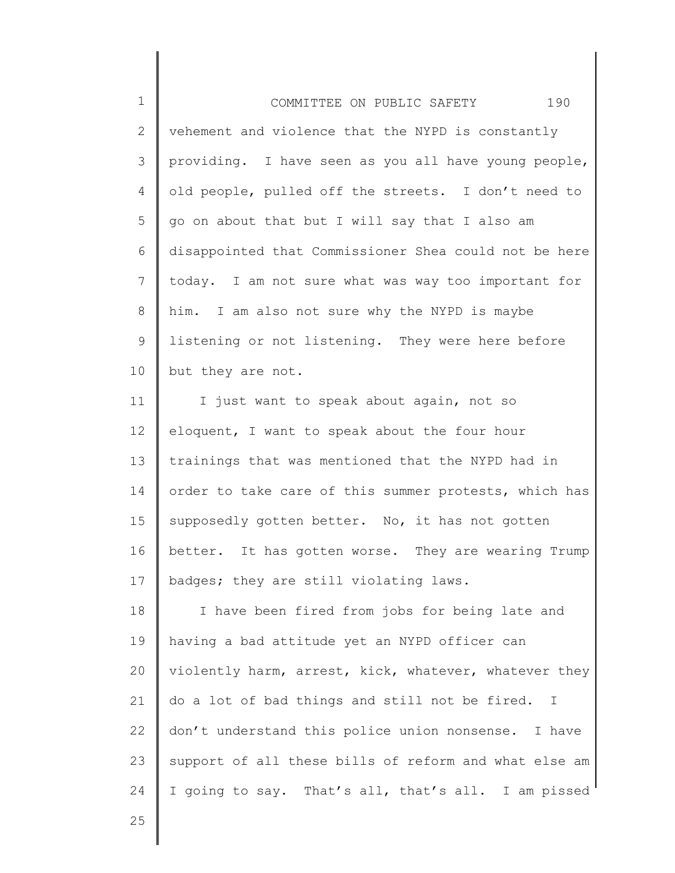1 2 3 4 5 6 7 8 9 10 COMMITTEE ON PUBLIC SAFETY 190 vehement and violence that the NYPD is constantly providing. I have seen as you all have young people, old people, pulled off the streets. I don't need to go on about that but I will say that I also am disappointed that Commissioner Shea could not be here today. I am not sure what was way too important for him. I am also not sure why the NYPD is maybe listening or not listening. They were here before but they are not.

11 12 13 14 15 16 17 I just want to speak about again, not so eloquent, I want to speak about the four hour trainings that was mentioned that the NYPD had in order to take care of this summer protests, which has supposedly gotten better. No, it has not gotten better. It has gotten worse. They are wearing Trump badges; they are still violating laws.

18 19 20 21 22 23 24 I have been fired from jobs for being late and having a bad attitude yet an NYPD officer can violently harm, arrest, kick, whatever, whatever they do a lot of bad things and still not be fired. I don't understand this police union nonsense. I have support of all these bills of reform and what else am I going to say. That's all, that's all. I am pissed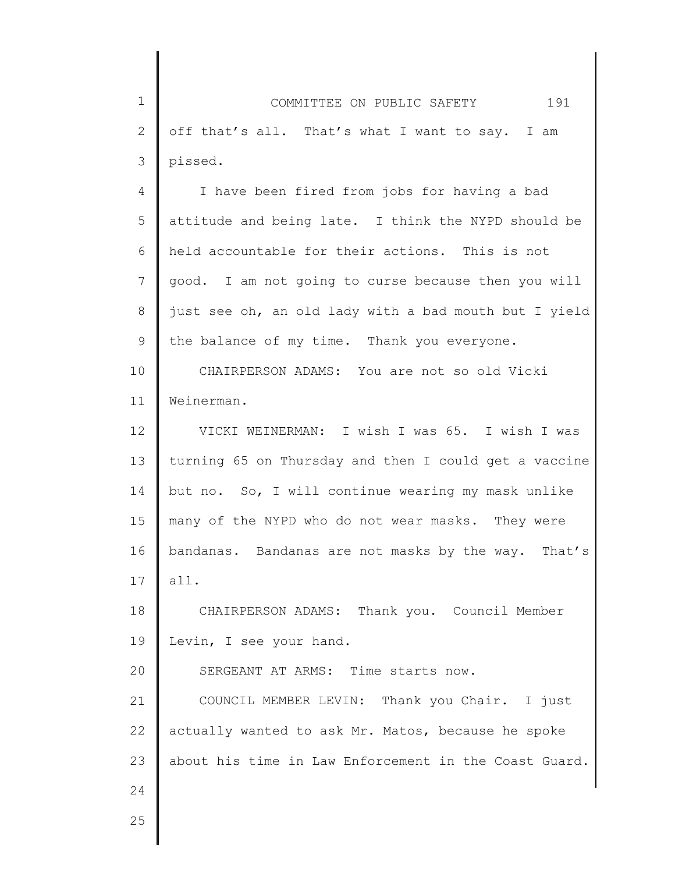1 2 3 COMMITTEE ON PUBLIC SAFETY 191 off that's all. That's what I want to say. I am pissed.

4 5 6 7 8 9 I have been fired from jobs for having a bad attitude and being late. I think the NYPD should be held accountable for their actions. This is not good. I am not going to curse because then you will just see oh, an old lady with a bad mouth but I yield the balance of my time. Thank you everyone.

10 11 CHAIRPERSON ADAMS: You are not so old Vicki Weinerman.

12 13 14 15 16 17 VICKI WEINERMAN: I wish I was 65. I wish I was turning 65 on Thursday and then I could get a vaccine but no. So, I will continue wearing my mask unlike many of the NYPD who do not wear masks. They were bandanas. Bandanas are not masks by the way. That's all.

18 19 CHAIRPERSON ADAMS: Thank you. Council Member Levin, I see your hand.

20 21 22 23 SERGEANT AT ARMS: Time starts now. COUNCIL MEMBER LEVIN: Thank you Chair. I just actually wanted to ask Mr. Matos, because he spoke about his time in Law Enforcement in the Coast Guard.

25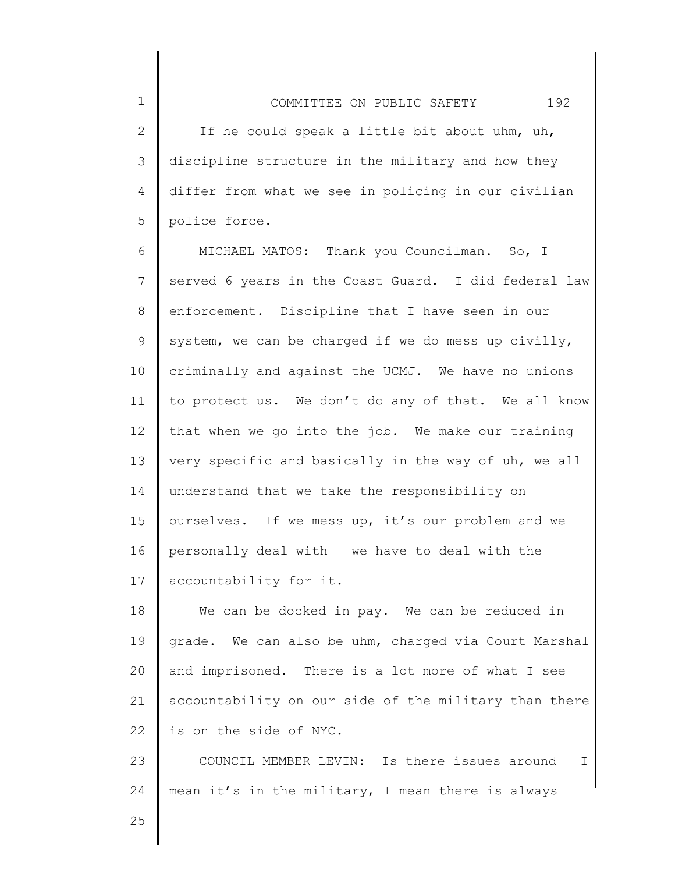2 3 4 5 If he could speak a little bit about uhm, uh, discipline structure in the military and how they differ from what we see in policing in our civilian police force.

6 7 8 9 10 11 12 13 14 15 16 17 MICHAEL MATOS: Thank you Councilman. So, I served 6 years in the Coast Guard. I did federal law enforcement. Discipline that I have seen in our system, we can be charged if we do mess up civilly, criminally and against the UCMJ. We have no unions to protect us. We don't do any of that. We all know that when we go into the job. We make our training very specific and basically in the way of uh, we all understand that we take the responsibility on ourselves. If we mess up, it's our problem and we personally deal with  $-$  we have to deal with the accountability for it.

18 19 20 21 22 We can be docked in pay. We can be reduced in grade. We can also be uhm, charged via Court Marshal and imprisoned. There is a lot more of what I see accountability on our side of the military than there is on the side of NYC.

23 24 COUNCIL MEMBER LEVIN: Is there issues around — I mean it's in the military, I mean there is always

25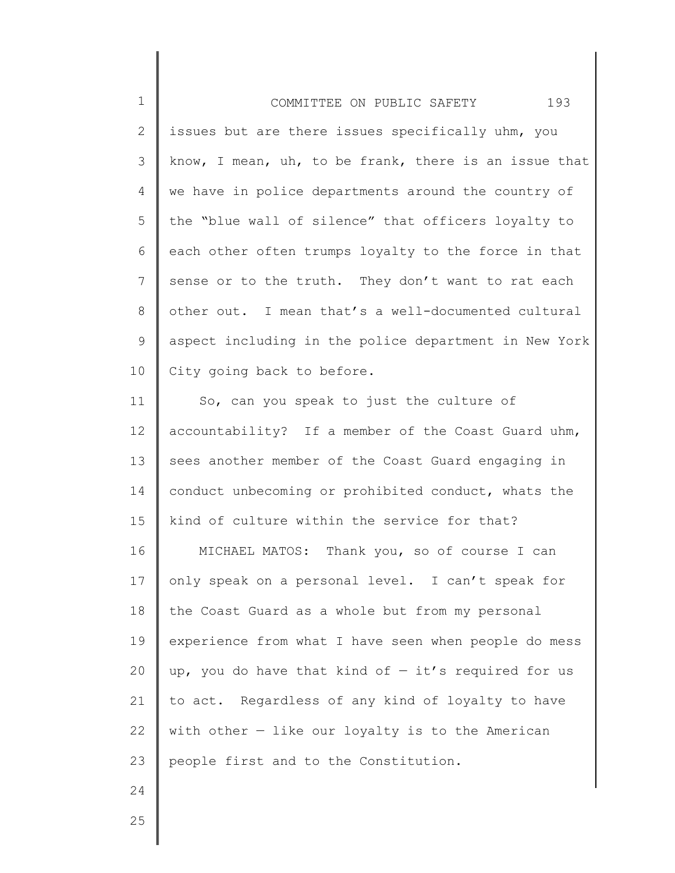| $\mathbf 1$    | 193<br>COMMITTEE ON PUBLIC SAFETY                     |
|----------------|-------------------------------------------------------|
| $\mathbf{2}$   | issues but are there issues specifically uhm, you     |
| 3              | know, I mean, uh, to be frank, there is an issue that |
| 4              | we have in police departments around the country of   |
| 5              | the "blue wall of silence" that officers loyalty to   |
| 6              | each other often trumps loyalty to the force in that  |
| $7\phantom{.}$ | sense or to the truth. They don't want to rat each    |
| 8              | other out. I mean that's a well-documented cultural   |
| 9              | aspect including in the police department in New York |
| 10             | City going back to before.                            |
| 11             | So, can you speak to just the culture of              |
| 12             | accountability? If a member of the Coast Guard uhm,   |
| 13             | sees another member of the Coast Guard engaging in    |
| 14             | conduct unbecoming or prohibited conduct, whats the   |
| 15             | kind of culture within the service for that?          |
| 16             | MICHAEL MATOS: Thank you, so of course I can          |
| 17             | only speak on a personal level. I can't speak for     |
| 18             | the Coast Guard as a whole but from my personal       |
| 19             | experience from what I have seen when people do mess  |
| 20             | up, you do have that kind of $-$ it's required for us |
| 21             | to act. Regardless of any kind of loyalty to have     |
| 22             | with other $-$ like our loyalty is to the American    |
| 23             | people first and to the Constitution.                 |
| 24             |                                                       |
| 25             |                                                       |
|                |                                                       |

∥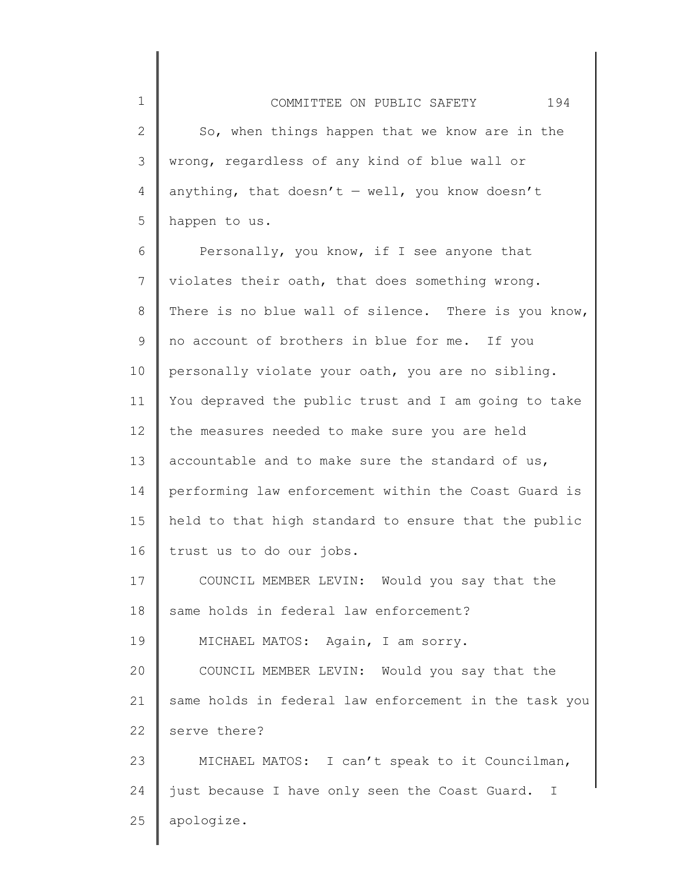2 3 4 5 So, when things happen that we know are in the wrong, regardless of any kind of blue wall or anything, that doesn't  $-$  well, you know doesn't happen to us.

6 7 8 9 10 11 12 13 14 15 16 17 Personally, you know, if I see anyone that violates their oath, that does something wrong. There is no blue wall of silence. There is you know, no account of brothers in blue for me. If you personally violate your oath, you are no sibling. You depraved the public trust and I am going to take the measures needed to make sure you are held accountable and to make sure the standard of us, performing law enforcement within the Coast Guard is held to that high standard to ensure that the public trust us to do our jobs. COUNCIL MEMBER LEVIN: Would you say that the

18 19 same holds in federal law enforcement? MICHAEL MATOS: Again, I am sorry.

20 21 22 COUNCIL MEMBER LEVIN: Would you say that the same holds in federal law enforcement in the task you serve there?

23 24 25 MICHAEL MATOS: I can't speak to it Councilman, just because I have only seen the Coast Guard. I apologize.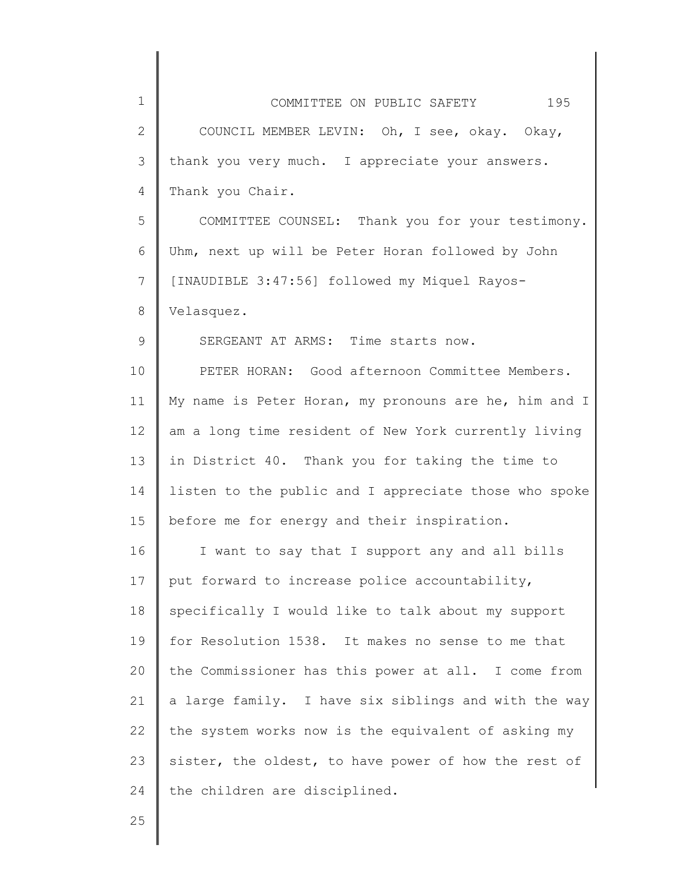| $\mathbf 1$  | COMMITTEE ON PUBLIC SAFETY 195                        |
|--------------|-------------------------------------------------------|
| $\mathbf{2}$ | COUNCIL MEMBER LEVIN: Oh, I see, okay. Okay,          |
| 3            | thank you very much. I appreciate your answers.       |
| 4            | Thank you Chair.                                      |
| 5            | COMMITTEE COUNSEL: Thank you for your testimony.      |
| 6            | Uhm, next up will be Peter Horan followed by John     |
| 7            | [INAUDIBLE 3:47:56] followed my Miquel Rayos-         |
| $8\,$        | Velasquez.                                            |
| 9            | SERGEANT AT ARMS: Time starts now.                    |
| 10           | PETER HORAN: Good afternoon Committee Members.        |
| 11           | My name is Peter Horan, my pronouns are he, him and I |
| 12           | am a long time resident of New York currently living  |
| 13           | in District 40. Thank you for taking the time to      |
| 14           | listen to the public and I appreciate those who spoke |
| 15           | before me for energy and their inspiration.           |
| 16           | I want to say that I support any and all bills        |
| 17           | put forward to increase police accountability,        |
| 18           | specifically I would like to talk about my support    |
| 19           | for Resolution 1538. It makes no sense to me that     |
| 20           | the Commissioner has this power at all. I come from   |
| 21           | a large family. I have six siblings and with the way  |
| 22           | the system works now is the equivalent of asking my   |
| 23           | sister, the oldest, to have power of how the rest of  |
| 24           | the children are disciplined.                         |
| 25           |                                                       |
|              |                                                       |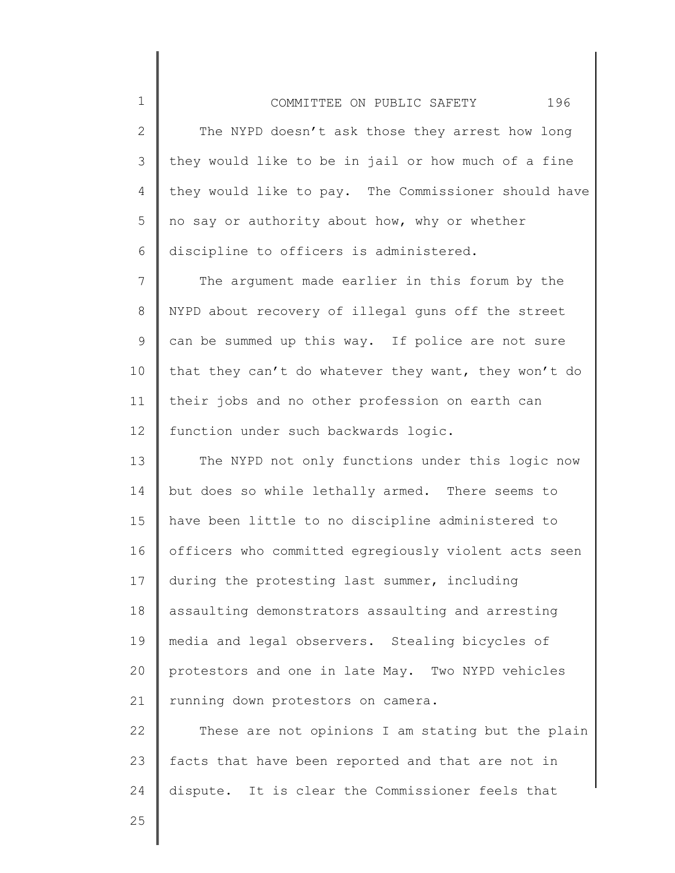## COMMITTEE ON PUBLIC SAFETY 196

2 3 4 5 6 The NYPD doesn't ask those they arrest how long they would like to be in jail or how much of a fine they would like to pay. The Commissioner should have no say or authority about how, why or whether discipline to officers is administered.

7 8 9 10 11 12 The argument made earlier in this forum by the NYPD about recovery of illegal guns off the street can be summed up this way. If police are not sure that they can't do whatever they want, they won't do their jobs and no other profession on earth can function under such backwards logic.

13 14 15 16 17 18 19 20 21 The NYPD not only functions under this logic now but does so while lethally armed. There seems to have been little to no discipline administered to officers who committed egregiously violent acts seen during the protesting last summer, including assaulting demonstrators assaulting and arresting media and legal observers. Stealing bicycles of protestors and one in late May. Two NYPD vehicles running down protestors on camera.

22 23 24 These are not opinions I am stating but the plain facts that have been reported and that are not in dispute. It is clear the Commissioner feels that

25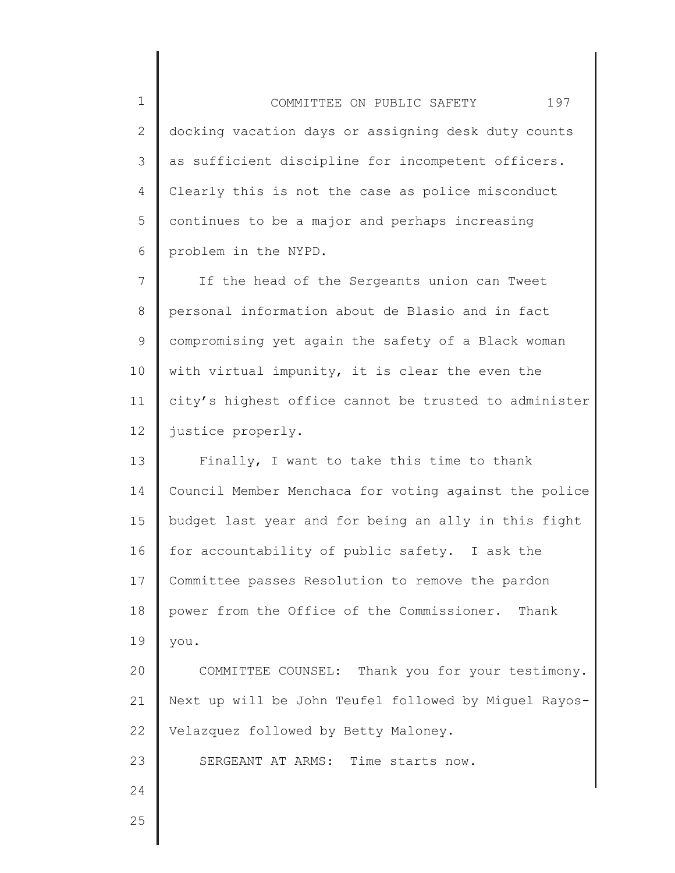1 2 3 4 5 6 COMMITTEE ON PUBLIC SAFETY 197 docking vacation days or assigning desk duty counts as sufficient discipline for incompetent officers. Clearly this is not the case as police misconduct continues to be a major and perhaps increasing problem in the NYPD.

7 8 9 10 11 12 If the head of the Sergeants union can Tweet personal information about de Blasio and in fact compromising yet again the safety of a Black woman with virtual impunity, it is clear the even the city's highest office cannot be trusted to administer justice properly.

13 14 15 16 17 18 19 20 21 22 23 Finally, I want to take this time to thank Council Member Menchaca for voting against the police budget last year and for being an ally in this fight for accountability of public safety. I ask the Committee passes Resolution to remove the pardon power from the Office of the Commissioner. Thank you. COMMITTEE COUNSEL: Thank you for your testimony. Next up will be John Teufel followed by Miguel Rayos-Velazquez followed by Betty Maloney. SERGEANT AT ARMS: Time starts now.

25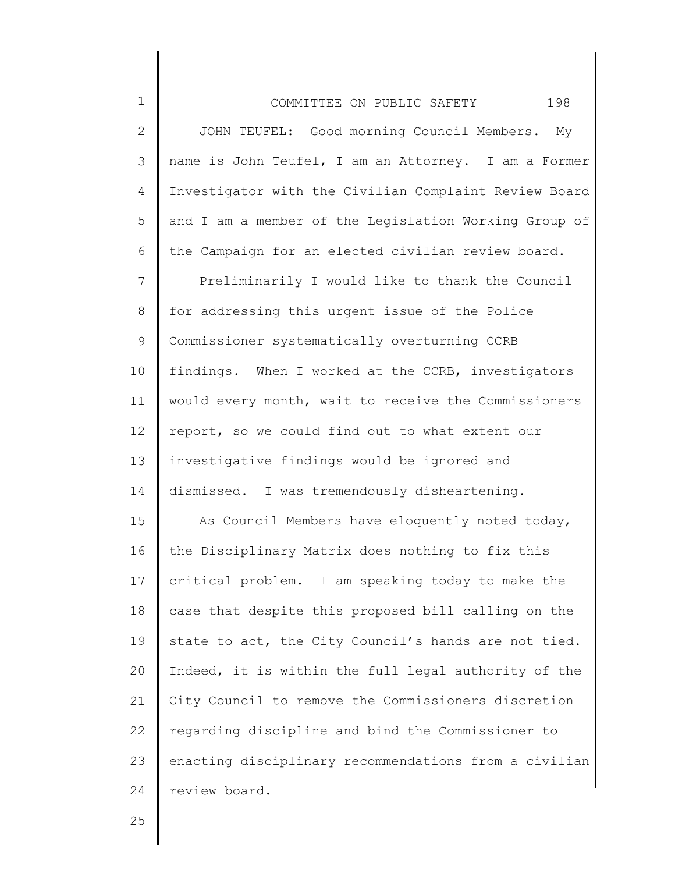| $\mathbf 1$    | 198<br>COMMITTEE ON PUBLIC SAFETY                     |
|----------------|-------------------------------------------------------|
| $\mathbf{2}$   | JOHN TEUFEL: Good morning Council Members.<br>Мy      |
| 3              | name is John Teufel, I am an Attorney. I am a Former  |
| 4              | Investigator with the Civilian Complaint Review Board |
| 5              | and I am a member of the Legislation Working Group of |
| 6              | the Campaign for an elected civilian review board.    |
| $\overline{7}$ | Preliminarily I would like to thank the Council       |
| $8\,$          | for addressing this urgent issue of the Police        |
| 9              | Commissioner systematically overturning CCRB          |
| 10             | findings. When I worked at the CCRB, investigators    |
| 11             | would every month, wait to receive the Commissioners  |
| 12             | report, so we could find out to what extent our       |
| 13             | investigative findings would be ignored and           |
| 14             | dismissed. I was tremendously disheartening.          |
| 15             | As Council Members have eloquently noted today,       |
| 16             | the Disciplinary Matrix does nothing to fix this      |
| 17             | critical problem. I am speaking today to make the     |
| 18             | case that despite this proposed bill calling on the   |
| 19             | state to act, the City Council's hands are not tied.  |
| 20             | Indeed, it is within the full legal authority of the  |
| 21             | City Council to remove the Commissioners discretion   |
| 22             | regarding discipline and bind the Commissioner to     |
| 23             | enacting disciplinary recommendations from a civilian |
| 24             | review board.                                         |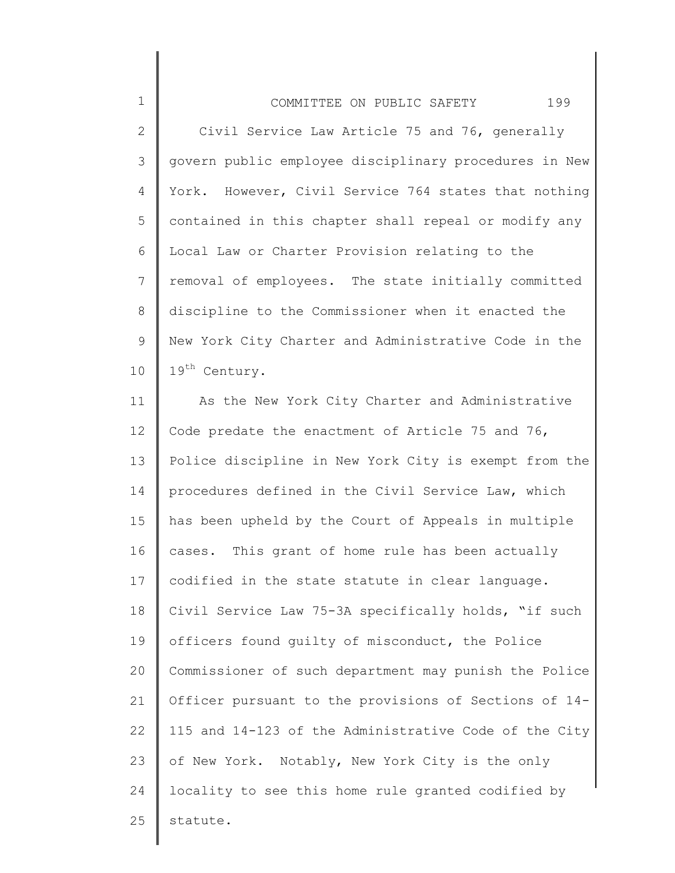1 2 3 4 5 6 7 8 9 10 COMMITTEE ON PUBLIC SAFETY 199 Civil Service Law Article 75 and 76, generally govern public employee disciplinary procedures in New York. However, Civil Service 764 states that nothing contained in this chapter shall repeal or modify any Local Law or Charter Provision relating to the removal of employees. The state initially committed discipline to the Commissioner when it enacted the New York City Charter and Administrative Code in the 19<sup>th</sup> Century.

11 12 13 14 15 16 17 18 19 20 21 22 23 24 25 As the New York City Charter and Administrative Code predate the enactment of Article 75 and 76, Police discipline in New York City is exempt from the procedures defined in the Civil Service Law, which has been upheld by the Court of Appeals in multiple cases. This grant of home rule has been actually codified in the state statute in clear language. Civil Service Law 75-3A specifically holds, "if such officers found guilty of misconduct, the Police Commissioner of such department may punish the Police Officer pursuant to the provisions of Sections of 14- 115 and 14-123 of the Administrative Code of the City of New York. Notably, New York City is the only locality to see this home rule granted codified by statute.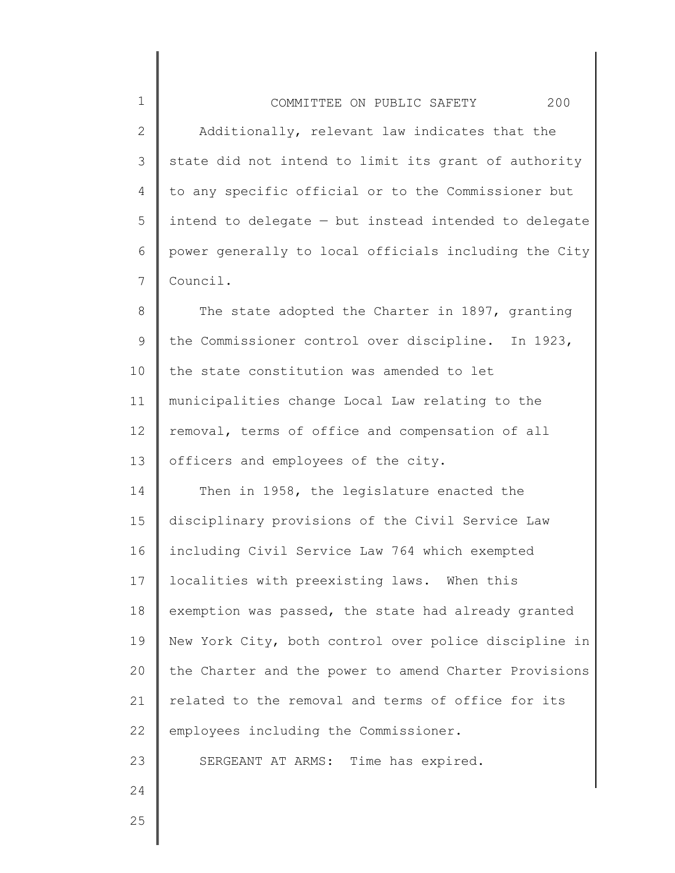2 3 4 5 6 7 Additionally, relevant law indicates that the state did not intend to limit its grant of authority to any specific official or to the Commissioner but intend to delegate — but instead intended to delegate power generally to local officials including the City Council.

8 9 10 11 12 13 The state adopted the Charter in 1897, granting the Commissioner control over discipline. In 1923, the state constitution was amended to let municipalities change Local Law relating to the removal, terms of office and compensation of all officers and employees of the city.

14 15 16 17 18 19 20 21 22 23 Then in 1958, the legislature enacted the disciplinary provisions of the Civil Service Law including Civil Service Law 764 which exempted localities with preexisting laws. When this exemption was passed, the state had already granted New York City, both control over police discipline in the Charter and the power to amend Charter Provisions related to the removal and terms of office for its employees including the Commissioner. SERGEANT AT ARMS: Time has expired.

24

1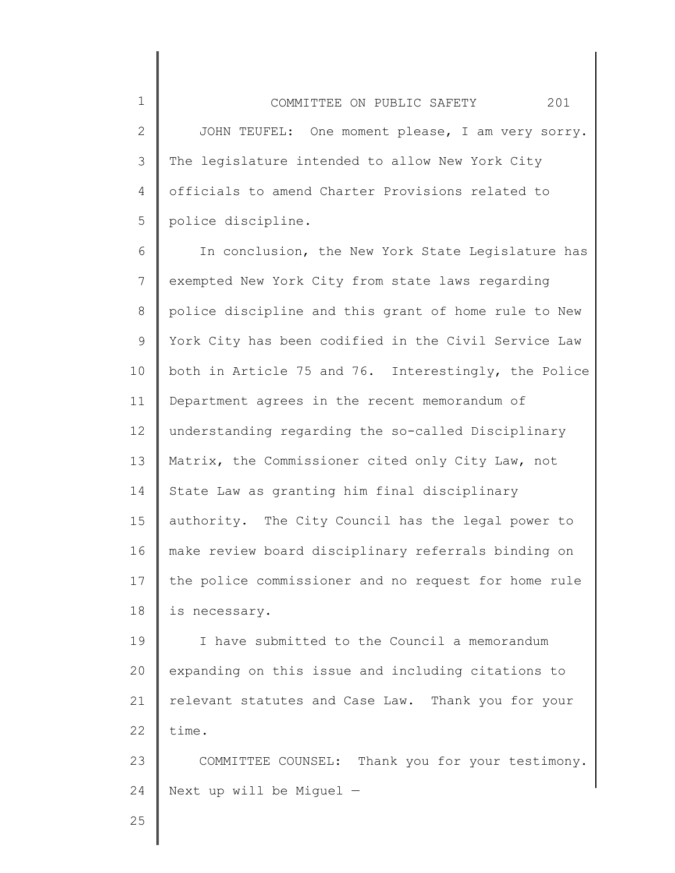2 3 4 5 JOHN TEUFEL: One moment please, I am very sorry. The legislature intended to allow New York City officials to amend Charter Provisions related to police discipline.

6 7 8 9 10 11 12 13 14 15 16 17 18 In conclusion, the New York State Legislature has exempted New York City from state laws regarding police discipline and this grant of home rule to New York City has been codified in the Civil Service Law both in Article 75 and 76. Interestingly, the Police Department agrees in the recent memorandum of understanding regarding the so-called Disciplinary Matrix, the Commissioner cited only City Law, not State Law as granting him final disciplinary authority. The City Council has the legal power to make review board disciplinary referrals binding on the police commissioner and no request for home rule is necessary.

19 20 21 22 I have submitted to the Council a memorandum expanding on this issue and including citations to relevant statutes and Case Law. Thank you for your time.

23 24 COMMITTEE COUNSEL: Thank you for your testimony. Next up will be Miguel —

25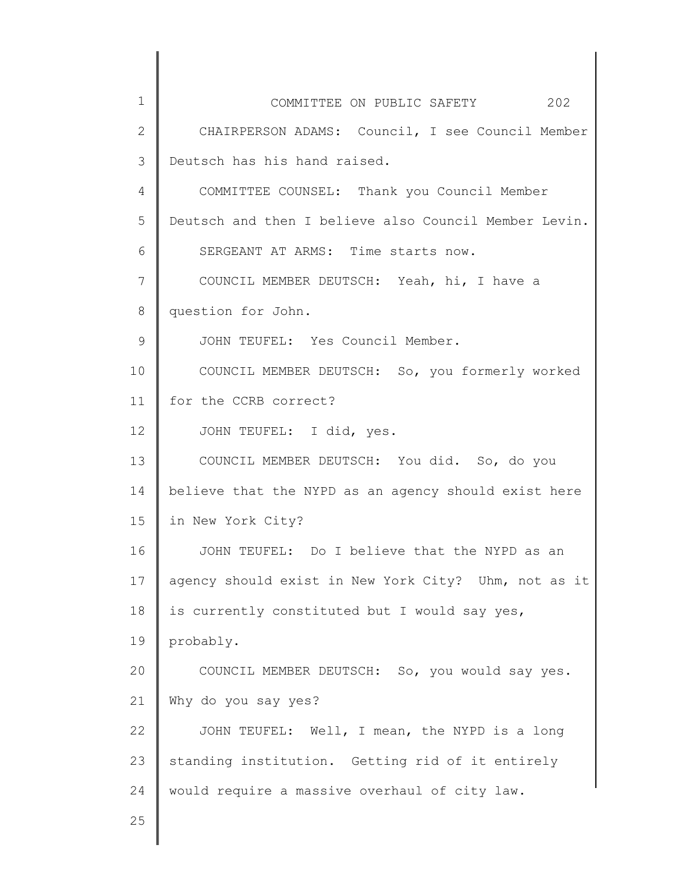| $\mathbf 1$  | COMMITTEE ON PUBLIC SAFETY 202                        |
|--------------|-------------------------------------------------------|
| $\mathbf{2}$ | CHAIRPERSON ADAMS: Council, I see Council Member      |
| 3            | Deutsch has his hand raised.                          |
| 4            | COMMITTEE COUNSEL: Thank you Council Member           |
| 5            | Deutsch and then I believe also Council Member Levin. |
| 6            | SERGEANT AT ARMS: Time starts now.                    |
| 7            | COUNCIL MEMBER DEUTSCH: Yeah, hi, I have a            |
| 8            | question for John.                                    |
| 9            | JOHN TEUFEL: Yes Council Member.                      |
| 10           | COUNCIL MEMBER DEUTSCH: So, you formerly worked       |
| 11           | for the CCRB correct?                                 |
| 12           | JOHN TEUFEL: I did, yes.                              |
| 13           | COUNCIL MEMBER DEUTSCH: You did. So, do you           |
| 14           | believe that the NYPD as an agency should exist here  |
| 15           | in New York City?                                     |
| 16           | JOHN TEUFEL: Do I believe that the NYPD as an         |
| 17           | agency should exist in New York City? Uhm, not as it  |
| 18           | is currently constituted but I would say yes,         |
| 19           | probably.                                             |
| 20           | COUNCIL MEMBER DEUTSCH: So, you would say yes.        |
| 21           | Why do you say yes?                                   |
| 22           | JOHN TEUFEL: Well, I mean, the NYPD is a long         |
| 23           | standing institution. Getting rid of it entirely      |
| 24           | would require a massive overhaul of city law.         |
| 25           |                                                       |
|              |                                                       |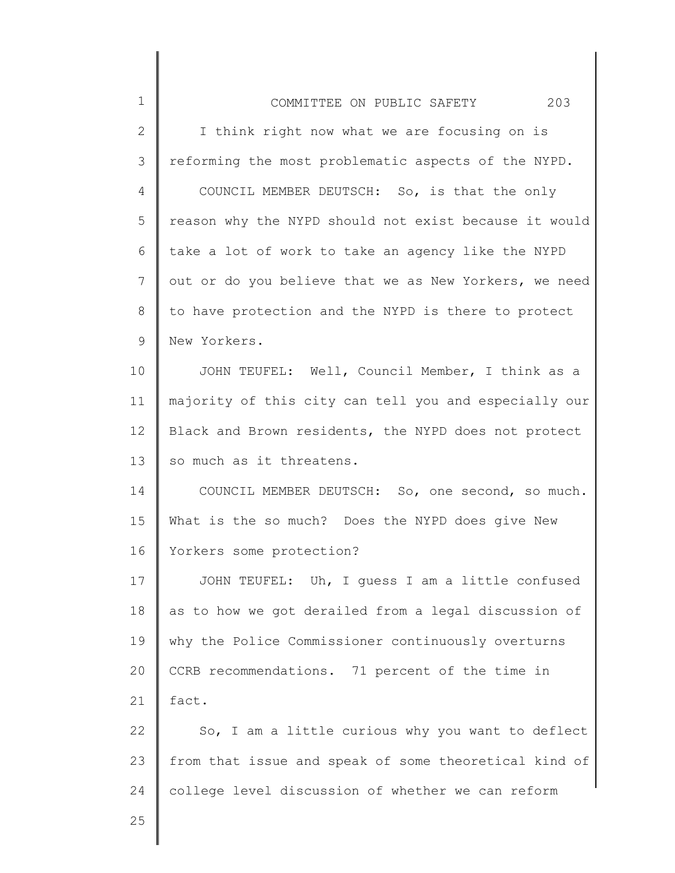| $\mathbf 1$  | 203<br>COMMITTEE ON PUBLIC SAFETY                     |
|--------------|-------------------------------------------------------|
| $\mathbf{2}$ | I think right now what we are focusing on is          |
| 3            | reforming the most problematic aspects of the NYPD.   |
| 4            | COUNCIL MEMBER DEUTSCH: So, is that the only          |
| 5            | reason why the NYPD should not exist because it would |
| 6            | take a lot of work to take an agency like the NYPD    |
| 7            | out or do you believe that we as New Yorkers, we need |
| 8            | to have protection and the NYPD is there to protect   |
| $\mathsf 9$  | New Yorkers.                                          |
| 10           | JOHN TEUFEL: Well, Council Member, I think as a       |
| 11           | majority of this city can tell you and especially our |
| 12           | Black and Brown residents, the NYPD does not protect  |
| 13           | so much as it threatens.                              |
| 14           | COUNCIL MEMBER DEUTSCH: So, one second, so much.      |
| 15           | What is the so much? Does the NYPD does give New      |
| 16           | Yorkers some protection?                              |
| 17           | JOHN TEUFEL: Uh, I guess I am a little confused       |
| 18           | as to how we got derailed from a legal discussion of  |
| 19           | why the Police Commissioner continuously overturns    |
| 20           | CCRB recommendations. 71 percent of the time in       |
| 21           | fact.                                                 |
| 22           | So, I am a little curious why you want to deflect     |
| 23           | from that issue and speak of some theoretical kind of |
| 24           | college level discussion of whether we can reform     |
| 25           |                                                       |
|              |                                                       |

║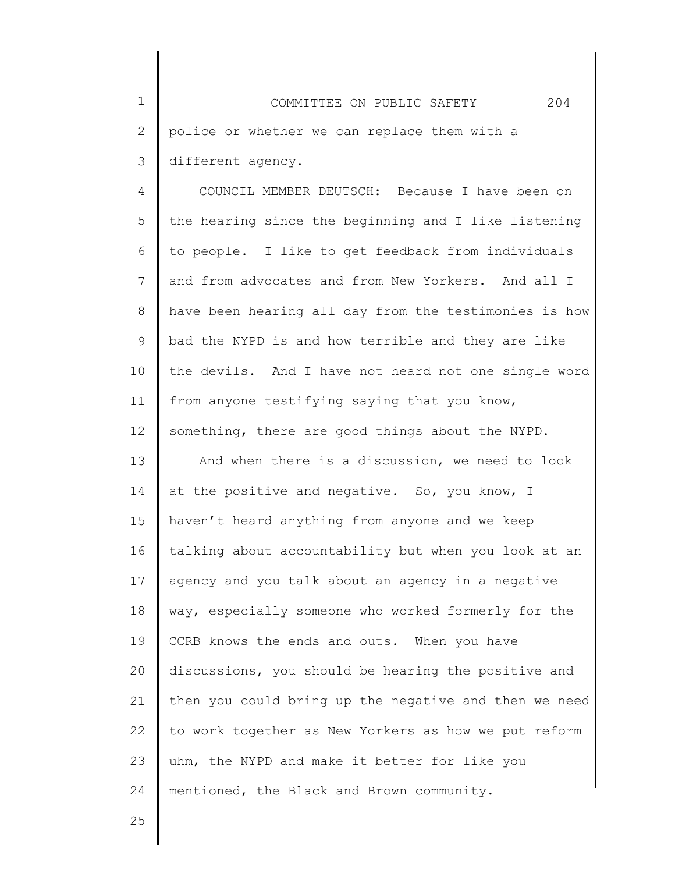1 2 3 COMMITTEE ON PUBLIC SAFETY 204 police or whether we can replace them with a different agency.

4 5 6 7 8 9 10 11 12 COUNCIL MEMBER DEUTSCH: Because I have been on the hearing since the beginning and I like listening to people. I like to get feedback from individuals and from advocates and from New Yorkers. And all I have been hearing all day from the testimonies is how bad the NYPD is and how terrible and they are like the devils. And I have not heard not one single word from anyone testifying saying that you know, something, there are good things about the NYPD.

13 14 15 16 17 18 19 20 21 22 23 24 And when there is a discussion, we need to look at the positive and negative. So, you know, I haven't heard anything from anyone and we keep talking about accountability but when you look at an agency and you talk about an agency in a negative way, especially someone who worked formerly for the CCRB knows the ends and outs. When you have discussions, you should be hearing the positive and then you could bring up the negative and then we need to work together as New Yorkers as how we put reform uhm, the NYPD and make it better for like you mentioned, the Black and Brown community.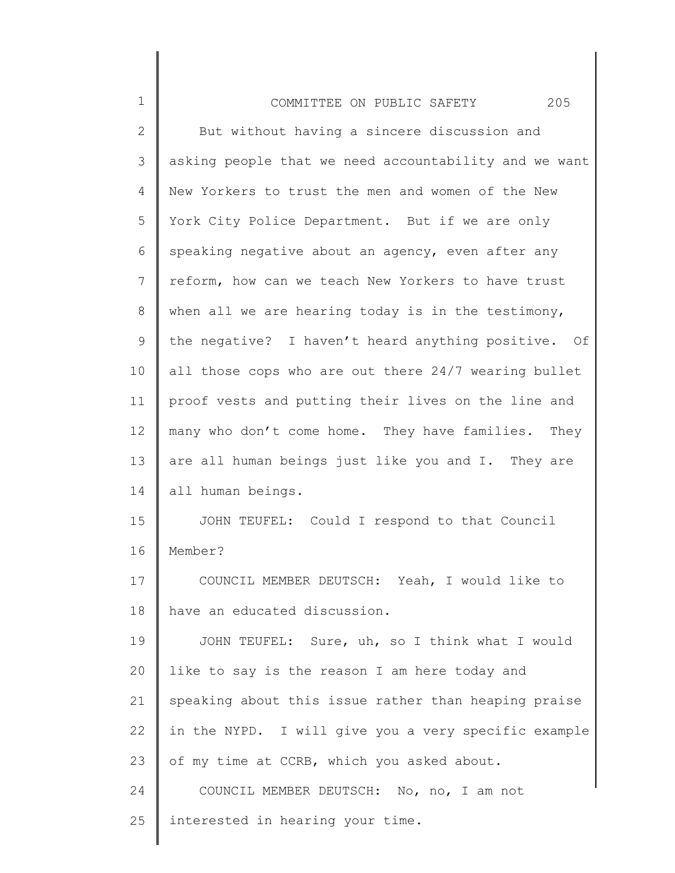| $\mathbf 1$    | 205<br>COMMITTEE ON PUBLIC SAFETY                     |
|----------------|-------------------------------------------------------|
| $\mathbf{2}$   | But without having a sincere discussion and           |
| 3              | asking people that we need accountability and we want |
| $\overline{4}$ | New Yorkers to trust the men and women of the New     |
| 5              | York City Police Department. But if we are only       |
| 6              | speaking negative about an agency, even after any     |
| $\overline{7}$ | reform, how can we teach New Yorkers to have trust    |
| 8              | when all we are hearing today is in the testimony,    |
| 9              | the negative? I haven't heard anything positive. Of   |
| 10             | all those cops who are out there 24/7 wearing bullet  |
| 11             | proof vests and putting their lives on the line and   |
| 12             | many who don't come home. They have families. They    |
| 13             | are all human beings just like you and I. They are    |
| 14             | all human beings.                                     |
| 15             | JOHN TEUFEL: Could I respond to that Council          |
| 16             | Member?                                               |
| 17             | COUNCIL MEMBER DEUTSCH: Yeah, I would like to         |
| 18             | have an educated discussion.                          |
| 19             | JOHN TEUFEL: Sure, uh, so I think what I would        |
| 20             | like to say is the reason I am here today and         |
| 21             | speaking about this issue rather than heaping praise  |
| 22             | in the NYPD. I will give you a very specific example  |
| 23             | of my time at CCRB, which you asked about.            |
| 24             | COUNCIL MEMBER DEUTSCH: No, no, I am not              |
| 25             | interested in hearing your time.                      |
|                |                                                       |

║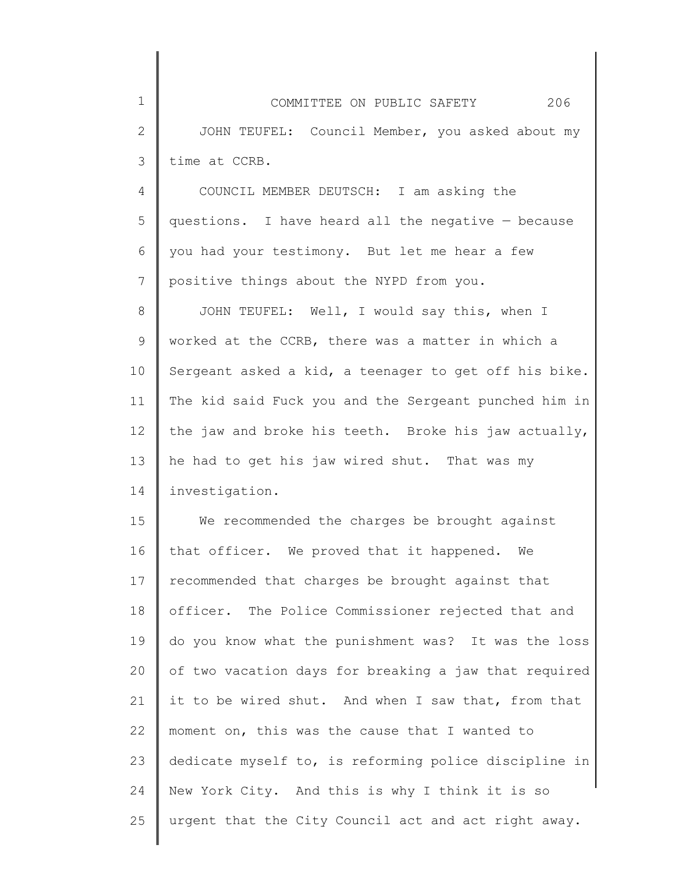1

2

3

4 5 6 7 COUNCIL MEMBER DEUTSCH: I am asking the questions. I have heard all the negative — because you had your testimony. But let me hear a few positive things about the NYPD from you.

8 9 10 11 12 13 14 JOHN TEUFEL: Well, I would say this, when I worked at the CCRB, there was a matter in which a Sergeant asked a kid, a teenager to get off his bike. The kid said Fuck you and the Sergeant punched him in the jaw and broke his teeth. Broke his jaw actually, he had to get his jaw wired shut. That was my investigation.

15 16 17 18 19 20 21 22 23 24 25 We recommended the charges be brought against that officer. We proved that it happened. We recommended that charges be brought against that officer. The Police Commissioner rejected that and do you know what the punishment was? It was the loss of two vacation days for breaking a jaw that required it to be wired shut. And when I saw that, from that moment on, this was the cause that I wanted to dedicate myself to, is reforming police discipline in New York City. And this is why I think it is so urgent that the City Council act and act right away.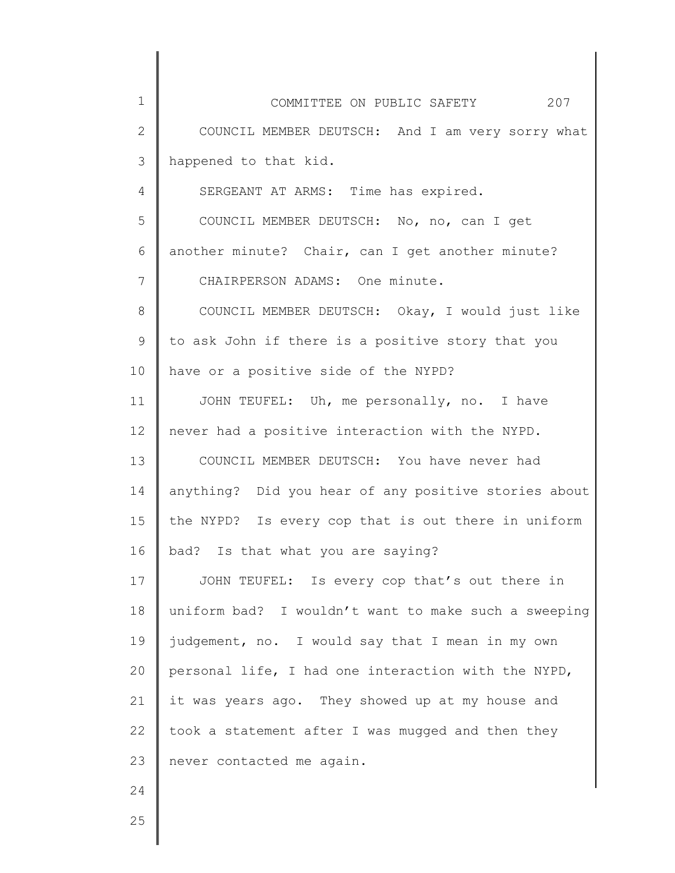| $\mathbf 1$    | 207<br>COMMITTEE ON PUBLIC SAFETY                    |
|----------------|------------------------------------------------------|
| $\mathbf{2}$   | COUNCIL MEMBER DEUTSCH: And I am very sorry what     |
| $\mathcal{S}$  | happened to that kid.                                |
| $\overline{4}$ | SERGEANT AT ARMS: Time has expired.                  |
| 5              | COUNCIL MEMBER DEUTSCH: No, no, can I get            |
| 6              | another minute? Chair, can I get another minute?     |
| $7\phantom{.}$ | CHAIRPERSON ADAMS: One minute.                       |
| $8\,$          | COUNCIL MEMBER DEUTSCH: Okay, I would just like      |
| $\mathsf 9$    | to ask John if there is a positive story that you    |
| 10             | have or a positive side of the NYPD?                 |
| 11             | JOHN TEUFEL: Uh, me personally, no. I have           |
| 12             | never had a positive interaction with the NYPD.      |
| 13             | COUNCIL MEMBER DEUTSCH: You have never had           |
| 14             | anything? Did you hear of any positive stories about |
| 15             | the NYPD? Is every cop that is out there in uniform  |
| 16             | bad? Is that what you are saying?                    |
| 17             | JOHN TEUFEL: Is every cop that's out there in        |
| 18             | uniform bad? I wouldn't want to make such a sweeping |
| 19             | judgement, no. I would say that I mean in my own     |
| 20             | personal life, I had one interaction with the NYPD,  |
| 21             | it was years ago. They showed up at my house and     |
| 22             | took a statement after I was mugged and then they    |
| 23             | never contacted me again.                            |
| 24             |                                                      |
| 25             |                                                      |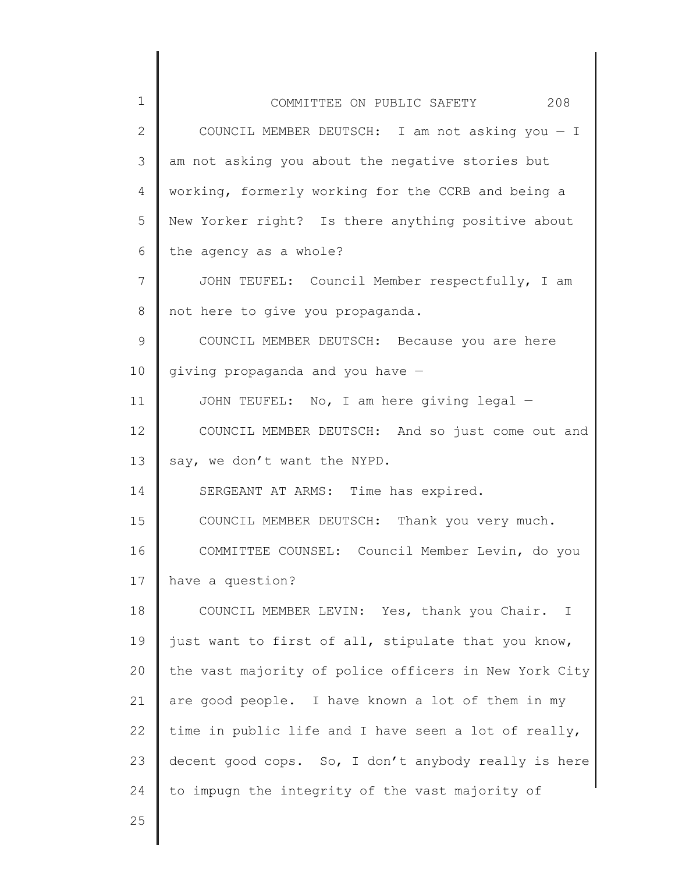| $\mathbf 1$     | 208<br>COMMITTEE ON PUBLIC SAFETY                     |
|-----------------|-------------------------------------------------------|
| $\mathbf{2}$    | COUNCIL MEMBER DEUTSCH: I am not asking you $-$ I     |
| 3               | am not asking you about the negative stories but      |
| 4               | working, formerly working for the CCRB and being a    |
| 5               | New Yorker right? Is there anything positive about    |
| 6               | the agency as a whole?                                |
| 7               | JOHN TEUFEL: Council Member respectfully, I am        |
| 8               | not here to give you propaganda.                      |
| 9               | COUNCIL MEMBER DEUTSCH: Because you are here          |
| 10              | giving propaganda and you have $-$                    |
| 11              | JOHN TEUFEL: No, I am here giving legal -             |
| 12 <sup>°</sup> | COUNCIL MEMBER DEUTSCH: And so just come out and      |
| 13              | say, we don't want the NYPD.                          |
| 14              | SERGEANT AT ARMS: Time has expired.                   |
| 15              | COUNCIL MEMBER DEUTSCH: Thank you very much.          |
| 16              | COMMITTEE COUNSEL: Council Member Levin, do you       |
| 17              | have a question?                                      |
| 18              | COUNCIL MEMBER LEVIN: Yes, thank you Chair. I         |
| 19              | just want to first of all, stipulate that you know,   |
| 20              | the vast majority of police officers in New York City |
| 21              | are good people. I have known a lot of them in my     |
| 22              | time in public life and I have seen a lot of really,  |
| 23              | decent good cops. So, I don't anybody really is here  |
| 24              | to impugn the integrity of the vast majority of       |
| 25              |                                                       |
|                 |                                                       |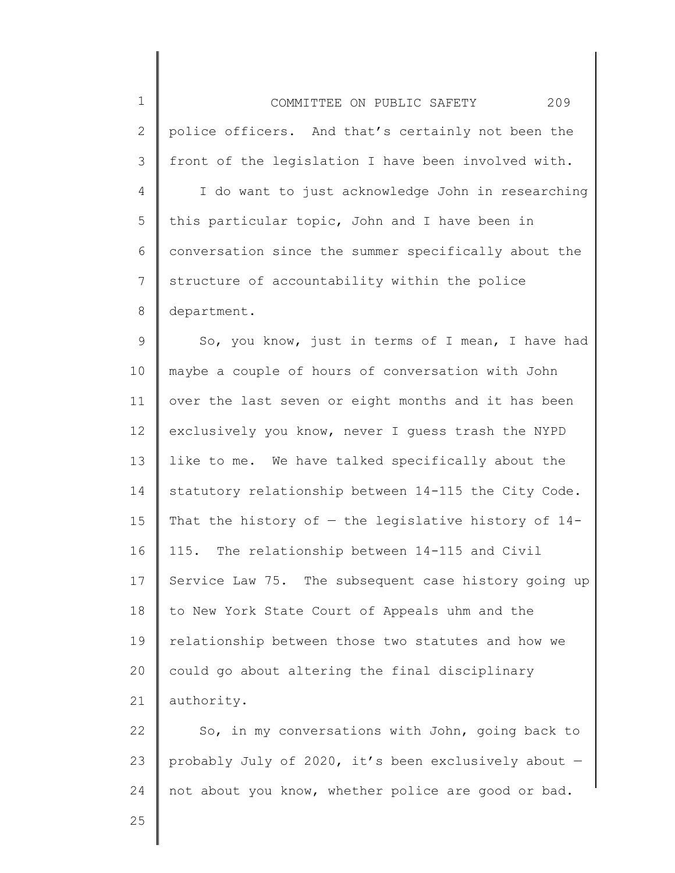| $1\,$          | 209<br>COMMITTEE ON PUBLIC SAFETY                      |
|----------------|--------------------------------------------------------|
| $\mathbf{2}$   | police officers. And that's certainly not been the     |
| 3              | front of the legislation I have been involved with.    |
| $\overline{4}$ | I do want to just acknowledge John in researching      |
| 5              | this particular topic, John and I have been in         |
| 6              | conversation since the summer specifically about the   |
| $\overline{7}$ | structure of accountability within the police          |
| 8              | department.                                            |
| 9              | So, you know, just in terms of I mean, I have had      |
| 10             | maybe a couple of hours of conversation with John      |
| 11             | over the last seven or eight months and it has been    |
| 12             | exclusively you know, never I guess trash the NYPD     |
| 13             | like to me. We have talked specifically about the      |
| 14             | statutory relationship between 14-115 the City Code.   |
| 15             | That the history of $-$ the legislative history of 14- |
| 16             | 115. The relationship between 14-115 and Civil         |
| 17             | Service Law 75. The subsequent case history going up   |
| 18             | to New York State Court of Appeals uhm and the         |
| 19             | relationship between those two statutes and how we     |
| 20             | could go about altering the final disciplinary         |
| 21             | authority.                                             |
| 22             | So, in my conversations with John, going back to       |
| 23             | probably July of 2020, it's been exclusively about -   |
|                |                                                        |

not about you know, whether police are good or bad.

25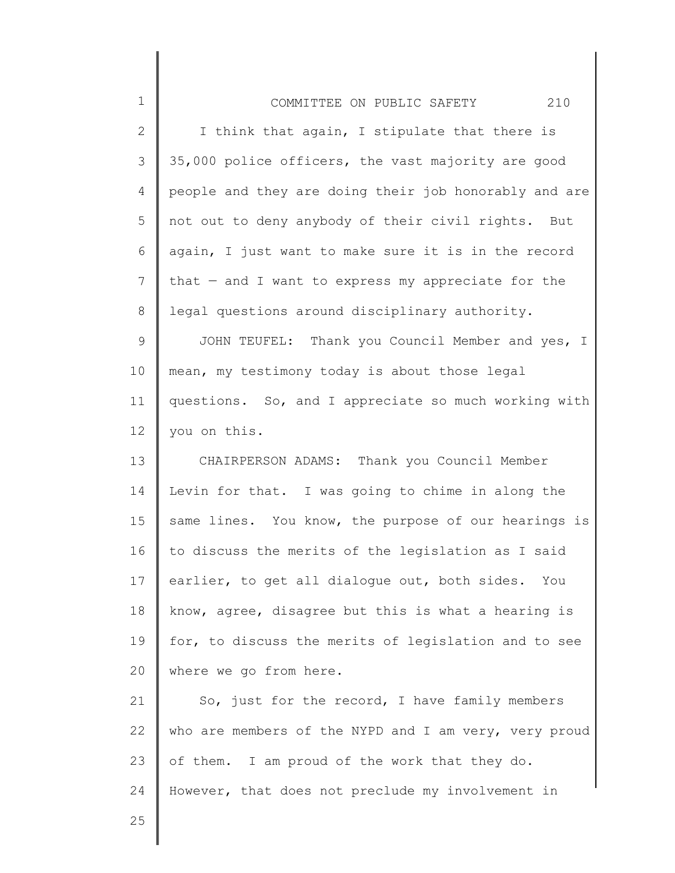| $\mathbf 1$  | 210<br>COMMITTEE ON PUBLIC SAFETY                     |
|--------------|-------------------------------------------------------|
| $\mathbf{2}$ | I think that again, I stipulate that there is         |
| 3            | 35,000 police officers, the vast majority are good    |
| 4            | people and they are doing their job honorably and are |
| 5            | not out to deny anybody of their civil rights. But    |
| 6            | again, I just want to make sure it is in the record   |
| 7            | that $-$ and I want to express my appreciate for the  |
| 8            | legal questions around disciplinary authority.        |
| $\mathsf 9$  | JOHN TEUFEL: Thank you Council Member and yes, I      |
| 10           | mean, my testimony today is about those legal         |
| 11           | questions. So, and I appreciate so much working with  |
| 12           | you on this.                                          |
| 13           | CHAIRPERSON ADAMS: Thank you Council Member           |
| 14           | Levin for that. I was going to chime in along the     |
| 15           | same lines. You know, the purpose of our hearings is  |
| 16           | to discuss the merits of the legislation as I said    |
| 17           | earlier, to get all dialogue out, both sides. You     |
| 18           | know, agree, disagree but this is what a hearing is   |
| 19           | for, to discuss the merits of legislation and to see  |
| 20           | where we go from here.                                |
| 21           | So, just for the record, I have family members        |
| 22           | who are members of the NYPD and I am very, very proud |
| 23           | of them. I am proud of the work that they do.         |
| 24           | However, that does not preclude my involvement in     |
| 25           |                                                       |

 $\begin{array}{c} \hline \end{array}$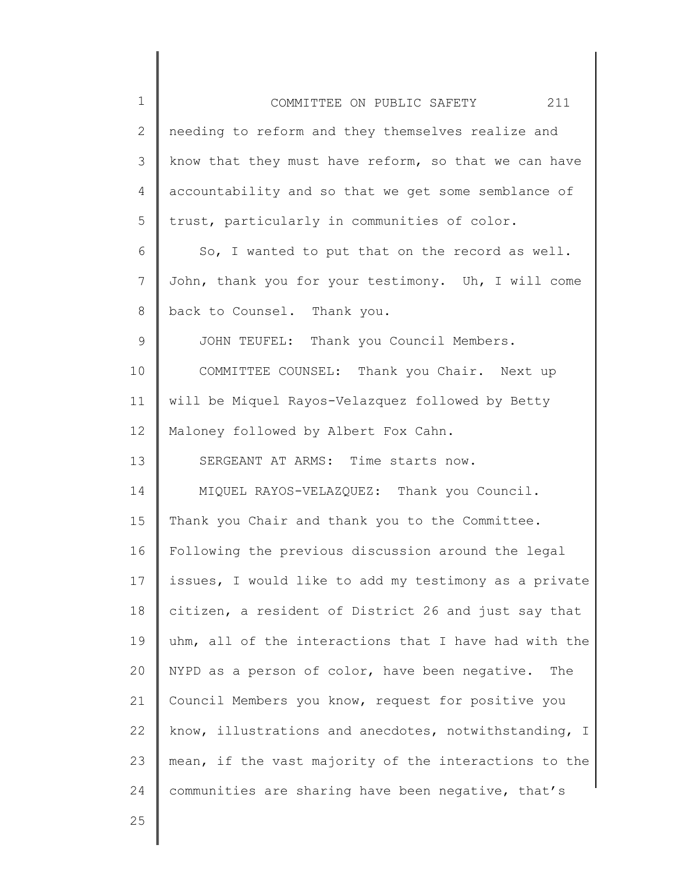| $\mathbf 1$    | 211<br>COMMITTEE ON PUBLIC SAFETY                     |
|----------------|-------------------------------------------------------|
| $\mathbf{2}$   | needing to reform and they themselves realize and     |
| 3              | know that they must have reform, so that we can have  |
| 4              | accountability and so that we get some semblance of   |
| 5              | trust, particularly in communities of color.          |
| 6              | So, I wanted to put that on the record as well.       |
| $\overline{7}$ | John, thank you for your testimony. Uh, I will come   |
| 8              | back to Counsel. Thank you.                           |
| 9              | JOHN TEUFEL: Thank you Council Members.               |
| 10             | COMMITTEE COUNSEL: Thank you Chair. Next up           |
| 11             | will be Miquel Rayos-Velazquez followed by Betty      |
| 12             | Maloney followed by Albert Fox Cahn.                  |
| 13             | SERGEANT AT ARMS: Time starts now.                    |
| 14             | MIQUEL RAYOS-VELAZQUEZ: Thank you Council.            |
| 15             | Thank you Chair and thank you to the Committee.       |
| 16             | Following the previous discussion around the legal    |
| 17             | issues, I would like to add my testimony as a private |
| 18             | citizen, a resident of District 26 and just say that  |
| 19             | uhm, all of the interactions that I have had with the |
| 20             | NYPD as a person of color, have been negative. The    |
| 21             | Council Members you know, request for positive you    |
| 22             | know, illustrations and anecdotes, notwithstanding, I |
| 23             | mean, if the vast majority of the interactions to the |
| 24             | communities are sharing have been negative, that's    |
| 25             |                                                       |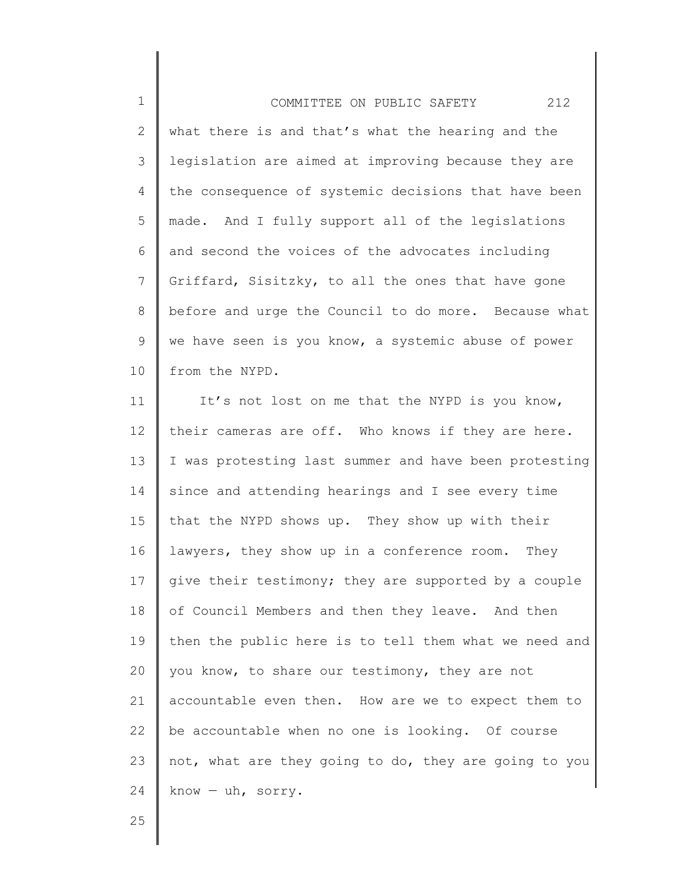1 2 3 4 5 6 7 8 9 10 COMMITTEE ON PUBLIC SAFETY 212 what there is and that's what the hearing and the legislation are aimed at improving because they are the consequence of systemic decisions that have been made. And I fully support all of the legislations and second the voices of the advocates including Griffard, Sisitzky, to all the ones that have gone before and urge the Council to do more. Because what we have seen is you know, a systemic abuse of power from the NYPD.

11 12 13 14 15 16 17 18 19 20 21 22 23 24 It's not lost on me that the NYPD is you know, their cameras are off. Who knows if they are here. I was protesting last summer and have been protesting since and attending hearings and I see every time that the NYPD shows up. They show up with their lawyers, they show up in a conference room. They give their testimony; they are supported by a couple of Council Members and then they leave. And then then the public here is to tell them what we need and you know, to share our testimony, they are not accountable even then. How are we to expect them to be accountable when no one is looking. Of course not, what are they going to do, they are going to you know — uh, sorry.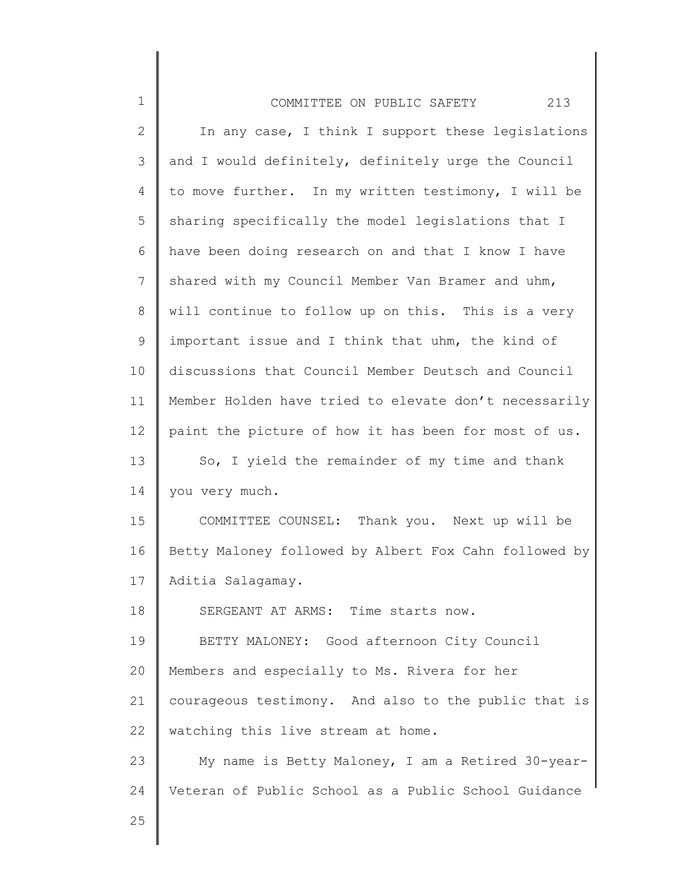| $\mathbf 1$ | 213<br>COMMITTEE ON PUBLIC SAFETY                     |
|-------------|-------------------------------------------------------|
| 2           | In any case, I think I support these legislations     |
| 3           | and I would definitely, definitely urge the Council   |
| 4           | to move further. In my written testimony, I will be   |
| 5           | sharing specifically the model legislations that I    |
| 6           | have been doing research on and that I know I have    |
| 7           | shared with my Council Member Van Bramer and uhm,     |
| 8           | will continue to follow up on this. This is a very    |
| 9           | important issue and I think that uhm, the kind of     |
| 10          | discussions that Council Member Deutsch and Council   |
| 11          | Member Holden have tried to elevate don't necessarily |
| 12          | paint the picture of how it has been for most of us.  |
| 13          | So, I yield the remainder of my time and thank        |
| 14          | you very much.                                        |
| 15          | COMMITTEE COUNSEL: Thank you. Next up will be         |
| 16          | Betty Maloney followed by Albert Fox Cahn followed by |
| 17          | Aditia Salagamay.                                     |
| 18          | SERGEANT AT ARMS: Time starts now.                    |
| 19          | BETTY MALONEY: Good afternoon City Council            |
| 20          | Members and especially to Ms. Rivera for her          |
| 21          | courageous testimony. And also to the public that is  |
| 22          | watching this live stream at home.                    |
| 23          | My name is Betty Maloney, I am a Retired 30-year-     |
| 24          | Veteran of Public School as a Public School Guidance  |
| 25          |                                                       |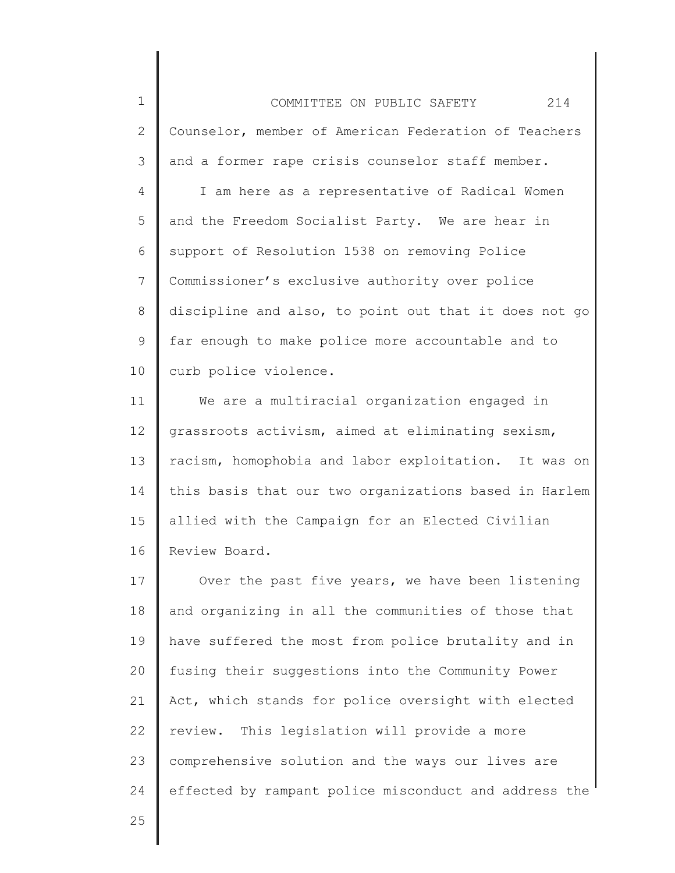1 2 3 4 5 6 7 8 9 10 COMMITTEE ON PUBLIC SAFETY 214 Counselor, member of American Federation of Teachers and a former rape crisis counselor staff member. I am here as a representative of Radical Women and the Freedom Socialist Party. We are hear in support of Resolution 1538 on removing Police Commissioner's exclusive authority over police discipline and also, to point out that it does not go far enough to make police more accountable and to curb police violence.

11 12 13 14 15 16 We are a multiracial organization engaged in grassroots activism, aimed at eliminating sexism, racism, homophobia and labor exploitation. It was on this basis that our two organizations based in Harlem allied with the Campaign for an Elected Civilian Review Board.

17 18 19 20 21 22 23 24 Over the past five years, we have been listening and organizing in all the communities of those that have suffered the most from police brutality and in fusing their suggestions into the Community Power Act, which stands for police oversight with elected review. This legislation will provide a more comprehensive solution and the ways our lives are effected by rampant police misconduct and address the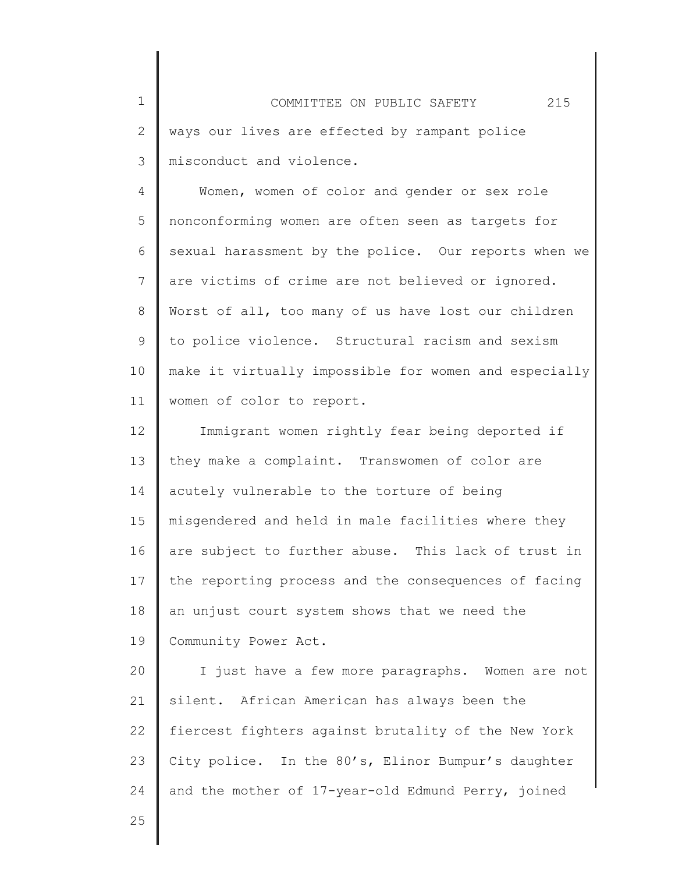1 2 3 COMMITTEE ON PUBLIC SAFETY 215 ways our lives are effected by rampant police misconduct and violence.

4 5 6 7 8 9 10 11 Women, women of color and gender or sex role nonconforming women are often seen as targets for sexual harassment by the police. Our reports when we are victims of crime are not believed or ignored. Worst of all, too many of us have lost our children to police violence. Structural racism and sexism make it virtually impossible for women and especially women of color to report.

12 13 14 15 16 17 18 19 Immigrant women rightly fear being deported if they make a complaint. Transwomen of color are acutely vulnerable to the torture of being misgendered and held in male facilities where they are subject to further abuse. This lack of trust in the reporting process and the consequences of facing an unjust court system shows that we need the Community Power Act.

20 21 22 23 24 I just have a few more paragraphs. Women are not silent. African American has always been the fiercest fighters against brutality of the New York City police. In the 80's, Elinor Bumpur's daughter and the mother of 17-year-old Edmund Perry, joined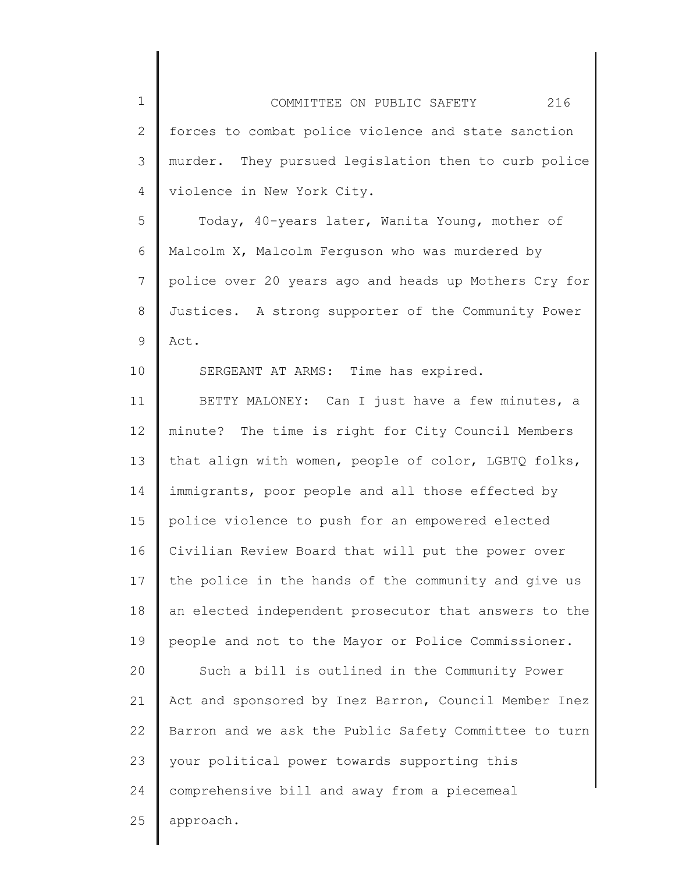1 2 3 4 COMMITTEE ON PUBLIC SAFETY 216 forces to combat police violence and state sanction murder. They pursued legislation then to curb police violence in New York City.

5 6 7 8 9 Today, 40-years later, Wanita Young, mother of Malcolm X, Malcolm Ferguson who was murdered by police over 20 years ago and heads up Mothers Cry for Justices. A strong supporter of the Community Power Act.

SERGEANT AT ARMS: Time has expired.

10

11 12 13 14 15 16 17 18 19 20 21 22 23 24 25 BETTY MALONEY: Can I just have a few minutes, a minute? The time is right for City Council Members that align with women, people of color, LGBTQ folks, immigrants, poor people and all those effected by police violence to push for an empowered elected Civilian Review Board that will put the power over the police in the hands of the community and give us an elected independent prosecutor that answers to the people and not to the Mayor or Police Commissioner. Such a bill is outlined in the Community Power Act and sponsored by Inez Barron, Council Member Inez Barron and we ask the Public Safety Committee to turn your political power towards supporting this comprehensive bill and away from a piecemeal approach.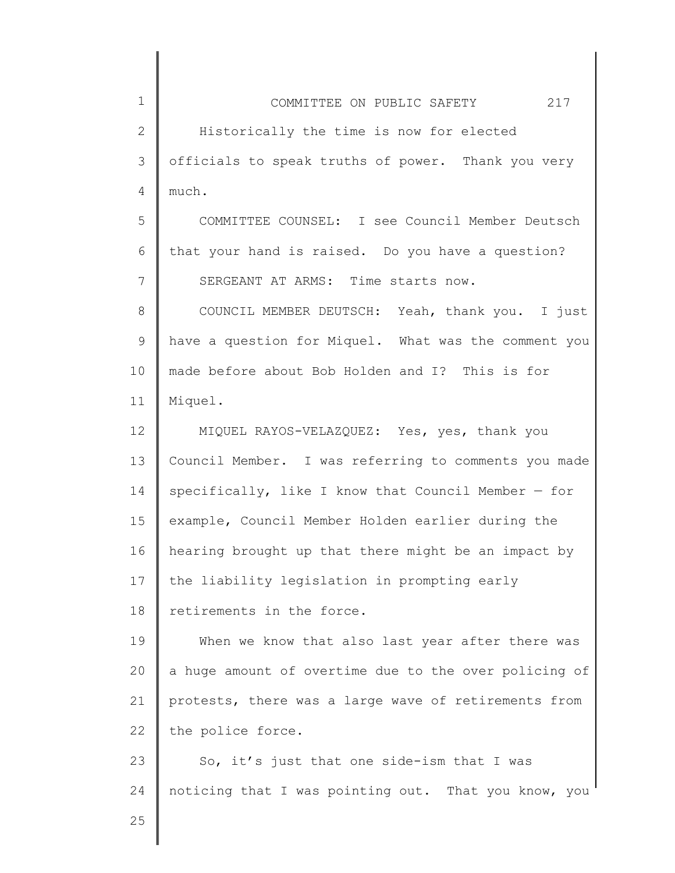| $\mathbf 1$     | COMMITTEE ON PUBLIC SAFETY 217                        |
|-----------------|-------------------------------------------------------|
| $\mathbf{2}$    | Historically the time is now for elected              |
| 3               | officials to speak truths of power. Thank you very    |
| 4               | much.                                                 |
| 5               | COMMITTEE COUNSEL: I see Council Member Deutsch       |
| 6               | that your hand is raised. Do you have a question?     |
| 7               | SERGEANT AT ARMS: Time starts now.                    |
| $8\,$           | COUNCIL MEMBER DEUTSCH: Yeah, thank you. I just       |
| 9               | have a question for Miquel. What was the comment you  |
| 10              | made before about Bob Holden and I? This is for       |
| 11              | Miquel.                                               |
| 12 <sup>°</sup> | MIQUEL RAYOS-VELAZQUEZ: Yes, yes, thank you           |
| 13              | Council Member. I was referring to comments you made  |
| 14              | specifically, like I know that Council Member $-$ for |
| 15              | example, Council Member Holden earlier during the     |
| 16              | hearing brought up that there might be an impact by   |
| 17              | the liability legislation in prompting early          |
| 18              | retirements in the force.                             |
| 19              | When we know that also last year after there was      |
| 20              | a huge amount of overtime due to the over policing of |
| 21              | protests, there was a large wave of retirements from  |
| 22              | the police force.                                     |
| 23              | So, it's just that one side-ism that I was            |
| 24              | noticing that I was pointing out. That you know, you  |
| 25              |                                                       |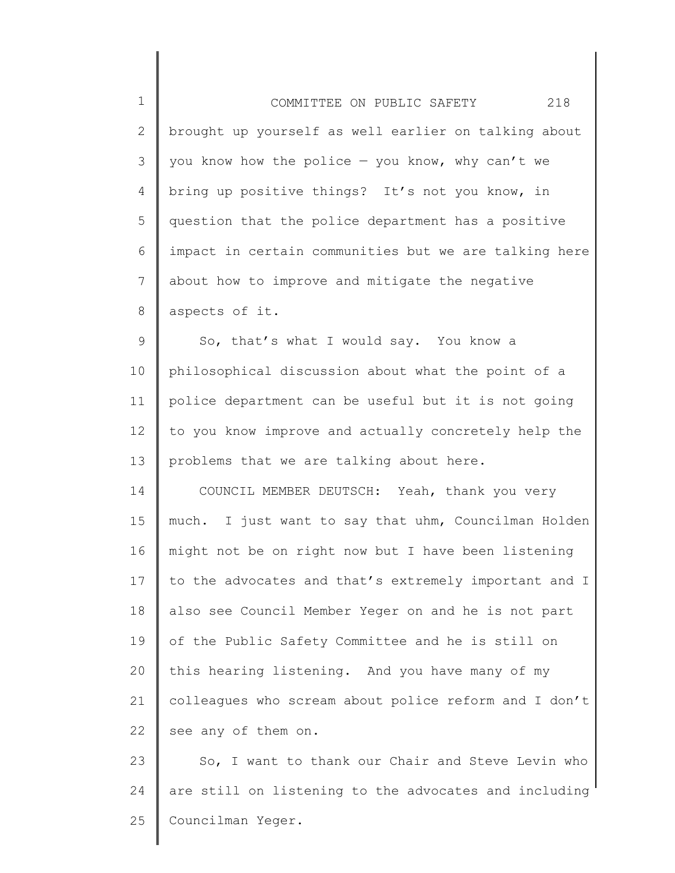| $\mathbf 1$ | 218<br>COMMITTEE ON PUBLIC SAFETY                     |
|-------------|-------------------------------------------------------|
| 2           | brought up yourself as well earlier on talking about  |
| 3           | you know how the police $-$ you know, why can't we    |
| 4           | bring up positive things? It's not you know, in       |
| 5           | question that the police department has a positive    |
| 6           | impact in certain communities but we are talking here |
| 7           | about how to improve and mitigate the negative        |
| 8           | aspects of it.                                        |
| 9           | So, that's what I would say. You know a               |
| 10          | philosophical discussion about what the point of a    |
| 11          | police department can be useful but it is not going   |
| 12          | to you know improve and actually concretely help the  |
| 13          | problems that we are talking about here.              |
| 14          | COUNCIL MEMBER DEUTSCH: Yeah, thank you very          |
| 15          | much. I just want to say that uhm, Councilman Holden  |
| 16          | might not be on right now but I have been listening   |
| 17          | to the advocates and that's extremely important and I |
| 18          | also see Council Member Yeger on and he is not part   |
| 19          | of the Public Safety Committee and he is still on     |
| 20          | this hearing listening. And you have many of my       |
| 21          | colleagues who scream about police reform and I don't |
| 22          | see any of them on.                                   |
| 23          | So, I want to thank our Chair and Steve Levin who     |

∥

24 are still on listening to the advocates and including 25 Councilman Yeger.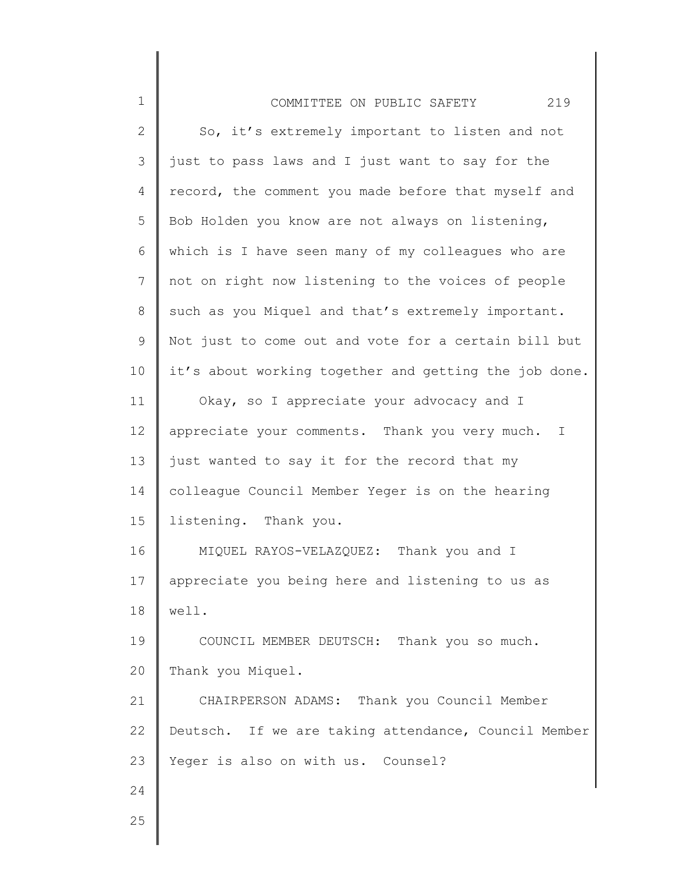| $\mathbf 1$  | 219<br>COMMITTEE ON PUBLIC SAFETY                     |
|--------------|-------------------------------------------------------|
| $\mathbf{2}$ | So, it's extremely important to listen and not        |
| 3            | just to pass laws and I just want to say for the      |
| 4            | record, the comment you made before that myself and   |
| 5            | Bob Holden you know are not always on listening,      |
| 6            | which is I have seen many of my colleagues who are    |
| 7            | not on right now listening to the voices of people    |
| 8            | such as you Miquel and that's extremely important.    |
| 9            | Not just to come out and vote for a certain bill but  |
| 10           | it's about working together and getting the job done. |
| 11           | Okay, so I appreciate your advocacy and I             |
| 12           | appreciate your comments. Thank you very much.<br>T   |
| 13           | just wanted to say it for the record that my          |
| 14           | colleague Council Member Yeger is on the hearing      |
| 15           | listening. Thank you.                                 |
| 16           | MIQUEL RAYOS-VELAZQUEZ: Thank you and I               |
| 17           | appreciate you being here and listening to us as      |
| 18           | well.                                                 |
| 19           | COUNCIL MEMBER DEUTSCH: Thank you so much.            |
| 20           | Thank you Miquel.                                     |
| 21           | CHAIRPERSON ADAMS: Thank you Council Member           |
| 22           | Deutsch. If we are taking attendance, Council Member  |
| 23           | Yeger is also on with us. Counsel?                    |
| 24           |                                                       |
| 25           |                                                       |

I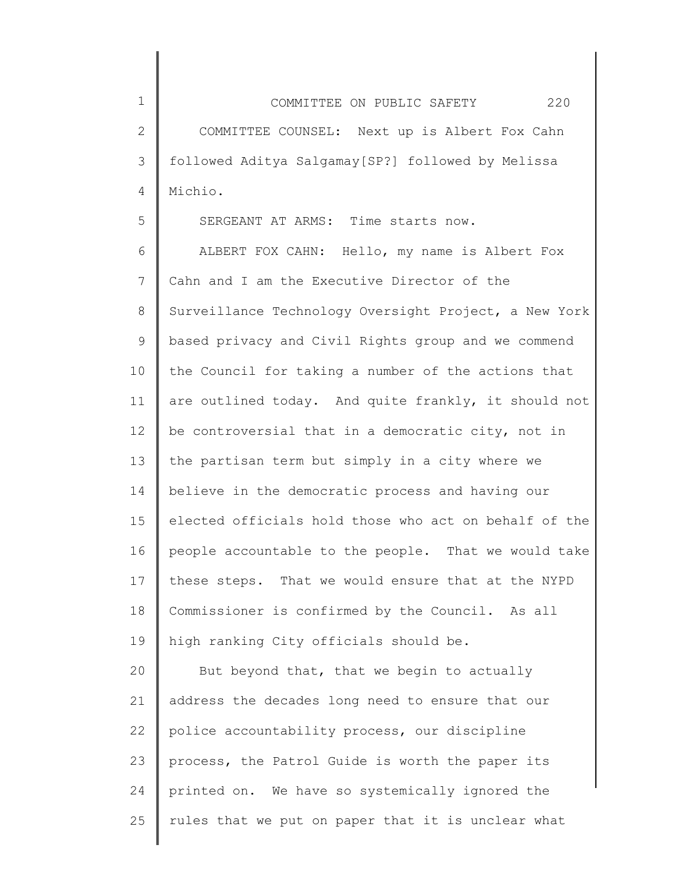1 2 3 4 COMMITTEE ON PUBLIC SAFETY 220 COMMITTEE COUNSEL: Next up is Albert Fox Cahn followed Aditya Salgamay[SP?] followed by Melissa Michio.

SERGEANT AT ARMS: Time starts now.

5

6 7 8 9 10 11 12 13 14 15 16 17 18 19 ALBERT FOX CAHN: Hello, my name is Albert Fox Cahn and I am the Executive Director of the Surveillance Technology Oversight Project, a New York based privacy and Civil Rights group and we commend the Council for taking a number of the actions that are outlined today. And quite frankly, it should not be controversial that in a democratic city, not in the partisan term but simply in a city where we believe in the democratic process and having our elected officials hold those who act on behalf of the people accountable to the people. That we would take these steps. That we would ensure that at the NYPD Commissioner is confirmed by the Council. As all high ranking City officials should be.

20 21 22 23 24 25 But beyond that, that we begin to actually address the decades long need to ensure that our police accountability process, our discipline process, the Patrol Guide is worth the paper its printed on. We have so systemically ignored the rules that we put on paper that it is unclear what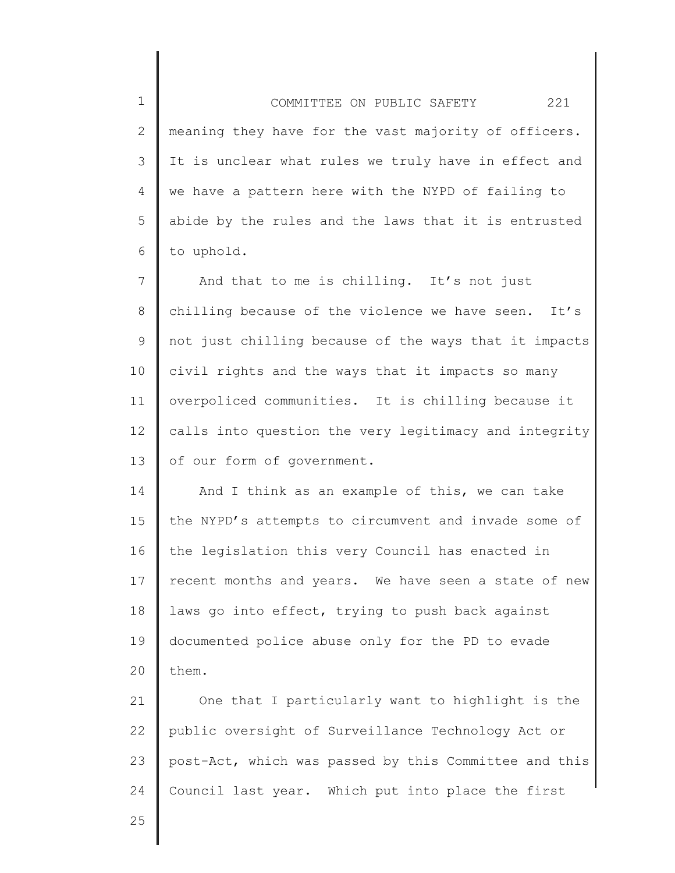1 2 3 4 5 6 COMMITTEE ON PUBLIC SAFETY 221 meaning they have for the vast majority of officers. It is unclear what rules we truly have in effect and we have a pattern here with the NYPD of failing to abide by the rules and the laws that it is entrusted to uphold.

7 8 9 10 11 12 13 And that to me is chilling. It's not just chilling because of the violence we have seen. It's not just chilling because of the ways that it impacts civil rights and the ways that it impacts so many overpoliced communities. It is chilling because it calls into question the very legitimacy and integrity of our form of government.

14 15 16 17 18 19 20 And I think as an example of this, we can take the NYPD's attempts to circumvent and invade some of the legislation this very Council has enacted in recent months and years. We have seen a state of new laws go into effect, trying to push back against documented police abuse only for the PD to evade them.

21 22 23 24 One that I particularly want to highlight is the public oversight of Surveillance Technology Act or post-Act, which was passed by this Committee and this Council last year. Which put into place the first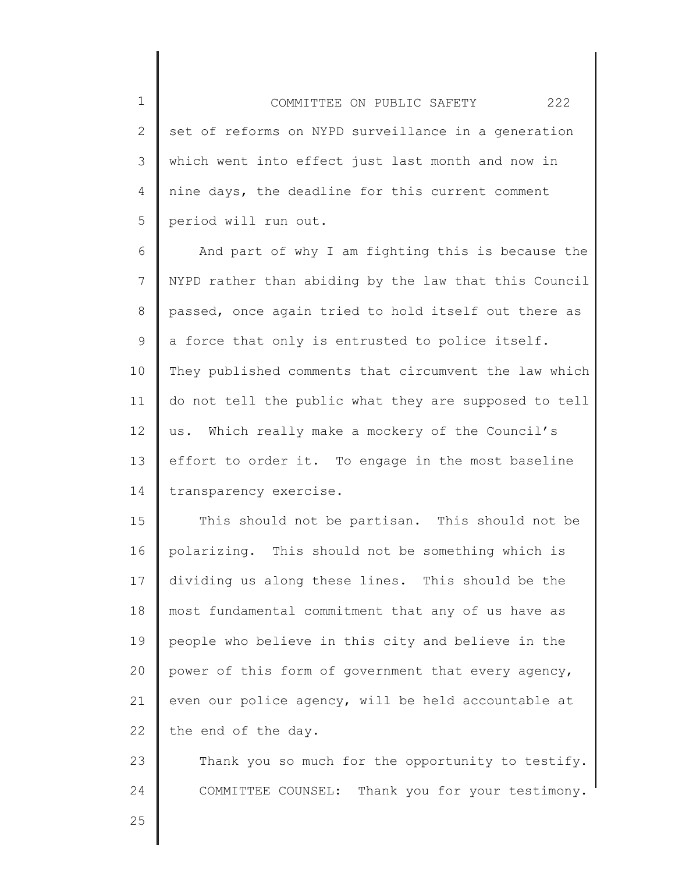2 3 4 5 COMMITTEE ON PUBLIC SAFETY 222 set of reforms on NYPD surveillance in a generation which went into effect just last month and now in nine days, the deadline for this current comment period will run out.

6 7 8 9 10 11 12 13 14 And part of why I am fighting this is because the NYPD rather than abiding by the law that this Council passed, once again tried to hold itself out there as a force that only is entrusted to police itself. They published comments that circumvent the law which do not tell the public what they are supposed to tell us. Which really make a mockery of the Council's effort to order it. To engage in the most baseline transparency exercise.

15 16 17 18 19 20 21 22 This should not be partisan. This should not be polarizing. This should not be something which is dividing us along these lines. This should be the most fundamental commitment that any of us have as people who believe in this city and believe in the power of this form of government that every agency, even our police agency, will be held accountable at the end of the day.

23 24 Thank you so much for the opportunity to testify. COMMITTEE COUNSEL: Thank you for your testimony.

25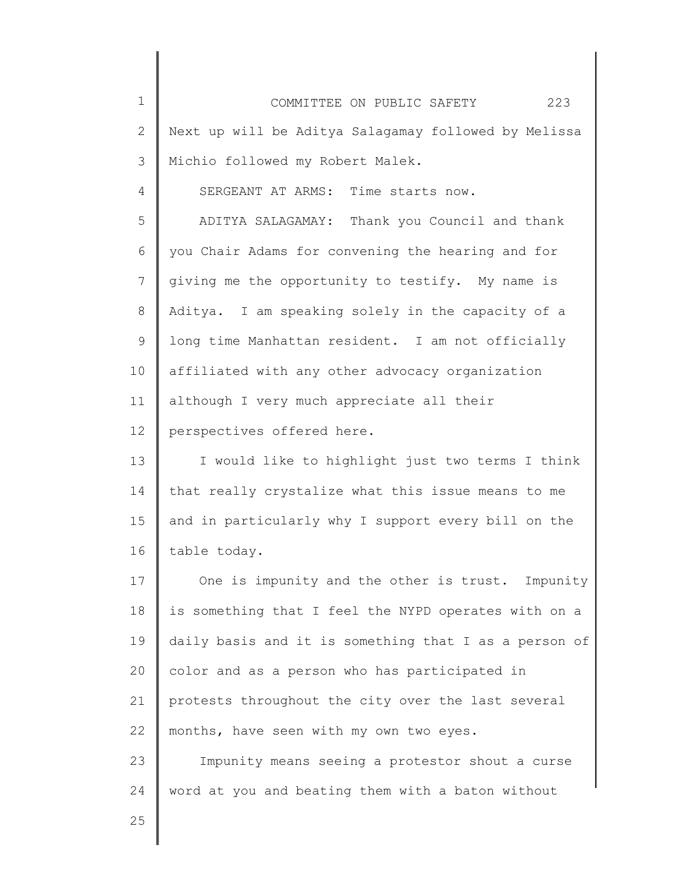| $\mathbf 1$  | COMMITTEE ON PUBLIC SAFETY<br>223                     |
|--------------|-------------------------------------------------------|
| $\mathbf{2}$ | Next up will be Aditya Salagamay followed by Melissa  |
| 3            | Michio followed my Robert Malek.                      |
| 4            | SERGEANT AT ARMS: Time starts now.                    |
| 5            | ADITYA SALAGAMAY: Thank you Council and thank         |
| 6            | you Chair Adams for convening the hearing and for     |
| 7            | giving me the opportunity to testify. My name is      |
| 8            | Aditya. I am speaking solely in the capacity of a     |
| 9            | long time Manhattan resident. I am not officially     |
| 10           | affiliated with any other advocacy organization       |
| 11           | although I very much appreciate all their             |
| 12           | perspectives offered here.                            |
| 13           | I would like to highlight just two terms I think      |
| 14           | that really crystalize what this issue means to me    |
| 15           | and in particularly why I support every bill on the   |
| 16           | table today.                                          |
| 17           | One is impunity and the other is trust. Impunity      |
| 18           | is something that I feel the NYPD operates with on a  |
| 19           | daily basis and it is something that I as a person of |
| 20           | color and as a person who has participated in         |
| 21           | protests throughout the city over the last several    |
| 22           | months, have seen with my own two eyes.               |
| 23           | Impunity means seeing a protestor shout a curse       |
| 24           | word at you and beating them with a baton without     |
| 25           |                                                       |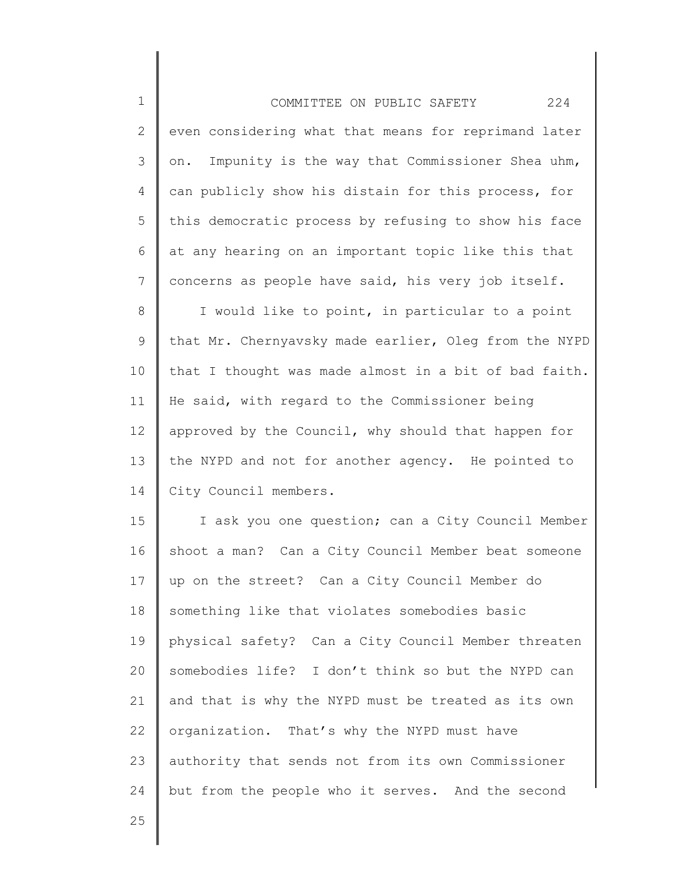| $\mathbf 1$  | 224<br>COMMITTEE ON PUBLIC SAFETY                     |
|--------------|-------------------------------------------------------|
| $\mathbf{2}$ | even considering what that means for reprimand later  |
| 3            | on. Impunity is the way that Commissioner Shea uhm,   |
| 4            | can publicly show his distain for this process, for   |
| 5            | this democratic process by refusing to show his face  |
| 6            | at any hearing on an important topic like this that   |
| 7            | concerns as people have said, his very job itself.    |
| 8            | I would like to point, in particular to a point       |
| 9            | that Mr. Chernyavsky made earlier, Oleg from the NYPD |
| 10           | that I thought was made almost in a bit of bad faith. |
| 11           | He said, with regard to the Commissioner being        |
| 12           | approved by the Council, why should that happen for   |
| 13           | the NYPD and not for another agency. He pointed to    |
| 14           | City Council members.                                 |
| 15           | I ask you one question; can a City Council Member     |
| 16           | shoot a man? Can a City Council Member beat someone   |
| 17           | up on the street? Can a City Council Member do        |
| 18           | something like that violates somebodies basic         |
| 19           | physical safety? Can a City Council Member threaten   |
| 20           | somebodies life? I don't think so but the NYPD can    |
| 21           | and that is why the NYPD must be treated as its own   |
| 22           | organization. That's why the NYPD must have           |
| 23           | authority that sends not from its own Commissioner    |
| 24           | but from the people who it serves. And the second     |
|              |                                                       |

 $\parallel$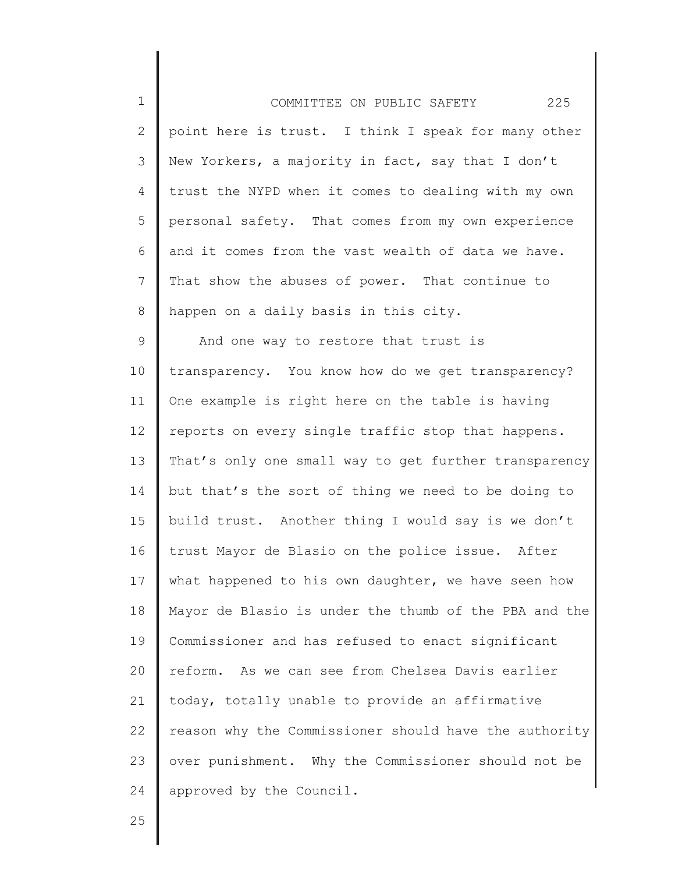| $\mathbf 1$    | 225<br>COMMITTEE ON PUBLIC SAFETY                     |
|----------------|-------------------------------------------------------|
| 2              | point here is trust. I think I speak for many other   |
| 3              | New Yorkers, a majority in fact, say that I don't     |
| $\overline{4}$ | trust the NYPD when it comes to dealing with my own   |
| 5              | personal safety. That comes from my own experience    |
| 6              | and it comes from the vast wealth of data we have.    |
| $7\phantom{.}$ | That show the abuses of power. That continue to       |
| 8              | happen on a daily basis in this city.                 |
| 9              | And one way to restore that trust is                  |
| 10             | transparency. You know how do we get transparency?    |
| 11             | One example is right here on the table is having      |
| 12             | reports on every single traffic stop that happens.    |
| 13             | That's only one small way to get further transparency |
| 14             | but that's the sort of thing we need to be doing to   |
| 15             | build trust. Another thing I would say is we don't    |
| 16             | trust Mayor de Blasio on the police issue. After      |
| 17             | what happened to his own daughter, we have seen how   |
| 18             | Mayor de Blasio is under the thumb of the PBA and the |
| 19             | Commissioner and has refused to enact significant     |
| 20             | reform. As we can see from Chelsea Davis earlier      |
| 21             | today, totally unable to provide an affirmative       |
| 22             | reason why the Commissioner should have the authority |
| 23             | over punishment. Why the Commissioner should not be   |
| 24             | approved by the Council.                              |

║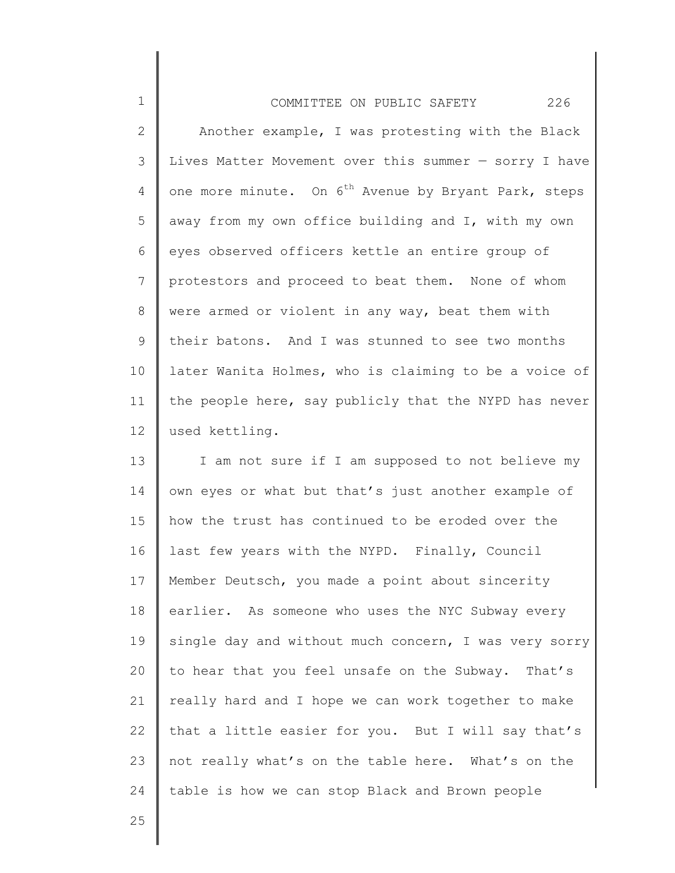| $\mathbf{1}$    | 226<br>COMMITTEE ON PUBLIC SAFETY                                |
|-----------------|------------------------------------------------------------------|
| 2               | Another example, I was protesting with the Black                 |
| 3               | Lives Matter Movement over this summer - sorry I have            |
| 4               | one more minute. On 6 <sup>th</sup> Avenue by Bryant Park, steps |
| 5               | away from my own office building and I, with my own              |
| 6               | eyes observed officers kettle an entire group of                 |
| 7               | protestors and proceed to beat them. None of whom                |
| 8               | were armed or violent in any way, beat them with                 |
| 9               | their batons. And I was stunned to see two months                |
| 10              | later Wanita Holmes, who is claiming to be a voice of            |
| 11              | the people here, say publicly that the NYPD has never            |
| 12 <sub>1</sub> | used kettling.                                                   |

13 14 15 16 17 18 19 20 21 22 23 24 I am not sure if I am supposed to not believe my own eyes or what but that's just another example of how the trust has continued to be eroded over the last few years with the NYPD. Finally, Council Member Deutsch, you made a point about sincerity earlier. As someone who uses the NYC Subway every single day and without much concern, I was very sorry to hear that you feel unsafe on the Subway. That's really hard and I hope we can work together to make that a little easier for you. But I will say that's not really what's on the table here. What's on the table is how we can stop Black and Brown people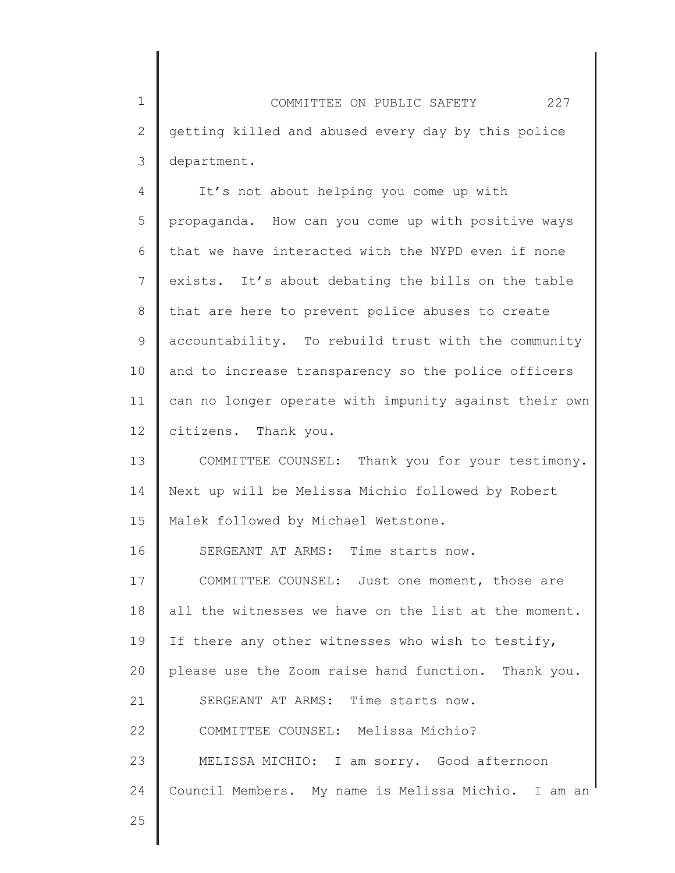1 2 3 COMMITTEE ON PUBLIC SAFETY 227 getting killed and abused every day by this police department.

4 5 6 7 8 9 10 11 12 It's not about helping you come up with propaganda. How can you come up with positive ways that we have interacted with the NYPD even if none exists. It's about debating the bills on the table that are here to prevent police abuses to create accountability. To rebuild trust with the community and to increase transparency so the police officers can no longer operate with impunity against their own citizens. Thank you.

13 14 15 COMMITTEE COUNSEL: Thank you for your testimony. Next up will be Melissa Michio followed by Robert Malek followed by Michael Wetstone.

16 17 18 19 20 21 22 23 24 SERGEANT AT ARMS: Time starts now. COMMITTEE COUNSEL: Just one moment, those are all the witnesses we have on the list at the moment. If there any other witnesses who wish to testify, please use the Zoom raise hand function. Thank you. SERGEANT AT ARMS: Time starts now. COMMITTEE COUNSEL: Melissa Michio? MELISSA MICHIO: I am sorry. Good afternoon Council Members. My name is Melissa Michio. I am an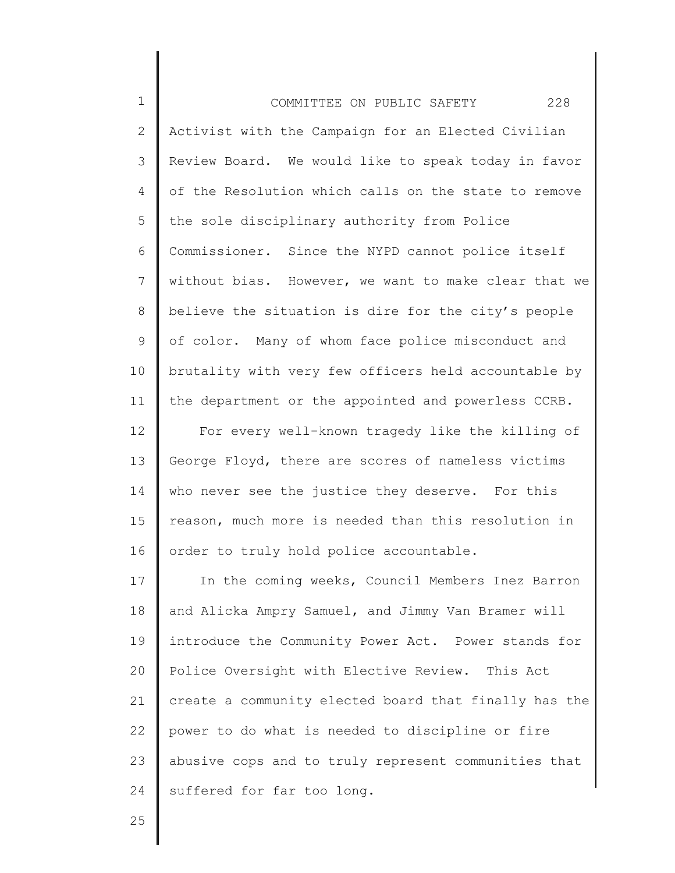| $\mathbf 1$  | 228<br>COMMITTEE ON PUBLIC SAFETY                     |
|--------------|-------------------------------------------------------|
| $\mathbf{2}$ | Activist with the Campaign for an Elected Civilian    |
| 3            | Review Board. We would like to speak today in favor   |
| 4            | of the Resolution which calls on the state to remove  |
| 5            | the sole disciplinary authority from Police           |
| 6            | Commissioner. Since the NYPD cannot police itself     |
| 7            | without bias. However, we want to make clear that we  |
| 8            | believe the situation is dire for the city's people   |
| 9            | of color. Many of whom face police misconduct and     |
| 10           | brutality with very few officers held accountable by  |
| 11           | the department or the appointed and powerless CCRB.   |
| 12           | For every well-known tragedy like the killing of      |
| 13           | George Floyd, there are scores of nameless victims    |
| 14           | who never see the justice they deserve. For this      |
| 15           | reason, much more is needed than this resolution in   |
| 16           | order to truly hold police accountable.               |
| 17           | In the coming weeks, Council Members Inez Barron      |
| 18           | and Alicka Ampry Samuel, and Jimmy Van Bramer will    |
| 19           | introduce the Community Power Act. Power stands for   |
| 20           | Police Oversight with Elective Review. This Act       |
| 21           | create a community elected board that finally has the |
| 22           | power to do what is needed to discipline or fire      |
| 23           | abusive cops and to truly represent communities that  |
| 24           | suffered for far too long.                            |
|              |                                                       |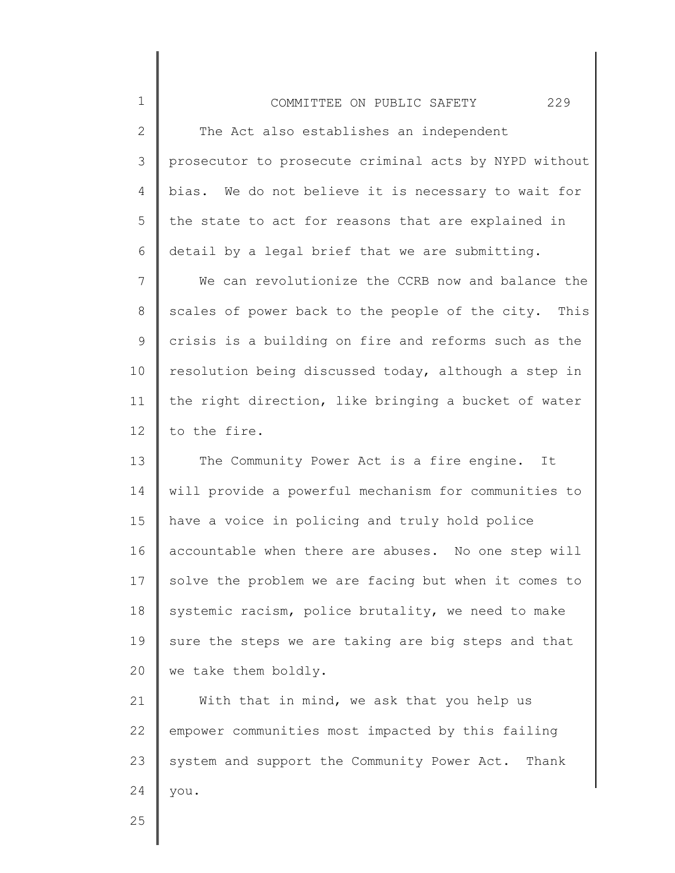| COMMITTEE ON PUBLIC SAFETY                            | 229 |
|-------------------------------------------------------|-----|
| The Act also establishes an independent               |     |
| prosecutor to prosecute criminal acts by NYPD without |     |
| bias. We do not believe it is necessary to wait for   |     |

5 6 the state to act for reasons that are explained in detail by a legal brief that we are submitting.

7 8 9 10 11 12 We can revolutionize the CCRB now and balance the scales of power back to the people of the city. This crisis is a building on fire and reforms such as the resolution being discussed today, although a step in the right direction, like bringing a bucket of water to the fire.

13 14 15 16 17 18 19 20 The Community Power Act is a fire engine. It will provide a powerful mechanism for communities to have a voice in policing and truly hold police accountable when there are abuses. No one step will solve the problem we are facing but when it comes to systemic racism, police brutality, we need to make sure the steps we are taking are big steps and that we take them boldly.

21 22 23 24 With that in mind, we ask that you help us empower communities most impacted by this failing system and support the Community Power Act. Thank you.

25

1

2

3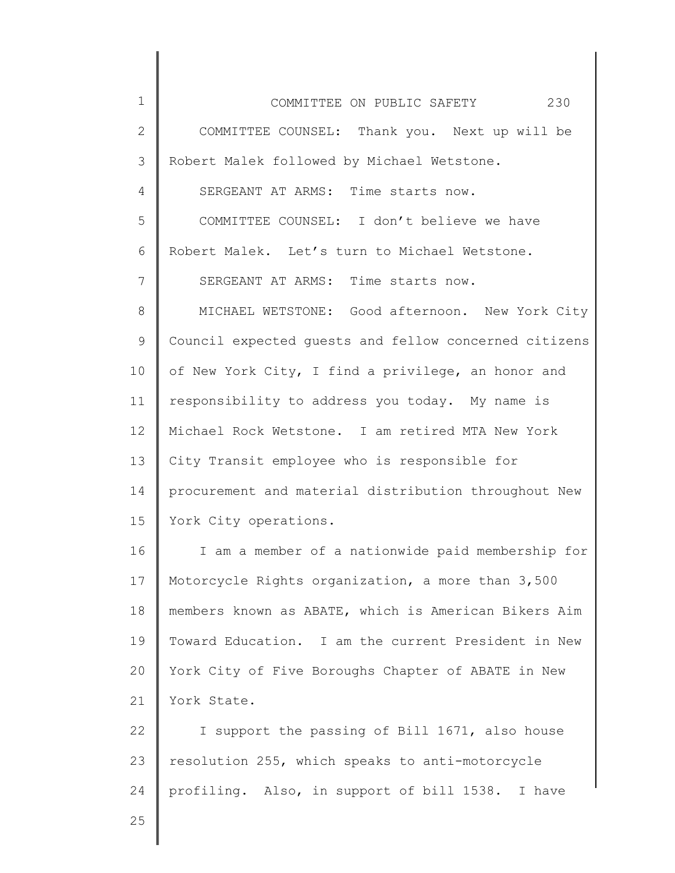| $\mathbf 1$  | 230<br>COMMITTEE ON PUBLIC SAFETY                     |
|--------------|-------------------------------------------------------|
| $\mathbf{2}$ | COMMITTEE COUNSEL: Thank you. Next up will be         |
| 3            | Robert Malek followed by Michael Wetstone.            |
| 4            | SERGEANT AT ARMS: Time starts now.                    |
| 5            | COMMITTEE COUNSEL: I don't believe we have            |
| 6            | Robert Malek. Let's turn to Michael Wetstone.         |
| 7            | SERGEANT AT ARMS: Time starts now.                    |
| 8            | MICHAEL WETSTONE: Good afternoon. New York City       |
| 9            | Council expected quests and fellow concerned citizens |
| 10           | of New York City, I find a privilege, an honor and    |
| 11           | responsibility to address you today. My name is       |
| 12           | Michael Rock Wetstone. I am retired MTA New York      |
| 13           | City Transit employee who is responsible for          |
| 14           | procurement and material distribution throughout New  |
| 15           | York City operations.                                 |
| 16           | I am a member of a nationwide paid membership for     |
| 17           | Motorcycle Rights organization, a more than 3,500     |
| 18           | members known as ABATE, which is American Bikers Aim  |
| 19           | Toward Education. I am the current President in New   |
| 20           | York City of Five Boroughs Chapter of ABATE in New    |
| 21           | York State.                                           |
| 22           | I support the passing of Bill 1671, also house        |
| 23           | resolution 255, which speaks to anti-motorcycle       |
| 24           | profiling. Also, in support of bill 1538. I have      |
| 25           |                                                       |
|              |                                                       |

║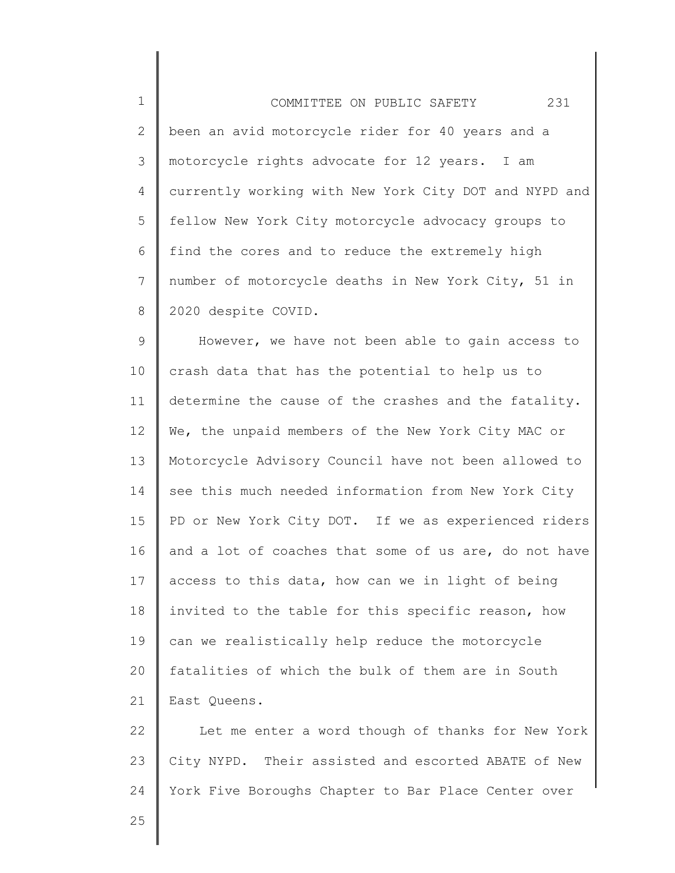1 2 3 4 5 6 7 8 COMMITTEE ON PUBLIC SAFETY 231 been an avid motorcycle rider for 40 years and a motorcycle rights advocate for 12 years. I am currently working with New York City DOT and NYPD and fellow New York City motorcycle advocacy groups to find the cores and to reduce the extremely high number of motorcycle deaths in New York City, 51 in 2020 despite COVID.

9 10 11 12 13 14 15 16 17 18 19 20 21 However, we have not been able to gain access to crash data that has the potential to help us to determine the cause of the crashes and the fatality. We, the unpaid members of the New York City MAC or Motorcycle Advisory Council have not been allowed to see this much needed information from New York City PD or New York City DOT. If we as experienced riders and a lot of coaches that some of us are, do not have access to this data, how can we in light of being invited to the table for this specific reason, how can we realistically help reduce the motorcycle fatalities of which the bulk of them are in South East Queens.

22 23 24 Let me enter a word though of thanks for New York City NYPD. Their assisted and escorted ABATE of New York Five Boroughs Chapter to Bar Place Center over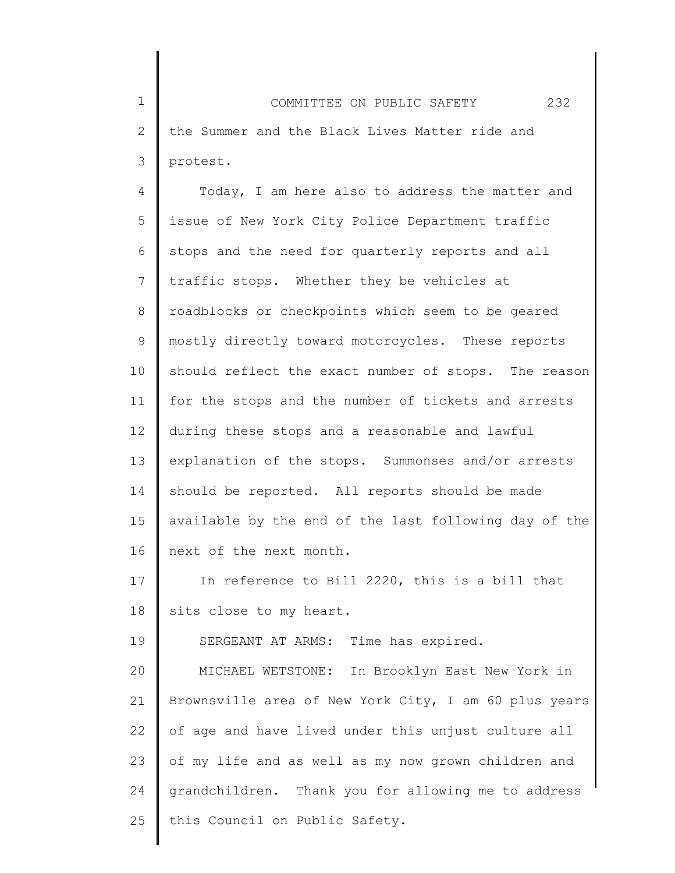1 2 3 COMMITTEE ON PUBLIC SAFETY 232 the Summer and the Black Lives Matter ride and protest.

4 5 6 7 8 9 10 11 12 13 14 15 16 Today, I am here also to address the matter and issue of New York City Police Department traffic stops and the need for quarterly reports and all traffic stops. Whether they be vehicles at roadblocks or checkpoints which seem to be geared mostly directly toward motorcycles. These reports should reflect the exact number of stops. The reason for the stops and the number of tickets and arrests during these stops and a reasonable and lawful explanation of the stops. Summonses and/or arrests should be reported. All reports should be made available by the end of the last following day of the next of the next month.

17 18 In reference to Bill 2220, this is a bill that sits close to my heart.

SERGEANT AT ARMS: Time has expired.

19

20 21 22 23 24 25 MICHAEL WETSTONE: In Brooklyn East New York in Brownsville area of New York City, I am 60 plus years of age and have lived under this unjust culture all of my life and as well as my now grown children and grandchildren. Thank you for allowing me to address this Council on Public Safety.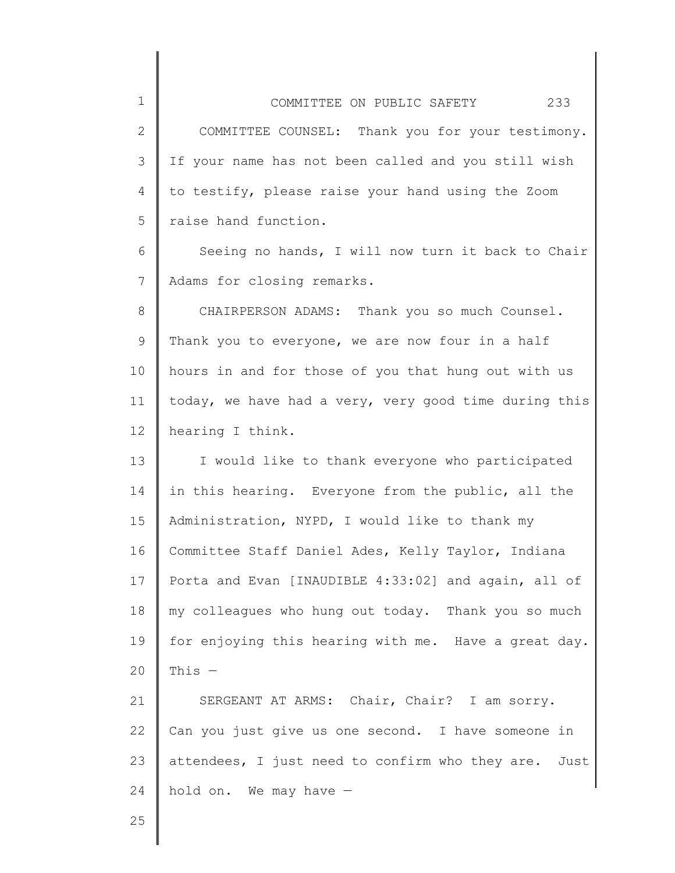2 3 4 5 COMMITTEE COUNSEL: Thank you for your testimony. If your name has not been called and you still wish to testify, please raise your hand using the Zoom raise hand function.

6 7 Seeing no hands, I will now turn it back to Chair Adams for closing remarks.

8 9 10 11 12 CHAIRPERSON ADAMS: Thank you so much Counsel. Thank you to everyone, we are now four in a half hours in and for those of you that hung out with us today, we have had a very, very good time during this hearing I think.

13 14 15 16 17 18 19 20 I would like to thank everyone who participated in this hearing. Everyone from the public, all the Administration, NYPD, I would like to thank my Committee Staff Daniel Ades, Kelly Taylor, Indiana Porta and Evan [INAUDIBLE 4:33:02] and again, all of my colleagues who hung out today. Thank you so much for enjoying this hearing with me. Have a great day. This  $-$ 

21 22 23 24 SERGEANT AT ARMS: Chair, Chair? I am sorry. Can you just give us one second. I have someone in attendees, I just need to confirm who they are. Just hold on. We may have —

25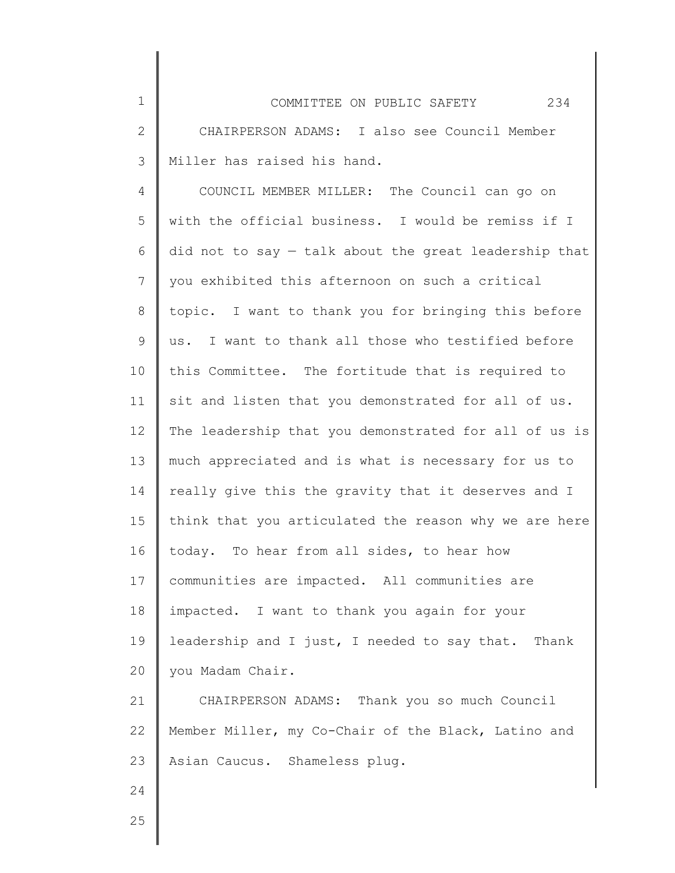| $\mathbf 1$  | 234<br>COMMITTEE ON PUBLIC SAFETY                       |
|--------------|---------------------------------------------------------|
| $\mathbf{2}$ | CHAIRPERSON ADAMS: I also see Council Member            |
| 3            | Miller has raised his hand.                             |
| 4            | COUNCIL MEMBER MILLER: The Council can go on            |
| 5            | with the official business. I would be remiss if I      |
| 6            | did not to say $-$ talk about the great leadership that |
| 7            | you exhibited this afternoon on such a critical         |
| 8            | topic. I want to thank you for bringing this before     |
| 9            | us. I want to thank all those who testified before      |
| 10           | this Committee. The fortitude that is required to       |
| 11           | sit and listen that you demonstrated for all of us.     |
| 12           | The leadership that you demonstrated for all of us is   |
| 13           | much appreciated and is what is necessary for us to     |
| 14           | really give this the gravity that it deserves and I     |
| 15           | think that you articulated the reason why we are here   |
| 16           | today. To hear from all sides, to hear how              |
| 17           | communities are impacted. All communities are           |
| 18           | impacted. I want to thank you again for your            |
| 19           | leadership and I just, I needed to say that. Thank      |
| 20           | you Madam Chair.                                        |
| 21           | CHAIRPERSON ADAMS: Thank you so much Council            |
| 22           | Member Miller, my Co-Chair of the Black, Latino and     |
| 23           | Asian Caucus. Shameless plug.                           |
| 24           |                                                         |

║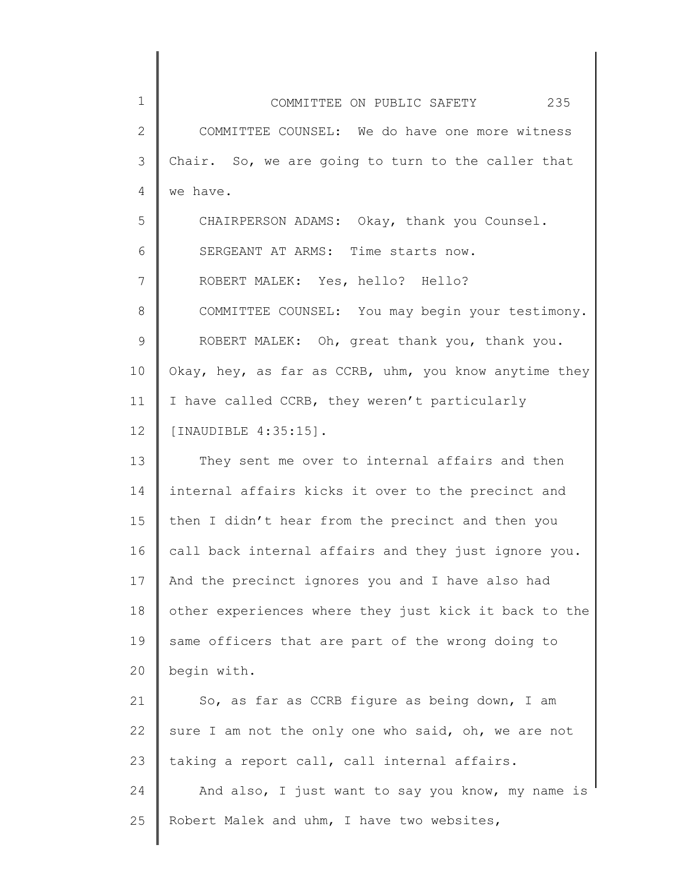| $\mathbf{1}$    | COMMITTEE ON PUBLIC SAFETY 235                        |
|-----------------|-------------------------------------------------------|
| $\mathbf{2}$    | COMMITTEE COUNSEL: We do have one more witness        |
| 3               | Chair. So, we are going to turn to the caller that    |
| $\overline{4}$  | we have.                                              |
| 5               | CHAIRPERSON ADAMS: Okay, thank you Counsel.           |
| 6               | SERGEANT AT ARMS: Time starts now.                    |
| 7               | ROBERT MALEK: Yes, hello? Hello?                      |
| 8               | COMMITTEE COUNSEL: You may begin your testimony.      |
| 9               | ROBERT MALEK: Oh, great thank you, thank you.         |
| 10              | Okay, hey, as far as CCRB, uhm, you know anytime they |
| 11              | I have called CCRB, they weren't particularly         |
| 12 <sup>°</sup> | [INAUDIBLE 4:35:15].                                  |
| 13              | They sent me over to internal affairs and then        |
| 14              | internal affairs kicks it over to the precinct and    |
| 15              | then I didn't hear from the precinct and then you     |
| 16              | call back internal affairs and they just ignore you.  |
| 17              | And the precinct ignores you and I have also had      |
| 18              | other experiences where they just kick it back to the |
| 19              | same officers that are part of the wrong doing to     |
| 20              | begin with.                                           |
| 21              | So, as far as CCRB figure as being down, I am         |
| 22              | sure I am not the only one who said, oh, we are not   |
| 23              | taking a report call, call internal affairs.          |
| 24              | And also, I just want to say you know, my name is     |
| 25              | Robert Malek and uhm, I have two websites,            |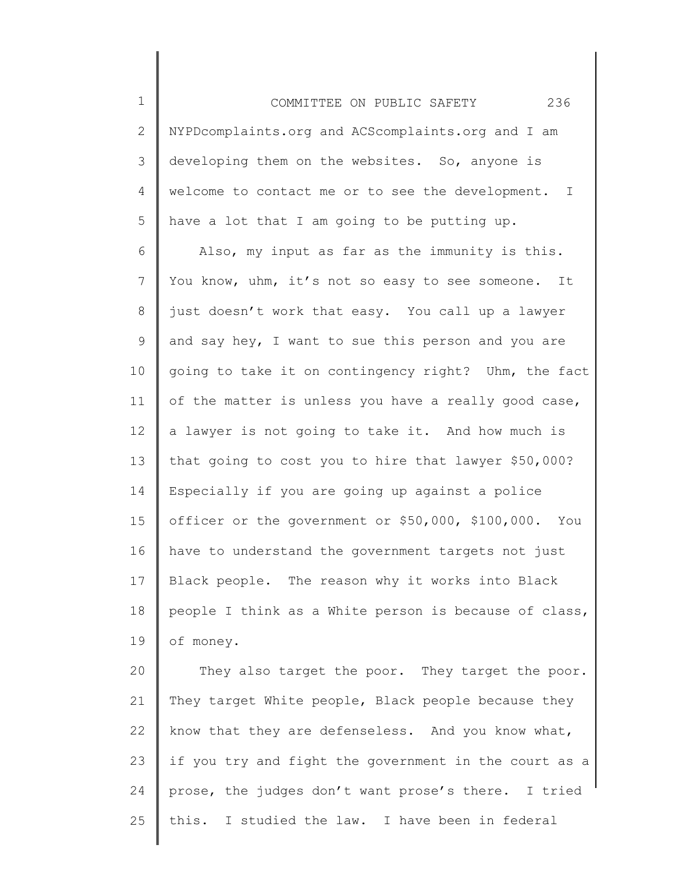1 2 3 4 5 COMMITTEE ON PUBLIC SAFETY 236 NYPDcomplaints.org and ACScomplaints.org and I am developing them on the websites. So, anyone is welcome to contact me or to see the development. I have a lot that I am going to be putting up.

6 7 8 9 10 11 12 13 14 15 16 17 18 19 Also, my input as far as the immunity is this. You know, uhm, it's not so easy to see someone. It just doesn't work that easy. You call up a lawyer and say hey, I want to sue this person and you are going to take it on contingency right? Uhm, the fact of the matter is unless you have a really good case, a lawyer is not going to take it. And how much is that going to cost you to hire that lawyer \$50,000? Especially if you are going up against a police officer or the government or \$50,000, \$100,000. You have to understand the government targets not just Black people. The reason why it works into Black people I think as a White person is because of class, of money.

20 21 22 23 24 25 They also target the poor. They target the poor. They target White people, Black people because they know that they are defenseless. And you know what, if you try and fight the government in the court as a prose, the judges don't want prose's there. I tried this. I studied the law. I have been in federal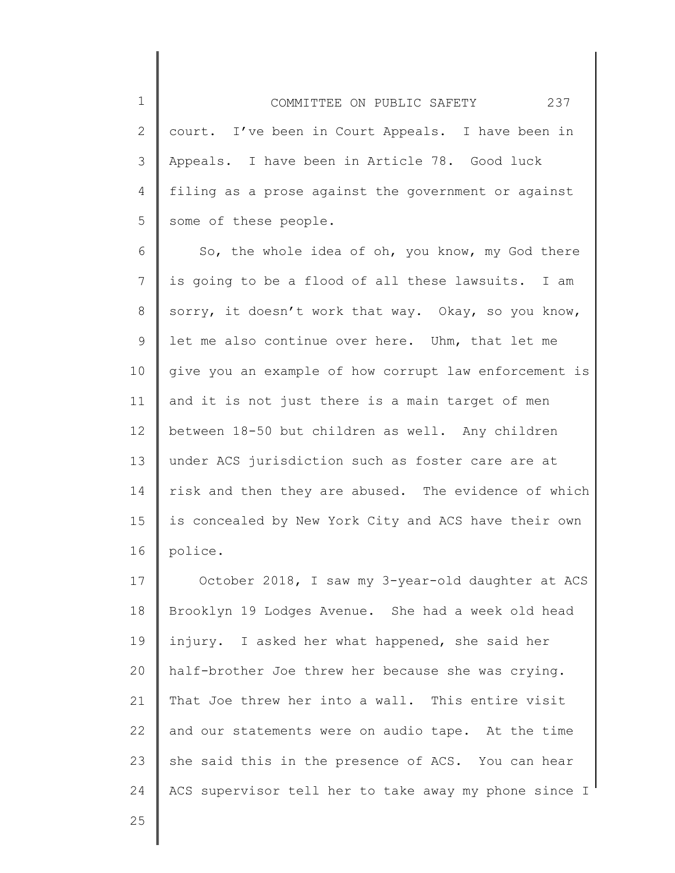1 2 3 4 5 COMMITTEE ON PUBLIC SAFETY 237 court. I've been in Court Appeals. I have been in Appeals. I have been in Article 78. Good luck filing as a prose against the government or against some of these people.

6 7 8 9 10 11 12 13 14 15 16 So, the whole idea of oh, you know, my God there is going to be a flood of all these lawsuits. I am sorry, it doesn't work that way. Okay, so you know, let me also continue over here. Uhm, that let me give you an example of how corrupt law enforcement is and it is not just there is a main target of men between 18-50 but children as well. Any children under ACS jurisdiction such as foster care are at risk and then they are abused. The evidence of which is concealed by New York City and ACS have their own police.

17 18 19 20 21 22 23 24 October 2018, I saw my 3-year-old daughter at ACS Brooklyn 19 Lodges Avenue. She had a week old head injury. I asked her what happened, she said her half-brother Joe threw her because she was crying. That Joe threw her into a wall. This entire visit and our statements were on audio tape. At the time she said this in the presence of ACS. You can hear ACS supervisor tell her to take away my phone since I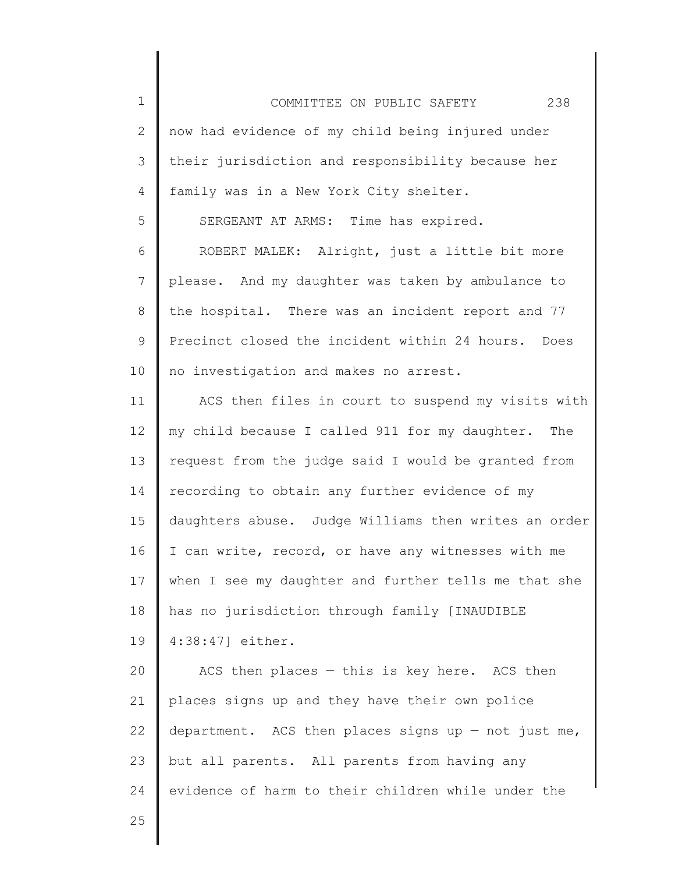1 2 3 4 5 6 7 8 9 10 11 12 13 14 15 16 17 18 19 20 21 22 23 24 25 COMMITTEE ON PUBLIC SAFETY 238 now had evidence of my child being injured under their jurisdiction and responsibility because her family was in a New York City shelter. SERGEANT AT ARMS: Time has expired. ROBERT MALEK: Alright, just a little bit more please. And my daughter was taken by ambulance to the hospital. There was an incident report and 77 Precinct closed the incident within 24 hours. Does no investigation and makes no arrest. ACS then files in court to suspend my visits with my child because I called 911 for my daughter. The request from the judge said I would be granted from recording to obtain any further evidence of my daughters abuse. Judge Williams then writes an order I can write, record, or have any witnesses with me when I see my daughter and further tells me that she has no jurisdiction through family [INAUDIBLE 4:38:47] either. ACS then places  $-$  this is key here. ACS then places signs up and they have their own police department. ACS then places signs up  $-$  not just me, but all parents. All parents from having any evidence of harm to their children while under the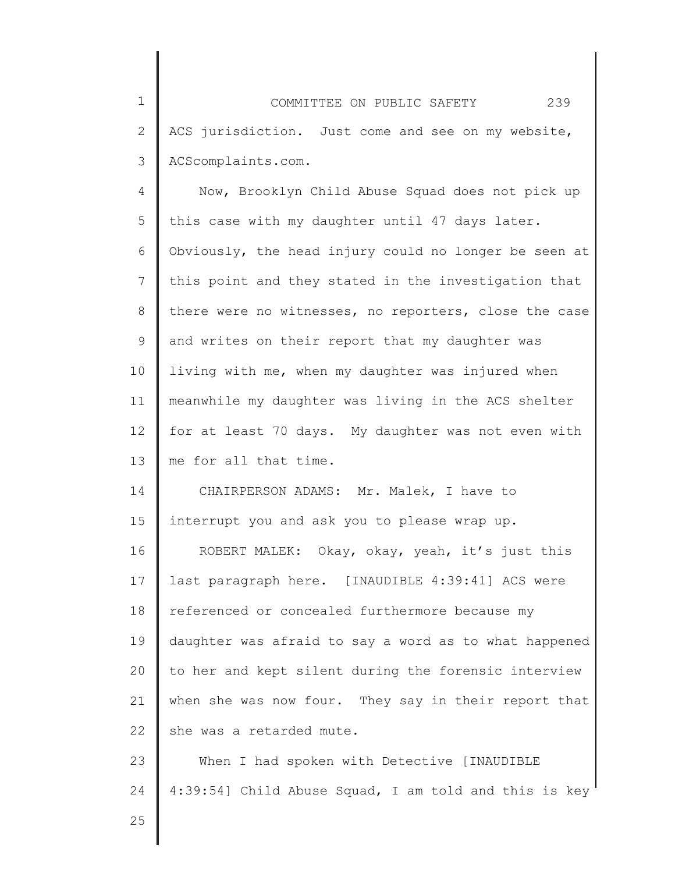1 2 3 COMMITTEE ON PUBLIC SAFETY 239 ACS jurisdiction. Just come and see on my website, ACScomplaints.com.

4 5 6 7 8 9 10 11 12 13 Now, Brooklyn Child Abuse Squad does not pick up this case with my daughter until 47 days later. Obviously, the head injury could no longer be seen at this point and they stated in the investigation that there were no witnesses, no reporters, close the case and writes on their report that my daughter was living with me, when my daughter was injured when meanwhile my daughter was living in the ACS shelter for at least 70 days. My daughter was not even with me for all that time.

14 15 CHAIRPERSON ADAMS: Mr. Malek, I have to interrupt you and ask you to please wrap up.

16 17 18 19 20 21 22 ROBERT MALEK: Okay, okay, yeah, it's just this last paragraph here. [INAUDIBLE 4:39:41] ACS were referenced or concealed furthermore because my daughter was afraid to say a word as to what happened to her and kept silent during the forensic interview when she was now four. They say in their report that she was a retarded mute.

23 24 When I had spoken with Detective [INAUDIBLE 4:39:54] Child Abuse Squad, I am told and this is key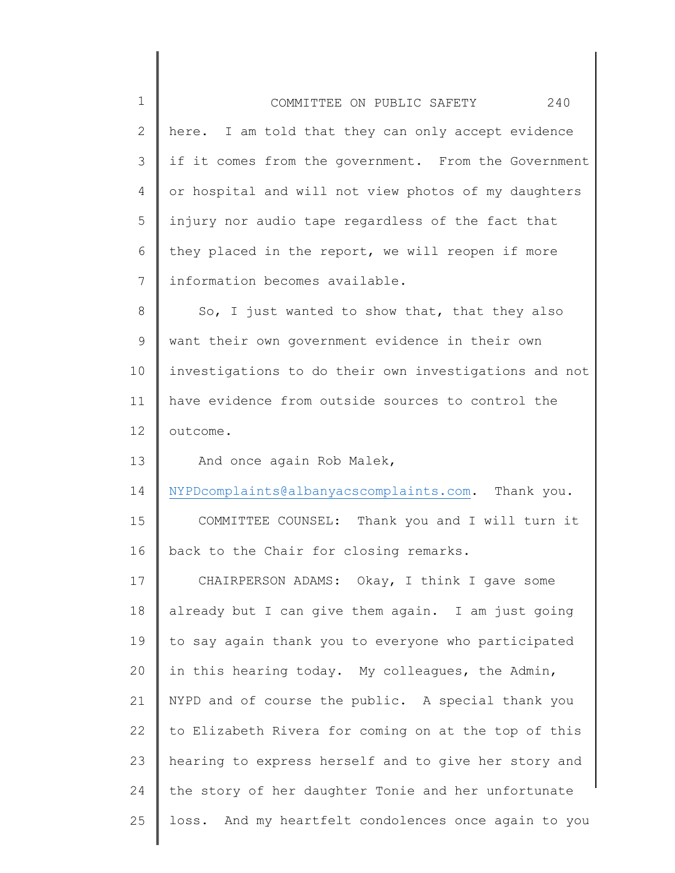| $\mathbf 1$    | 240<br>COMMITTEE ON PUBLIC SAFETY                       |
|----------------|---------------------------------------------------------|
| $\mathbf{2}$   | here. I am told that they can only accept evidence      |
| $\mathcal{S}$  | if it comes from the government. From the Government    |
| 4              | or hospital and will not view photos of my daughters    |
| 5              | injury nor audio tape regardless of the fact that       |
| 6              | they placed in the report, we will reopen if more       |
| $\overline{7}$ | information becomes available.                          |
| 8              | So, I just wanted to show that, that they also          |
| 9              | want their own government evidence in their own         |
| 10             | investigations to do their own investigations and not   |
| 11             | have evidence from outside sources to control the       |
| 12             | outcome.                                                |
| 13             | And once again Rob Malek,                               |
| 14             | NYPDcomplaints@albanyacscomplaints.com. Thank you.      |
| 15             | COMMITTEE COUNSEL: Thank you and I will turn it         |
| 16             | back to the Chair for closing remarks.                  |
| 17             | CHAIRPERSON ADAMS: Okay, I think I gave some            |
| 18             | already but I can give them again. I am just going      |
| 19             | to say again thank you to everyone who participated     |
| 20             | in this hearing today. My colleagues, the Admin,        |
| 21             | NYPD and of course the public. A special thank you      |
| 22             | to Elizabeth Rivera for coming on at the top of this    |
| 23             | hearing to express herself and to give her story and    |
| 24             | the story of her daughter Tonie and her unfortunate     |
| 25             | And my heartfelt condolences once again to you<br>loss. |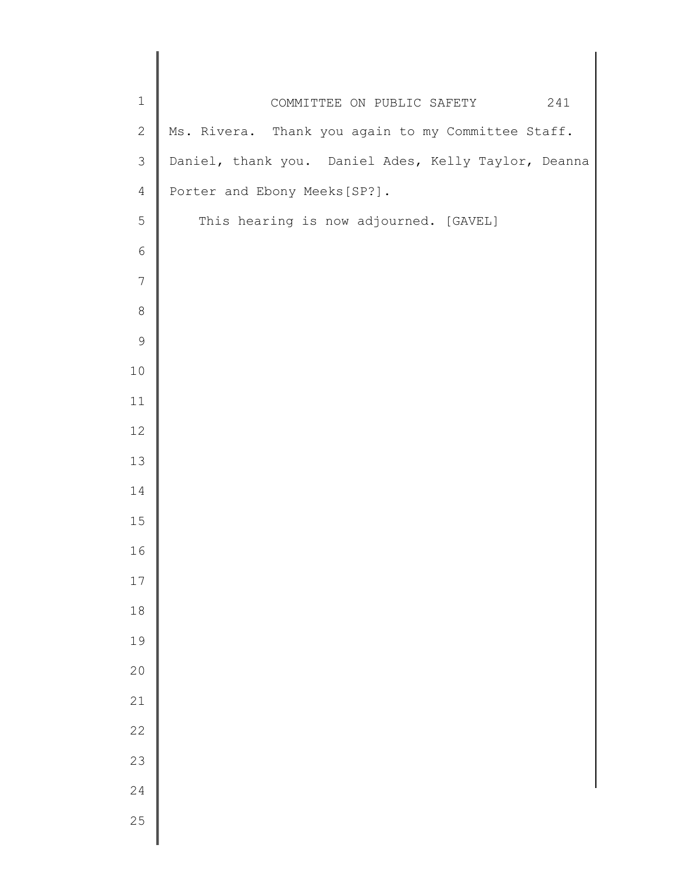| $\mathbf 1$    | 241<br>COMMITTEE ON PUBLIC SAFETY                    |
|----------------|------------------------------------------------------|
| $\mathbf{2}$   | Ms. Rivera. Thank you again to my Committee Staff.   |
| 3              | Daniel, thank you. Daniel Ades, Kelly Taylor, Deanna |
| $\overline{4}$ | Porter and Ebony Meeks [SP?].                        |
| 5              | This hearing is now adjourned. [GAVEL]               |
| $\sqrt{6}$     |                                                      |
| $\overline{7}$ |                                                      |
| $\,8\,$        |                                                      |
| $\mathsf 9$    |                                                      |
| 10             |                                                      |
| 11             |                                                      |
| 12             |                                                      |
| 13             |                                                      |
| 14             |                                                      |
| 15             |                                                      |
| 16             |                                                      |
| 17             |                                                      |
| 18             |                                                      |
| 19             |                                                      |
| 20             |                                                      |
| 21             |                                                      |
| 22             |                                                      |
| 23             |                                                      |
| 24             |                                                      |
| 25             |                                                      |
|                |                                                      |